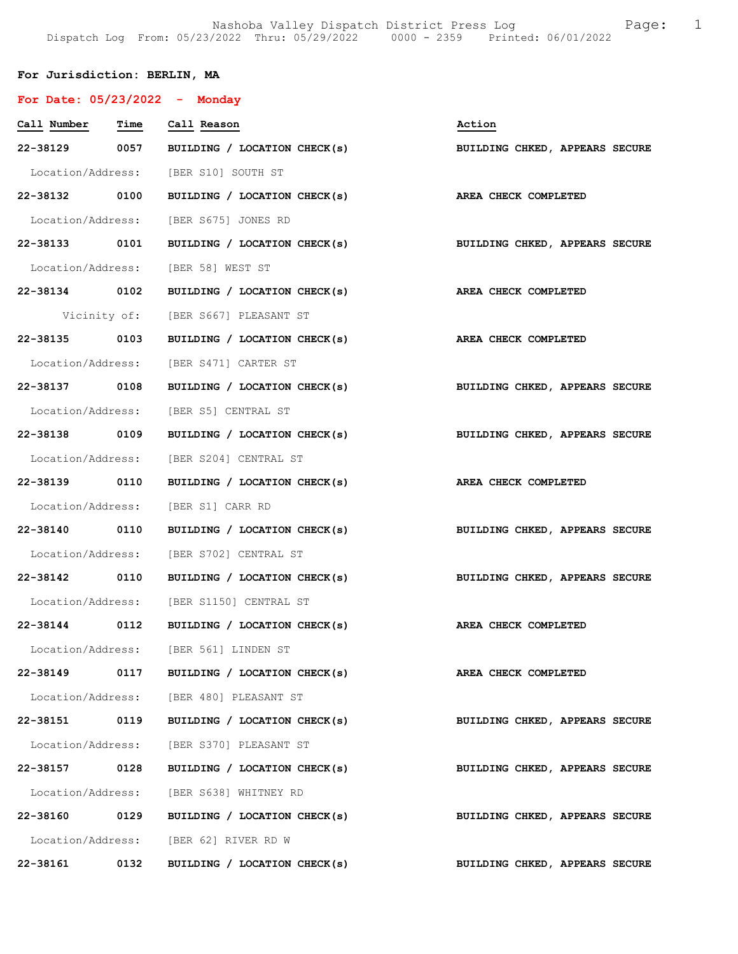Nashoba Valley Dispatch District Press Log Fage: 1 Dispatch Log From: 05/23/2022 Thru: 05/29/2022 0000 - 2359 Printed: 06/01/2022

# For Jurisdiction: BERLIN, MA

| For Date: $05/23/2022 -$ Monday |      |                                                                           |                                |
|---------------------------------|------|---------------------------------------------------------------------------|--------------------------------|
| Call Number Time Call Reason    |      |                                                                           | Action                         |
|                                 |      | 22-38129 0057 BUILDING / LOCATION CHECK(s)                                | BUILDING CHKED, APPEARS SECURE |
|                                 |      | Location/Address: [BER S10] SOUTH ST                                      |                                |
|                                 |      | 22-38132 0100 BUILDING / LOCATION CHECK(s)                                | AREA CHECK COMPLETED           |
|                                 |      | Location/Address: [BER S675] JONES RD                                     |                                |
|                                 |      | 22-38133 0101 BUILDING / LOCATION CHECK(s) BUILDING CHKED, APPEARS SECURE |                                |
|                                 |      | Location/Address: [BER 58] WEST ST                                        |                                |
|                                 |      | 22-38134 0102 BUILDING / LOCATION CHECK(s) AREA CHECK COMPLETED           |                                |
|                                 |      | Vicinity of: [BER S667] PLEASANT ST                                       |                                |
| 22-38135 0103                   |      | BUILDING / LOCATION CHECK(s)                                              | AREA CHECK COMPLETED           |
|                                 |      | Location/Address: [BER S471] CARTER ST                                    |                                |
|                                 |      | 22-38137 0108 BUILDING / LOCATION CHECK(s) BUILDING CHKED, APPEARS SECURE |                                |
|                                 |      | Location/Address: [BER S5] CENTRAL ST                                     |                                |
| 22-38138 0109                   |      | BUILDING / LOCATION CHECK(s)                                              | BUILDING CHKED, APPEARS SECURE |
|                                 |      | Location/Address: [BER S204] CENTRAL ST                                   |                                |
| 22-38139 0110                   |      | BUILDING / LOCATION CHECK(s)                                              | AREA CHECK COMPLETED           |
|                                 |      | Location/Address: [BER S1] CARR RD                                        |                                |
|                                 |      | 22-38140 0110 BUILDING / LOCATION CHECK(s)                                | BUILDING CHKED, APPEARS SECURE |
|                                 |      | Location/Address: [BER S702] CENTRAL ST                                   |                                |
| 22-38142 0110                   |      | BUILDING / LOCATION CHECK(s)                                              | BUILDING CHKED, APPEARS SECURE |
|                                 |      | Location/Address: [BER S1150] CENTRAL ST                                  |                                |
| 22-38144 0112                   |      | BUILDING / LOCATION CHECK(s) AREA CHECK COMPLETED                         |                                |
|                                 |      | Location/Address: [BER 561] LINDEN ST                                     |                                |
|                                 |      | 22-38149 0117 BUILDING / LOCATION CHECK(s)                                | AREA CHECK COMPLETED           |
|                                 |      | Location/Address: [BER 480] PLEASANT ST                                   |                                |
| 22-38151                        | 0119 | BUILDING / LOCATION CHECK(s)                                              | BUILDING CHKED, APPEARS SECURE |
|                                 |      | Location/Address: [BER S370] PLEASANT ST                                  |                                |
| 22-38157                        | 0128 | BUILDING / LOCATION CHECK(s)                                              | BUILDING CHKED, APPEARS SECURE |
|                                 |      | Location/Address: [BER S638] WHITNEY RD                                   |                                |
| 22-38160 0129                   |      | BUILDING / LOCATION CHECK(s)                                              | BUILDING CHKED, APPEARS SECURE |
|                                 |      | Location/Address: [BER 62] RIVER RD W                                     |                                |
| 22-38161                        | 0132 | BUILDING / LOCATION CHECK(s)                                              | BUILDING CHKED, APPEARS SECURE |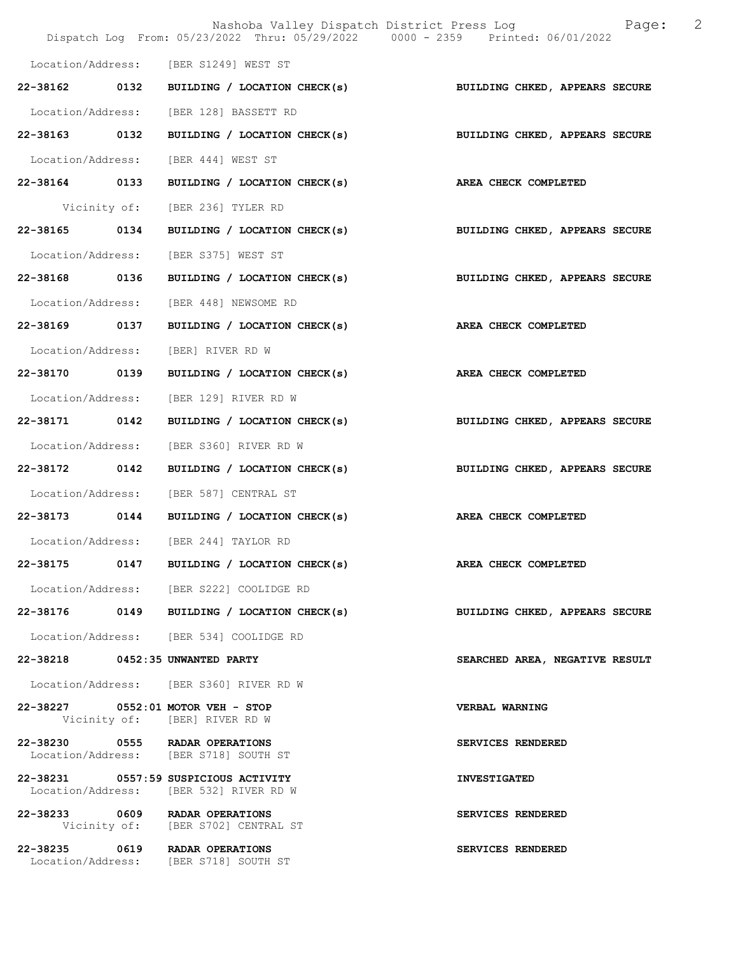|                                 |      | Nashoba Valley Dispatch District Press Log<br>Dispatch Log From: 05/23/2022 Thru: 05/29/2022 0000 - 2359 Printed: 06/01/2022 | 2<br>Page:                     |
|---------------------------------|------|------------------------------------------------------------------------------------------------------------------------------|--------------------------------|
|                                 |      |                                                                                                                              |                                |
|                                 |      | Location/Address: [BER S1249] WEST ST                                                                                        |                                |
|                                 |      | 22-38162 0132 BUILDING / LOCATION CHECK(s)                                                                                   | BUILDING CHKED, APPEARS SECURE |
|                                 |      | Location/Address: [BER 128] BASSETT RD                                                                                       |                                |
| 22-38163 0132                   |      | BUILDING / LOCATION CHECK(s)                                                                                                 | BUILDING CHKED, APPEARS SECURE |
|                                 |      | Location/Address: [BER 444] WEST ST                                                                                          |                                |
| 22-38164 0133                   |      | BUILDING / LOCATION CHECK(s) AREA CHECK COMPLETED                                                                            |                                |
|                                 |      | Vicinity of: [BER 236] TYLER RD                                                                                              |                                |
| 22-38165 0134                   |      | BUILDING / LOCATION CHECK(s)                                                                                                 | BUILDING CHKED, APPEARS SECURE |
| Location/Address:               |      | [BER S375] WEST ST                                                                                                           |                                |
| 22-38168 0136                   |      | BUILDING / LOCATION CHECK(s)                                                                                                 | BUILDING CHKED, APPEARS SECURE |
|                                 |      | Location/Address: [BER 448] NEWSOME RD                                                                                       |                                |
| 22-38169 0137                   |      | BUILDING / LOCATION CHECK(s) AREA CHECK COMPLETED                                                                            |                                |
| Location/Address:               |      | [BER] RIVER RD W                                                                                                             |                                |
| 22-38170 0139                   |      | BUILDING / LOCATION CHECK(s)                                                                                                 | AREA CHECK COMPLETED           |
| Location/Address:               |      | [BER 129] RIVER RD W                                                                                                         |                                |
| 22-38171                        | 0142 | BUILDING / LOCATION CHECK(s)                                                                                                 | BUILDING CHKED, APPEARS SECURE |
| Location/Address:               |      | [BER S360] RIVER RD W                                                                                                        |                                |
| 22-38172 0142                   |      | BUILDING / LOCATION CHECK(s)                                                                                                 | BUILDING CHKED, APPEARS SECURE |
|                                 |      | Location/Address: [BER 587] CENTRAL ST                                                                                       |                                |
|                                 |      | 22-38173 0144 BUILDING / LOCATION CHECK(s)                                                                                   | AREA CHECK COMPLETED           |
|                                 |      | Location/Address: [BER 244] TAYLOR RD                                                                                        |                                |
| 22-38175                        | 0147 | BUILDING / LOCATION CHECK(s)                                                                                                 | AREA CHECK COMPLETED           |
|                                 |      | Location/Address: [BER S222] COOLIDGE RD                                                                                     |                                |
|                                 |      | 22-38176 0149 BUILDING / LOCATION CHECK(s)                                                                                   | BUILDING CHKED, APPEARS SECURE |
|                                 |      | Location/Address: [BER 534] COOLIDGE RD                                                                                      |                                |
| 22-38218 0452:35 UNWANTED PARTY |      |                                                                                                                              | SEARCHED AREA, NEGATIVE RESULT |
|                                 |      | Location/Address: [BER S360] RIVER RD W                                                                                      |                                |
|                                 |      | 22-38227 0552:01 MOTOR VEH - STOP<br>Vicinity of: [BER] RIVER RD W                                                           | <b>VERBAL WARNING</b>          |
|                                 |      | 22-38230 0555 RADAR OPERATIONS<br>Location/Address: [BER S718] SOUTH ST                                                      | SERVICES RENDERED              |
|                                 |      | 22-38231 0557:59 SUSPICIOUS ACTIVITY<br>Location/Address: [BER 532] RIVER RD W                                               | <b>INVESTIGATED</b>            |
|                                 |      | 22-38233 0609 RADAR OPERATIONS<br>Vicinity of: [BER S702] CENTRAL ST                                                         | SERVICES RENDERED              |
|                                 |      | 22-38235 0619 RADAR OPERATIONS<br>Location/Address: [BER S718] SOUTH ST                                                      | SERVICES RENDERED              |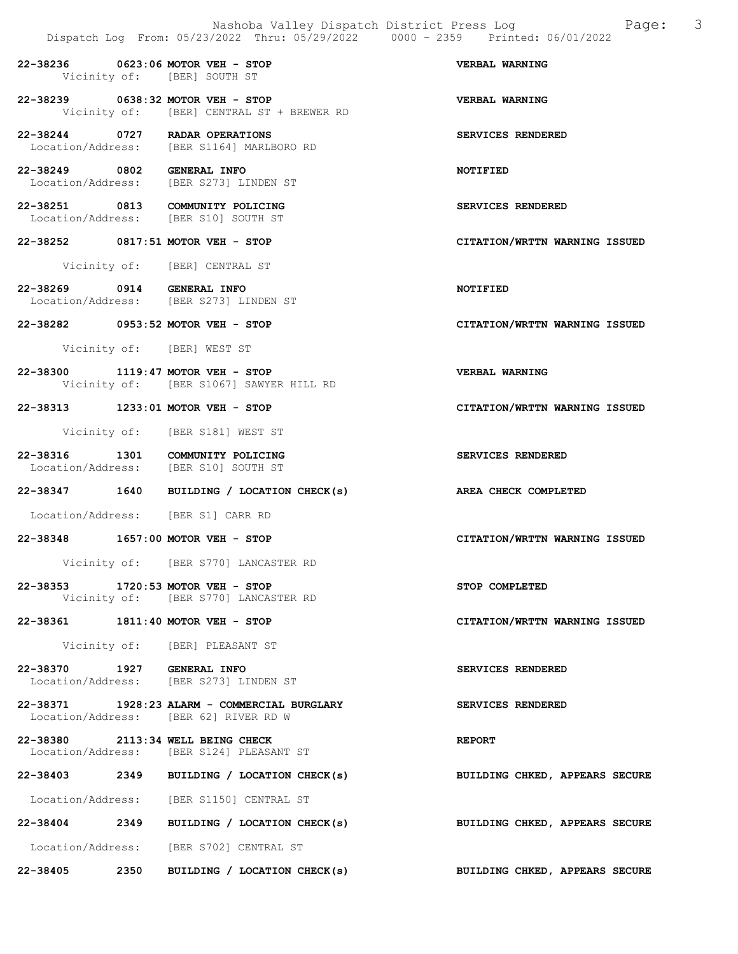|                            | Nashoba Valley Dispatch District Press Log<br>Dispatch Log From: 05/23/2022 Thru: 05/29/2022 0000 - 2359 Printed: 06/01/2022 | 3<br>Page:                     |
|----------------------------|------------------------------------------------------------------------------------------------------------------------------|--------------------------------|
|                            | 22-38236 0623:06 MOTOR VEH - STOP<br>Vicinity of: [BER] SOUTH ST                                                             | VERBAL WARNING                 |
|                            | 22-38239 0638:32 MOTOR VEH - STOP<br>Vicinity of: [BER] CENTRAL ST + BREWER RD                                               | VERBAL WARNING                 |
|                            | 22-38244 0727 RADAR OPERATIONS<br>Location/Address: [BER S1164] MARLBORO RD                                                  | SERVICES RENDERED              |
| 22-38249 0802 GENERAL INFO | Location/Address: [BER S273] LINDEN ST                                                                                       | NOTIFIED                       |
|                            | 22-38251 0813 COMMUNITY POLICING<br>Location/Address: [BER S10] SOUTH ST                                                     | SERVICES RENDERED              |
|                            | 22-38252 0817:51 MOTOR VEH - STOP                                                                                            | CITATION/WRTTN WARNING ISSUED  |
|                            | Vicinity of: [BER] CENTRAL ST                                                                                                |                                |
| 22-38269 0914 GENERAL INFO | Location/Address: [BER S273] LINDEN ST                                                                                       | NOTIFIED                       |
|                            | 22-38282 0953:52 MOTOR VEH - STOP                                                                                            | CITATION/WRTTN WARNING ISSUED  |
|                            | Vicinity of: [BER] WEST ST                                                                                                   |                                |
|                            | 22-38300 1119:47 MOTOR VEH - STOP<br>Vicinity of: [BER S1067] SAWYER HILL RD                                                 | VERBAL WARNING                 |
|                            | 22-38313 1233:01 MOTOR VEH - STOP                                                                                            | CITATION/WRTTN WARNING ISSUED  |
|                            | Vicinity of: [BER S181] WEST ST                                                                                              |                                |
|                            | 22-38316 1301 COMMUNITY POLICING<br>Location/Address: [BER S10] SOUTH ST                                                     | SERVICES RENDERED              |
|                            | 22-38347 1640 BUILDING / LOCATION CHECK(s)                                                                                   | AREA CHECK COMPLETED           |
|                            | Location/Address: [BER S1] CARR RD                                                                                           |                                |
|                            | 22-38348 1657:00 MOTOR VEH - STOP                                                                                            | CITATION/WRTTN WARNING ISSUED  |
|                            | Vicinity of: [BER S770] LANCASTER RD                                                                                         |                                |
|                            | 22-38353 1720:53 MOTOR VEH - STOP<br>Vicinity of: [BER S770] LANCASTER RD                                                    | STOP COMPLETED                 |
|                            | 22-38361 1811:40 MOTOR VEH - STOP                                                                                            | CITATION/WRTTN WARNING ISSUED  |
|                            | Vicinity of: [BER] PLEASANT ST                                                                                               |                                |
| 22-38370 1927 GENERAL INFO | Location/Address: [BER S273] LINDEN ST                                                                                       | SERVICES RENDERED              |
|                            | 22-38371 1928:23 ALARM - COMMERCIAL BURGLARY<br>Location/Address: [BER 62] RIVER RD W                                        | SERVICES RENDERED              |
|                            | 22-38380 2113:34 WELL BEING CHECK<br>Location/Address: [BER S124] PLEASANT ST                                                | <b>REPORT</b>                  |
|                            | 22-38403 2349 BUILDING / LOCATION CHECK(s)                                                                                   | BUILDING CHKED, APPEARS SECURE |
|                            | Location/Address: [BER S1150] CENTRAL ST                                                                                     |                                |

22-38404 2349 BUILDING / LOCATION CHECK(s) BUILDING CHKED, APPEARS SECURE

Location/Address: [BER S702] CENTRAL ST

22-38405 2350 BUILDING / LOCATION CHECK(s) BUILDING CHKED, APPEARS SECURE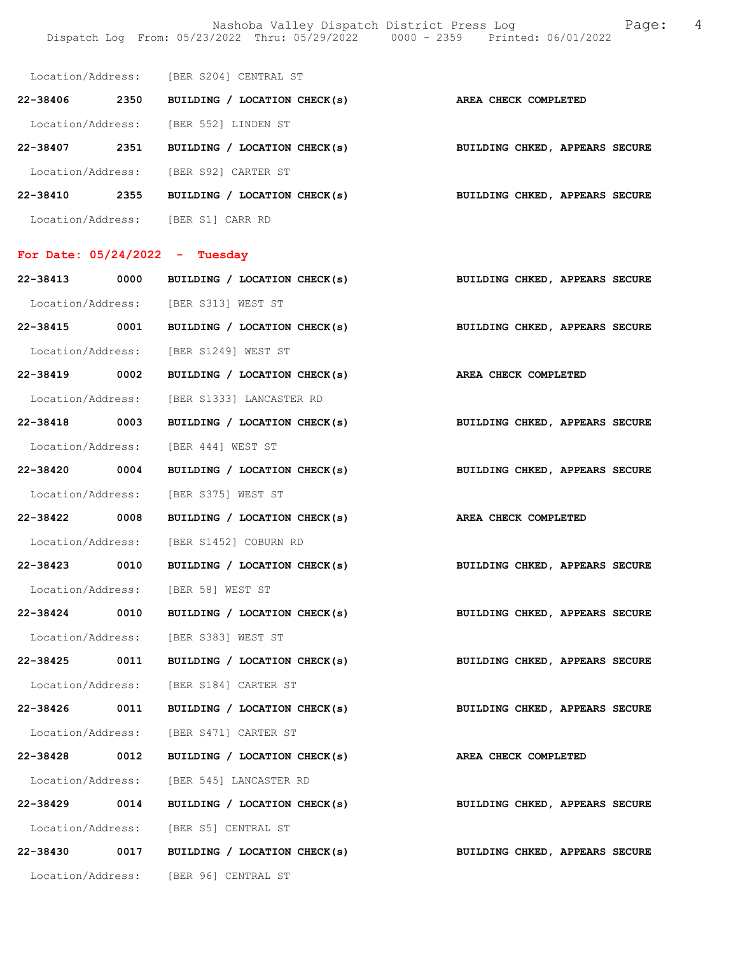Nashoba Valley Dispatch District Press Log Fage: 4 Dispatch Log From: 05/23/2022 Thru: 05/29/2022 0000 - 2359 Printed: 06/01/2022

|               | Location/Address: [BER S204] CENTRAL ST                         |                                |
|---------------|-----------------------------------------------------------------|--------------------------------|
|               | 22-38406 2350 BUILDING / LOCATION CHECK(s) AREA CHECK COMPLETED |                                |
|               | Location/Address: [BER 552] LINDEN ST                           |                                |
|               | 22-38407 2351 BUILDING / LOCATION CHECK(s)                      | BUILDING CHKED, APPEARS SECURE |
|               | Location/Address: [BER S92] CARTER ST                           |                                |
|               | 22-38410 2355 BUILDING / LOCATION CHECK(s)                      | BUILDING CHKED, APPEARS SECURE |
|               | Location/Address: [BER S1] CARR RD                              |                                |
|               | For Date: $05/24/2022 -$ Tuesday                                |                                |
|               | 22-38413 0000 BUILDING / LOCATION CHECK(s)                      | BUILDING CHKED, APPEARS SECURE |
|               |                                                                 |                                |
|               | Location/Address: [BER S313] WEST ST                            |                                |
|               | 22-38415 0001 BUILDING / LOCATION CHECK(s)                      | BUILDING CHKED, APPEARS SECURE |
|               | Location/Address: [BER S1249] WEST ST                           |                                |
|               | 22-38419 0002 BUILDING / LOCATION CHECK(s)                      | AREA CHECK COMPLETED           |
|               | Location/Address: [BER S1333] LANCASTER RD                      |                                |
|               | 22-38418 0003 BUILDING / LOCATION CHECK(s)                      | BUILDING CHKED, APPEARS SECURE |
|               | Location/Address: [BER 444] WEST ST                             |                                |
| 22-38420 0004 | BUILDING / LOCATION CHECK(s)                                    | BUILDING CHKED, APPEARS SECURE |
|               | Location/Address: [BER S375] WEST ST                            |                                |
|               | 22-38422 0008 BUILDING / LOCATION CHECK(s)                      | AREA CHECK COMPLETED           |
|               | Location/Address: [BER S1452] COBURN RD                         |                                |
|               | 22-38423 0010 BUILDING / LOCATION CHECK(s)                      | BUILDING CHKED, APPEARS SECURE |
|               | Location/Address: [BER 58] WEST ST                              |                                |
|               | 22-38424 0010 BUILDING / LOCATION CHECK(s)                      | BUILDING CHKED, APPEARS SECURE |
|               | Location/Address: [BER S383] WEST ST                            |                                |
|               | 22-38425 0011 BUILDING / LOCATION CHECK(s)                      | BUILDING CHKED, APPEARS SECURE |
|               | Location/Address: [BER S184] CARTER ST                          |                                |
|               | 22-38426 0011 BUILDING / LOCATION CHECK(s)                      | BUILDING CHKED, APPEARS SECURE |
|               | Location/Address: [BER S471] CARTER ST                          |                                |
|               | 22-38428 0012 BUILDING / LOCATION CHECK(s)                      | AREA CHECK COMPLETED           |
|               | Location/Address: [BER 545] LANCASTER RD                        |                                |
|               | 22-38429 0014 BUILDING / LOCATION CHECK(s)                      | BUILDING CHKED, APPEARS SECURE |
|               | Location/Address: [BER S5] CENTRAL ST                           |                                |
|               | 22-38430 0017 BUILDING / LOCATION CHECK(s)                      | BUILDING CHKED, APPEARS SECURE |
|               | Location/Address: [BER 96] CENTRAL ST                           |                                |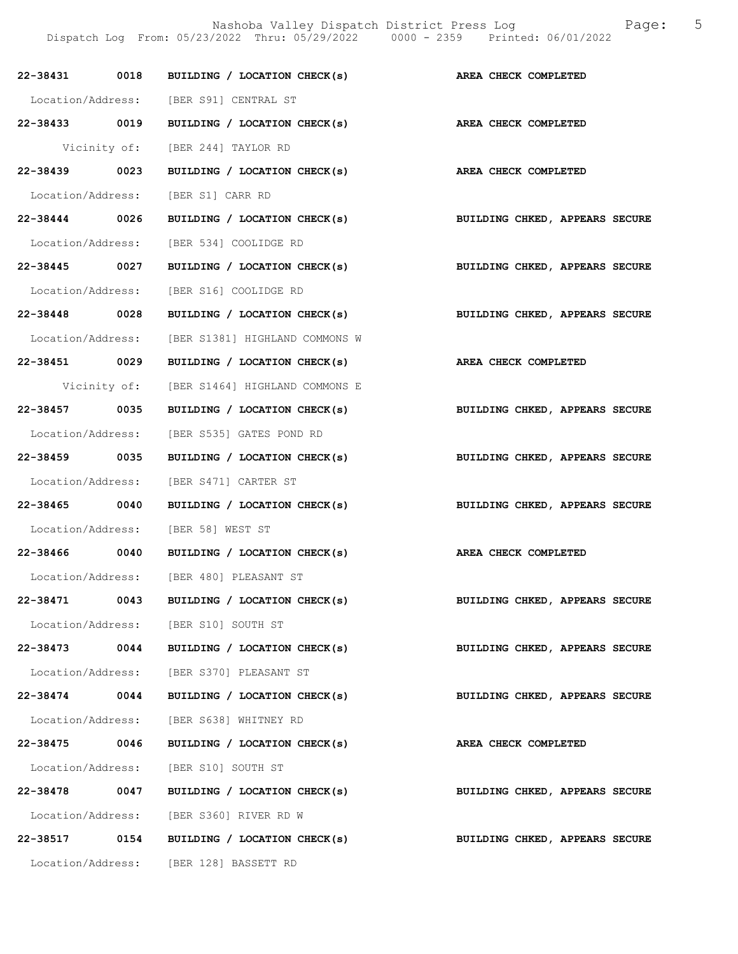|               |      | 22-38431 0018 BUILDING / LOCATION CHECK(s) AREA CHECK COMPLETED                                           |                                |
|---------------|------|-----------------------------------------------------------------------------------------------------------|--------------------------------|
|               |      |                                                                                                           |                                |
|               |      | Location/Address: [BER S91] CENTRAL ST<br>22-38433 0019 BUILDING / LOCATION CHECK(s) AREA CHECK COMPLETED |                                |
|               |      |                                                                                                           |                                |
|               |      | Vicinity of: [BER 244] TAYLOR RD                                                                          |                                |
| 22-38439 0023 |      | BUILDING / LOCATION CHECK(s)                                                                              | AREA CHECK COMPLETED           |
|               |      | Location/Address: [BER S1] CARR RD                                                                        |                                |
|               |      | 22-38444 0026 BUILDING / LOCATION CHECK(s) BUILDING CHKED, APPEARS SECURE                                 |                                |
|               |      | Location/Address: [BER 534] COOLIDGE RD                                                                   |                                |
| 22-38445 0027 |      | BUILDING / LOCATION CHECK(s)                                                                              | BUILDING CHKED, APPEARS SECURE |
|               |      | Location/Address: [BER S16] COOLIDGE RD                                                                   |                                |
| 22-38448 0028 |      | BUILDING / LOCATION CHECK(s)                                                                              | BUILDING CHKED, APPEARS SECURE |
|               |      | Location/Address: [BER S1381] HIGHLAND COMMONS W                                                          |                                |
|               |      | 22-38451 0029 BUILDING / LOCATION CHECK(s) AREA CHECK COMPLETED                                           |                                |
|               |      | Vicinity of: [BER S1464] HIGHLAND COMMONS E                                                               |                                |
| 22-38457 0035 |      | BUILDING / LOCATION CHECK(s)                                                                              | BUILDING CHKED, APPEARS SECURE |
|               |      | Location/Address: [BER S535] GATES POND RD                                                                |                                |
| 22-38459 0035 |      | BUILDING / LOCATION CHECK(s) BUILDING CHKED, APPEARS SECURE                                               |                                |
|               |      | Location/Address: [BER S471] CARTER ST                                                                    |                                |
|               |      | 22-38465 0040 BUILDING / LOCATION CHECK(s) BUILDING CHKED, APPEARS SECURE                                 |                                |
|               |      | Location/Address: [BER 58] WEST ST                                                                        |                                |
|               |      | 22-38466 0040 BUILDING / LOCATION CHECK(s)                                                                | AREA CHECK COMPLETED           |
|               |      | Location/Address: [BER 480] PLEASANT ST                                                                   |                                |
| 22-38471      | 0043 | BUILDING / LOCATION CHECK(s)                                                                              | BUILDING CHKED, APPEARS SECURE |
|               |      | Location/Address: [BER S10] SOUTH ST                                                                      |                                |
| 22-38473 0044 |      | BUILDING / LOCATION CHECK(s)                                                                              | BUILDING CHKED, APPEARS SECURE |
|               |      | Location/Address: [BER S370] PLEASANT ST                                                                  |                                |
| $22 - 38474$  | 0044 | BUILDING / LOCATION CHECK(s)                                                                              | BUILDING CHKED, APPEARS SECURE |
|               |      | Location/Address: [BER S638] WHITNEY RD                                                                   |                                |
| 22-38475 0046 |      | BUILDING / LOCATION CHECK(s)                                                                              | AREA CHECK COMPLETED           |
|               |      | Location/Address: [BER S10] SOUTH ST                                                                      |                                |
| 22-38478 0047 |      | BUILDING / LOCATION CHECK(s)                                                                              | BUILDING CHKED, APPEARS SECURE |
|               |      | Location/Address: [BER S360] RIVER RD W                                                                   |                                |
| 22-38517      | 0154 | BUILDING / LOCATION CHECK(s)                                                                              | BUILDING CHKED, APPEARS SECURE |
|               |      | Location/Address: [BER 128] BASSETT RD                                                                    |                                |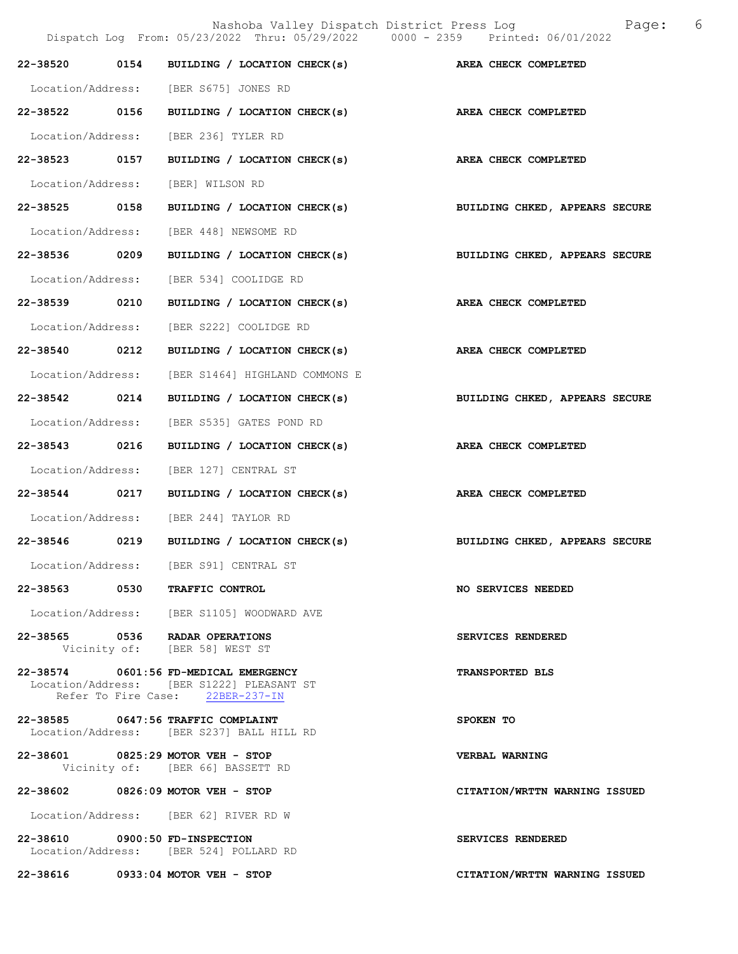|                                | Nashoba Valley Dispatch District Press Log<br>Dispatch Log From: 05/23/2022 Thru: 05/29/2022 0000 - 2359 Printed: 06/01/2022 | Page: 6                        |  |
|--------------------------------|------------------------------------------------------------------------------------------------------------------------------|--------------------------------|--|
| 22-38520                       | 0154 BUILDING / LOCATION CHECK(s)                                                                                            | AREA CHECK COMPLETED           |  |
|                                | Location/Address: [BER S675] JONES RD                                                                                        |                                |  |
| 22-38522 0156                  | BUILDING / LOCATION CHECK(s)                                                                                                 | AREA CHECK COMPLETED           |  |
|                                | Location/Address: [BER 236] TYLER RD                                                                                         |                                |  |
| 22-38523 0157                  | BUILDING / LOCATION CHECK(s)                                                                                                 | AREA CHECK COMPLETED           |  |
| Location/Address:              | [BER] WILSON RD                                                                                                              |                                |  |
| 22-38525 0158                  | BUILDING / LOCATION CHECK(s)                                                                                                 | BUILDING CHKED, APPEARS SECURE |  |
| Location/Address:              | [BER 448] NEWSOME RD                                                                                                         |                                |  |
| 22-38536 0209                  | BUILDING / LOCATION CHECK(s)                                                                                                 | BUILDING CHKED, APPEARS SECURE |  |
|                                | Location/Address: [BER 534] COOLIDGE RD                                                                                      |                                |  |
| 22-38539 0210                  | BUILDING / LOCATION CHECK(s)                                                                                                 | AREA CHECK COMPLETED           |  |
| Location/Address:              | [BER S222] COOLIDGE RD                                                                                                       |                                |  |
| 22-38540 0212                  | BUILDING / LOCATION CHECK(s)                                                                                                 | AREA CHECK COMPLETED           |  |
| Location/Address:              | [BER S1464] HIGHLAND COMMONS E                                                                                               |                                |  |
| 22-38542 0214                  | BUILDING / LOCATION CHECK(s)                                                                                                 | BUILDING CHKED, APPEARS SECURE |  |
| Location/Address:              | [BER S535] GATES POND RD                                                                                                     |                                |  |
| 22-38543 0216                  | BUILDING / LOCATION CHECK(s)                                                                                                 | AREA CHECK COMPLETED           |  |
| Location/Address:              | [BER 127] CENTRAL ST                                                                                                         |                                |  |
| 22-38544 0217                  | BUILDING / LOCATION CHECK(s)                                                                                                 | AREA CHECK COMPLETED           |  |
|                                | Location/Address: [BER 244] TAYLOR RD                                                                                        |                                |  |
| 22-38546 0219                  | BUILDING / LOCATION CHECK(s)                                                                                                 | BUILDING CHKED, APPEARS SECURE |  |
|                                | Location/Address: [BER S91] CENTRAL ST                                                                                       |                                |  |
|                                | 22-38563 0530 TRAFFIC CONTROL                                                                                                | <b>NO SERVICES NEEDED</b>      |  |
|                                | Location/Address: [BER S1105] WOODWARD AVE                                                                                   |                                |  |
|                                | 22-38565 0536 RADAR OPERATIONS<br>Vicinity of: [BER 58] WEST ST                                                              | SERVICES RENDERED              |  |
|                                | 22-38574 0601:56 FD-MEDICAL EMERGENCY<br>Location/Address: [BER S1222] PLEASANT ST<br>Refer To Fire Case: 22BER-237-IN       | <b>TRANSPORTED BLS</b>         |  |
|                                | 22-38585 0647:56 TRAFFIC COMPLAINT<br>Location/Address: [BER S237] BALL HILL RD                                              | SPOKEN TO                      |  |
|                                | 22-38601 0825:29 MOTOR VEH - STOP<br>Vicinity of: [BER 66] BASSETT RD                                                        | <b>VERBAL WARNING</b>          |  |
|                                | 22-38602 0826:09 MOTOR VEH - STOP                                                                                            | CITATION/WRTTN WARNING ISSUED  |  |
|                                | Location/Address: [BER 62] RIVER RD W                                                                                        |                                |  |
| 22-38610 0900:50 FD-INSPECTION | Location/Address: [BER 524] POLLARD RD                                                                                       | SERVICES RENDERED              |  |
|                                | 22-38616 0933:04 MOTOR VEH - STOP                                                                                            | CITATION/WRTTN WARNING ISSUED  |  |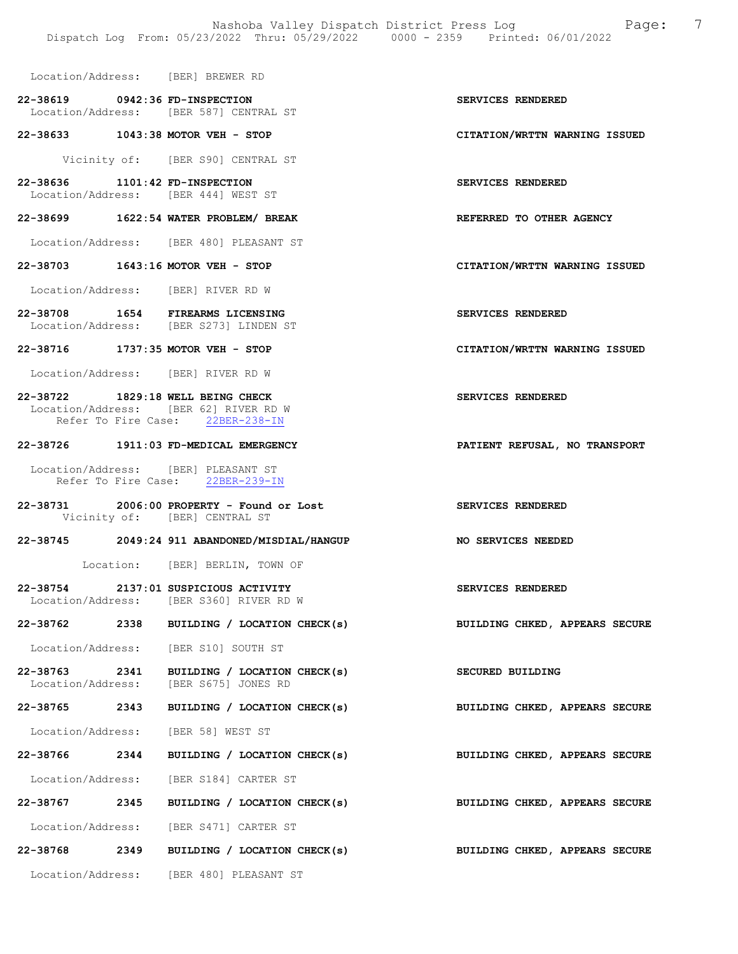Location/Address: [BER] BREWER RD

- 22-38619 0942:36 FD-INSPECTION SERVICES RENDERED Location/Address: [BER 587] CENTRAL ST
- 22-38633 1043:38 MOTOR VEH STOP CITATION/WRTTN WARNING ISSUED

Vicinity of: [BER S90] CENTRAL ST

22-38636 1101:42 FD-INSPECTION SERVICES RENDERED Location/Address: [BER 444] WEST ST

## 22-38699 1622:54 WATER PROBLEM/ BREAK REFERRED TO OTHER AGENCY

Location/Address: [BER 480] PLEASANT ST

### 22-38703 1643:16 MOTOR VEH - STOP CITATION/WRTTN WARNING ISSUED

Location/Address: [BER] RIVER RD W

22-38708 1654 FIREARMS LICENSING<br>
Location/Address: [BER S273] LINDEN ST [BER S273] LINDEN ST

#### 22-38716 1737:35 MOTOR VEH - STOP CITATION/WRTTN WARNING ISSUED

Location/Address: [BER] RIVER RD W

## 22-38722 1829:18 WELL BEING CHECK SERVICES RENDERED Location/Address: [BER 62] RIVER RD W Refer To Fire Case: 22BER-238-IN

## 22-38726 1911:03 FD-MEDICAL EMERGENCY PATIENT REFUSAL, NO TRANSPORT

Location/Address: [BER] PLEASANT ST<br>Refer To Fire Case: 22BER-239-IN Refer To Fire Case:

22-38731 2006:00 PROPERTY - Found or Lost SERVICES RENDERED Vicinity of: [BER] CENTRAL ST

#### 22-38745 2049:24 911 ABANDONED/MISDIAL/HANGUP NO SERVICES NEEDED

Location: [BER] BERLIN, TOWN OF

- 22-38754 2137:01 SUSPICIOUS ACTIVITY SERVICES RENDERED Location/Address: [BER S360] RIVER RD W
- 22-38762 2338 BUILDING / LOCATION CHECK(s) BUILDING CHKED, APPEARS SECURE

Location/Address: [BER S10] SOUTH ST

- 22-38763 2341 BUILDING / LOCATION CHECK(s) SECURED BUILDING<br>
Location/Address: [BER S675] JONES RD [BER S675] JONES RD
- 22-38765 2343 BUILDING / LOCATION CHECK(s) BUILDING CHKED, APPEARS SECURE

Location/Address: [BER 58] WEST ST

- 22-38766 2344 BUILDING / LOCATION CHECK(s) BUILDING CHKED, APPEARS SECURE
- Location/Address: [BER S184] CARTER ST
- 22-38767 2345 BUILDING / LOCATION CHECK(s) BUILDING CHKED, APPEARS SECURE
- Location/Address: [BER S471] CARTER ST
- 22-38768 2349 BUILDING / LOCATION CHECK(s) BUILDING CHKED, APPEARS SECURE

Location/Address: [BER 480] PLEASANT ST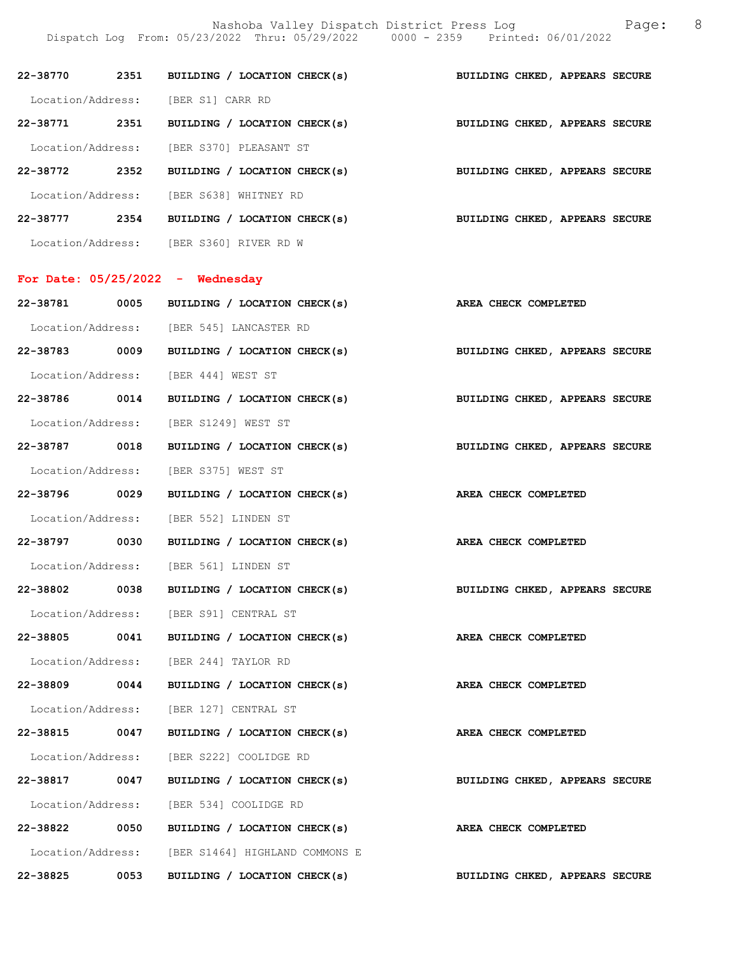Nashoba Valley Dispatch District Press Log Fage: 8

Dispatch Log From: 05/23/2022 Thru: 05/29/2022 0000 - 2359 Printed: 06/01/2022

|               |      | 22-38770 2351 BUILDING / LOCATION CHECK(s)                                | BUILDING CHKED, APPEARS SECURE |
|---------------|------|---------------------------------------------------------------------------|--------------------------------|
|               |      | Location/Address: [BER S1] CARR RD                                        |                                |
|               |      | 22-38771 2351 BUILDING / LOCATION CHECK(s)                                | BUILDING CHKED, APPEARS SECURE |
|               |      | Location/Address: [BER S370] PLEASANT ST                                  |                                |
|               |      | 22-38772 2352 BUILDING / LOCATION CHECK(s) BUILDING CHKED, APPEARS SECURE |                                |
|               |      | Location/Address: [BER S638] WHITNEY RD                                   |                                |
|               |      | 22-38777 2354 BUILDING / LOCATION CHECK(s) BUILDING CHKED, APPEARS SECURE |                                |
|               |      | Location/Address: [BER S360] RIVER RD W                                   |                                |
|               |      | For Date: $05/25/2022 -$ Wednesday                                        |                                |
|               |      | 22-38781 0005 BUILDING / LOCATION CHECK(s) AREA CHECK COMPLETED           |                                |
|               |      | Location/Address: [BER 545] LANCASTER RD                                  |                                |
|               |      | 22-38783 0009 BUILDING / LOCATION CHECK(s)                                | BUILDING CHKED, APPEARS SECURE |
|               |      | Location/Address: [BER 444] WEST ST                                       |                                |
|               |      | 22-38786 0014 BUILDING / LOCATION CHECK(s)                                | BUILDING CHKED, APPEARS SECURE |
|               |      | Location/Address: [BER S1249] WEST ST                                     |                                |
| 22-38787 0018 |      | BUILDING / LOCATION CHECK(s) BUILDING CHKED, APPEARS SECURE               |                                |
|               |      | Location/Address: [BER S375] WEST ST                                      |                                |
| 22-38796 0029 |      | BUILDING / LOCATION CHECK(s)                                              | AREA CHECK COMPLETED           |
|               |      | Location/Address: [BER 552] LINDEN ST                                     |                                |
|               |      | 22-38797 0030 BUILDING / LOCATION CHECK(s) AREA CHECK COMPLETED           |                                |
|               |      | Location/Address: [BER 561] LINDEN ST                                     |                                |
| 22-38802 0038 |      | BUILDING / LOCATION CHECK(s)                                              | BUILDING CHKED, APPEARS SECURE |
|               |      | Location/Address: [BER S91] CENTRAL ST                                    |                                |
|               |      | 22-38805 0041 BUILDING / LOCATION CHECK(s)                                | AREA CHECK COMPLETED           |
|               |      | Location/Address: [BER 244] TAYLOR RD                                     |                                |
| 22-38809 0044 |      | BUILDING / LOCATION CHECK(s)                                              | AREA CHECK COMPLETED           |
|               |      | Location/Address: [BER 127] CENTRAL ST                                    |                                |
| 22-38815 0047 |      | BUILDING / LOCATION CHECK(s)                                              | AREA CHECK COMPLETED           |
|               |      | Location/Address: [BER S222] COOLIDGE RD                                  |                                |
| 22-38817 0047 |      | BUILDING / LOCATION CHECK(s)                                              | BUILDING CHKED, APPEARS SECURE |
|               |      | Location/Address: [BER 534] COOLIDGE RD                                   |                                |
| 22-38822      | 0050 | BUILDING / LOCATION CHECK(s)                                              | AREA CHECK COMPLETED           |
|               |      | Location/Address: [BER S1464] HIGHLAND COMMONS E                          |                                |
| 22-38825      | 0053 | BUILDING / LOCATION CHECK(s)                                              | BUILDING CHKED, APPEARS SECURE |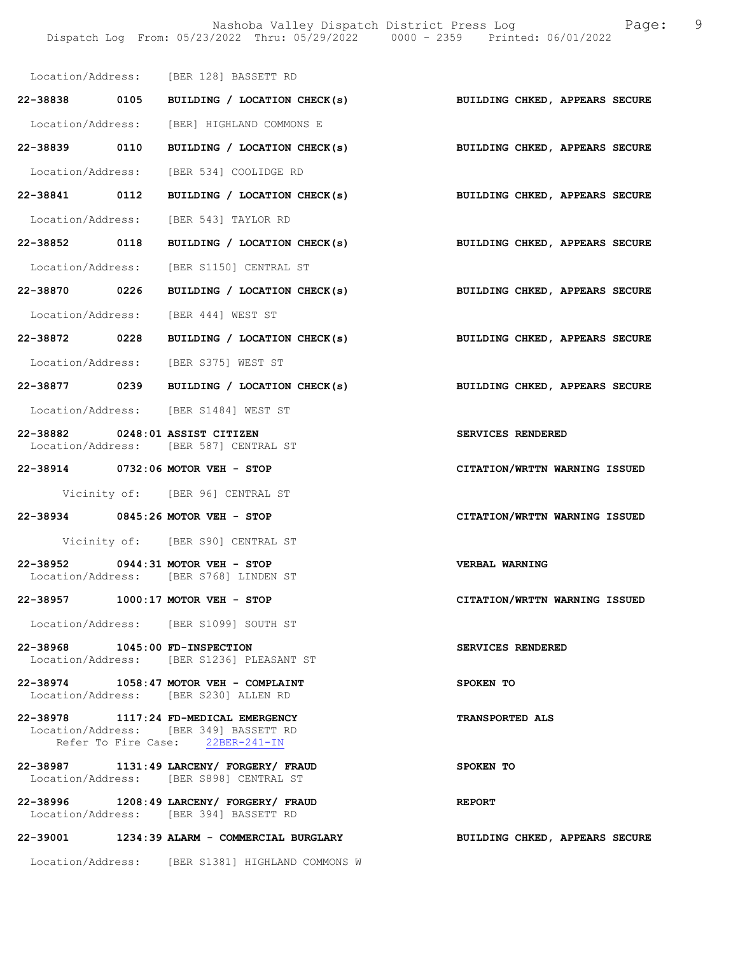Location/Address: [BER 128] BASSETT RD 22-38838 0105 BUILDING / LOCATION CHECK(s) BUILDING CHKED, APPEARS SECURE Location/Address: [BER] HIGHLAND COMMONS E 22-38839 0110 BUILDING / LOCATION CHECK(s) BUILDING CHKED, APPEARS SECURE Location/Address: [BER 534] COOLIDGE RD 22-38841 0112 BUILDING / LOCATION CHECK(s) BUILDING CHKED, APPEARS SECURE Location/Address: [BER 543] TAYLOR RD 22-38852 0118 BUILDING / LOCATION CHECK(s) BUILDING CHKED, APPEARS SECURE Location/Address: [BER S1150] CENTRAL ST 22-38870 0226 BUILDING / LOCATION CHECK(s) BUILDING CHKED, APPEARS SECURE Location/Address: [BER 444] WEST ST 22-38872 0228 BUILDING / LOCATION CHECK(s) BUILDING CHKED, APPEARS SECURE Location/Address: [BER S375] WEST ST 22-38877 0239 BUILDING / LOCATION CHECK(s) BUILDING CHKED, APPEARS SECURE Location/Address: [BER S1484] WEST ST 22-38882 0248:01 ASSIST CITIZEN SERVICES RENDERED Location/Address: [BER 587] CENTRAL ST 22-38914 0732:06 MOTOR VEH - STOP CITATION/WRTTN WARNING ISSUED Vicinity of: [BER 96] CENTRAL ST 22-38934 0845:26 MOTOR VEH - STOP CITATION/WRTTN WARNING ISSUED Vicinity of: [BER S90] CENTRAL ST 22-38952 0944:31 MOTOR VEH - STOP VERBAL WARNING Location/Address: [BER S768] LINDEN ST 22-38957 1000:17 MOTOR VEH - STOP CITATION/WRTTN WARNING ISSUED Location/Address: [BER S1099] SOUTH ST 22-38968 1045:00 FD-INSPECTION SERVICES RENDERED Location/Address: [BER S1236] PLEASANT ST 22-38974 1058:47 MOTOR VEH - COMPLAINT SPOKEN TO Location/Address: [BER S230] ALLEN RD 22-38978 1117:24 FD-MEDICAL EMERGENCY TRANSPORTED ALS Location/Address: [BER 349] BASSETT RD Refer To Fire Case: 22BER-241-IN 22-38987 1131:49 LARCENY/ FORGERY/ FRAUD SPOKEN TO Location/Address: [BER S898] CENTRAL ST 22-38996 1208:49 LARCENY/ FORGERY/ FRAUD REPORT Location/Address: [BER 394] BASSETT RD 22-39001 1234:39 ALARM - COMMERCIAL BURGLARY BUILDING CHKED, APPEARS SECURE Location/Address: [BER S1381] HIGHLAND COMMONS W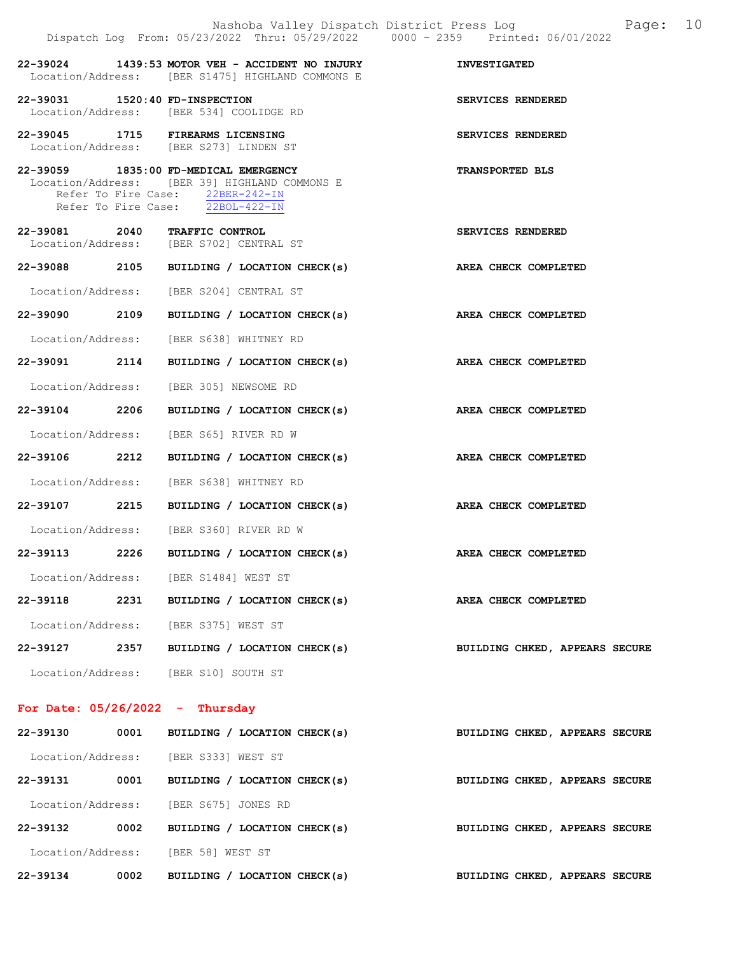|                                   |      | Nashoba Valley Dispatch District Press Log<br>Dispatch Log From: 05/23/2022 Thru: 05/29/2022 0000 - 2359 Printed: 06/01/2022                                   | Page: 10                       |
|-----------------------------------|------|----------------------------------------------------------------------------------------------------------------------------------------------------------------|--------------------------------|
|                                   |      | 22-39024 1439:53 MOTOR VEH - ACCIDENT NO INJURY<br>Location/Address: [BER S1475] HIGHLAND COMMONS E                                                            | <b>INVESTIGATED</b>            |
| 22-39031 1520:40 FD-INSPECTION    |      | Location/Address: [BER 534] COOLIDGE RD                                                                                                                        | SERVICES RENDERED              |
|                                   |      | 22-39045 1715 FIREARMS LICENSING<br>Location/Address: [BER S273] LINDEN ST                                                                                     | SERVICES RENDERED              |
|                                   |      | 22-39059 1835:00 FD-MEDICAL EMERGENCY<br>Location/Address: [BER 39] HIGHLAND COMMONS E<br>Refer To Fire Case: 22BER-242-IN<br>Refer To Fire Case: 22BOL-422-IN | <b>TRANSPORTED BLS</b>         |
|                                   |      | 22-39081 2040 TRAFFIC CONTROL<br>Location/Address: [BER S702] CENTRAL ST                                                                                       | SERVICES RENDERED              |
|                                   |      | 22-39088 2105 BUILDING / LOCATION CHECK(s) AREA CHECK COMPLETED                                                                                                |                                |
|                                   |      | Location/Address: [BER S204] CENTRAL ST                                                                                                                        |                                |
|                                   |      | 22-39090 2109 BUILDING / LOCATION CHECK(s)                                                                                                                     | AREA CHECK COMPLETED           |
|                                   |      | Location/Address: [BER S638] WHITNEY RD                                                                                                                        |                                |
|                                   |      | 22-39091 2114 BUILDING / LOCATION CHECK(s) AREA CHECK COMPLETED                                                                                                |                                |
|                                   |      | Location/Address: [BER 305] NEWSOME RD                                                                                                                         |                                |
|                                   |      | 22-39104 2206 BUILDING / LOCATION CHECK(s)                                                                                                                     | AREA CHECK COMPLETED           |
|                                   |      | Location/Address: [BER S65] RIVER RD W                                                                                                                         |                                |
|                                   |      | 22-39106 2212 BUILDING / LOCATION CHECK(s)                                                                                                                     | AREA CHECK COMPLETED           |
|                                   |      | Location/Address: [BER S638] WHITNEY RD                                                                                                                        |                                |
|                                   |      | 22-39107 2215 BUILDING / LOCATION CHECK(s) AREA CHECK COMPLETED                                                                                                |                                |
|                                   |      | Location/Address: [BER S360] RIVER RD W                                                                                                                        |                                |
| 22-39113 2226                     |      | BUILDING / LOCATION CHECK(s) AREA CHECK COMPLETED                                                                                                              |                                |
|                                   |      | Location/Address: [BER S1484] WEST ST                                                                                                                          |                                |
| 22-39118                          |      | 2231 BUILDING / LOCATION CHECK(s)                                                                                                                              | AREA CHECK COMPLETED           |
|                                   |      | Location/Address: [BER S375] WEST ST                                                                                                                           |                                |
| 22-39127                          | 2357 | BUILDING / LOCATION CHECK(s)                                                                                                                                   | BUILDING CHKED, APPEARS SECURE |
|                                   |      | Location/Address: [BER S10] SOUTH ST                                                                                                                           |                                |
| For Date: $05/26/2022 - Thursday$ |      |                                                                                                                                                                |                                |
| 22-39130                          | 0001 | BUILDING / LOCATION CHECK(s)                                                                                                                                   | BUILDING CHKED, APPEARS SECURE |

| 22-39134<br>0002  | <b>BUILDING</b>    | LOCATION CHECK(s)            | BUILDING CHKED, APPEARS SECURE |  |
|-------------------|--------------------|------------------------------|--------------------------------|--|
| Location/Address: | [BER 58] WEST ST   |                              |                                |  |
| 22-39132<br>0002  |                    | BUILDING / LOCATION CHECK(s) | BUILDING CHKED, APPEARS SECURE |  |
| Location/Address: | [BER S675]         | JONES RD                     |                                |  |
| 0001<br>22-39131  |                    | BUILDING / LOCATION CHECK(s) | BUILDING CHKED, APPEARS SECURE |  |
| Location/Address: | [BER S333] WEST ST |                              |                                |  |
|                   |                    |                              |                                |  |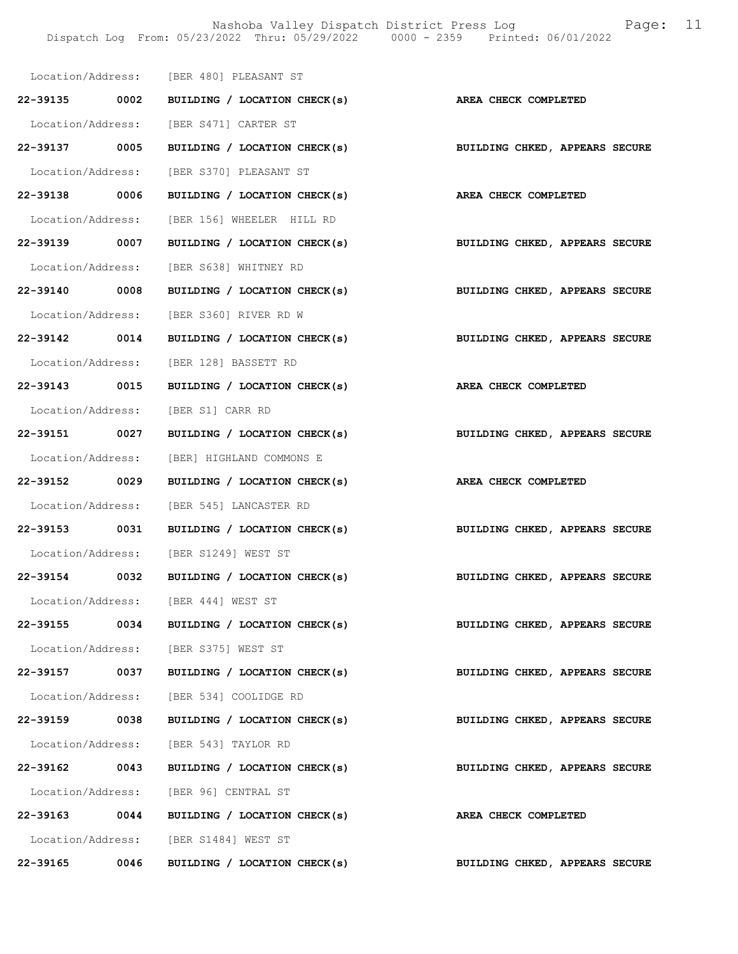Nashoba Valley Dispatch District Press Log Fage: 11 Dispatch Log From: 05/23/2022 Thru: 05/29/2022 0000 - 2359 Printed: 06/01/2022

|               |      | Location/Address: [BER 480] PLEASANT ST                                   |                                |
|---------------|------|---------------------------------------------------------------------------|--------------------------------|
|               |      | 22-39135 0002 BUILDING / LOCATION CHECK(s) AREA CHECK COMPLETED           |                                |
|               |      | Location/Address: [BER S471] CARTER ST                                    |                                |
| 22-39137 0005 |      | BUILDING / LOCATION CHECK(s) BUILDING CHKED, APPEARS SECURE               |                                |
|               |      | Location/Address: [BER S370] PLEASANT ST                                  |                                |
| 22-39138 0006 |      | BUILDING / LOCATION CHECK(s)                                              | AREA CHECK COMPLETED           |
|               |      | Location/Address: [BER 156] WHEELER HILL RD                               |                                |
|               |      | 22-39139 0007 BUILDING / LOCATION CHECK(s) BUILDING CHKED, APPEARS SECURE |                                |
|               |      | Location/Address: [BER S638] WHITNEY RD                                   |                                |
|               |      | 22-39140 0008 BUILDING / LOCATION CHECK(s) BUILDING CHKED, APPEARS SECURE |                                |
|               |      | Location/Address: [BER S360] RIVER RD W                                   |                                |
|               |      | 22-39142 0014 BUILDING / LOCATION CHECK(s) BUILDING CHKED, APPEARS SECURE |                                |
|               |      | Location/Address: [BER 128] BASSETT RD                                    |                                |
|               |      | 22-39143 0015 BUILDING / LOCATION CHECK(s) AREA CHECK COMPLETED           |                                |
|               |      | Location/Address: [BER S1] CARR RD                                        |                                |
|               |      | 22-39151 0027 BUILDING / LOCATION CHECK(s)                                | BUILDING CHKED, APPEARS SECURE |
|               |      | Location/Address: [BER] HIGHLAND COMMONS E                                |                                |
| 22-39152 0029 |      | BUILDING / LOCATION CHECK(s) AREA CHECK COMPLETED                         |                                |
|               |      | Location/Address: [BER 545] LANCASTER RD                                  |                                |
|               |      | 22-39153 0031 BUILDING / LOCATION CHECK(s) BUILDING CHKED, APPEARS SECURE |                                |
|               |      | Location/Address: [BER S1249] WEST ST                                     |                                |
|               |      | 22-39154 0032 BUILDING / LOCATION CHECK(s) BUILDING CHKED, APPEARS SECURE |                                |
|               |      | Location/Address: [BER 444] WEST ST                                       |                                |
| 22-39155      |      | 0034 BUILDING / LOCATION CHECK(s)                                         | BUILDING CHKED, APPEARS SECURE |
|               |      | Location/Address: [BER S375] WEST ST                                      |                                |
|               |      | 22-39157 0037 BUILDING / LOCATION CHECK(s)                                | BUILDING CHKED, APPEARS SECURE |
|               |      | Location/Address: [BER 534] COOLIDGE RD                                   |                                |
| 22-39159 0038 |      | BUILDING / LOCATION CHECK(s)                                              | BUILDING CHKED, APPEARS SECURE |
|               |      | Location/Address: [BER 543] TAYLOR RD                                     |                                |
| 22-39162      | 0043 | BUILDING / LOCATION CHECK(s)                                              | BUILDING CHKED, APPEARS SECURE |
|               |      | Location/Address: [BER 96] CENTRAL ST                                     |                                |
|               |      | 22-39163 0044 BUILDING / LOCATION CHECK(s)                                | <b>AREA CHECK COMPLETED</b>    |
|               |      | Location/Address: [BER S1484] WEST ST                                     |                                |
| 22-39165      | 0046 | BUILDING / LOCATION CHECK(s)                                              | BUILDING CHKED, APPEARS SECURE |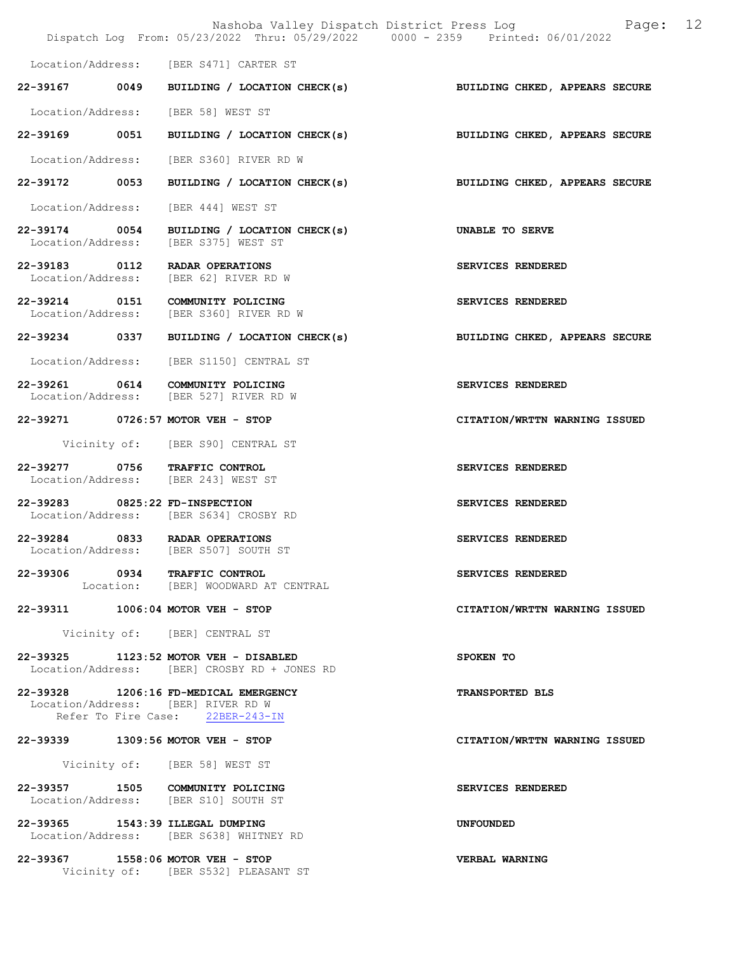|                                    | Nashoba Valley Dispatch District Press Log<br>Dispatch Log From: 05/23/2022 Thru: 05/29/2022 0000 - 2359 Printed: 06/01/2022 | 12<br>Page:                    |
|------------------------------------|------------------------------------------------------------------------------------------------------------------------------|--------------------------------|
|                                    | Location/Address: [BER S471] CARTER ST                                                                                       |                                |
| 22-39167 0049                      | BUILDING / LOCATION CHECK(s)                                                                                                 | BUILDING CHKED, APPEARS SECURE |
|                                    | Location/Address: [BER 58] WEST ST                                                                                           |                                |
| 22-39169 0051                      | BUILDING / LOCATION CHECK(s)                                                                                                 |                                |
|                                    |                                                                                                                              | BUILDING CHKED, APPEARS SECURE |
| 22-39172 0053                      | Location/Address: [BER S360] RIVER RD W                                                                                      | BUILDING CHKED, APPEARS SECURE |
|                                    | BUILDING / LOCATION CHECK(s)                                                                                                 |                                |
| Location/Address:<br>22-39174 0054 | [BER 444] WEST ST                                                                                                            |                                |
| Location/Address:                  | BUILDING / LOCATION CHECK(s)<br>[BER S375] WEST ST                                                                           | UNABLE TO SERVE                |
| 22-39183 0112<br>Location/Address: | RADAR OPERATIONS<br>[BER 62] RIVER RD W                                                                                      | SERVICES RENDERED              |
|                                    | 22-39214 0151 COMMUNITY POLICING<br>Location/Address: [BER S360] RIVER RD W                                                  | SERVICES RENDERED              |
| 22-39234 0337                      | BUILDING / LOCATION CHECK(s)                                                                                                 | BUILDING CHKED, APPEARS SECURE |
|                                    | Location/Address: [BER S1150] CENTRAL ST                                                                                     |                                |
|                                    | 22-39261 0614 COMMUNITY POLICING<br>Location/Address: [BER 527] RIVER RD W                                                   | SERVICES RENDERED              |
|                                    | 22-39271 0726:57 MOTOR VEH - STOP                                                                                            | CITATION/WRTTN WARNING ISSUED  |
|                                    | Vicinity of: [BER S90] CENTRAL ST                                                                                            |                                |
| 22-39277 0756 TRAFFIC CONTROL      | Location/Address: [BER 243] WEST ST                                                                                          | SERVICES RENDERED              |
| 22-39283 0825:22 FD-INSPECTION     | Location/Address: [BER S634] CROSBY RD                                                                                       | SERVICES RENDERED              |
| 22-39284 0833 RADAR OPERATIONS     | Location/Address: [BER S507] SOUTH ST                                                                                        | SERVICES RENDERED              |
| 22-39306 0934 TRAFFIC CONTROL      | Location: [BER] WOODWARD AT CENTRAL                                                                                          | SERVICES RENDERED              |
| 22-39311 1006:04 MOTOR VEH - STOP  |                                                                                                                              | CITATION/WRTTN WARNING ISSUED  |
|                                    | Vicinity of: [BER] CENTRAL ST                                                                                                |                                |
|                                    | 22-39325 1123:52 MOTOR VEH - DISABLED<br>Location/Address: [BER] CROSBY RD + JONES RD                                        | SPOKEN TO                      |
|                                    | 22-39328 1206:16 FD-MEDICAL EMERGENCY<br>Location/Address: [BER] RIVER RD W<br>Refer To Fire Case: 22BER-243-IN              | <b>TRANSPORTED BLS</b>         |
| 22-39339 1309:56 MOTOR VEH - STOP  |                                                                                                                              | CITATION/WRTTN WARNING ISSUED  |
|                                    | Vicinity of: [BER 58] WEST ST                                                                                                |                                |
|                                    | 22-39357 1505 COMMUNITY POLICING<br>Location/Address: [BER S10] SOUTH ST                                                     | SERVICES RENDERED              |
| 22-39365 1543:39 ILLEGAL DUMPING   | Location/Address: [BER S638] WHITNEY RD                                                                                      | <b>UNFOUNDED</b>               |
| 22-39367 1558:06 MOTOR VEH - STOP  | Vicinity of: [BER S532] PLEASANT ST                                                                                          | VERBAL WARNING                 |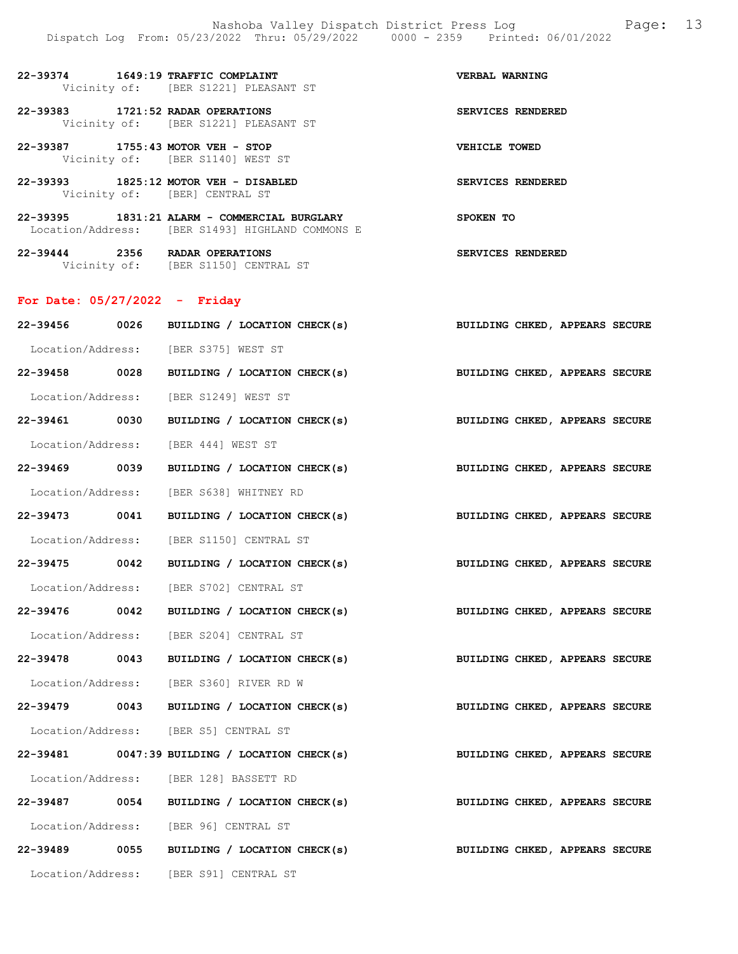| 22-39374 | 1649:19 TRAFFIC COMPLAINT<br>Vicinity of: [BER S1221] PLEASANT ST | VERBAL WARNING    |
|----------|-------------------------------------------------------------------|-------------------|
| 22-39383 | 1721:52 RADAR OPERATIONS<br>Vicinity of: [BER S1221] PLEASANT ST  | SERVICES RENDERED |

22-39387 1755:43 MOTOR VEH - STOP VEHICLE TOWED

22-39393 1825:12 MOTOR VEH - DISABLED SERVICES RENDERED

| 22-39395          | 1831:21 ALARM - COMMERCIAL BURGLARY | SPOKEN TO |
|-------------------|-------------------------------------|-----------|
| Location/Address: | [BER S1493] HIGHLAND COMMONS E      |           |

22-39444 2356 RADAR OPERATIONS SERVICES RENDERED Vicinity of: [BER S1150] CENTRAL ST

Vicinity of: [BER S1140] WEST ST

Vicinity of: [BER] CENTRAL ST

## For Date: 05/27/2022 - Friday

| 22-39456 0026 | BUILDING / LOCATION CHECK(s)               |                                                                           | BUILDING CHKED, APPEARS SECURE |  |
|---------------|--------------------------------------------|---------------------------------------------------------------------------|--------------------------------|--|
|               | Location/Address: [BER S375] WEST ST       |                                                                           |                                |  |
| 22-39458 0028 |                                            | BUILDING / LOCATION CHECK(s) BUILDING CHKED, APPEARS SECURE               |                                |  |
|               | Location/Address: [BER S1249] WEST ST      |                                                                           |                                |  |
| 22-39461 0030 |                                            | BUILDING / LOCATION CHECK(s)                                              | BUILDING CHKED, APPEARS SECURE |  |
|               | Location/Address: [BER 444] WEST ST        |                                                                           |                                |  |
| 22-39469 0039 |                                            | BUILDING / LOCATION CHECK(s)                                              | BUILDING CHKED, APPEARS SECURE |  |
|               | Location/Address: [BER S638] WHITNEY RD    |                                                                           |                                |  |
| 22-39473 0041 |                                            | BUILDING / LOCATION CHECK(s) BUILDING CHKED, APPEARS SECURE               |                                |  |
|               | Location/Address: [BER S1150] CENTRAL ST   |                                                                           |                                |  |
| 22-39475 0042 |                                            | BUILDING / LOCATION CHECK(s) BUILDING CHKED, APPEARS SECURE               |                                |  |
|               | Location/Address: [BER S702] CENTRAL ST    |                                                                           |                                |  |
|               | 22-39476 0042 BUILDING / LOCATION CHECK(s) |                                                                           | BUILDING CHKED, APPEARS SECURE |  |
|               | Location/Address: [BER S204] CENTRAL ST    |                                                                           |                                |  |
|               |                                            | 22-39478 0043 BUILDING / LOCATION CHECK(s)                                | BUILDING CHKED, APPEARS SECURE |  |
|               | Location/Address: [BER S360] RIVER RD W    |                                                                           |                                |  |
|               |                                            | 22-39479 0043 BUILDING / LOCATION CHECK(s)                                | BUILDING CHKED, APPEARS SECURE |  |
|               | Location/Address: [BER S5] CENTRAL ST      |                                                                           |                                |  |
|               |                                            | 22-39481 0047:39 BUILDING / LOCATION CHECK(s)                             | BUILDING CHKED, APPEARS SECURE |  |
|               | Location/Address: [BER 128] BASSETT RD     |                                                                           |                                |  |
|               |                                            | 22-39487 0054 BUILDING / LOCATION CHECK(s) BUILDING CHKED, APPEARS SECURE |                                |  |
|               | Location/Address: [BER 96] CENTRAL ST      |                                                                           |                                |  |
|               | 22-39489 0055 BUILDING / LOCATION CHECK(s) |                                                                           | BUILDING CHKED, APPEARS SECURE |  |
|               | Location/Address: [BER S91] CENTRAL ST     |                                                                           |                                |  |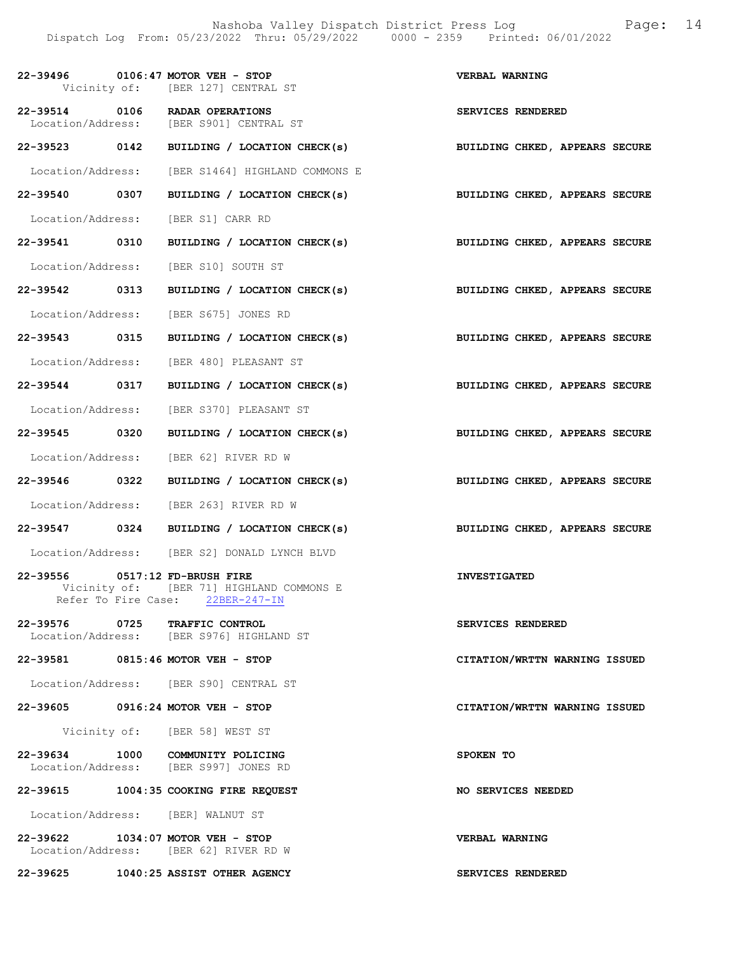|               | 22-39496 0106:47 MOTOR VEH - STOP<br>Vicinity of: [BER 127] CENTRAL ST                                  | VERBAL WARNING                 |
|---------------|---------------------------------------------------------------------------------------------------------|--------------------------------|
|               | 22-39514 0106 RADAR OPERATIONS<br>Location/Address: [BER S901] CENTRAL ST                               | SERVICES RENDERED              |
|               | 22-39523 0142 BUILDING / LOCATION CHECK(s)                                                              | BUILDING CHKED, APPEARS SECURE |
|               | Location/Address: [BER S1464] HIGHLAND COMMONS E                                                        |                                |
| 22-39540 0307 | BUILDING / LOCATION CHECK(s)                                                                            | BUILDING CHKED, APPEARS SECURE |
|               | Location/Address: [BER S1] CARR RD                                                                      |                                |
| 22-39541 0310 | BUILDING / LOCATION CHECK(s)                                                                            | BUILDING CHKED, APPEARS SECURE |
|               | Location/Address: [BER S10] SOUTH ST                                                                    |                                |
| 22-39542 0313 | BUILDING / LOCATION CHECK(s)                                                                            | BUILDING CHKED, APPEARS SECURE |
|               | Location/Address: [BER S675] JONES RD                                                                   |                                |
| 22-39543 0315 | BUILDING / LOCATION CHECK(s)                                                                            | BUILDING CHKED, APPEARS SECURE |
|               | Location/Address: [BER 480] PLEASANT ST                                                                 |                                |
| 22-39544 0317 | BUILDING / LOCATION CHECK(s)                                                                            | BUILDING CHKED, APPEARS SECURE |
|               | Location/Address: [BER S370] PLEASANT ST                                                                |                                |
| 22-39545 0320 | BUILDING / LOCATION CHECK(s)                                                                            | BUILDING CHKED, APPEARS SECURE |
|               | Location/Address: [BER 62] RIVER RD W                                                                   |                                |
| 22-39546 0322 | BUILDING / LOCATION CHECK(s)                                                                            | BUILDING CHKED, APPEARS SECURE |
|               | Location/Address: [BER 263] RIVER RD W                                                                  |                                |
|               | 22-39547 0324 BUILDING / LOCATION CHECK(s)                                                              | BUILDING CHKED, APPEARS SECURE |
|               | Location/Address: [BER S2] DONALD LYNCH BLVD                                                            |                                |
| 22-39556      | $0517:12$ FD-BRUSH FIRE<br>Vicinity of: [BER 71] HIGHLAND COMMONS E<br>Refer To Fire Case: 22BER-247-IN | <b>INVESTIGATED</b>            |
|               | 22-39576 0725 TRAFFIC CONTROL<br>Location/Address: [BER S976] HIGHLAND ST                               | SERVICES RENDERED              |
|               | 22-39581 0815:46 MOTOR VEH - STOP                                                                       | CITATION/WRTTN WARNING ISSUED  |
|               | Location/Address: [BER S90] CENTRAL ST                                                                  |                                |
|               | 22-39605 0916:24 MOTOR VEH - STOP                                                                       | CITATION/WRTTN WARNING ISSUED  |
|               | Vicinity of: [BER 58] WEST ST                                                                           |                                |
|               | 22-39634 1000 COMMUNITY POLICING<br>Location/Address: [BER S997] JONES RD                               | SPOKEN TO                      |
|               | 22-39615 1004:35 COOKING FIRE REQUEST                                                                   | NO SERVICES NEEDED             |
|               | Location/Address: [BER] WALNUT ST                                                                       |                                |
|               | 22-39622 1034:07 MOTOR VEH - STOP<br>Location/Address: [BER 62] RIVER RD W                              | <b>VERBAL WARNING</b>          |
|               | 22-39625 1040:25 ASSIST OTHER AGENCY                                                                    | SERVICES RENDERED              |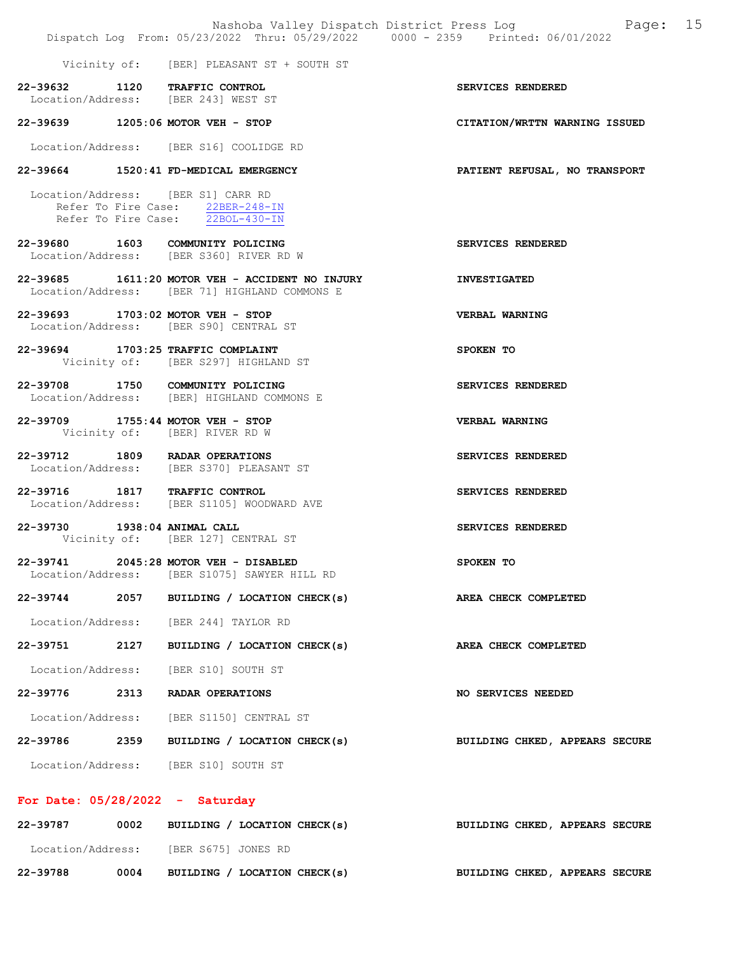|                              |                                                                                                                                   | Nashoba Valley Dispatch District Press Log Nashoba Valley Dispatch District Press Log<br>Dispatch Log From: 05/23/2022 Thru: 05/29/2022 0000 - 2359 Printed: 06/01/2022 |
|------------------------------|-----------------------------------------------------------------------------------------------------------------------------------|-------------------------------------------------------------------------------------------------------------------------------------------------------------------------|
|                              | Vicinity of: [BER] PLEASANT ST + SOUTH ST                                                                                         |                                                                                                                                                                         |
|                              | 22-39632 1120 TRAFFIC CONTROL<br>Location/Address: [BER 243] WEST ST                                                              | SERVICES RENDERED                                                                                                                                                       |
|                              | 22-39639 1205:06 MOTOR VEH - STOP                                                                                                 | CITATION/WRTTN WARNING ISSUED                                                                                                                                           |
|                              | Location/Address: [BER S16] COOLIDGE RD                                                                                           |                                                                                                                                                                         |
|                              | 22-39664 1520:41 FD-MEDICAL EMERGENCY                                                                                             | PATIENT REFUSAL, NO TRANSPORT                                                                                                                                           |
|                              | Location/Address: [BER S1] CARR RD<br>Refer To Fire Case: 22BER-248-IN<br>Refer To Fire Case: $\frac{22BOL-430-IN}{22BOL-430-IN}$ |                                                                                                                                                                         |
|                              | 22-39680 1603 COMMUNITY POLICING<br>Location/Address: [BER S360] RIVER RD W                                                       | SERVICES RENDERED                                                                                                                                                       |
|                              | 22-39685 1611:20 MOTOR VEH - ACCIDENT NO INJURY<br>Location/Address: [BER 71] HIGHLAND COMMONS E                                  | <b>INVESTIGATED</b>                                                                                                                                                     |
|                              | 22-39693 1703:02 MOTOR VEH - STOP<br>Location/Address: [BER S90] CENTRAL ST                                                       | <b>VERBAL WARNING</b>                                                                                                                                                   |
|                              | 22-39694 1703:25 TRAFFIC COMPLAINT<br>Vicinity of: [BER S297] HIGHLAND ST                                                         | SPOKEN TO                                                                                                                                                               |
|                              | 22-39708 1750 COMMUNITY POLICING<br>Location/Address: [BER] HIGHLAND COMMONS E                                                    | SERVICES RENDERED                                                                                                                                                       |
|                              | 22-39709 1755:44 MOTOR VEH - STOP<br>Vicinity of: [BER] RIVER RD W                                                                | <b>VERBAL WARNING</b>                                                                                                                                                   |
|                              | 22-39712 1809 RADAR OPERATIONS<br>Location/Address: [BER S370] PLEASANT ST                                                        | SERVICES RENDERED                                                                                                                                                       |
|                              | 22-39716 1817 TRAFFIC CONTROL<br>Location/Address: [BER S1105] WOODWARD AVE                                                       | SERVICES RENDERED                                                                                                                                                       |
| 22-39730 1938:04 ANIMAL CALL | Vicinity of: [BER 127] CENTRAL ST                                                                                                 | SERVICES RENDERED                                                                                                                                                       |
| 22-39741                     | 2045:28 MOTOR VEH - DISABLED<br>Location/Address: [BER S1075] SAWYER HILL RD                                                      | SPOKEN TO                                                                                                                                                               |
|                              | 22-39744 2057 BUILDING / LOCATION CHECK(s)                                                                                        | AREA CHECK COMPLETED                                                                                                                                                    |
|                              | Location/Address: [BER 244] TAYLOR RD                                                                                             |                                                                                                                                                                         |
|                              | 22-39751 2127 BUILDING / LOCATION CHECK(s)                                                                                        | AREA CHECK COMPLETED                                                                                                                                                    |
|                              | Location/Address: [BER S10] SOUTH ST                                                                                              |                                                                                                                                                                         |
|                              | 22-39776 2313 RADAR OPERATIONS                                                                                                    | NO SERVICES NEEDED                                                                                                                                                      |
|                              | Location/Address: [BER S1150] CENTRAL ST                                                                                          |                                                                                                                                                                         |
|                              | 22-39786 2359 BUILDING / LOCATION CHECK(s)                                                                                        | <b>BUILDING CHKED, APPEARS SECURE</b>                                                                                                                                   |
|                              | Location/Address: [BER S10] SOUTH ST                                                                                              |                                                                                                                                                                         |
|                              | For Date: $05/28/2022 -$ Saturday                                                                                                 |                                                                                                                                                                         |

| 22-39787          | 0002 |                     | BUILDING / LOCATION CHECK(s) | BUILDING CHKED, APPEARS SECURE |  |  |
|-------------------|------|---------------------|------------------------------|--------------------------------|--|--|
| Location/Address: |      | [BER S675] JONES RD |                              |                                |  |  |
| 22-39788          | 0004 |                     | BUILDING / LOCATION CHECK(s) | BUILDING CHKED, APPEARS SECURE |  |  |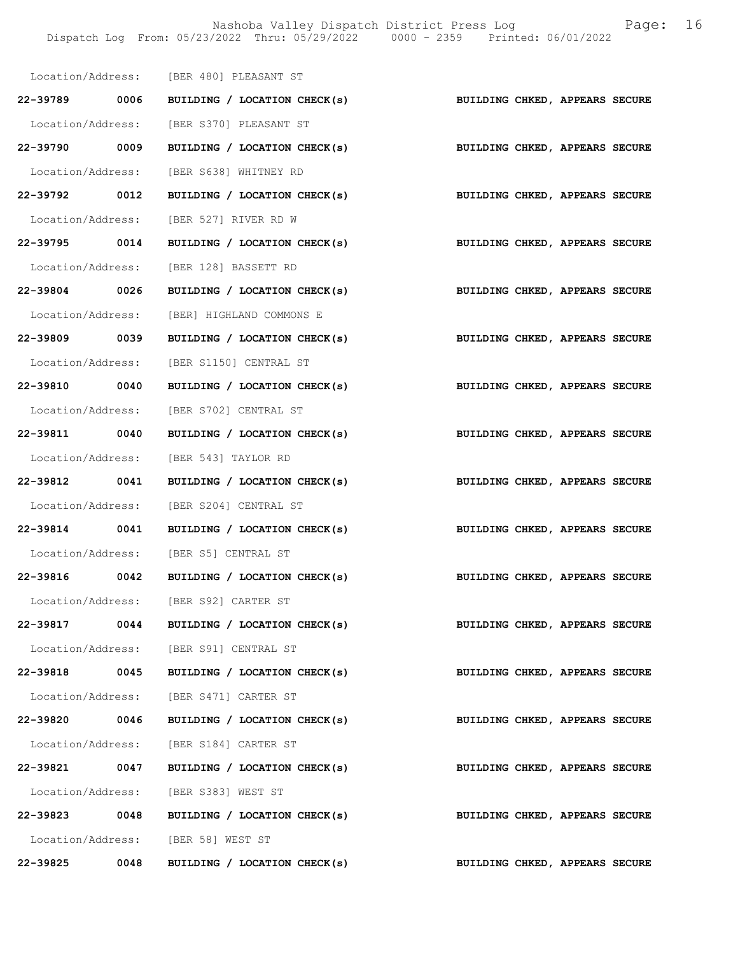Nashoba Valley Dispatch District Press Log Fage: 16 Dispatch Log From: 05/23/2022 Thru: 05/29/2022 0000 - 2359 Printed: 06/01/2022

|               |      | Location/Address: [BER 480] PLEASANT ST                                   |                                |
|---------------|------|---------------------------------------------------------------------------|--------------------------------|
|               |      | 22-39789 0006 BUILDING / LOCATION CHECK(s)                                | BUILDING CHKED, APPEARS SECURE |
|               |      | Location/Address: [BER S370] PLEASANT ST                                  |                                |
| 22-39790 0009 |      | BUILDING / LOCATION CHECK(s)                                              | BUILDING CHKED, APPEARS SECURE |
|               |      | Location/Address: [BER S638] WHITNEY RD                                   |                                |
|               |      | 22-39792 0012 BUILDING / LOCATION CHECK(s) BUILDING CHKED, APPEARS SECURE |                                |
|               |      | Location/Address: [BER 527] RIVER RD W                                    |                                |
|               |      | 22-39795 0014 BUILDING / LOCATION CHECK(s)                                | BUILDING CHKED, APPEARS SECURE |
|               |      | Location/Address: [BER 128] BASSETT RD                                    |                                |
| 22-39804 0026 |      | BUILDING / LOCATION CHECK(s)                                              | BUILDING CHKED, APPEARS SECURE |
|               |      | Location/Address: [BER] HIGHLAND COMMONS E                                |                                |
|               |      | 22-39809 0039 BUILDING / LOCATION CHECK(s) BUILDING CHKED, APPEARS SECURE |                                |
|               |      | Location/Address: [BER S1150] CENTRAL ST                                  |                                |
|               |      | 22-39810 0040 BUILDING / LOCATION CHECK(s)                                | BUILDING CHKED, APPEARS SECURE |
|               |      | Location/Address: [BER S702] CENTRAL ST                                   |                                |
|               |      | 22-39811 0040 BUILDING / LOCATION CHECK(s) BUILDING CHKED, APPEARS SECURE |                                |
|               |      | Location/Address: [BER 543] TAYLOR RD                                     |                                |
|               |      | 22-39812 0041 BUILDING / LOCATION CHECK(s) BUILDING CHKED, APPEARS SECURE |                                |
|               |      | Location/Address: [BER S204] CENTRAL ST                                   |                                |
|               |      | 22-39814 0041 BUILDING / LOCATION CHECK(s)                                | BUILDING CHKED, APPEARS SECURE |
|               |      | Location/Address: [BER S5] CENTRAL ST                                     |                                |
| 22-39816 0042 |      | BUILDING / LOCATION CHECK(s)                                              | BUILDING CHKED, APPEARS SECURE |
|               |      | Location/Address: [BER S92] CARTER ST                                     |                                |
|               |      | 22-39817 0044 BUILDING / LOCATION CHECK(s)                                | BUILDING CHKED, APPEARS SECURE |
|               |      | Location/Address: [BER S91] CENTRAL ST                                    |                                |
| 22-39818      | 0045 | BUILDING / LOCATION CHECK(s)                                              | BUILDING CHKED, APPEARS SECURE |
|               |      | Location/Address: [BER S471] CARTER ST                                    |                                |
| 22-39820      | 0046 | BUILDING / LOCATION CHECK(s)                                              | BUILDING CHKED, APPEARS SECURE |
|               |      | Location/Address: [BER S184] CARTER ST                                    |                                |
| 22-39821 0047 |      | BUILDING / LOCATION CHECK(s)                                              | BUILDING CHKED, APPEARS SECURE |
|               |      | Location/Address: [BER S383] WEST ST                                      |                                |
| 22-39823      | 0048 | BUILDING / LOCATION CHECK(s)                                              | BUILDING CHKED, APPEARS SECURE |
|               |      | Location/Address: [BER 58] WEST ST                                        |                                |
| 22-39825      | 0048 | BUILDING / LOCATION CHECK(s)                                              | BUILDING CHKED, APPEARS SECURE |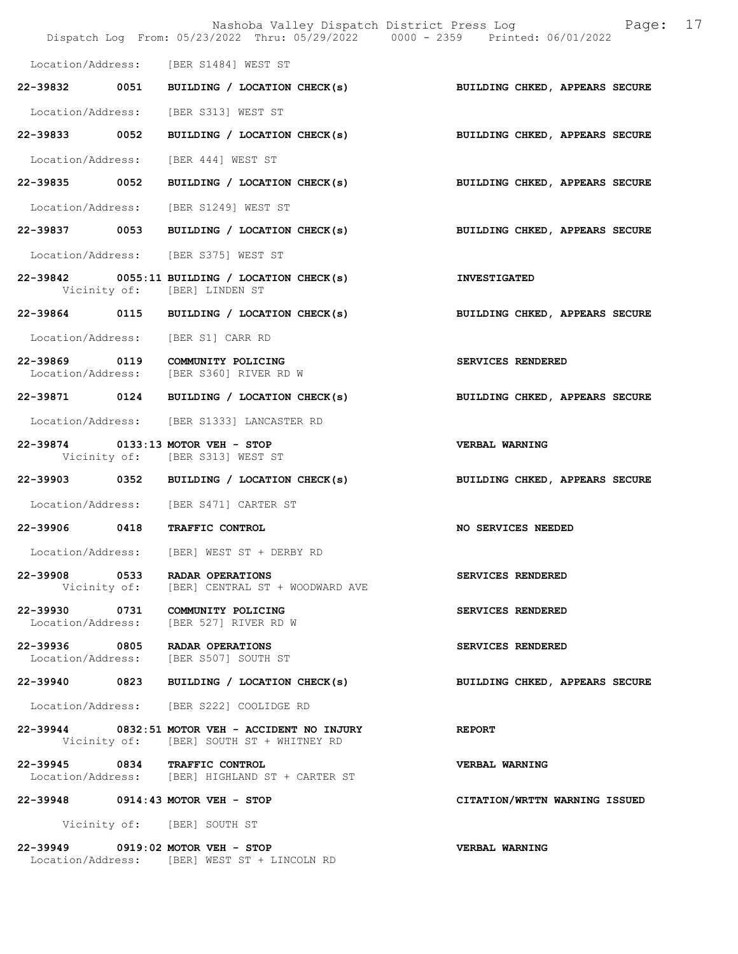|                   | Dispatch Log From: 05/23/2022 Thru: 05/29/2022 0000 - 2359 Printed: 06/01/2022              | Page: 17<br>Nashoba Valley Dispatch District Press Log                    |
|-------------------|---------------------------------------------------------------------------------------------|---------------------------------------------------------------------------|
|                   |                                                                                             |                                                                           |
|                   | Location/Address: [BER S1484] WEST ST                                                       |                                                                           |
|                   |                                                                                             | 22-39832 0051 BUILDING / LOCATION CHECK(s) BUILDING CHKED, APPEARS SECURE |
|                   | Location/Address: [BER S313] WEST ST                                                        |                                                                           |
|                   |                                                                                             | 22-39833 0052 BUILDING / LOCATION CHECK(s) BUILDING CHKED, APPEARS SECURE |
|                   | Location/Address: [BER 444] WEST ST                                                         |                                                                           |
|                   |                                                                                             | 22-39835 0052 BUILDING / LOCATION CHECK(s) BUILDING CHKED, APPEARS SECURE |
|                   | Location/Address: [BER S1249] WEST ST                                                       |                                                                           |
|                   | 22-39837 0053 BUILDING / LOCATION CHECK(s)                                                  | BUILDING CHKED, APPEARS SECURE                                            |
|                   | Location/Address: [BER S375] WEST ST                                                        |                                                                           |
|                   | 22-39842 0055:11 BUILDING / LOCATION CHECK(s)<br>Vicinity of: [BER] LINDEN ST               | <b>INVESTIGATED</b>                                                       |
|                   | 22-39864 0115 BUILDING / LOCATION CHECK(s)                                                  | BUILDING CHKED, APPEARS SECURE                                            |
|                   | Location/Address: [BER S1] CARR RD                                                          |                                                                           |
|                   | 22-39869 0119 COMMUNITY POLICING<br>Location/Address: [BER S360] RIVER RD W                 | SERVICES RENDERED                                                         |
|                   |                                                                                             | 22-39871 0124 BUILDING / LOCATION CHECK(s) BUILDING CHKED, APPEARS SECURE |
|                   | Location/Address: [BER S1333] LANCASTER RD                                                  |                                                                           |
|                   | 22-39874 0133:13 MOTOR VEH - STOP<br>Vicinity of: [BER S313] WEST ST                        | <b>VERBAL WARNING</b>                                                     |
|                   | 22-39903 0352 BUILDING / LOCATION CHECK(s)                                                  | BUILDING CHKED, APPEARS SECURE                                            |
|                   | Location/Address: [BER S471] CARTER ST                                                      |                                                                           |
|                   | 22-39906 0418 TRAFFIC CONTROL                                                               | NO SERVICES NEEDED                                                        |
| Location/Address: | [BER] WEST ST + DERBY RD                                                                    |                                                                           |
|                   | 22-39908 0533 RADAR OPERATIONS<br>Vicinity of: [BER] CENTRAL ST + WOODWARD AVE              | SERVICES RENDERED                                                         |
|                   | 22-39930 0731 COMMUNITY POLICING<br>Location/Address: [BER 527] RIVER RD W                  | SERVICES RENDERED                                                         |
|                   | 22-39936 0805 RADAR OPERATIONS<br>Location/Address: [BER S507] SOUTH ST                     | SERVICES RENDERED                                                         |
|                   | 22-39940 0823 BUILDING / LOCATION CHECK(s)                                                  | BUILDING CHKED, APPEARS SECURE                                            |
|                   | Location/Address: [BER S222] COOLIDGE RD                                                    |                                                                           |
|                   | 22-39944 0832:51 MOTOR VEH - ACCIDENT NO INJURY<br>Vicinity of: [BER] SOUTH ST + WHITNEY RD | <b>REPORT</b>                                                             |
|                   | 22-39945 0834 TRAFFIC CONTROL<br>Location/Address: [BER] HIGHLAND ST + CARTER ST            | <b>VERBAL WARNING</b>                                                     |
|                   | 22-39948 0914:43 MOTOR VEH - STOP                                                           | CITATION/WRTTN WARNING ISSUED                                             |
|                   | Vicinity of: [BER] SOUTH ST                                                                 |                                                                           |
|                   | 22-39949 0919:02 MOTOR VEH - STOP<br>Location/Address: [BER] WEST ST + LINCOLN RD           | <b>VERBAL WARNING</b>                                                     |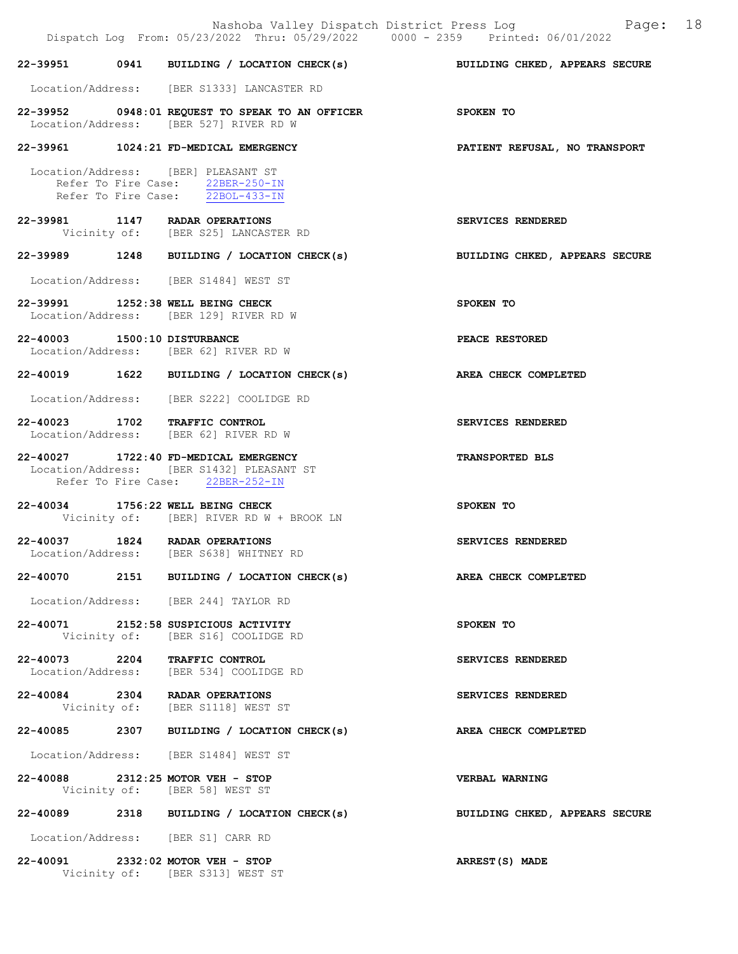|                              |                                                                                                                        | Nashoba Valley Dispatch District Press Log Fage: 18<br>Dispatch Log From: 05/23/2022 Thru: 05/29/2022 0000 - 2359 Printed: 06/01/2022 |
|------------------------------|------------------------------------------------------------------------------------------------------------------------|---------------------------------------------------------------------------------------------------------------------------------------|
|                              |                                                                                                                        | 22-39951 0941 BUILDING / LOCATION CHECK(s) BUILDING CHKED, APPEARS SECURE                                                             |
|                              | Location/Address: [BER S1333] LANCASTER RD                                                                             |                                                                                                                                       |
|                              | 22-39952 0948:01 REQUEST TO SPEAK TO AN OFFICER SPOKEN TO<br>Location/Address: [BER 527] RIVER RD W                    |                                                                                                                                       |
|                              | 22-39961 1024:21 FD-MEDICAL EMERGENCY                                                                                  | PATIENT REFUSAL, NO TRANSPORT                                                                                                         |
|                              | Location/Address: [BER] PLEASANT ST<br>Refer To Fire Case: 22BER-250-IN<br>Refer To Fire Case: 22BOL-433-IN            |                                                                                                                                       |
|                              | 22-39981 1147 RADAR OPERATIONS<br>Vicinity of: [BER S25] LANCASTER RD                                                  | SERVICES RENDERED                                                                                                                     |
|                              |                                                                                                                        | 22-39989 1248 BUILDING / LOCATION CHECK(s) BUILDING CHKED, APPEARS SECURE                                                             |
|                              | Location/Address: [BER S1484] WEST ST                                                                                  |                                                                                                                                       |
|                              | 22-39991 1252:38 WELL BEING CHECK<br>Location/Address: [BER 129] RIVER RD W                                            | SPOKEN TO                                                                                                                             |
| 22-40003 1500:10 DISTURBANCE | Location/Address: [BER 62] RIVER RD W                                                                                  | <b>PEACE RESTORED</b>                                                                                                                 |
|                              | 22-40019 1622 BUILDING / LOCATION CHECK(s)                                                                             | AREA CHECK COMPLETED                                                                                                                  |
|                              | Location/Address: [BER S222] COOLIDGE RD                                                                               |                                                                                                                                       |
|                              | 22-40023 1702 TRAFFIC CONTROL<br>Location/Address: [BER 62] RIVER RD W                                                 | SERVICES RENDERED                                                                                                                     |
|                              | 22-40027 1722:40 FD-MEDICAL EMERGENCY<br>Location/Address: [BER S1432] PLEASANT ST<br>Refer To Fire Case: 22BER-252-IN | TRANSPORTED BLS                                                                                                                       |
|                              | 22-40034 1756:22 WELL BEING CHECK<br>Vicinity of: [BER] RIVER RD W + BROOK LN                                          | SPOKEN TO                                                                                                                             |
|                              | 22-40037 1824 RADAR OPERATIONS<br>Location/Address: [BER S638] WHITNEY RD                                              | SERVICES RENDERED                                                                                                                     |
|                              | 22-40070 2151 BUILDING / LOCATION CHECK(s) AREA CHECK COMPLETED                                                        |                                                                                                                                       |
|                              | Location/Address: [BER 244] TAYLOR RD                                                                                  |                                                                                                                                       |
|                              | 22-40071 2152:58 SUSPICIOUS ACTIVITY<br>Vicinity of: [BER S16] COOLIDGE RD                                             | SPOKEN TO                                                                                                                             |
|                              | 22-40073 2204 TRAFFIC CONTROL<br>Location/Address: [BER 534] COOLIDGE RD                                               | SERVICES RENDERED                                                                                                                     |
|                              | 22-40084 2304 RADAR OPERATIONS<br>Vicinity of: [BER S1118] WEST ST                                                     | SERVICES RENDERED                                                                                                                     |
|                              | 22-40085 2307 BUILDING / LOCATION CHECK(s)                                                                             | AREA CHECK COMPLETED                                                                                                                  |
|                              | Location/Address: [BER S1484] WEST ST                                                                                  |                                                                                                                                       |
|                              | 22-40088 2312:25 MOTOR VEH - STOP<br>Vicinity of: [BER 58] WEST ST                                                     | VERBAL WARNING                                                                                                                        |
|                              | 22-40089 2318 BUILDING / LOCATION CHECK(s)                                                                             | BUILDING CHKED, APPEARS SECURE                                                                                                        |
|                              | Location/Address: [BER S1] CARR RD                                                                                     |                                                                                                                                       |
|                              | 22-40091 2332:02 MOTOR VEH - STOP<br>Vicinity of: [BER S313] WEST ST                                                   | ARREST(S) MADE                                                                                                                        |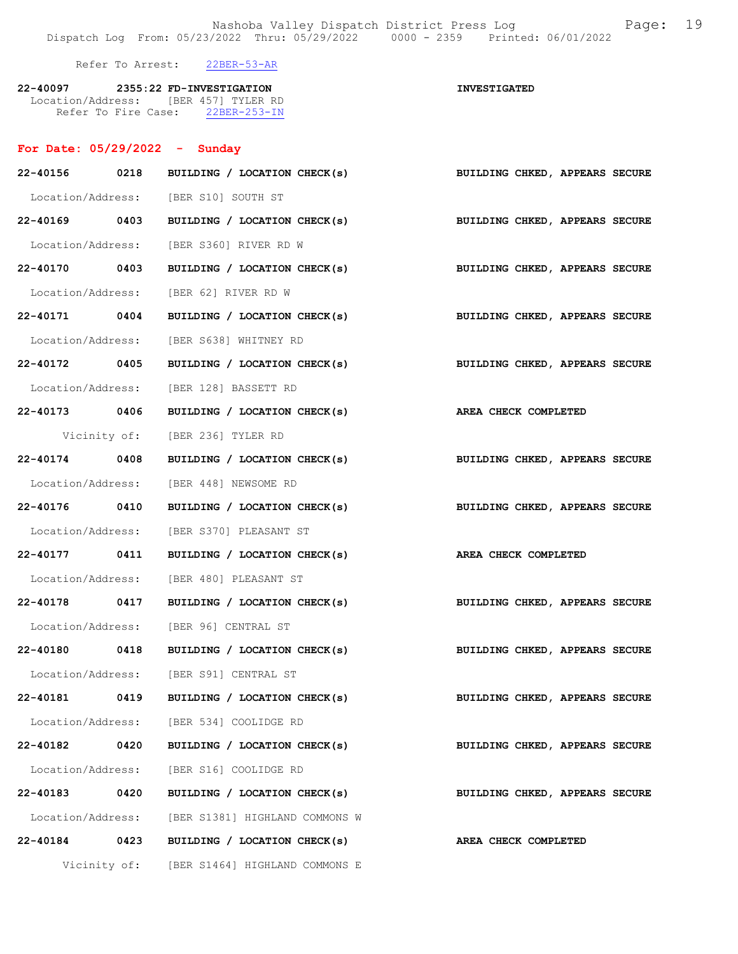Nashoba Valley Dispatch District Press Log Fage: 19 Dispatch Log From: 05/23/2022 Thru: 05/29/2022 0000 - 2359 Printed: 06/01/2022

22-40097 2355:22 FD-INVESTIGATION INVESTIGATED

Refer To Arrest: 22BER-53-AR

| 22-40097            |  |  | 2355:22 FD-INVESTIGATION |  |
|---------------------|--|--|--------------------------|--|
| Location/Address:   |  |  | [BER 457] TYLER RD       |  |
| Refer To Fire Case: |  |  | $22BER-253-TN$           |  |

# For Date: 05/29/2022 - Sunday

| 22-40156 0218 |              | BUILDING / LOCATION CHECK(s)                                              | BUILDING CHKED, APPEARS SECURE                              |
|---------------|--------------|---------------------------------------------------------------------------|-------------------------------------------------------------|
|               |              | Location/Address: [BER S10] SOUTH ST                                      |                                                             |
| 22-40169 0403 |              |                                                                           | BUILDING / LOCATION CHECK(s) BUILDING CHKED, APPEARS SECURE |
|               |              | Location/Address: [BER S360] RIVER RD W                                   |                                                             |
| 22-40170 0403 |              |                                                                           | BUILDING / LOCATION CHECK(s) BUILDING CHKED, APPEARS SECURE |
|               |              | Location/Address: [BER 62] RIVER RD W                                     |                                                             |
| 22-40171 0404 |              |                                                                           | BUILDING / LOCATION CHECK(s) BUILDING CHKED, APPEARS SECURE |
|               |              | Location/Address: [BER S638] WHITNEY RD                                   |                                                             |
| 22-40172 0405 |              | BUILDING / LOCATION CHECK(s)                                              | BUILDING CHKED, APPEARS SECURE                              |
|               |              | Location/Address: [BER 128] BASSETT RD                                    |                                                             |
| 22-40173 0406 |              | BUILDING / LOCATION CHECK(s) AREA CHECK COMPLETED                         |                                                             |
|               |              | Vicinity of: [BER 236] TYLER RD                                           |                                                             |
| 22-40174 0408 |              |                                                                           | BUILDING / LOCATION CHECK(s) BUILDING CHKED, APPEARS SECURE |
|               |              | Location/Address: [BER 448] NEWSOME RD                                    |                                                             |
|               |              | 22-40176 0410 BUILDING / LOCATION CHECK(s) BUILDING CHKED, APPEARS SECURE |                                                             |
|               |              | Location/Address: [BER S370] PLEASANT ST                                  |                                                             |
| 22-40177 0411 |              | BUILDING / LOCATION CHECK(s) AREA CHECK COMPLETED                         |                                                             |
|               |              | Location/Address: [BER 480] PLEASANT ST                                   |                                                             |
| 22-40178 0417 |              |                                                                           | BUILDING / LOCATION CHECK(s) BUILDING CHKED, APPEARS SECURE |
|               |              | Location/Address: [BER 96] CENTRAL ST                                     |                                                             |
|               |              | 22-40180 0418 BUILDING / LOCATION CHECK(s)                                | BUILDING CHKED, APPEARS SECURE                              |
|               |              | Location/Address: [BER S91] CENTRAL ST                                    |                                                             |
|               |              | 22-40181 0419 BUILDING / LOCATION CHECK(s) BUILDING CHKED, APPEARS SECURE |                                                             |
|               |              | Location/Address: [BER 534] COOLIDGE RD                                   |                                                             |
| 22-40182 0420 |              | BUILDING / LOCATION CHECK(s)                                              | BUILDING CHKED, APPEARS SECURE                              |
|               |              | Location/Address: [BER S16] COOLIDGE RD                                   |                                                             |
| 22-40183 0420 |              | BUILDING / LOCATION CHECK(s)                                              | BUILDING CHKED, APPEARS SECURE                              |
|               |              | Location/Address: [BER S1381] HIGHLAND COMMONS W                          |                                                             |
| 22-40184 0423 |              | BUILDING / LOCATION CHECK(s)                                              | AREA CHECK COMPLETED                                        |
|               | Vicinity of: | [BER S1464] HIGHLAND COMMONS E                                            |                                                             |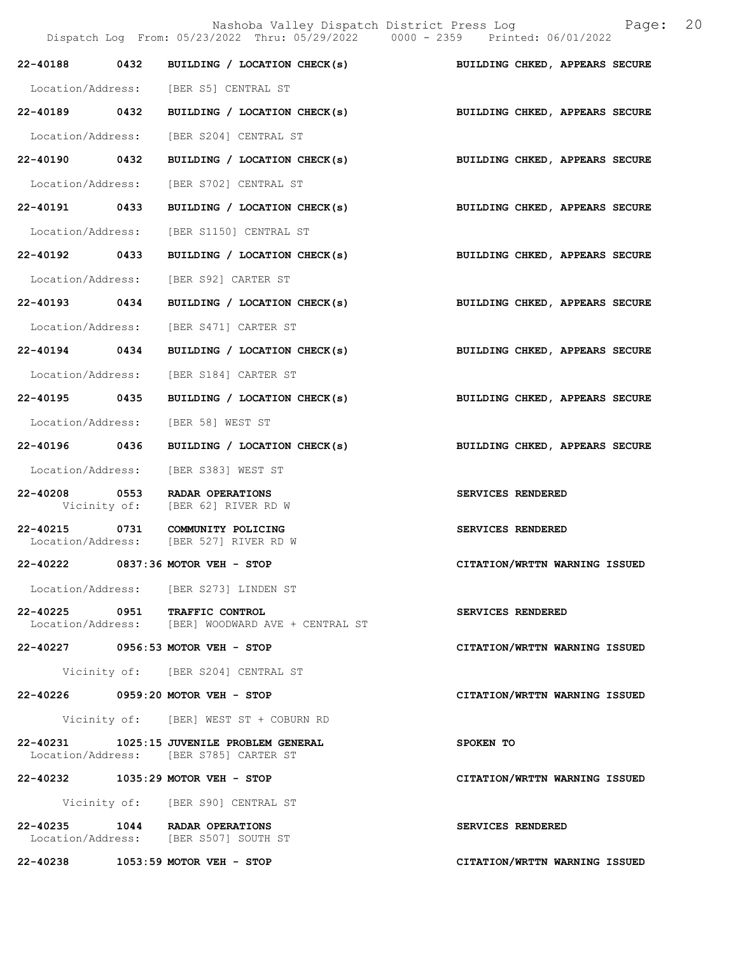Nashoba Valley Dispatch District Press Log  $P = \begin{bmatrix} 20 & 202 & 208 \\ 200 & 200 & 2359 & 206 \\ 200 & 200 & 2359 & 206 \end{bmatrix}$ Dispatch Log From:  $05/23/2022$  Thru:  $05/29/2022$  0000 - 2359 22-40188 0432 BUILDING / LOCATION CHECK(s) BUILDING CHKED, APPEARS SECURE Location/Address: [BER S5] CENTRAL ST 22-40189 0432 BUILDING / LOCATION CHECK(s) BUILDING CHKED, APPEARS SECURE Location/Address: [BER S204] CENTRAL ST 22-40190 0432 BUILDING / LOCATION CHECK(s) BUILDING CHKED, APPEARS SECURE Location/Address: [BER S702] CENTRAL ST 22-40191 0433 BUILDING / LOCATION CHECK(s) BUILDING CHKED, APPEARS SECURE Location/Address: [BER S1150] CENTRAL ST 22-40192 0433 BUILDING / LOCATION CHECK(s) BUILDING CHKED, APPEARS SECURE Location/Address: [BER S92] CARTER ST 22-40193 0434 BUILDING / LOCATION CHECK(s) BUILDING CHKED, APPEARS SECURE Location/Address: [BER S471] CARTER ST 22-40194 0434 BUILDING / LOCATION CHECK(s) BUILDING CHKED, APPEARS SECURE Location/Address: [BER S184] CARTER ST 22-40195 0435 BUILDING / LOCATION CHECK(s) BUILDING CHKED, APPEARS SECURE Location/Address: [BER 58] WEST ST 22-40196 0436 BUILDING / LOCATION CHECK(s) BUILDING CHKED, APPEARS SECURE Location/Address: [BER S383] WEST ST 22-40208 0553 RADAR OPERATIONS SERVICES RENDERED Vicinity of: [BER 62] RIVER RD W 22-40215 0731 COMMUNITY POLICING SERVICES RENDERED Location/Address: [BER 527] RIVER RD W 22-40222 0837:36 MOTOR VEH - STOP CITATION/WRTTN WARNING ISSUED Location/Address: [BER S273] LINDEN ST 22-40225 0951 TRAFFIC CONTROL SERVICES RENDERED<br>Location/Address: [BER] WOODWARD AVE + CENTRAL ST [BER] WOODWARD AVE + CENTRAL ST 22-40227 0956:53 MOTOR VEH - STOP CITATION/WRTTN WARNING ISSUED Vicinity of: [BER S204] CENTRAL ST 22-40226 0959:20 MOTOR VEH - STOP CITATION/WRTTN WARNING ISSUED Vicinity of: [BER] WEST ST + COBURN RD 22-40231 1025:15 JUVENILE PROBLEM GENERAL SPOKEN TO Location/Address: [BER S785] CARTER ST 22-40232 1035:29 MOTOR VEH - STOP CITATION/WRTTN WARNING ISSUED Vicinity of: [BER S90] CENTRAL ST 22-40235 1044 RADAR OPERATIONS SERVICES RENDERED Location/Address: [BER S507] SOUTH ST

22-40238 1053:59 MOTOR VEH - STOP CITATION/WRTTN WARNING ISSUED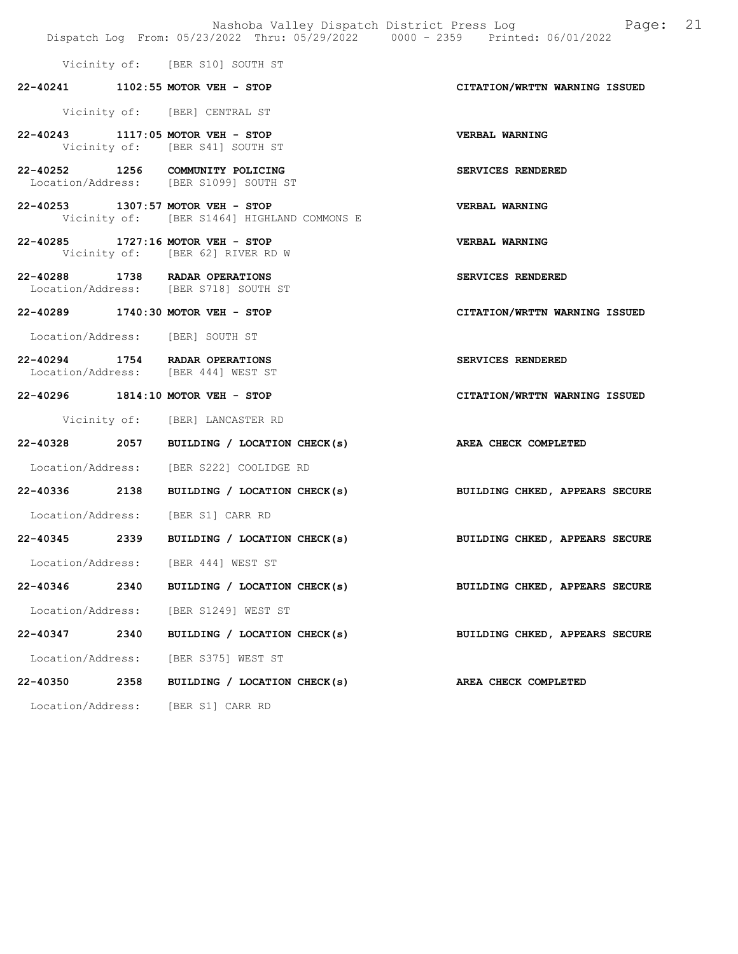|                   |      |                                                                                  | Nashoba Valley Dispatch District Press Log Mashoba Valley Dispatch District Press Log<br>Dispatch Log From: 05/23/2022 Thru: 05/29/2022 0000 - 2359 Printed: 06/01/2022 |  |
|-------------------|------|----------------------------------------------------------------------------------|-------------------------------------------------------------------------------------------------------------------------------------------------------------------------|--|
|                   |      |                                                                                  |                                                                                                                                                                         |  |
|                   |      | Vicinity of: [BER S10] SOUTH ST                                                  |                                                                                                                                                                         |  |
|                   |      | 22-40241 1102:55 MOTOR VEH - STOP                                                | CITATION/WRTTN WARNING ISSUED                                                                                                                                           |  |
|                   |      | Vicinity of: [BER] CENTRAL ST                                                    |                                                                                                                                                                         |  |
|                   |      | 22-40243 1117:05 MOTOR VEH - STOP<br>Vicinity of: [BER S41] SOUTH ST             | VERBAL WARNING                                                                                                                                                          |  |
|                   |      | 22-40252 1256 COMMUNITY POLICING<br>Location/Address: [BER S1099] SOUTH ST       | SERVICES RENDERED                                                                                                                                                       |  |
|                   |      | 22-40253 1307:57 MOTOR VEH - STOP<br>Vicinity of: [BER S1464] HIGHLAND COMMONS E | <b>VERBAL WARNING</b>                                                                                                                                                   |  |
|                   |      | 22-40285 1727:16 MOTOR VEH - STOP<br>Vicinity of: [BER 62] RIVER RD W            | <b>VERBAL WARNING</b>                                                                                                                                                   |  |
|                   |      | 22-40288 1738 RADAR OPERATIONS<br>Location/Address: [BER S718] SOUTH ST          | SERVICES RENDERED                                                                                                                                                       |  |
|                   |      | 22-40289 1740:30 MOTOR VEH - STOP                                                | CITATION/WRTTN WARNING ISSUED                                                                                                                                           |  |
|                   |      | Location/Address: [BER] SOUTH ST                                                 |                                                                                                                                                                         |  |
|                   |      | 22-40294 1754 RADAR OPERATIONS<br>Location/Address: [BER 444] WEST ST            | SERVICES RENDERED                                                                                                                                                       |  |
|                   |      | 22-40296 1814:10 MOTOR VEH - STOP                                                | CITATION/WRTTN WARNING ISSUED                                                                                                                                           |  |
|                   |      | Vicinity of: [BER] LANCASTER RD                                                  |                                                                                                                                                                         |  |
|                   |      | 22-40328 2057 BUILDING / LOCATION CHECK(s)                                       | AREA CHECK COMPLETED                                                                                                                                                    |  |
|                   |      | Location/Address: [BER S222] COOLIDGE RD                                         |                                                                                                                                                                         |  |
|                   |      | 22-40336 2138 BUILDING / LOCATION CHECK(s)                                       | BUILDING CHKED, APPEARS SECURE                                                                                                                                          |  |
|                   |      | Location/Address: [BER S1] CARR RD                                               |                                                                                                                                                                         |  |
|                   |      |                                                                                  | 22-40345 2339 BUILDING / LOCATION CHECK(s) BUILDING CHKED, APPEARS SECURE                                                                                               |  |
|                   |      | Location/Address: [BER 444] WEST ST                                              |                                                                                                                                                                         |  |
| 22-40346          | 2340 | BUILDING / LOCATION CHECK(s)                                                     | BUILDING CHKED, APPEARS SECURE                                                                                                                                          |  |
|                   |      | Location/Address: [BER S1249] WEST ST                                            |                                                                                                                                                                         |  |
| 22-40347          | 2340 | BUILDING / LOCATION CHECK(s)                                                     | BUILDING CHKED, APPEARS SECURE                                                                                                                                          |  |
| Location/Address: |      | [BER S375] WEST ST                                                               |                                                                                                                                                                         |  |
| 22-40350          | 2358 | BUILDING / LOCATION CHECK(s)                                                     | AREA CHECK COMPLETED                                                                                                                                                    |  |
|                   |      | Location/Address: [BER S1] CARR RD                                               |                                                                                                                                                                         |  |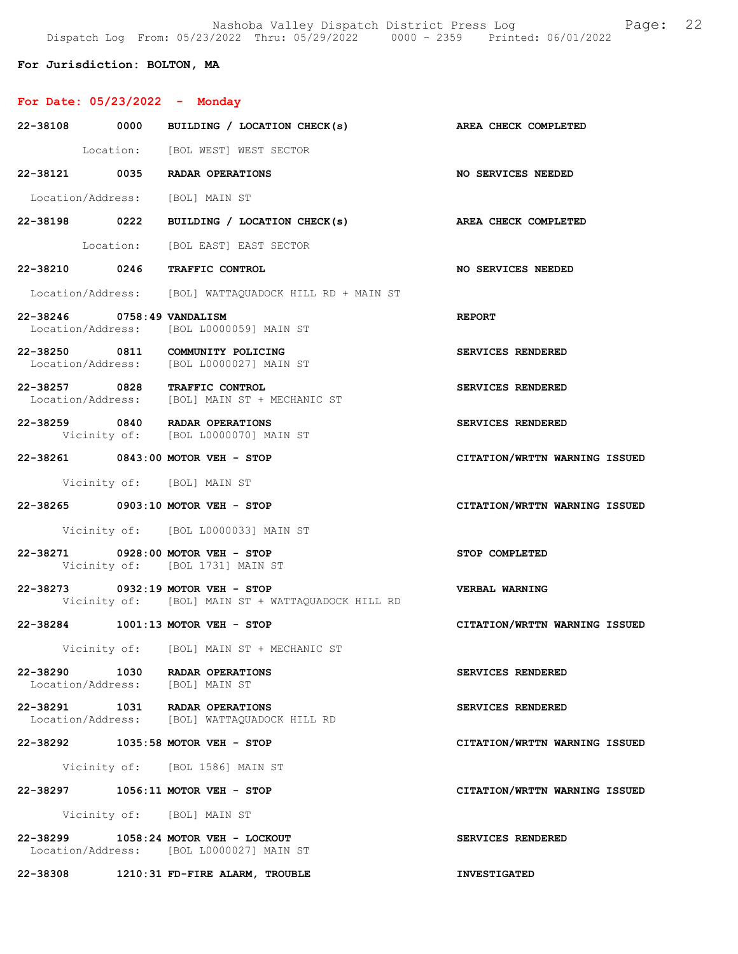Nashoba Valley Dispatch District Press Log Fage: 22 Dispatch Log From: 05/23/2022 Thru: 05/29/2022 0000 - 2359 Printed: 06/01/2022

For Jurisdiction: BOLTON, MA

# For Date: 05/23/2022 - Monday

|                                 | 22-38108 0000 BUILDING / LOCATION CHECK(s)                                             | AREA CHECK COMPLETED          |
|---------------------------------|----------------------------------------------------------------------------------------|-------------------------------|
|                                 | Location: [BOL WEST] WEST SECTOR                                                       |                               |
|                                 | 22-38121 0035 RADAR OPERATIONS                                                         | <b>NO SERVICES NEEDED</b>     |
| Location/Address: [BOL] MAIN ST |                                                                                        |                               |
|                                 | 22-38198 0222 BUILDING / LOCATION CHECK(s) AREA CHECK COMPLETED                        |                               |
|                                 | Location: [BOL EAST] EAST SECTOR                                                       |                               |
|                                 | 22-38210 0246 TRAFFIC CONTROL                                                          | <b>NO SERVICES NEEDED</b>     |
|                                 | Location/Address: [BOL] WATTAQUADOCK HILL RD + MAIN ST                                 |                               |
| 22-38246 0758:49 VANDALISM      | Location/Address: [BOL L0000059] MAIN ST                                               | REPORT                        |
|                                 | 22-38250 0811 COMMUNITY POLICING<br>Location/Address: [BOL L0000027] MAIN ST           | SERVICES RENDERED             |
|                                 | 22-38257 0828 TRAFFIC CONTROL<br>Location/Address: [BOL] MAIN ST + MECHANIC ST         | SERVICES RENDERED             |
|                                 | 22-38259 0840 RADAR OPERATIONS<br>Vicinity of: [BOL L0000070] MAIN ST                  | <b>SERVICES RENDERED</b>      |
|                                 | 22-38261 0843:00 MOTOR VEH - STOP                                                      | CITATION/WRTTN WARNING ISSUED |
|                                 | Vicinity of: [BOL] MAIN ST                                                             |                               |
|                                 | 22-38265 0903:10 MOTOR VEH - STOP                                                      | CITATION/WRTTN WARNING ISSUED |
|                                 | Vicinity of: [BOL L0000033] MAIN ST                                                    |                               |
|                                 | 22-38271 0928:00 MOTOR VEH - STOP<br>Vicinity of: [BOL 1731] MAIN ST                   | STOP COMPLETED                |
|                                 | 22-38273 0932:19 MOTOR VEH - STOP<br>Vicinity of: [BOL] MAIN ST + WATTAQUADOCK HILL RD | <b>VERBAL WARNING</b>         |
|                                 | 22-38284 1001:13 MOTOR VEH - STOP                                                      | CITATION/WRTTN WARNING ISSUED |
|                                 | Vicinity of: [BOL] MAIN ST + MECHANIC ST                                               |                               |
|                                 | 22-38290 1030 RADAR OPERATIONS<br>Location/Address: [BOL] MAIN ST                      | SERVICES RENDERED             |
|                                 | 22-38291 1031 RADAR OPERATIONS<br>Location/Address: [BOL] WATTAQUADOCK HILL RD         | SERVICES RENDERED             |
|                                 | 22-38292 1035:58 MOTOR VEH - STOP                                                      | CITATION/WRTTN WARNING ISSUED |
|                                 | Vicinity of: [BOL 1586] MAIN ST                                                        |                               |
|                                 | 22-38297 1056:11 MOTOR VEH - STOP                                                      | CITATION/WRTTN WARNING ISSUED |
|                                 | Vicinity of: [BOL] MAIN ST                                                             |                               |
|                                 | 22-38299 1058:24 MOTOR VEH - LOCKOUT<br>Location/Address: [BOL L0000027] MAIN ST       | SERVICES RENDERED             |
|                                 | 22-38308 1210:31 FD-FIRE ALARM, TROUBLE                                                | <b>INVESTIGATED</b>           |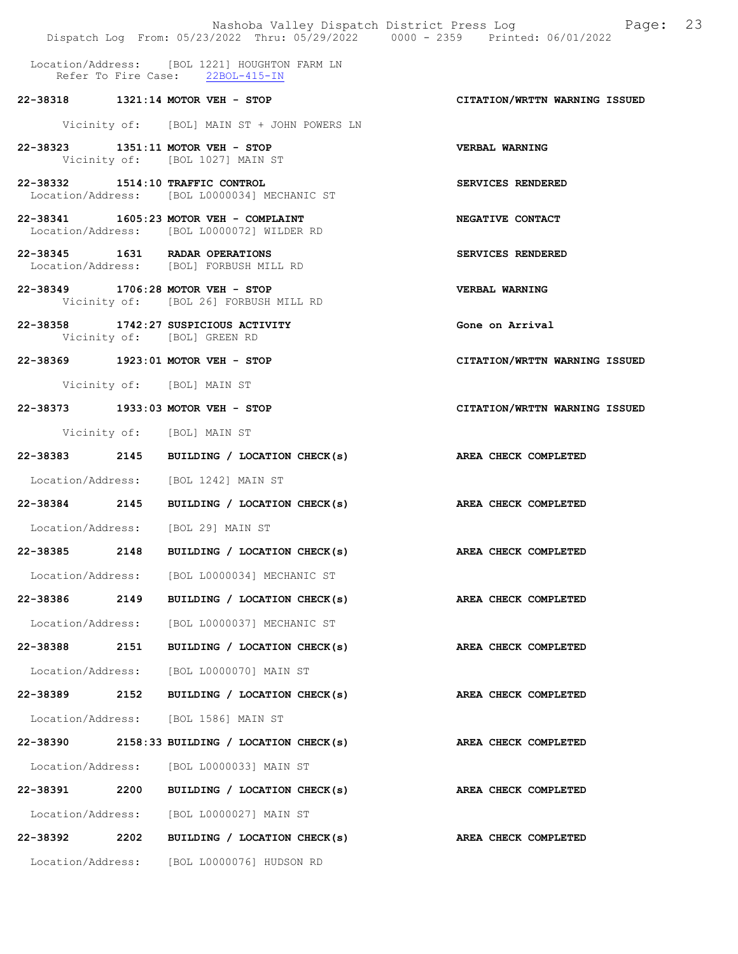|                                  |      | Dispatch Log From: 05/23/2022 Thru: 05/29/2022 0000 - 2359 Printed: 06/01/2022       | Nashoba Valley Dispatch District Press Log Mashoba Valley Dispatch District Press Log |
|----------------------------------|------|--------------------------------------------------------------------------------------|---------------------------------------------------------------------------------------|
|                                  |      | Location/Address: [BOL 1221] HOUGHTON FARM LN<br>Refer To Fire Case: 22BOL-415-IN    |                                                                                       |
|                                  |      | 22-38318 1321:14 MOTOR VEH - STOP                                                    | CITATION/WRTTN WARNING ISSUED                                                         |
|                                  |      | Vicinity of: [BOL] MAIN ST + JOHN POWERS LN                                          |                                                                                       |
|                                  |      | 22-38323 1351:11 MOTOR VEH - STOP<br>Vicinity of: [BOL 1027] MAIN ST                 | VERBAL WARNING                                                                        |
| 22-38332 1514:10 TRAFFIC CONTROL |      | Location/Address: [BOL L0000034] MECHANIC ST                                         | SERVICES RENDERED                                                                     |
|                                  |      | 22-38341 1605:23 MOTOR VEH - COMPLAINT<br>Location/Address: [BOL L0000072] WILDER RD | NEGATIVE CONTACT                                                                      |
|                                  |      | 22-38345 1631 RADAR OPERATIONS<br>Location/Address: [BOL] FORBUSH MILL RD            | SERVICES RENDERED                                                                     |
|                                  |      | 22-38349 1706:28 MOTOR VEH - STOP<br>Vicinity of: [BOL 26] FORBUSH MILL RD           | <b>VERBAL WARNING</b>                                                                 |
|                                  |      | 22-38358 1742:27 SUSPICIOUS ACTIVITY<br>Vicinity of: [BOL] GREEN RD                  | Gone on Arrival                                                                       |
|                                  |      | 22-38369 1923:01 MOTOR VEH - STOP                                                    | CITATION/WRTTN WARNING ISSUED                                                         |
|                                  |      | Vicinity of: [BOL] MAIN ST                                                           |                                                                                       |
|                                  |      | 22-38373 1933:03 MOTOR VEH - STOP                                                    | CITATION/WRTTN WARNING ISSUED                                                         |
|                                  |      | Vicinity of: [BOL] MAIN ST                                                           |                                                                                       |
|                                  |      | 22-38383 2145 BUILDING / LOCATION CHECK(s)                                           | AREA CHECK COMPLETED                                                                  |
|                                  |      | Location/Address: [BOL 1242] MAIN ST                                                 |                                                                                       |
|                                  |      | 22-38384 2145 BUILDING / LOCATION CHECK(s)                                           | AREA CHECK COMPLETED                                                                  |
|                                  |      | Location/Address: [BOL 29] MAIN ST                                                   |                                                                                       |
| 22-38385                         | 2148 | BUILDING / LOCATION CHECK(s)                                                         | AREA CHECK COMPLETED                                                                  |
|                                  |      | Location/Address: [BOL L0000034] MECHANIC ST                                         |                                                                                       |
| 22-38386 2149                    |      | BUILDING / LOCATION CHECK(s)                                                         | AREA CHECK COMPLETED                                                                  |
| Location/Address:                |      | [BOL L0000037] MECHANIC ST                                                           |                                                                                       |
| 22-38388                         | 2151 | BUILDING / LOCATION CHECK(s)                                                         | AREA CHECK COMPLETED                                                                  |
|                                  |      | Location/Address: [BOL L0000070] MAIN ST                                             |                                                                                       |
| 22-38389 2152                    |      | BUILDING / LOCATION CHECK(s)                                                         | AREA CHECK COMPLETED                                                                  |
|                                  |      | Location/Address: [BOL 1586] MAIN ST                                                 |                                                                                       |
|                                  |      | $22-38390$ 2158:33 BUILDING / LOCATION CHECK(s)                                      | AREA CHECK COMPLETED                                                                  |
|                                  |      | Location/Address: [BOL L0000033] MAIN ST                                             |                                                                                       |
| 22-38391                         | 2200 | BUILDING / LOCATION CHECK(s)                                                         | AREA CHECK COMPLETED                                                                  |
|                                  |      | Location/Address: [BOL L0000027] MAIN ST                                             |                                                                                       |
| 22-38392                         | 2202 | BUILDING / LOCATION CHECK(s)                                                         | AREA CHECK COMPLETED                                                                  |
|                                  |      | Location/Address: [BOL L0000076] HUDSON RD                                           |                                                                                       |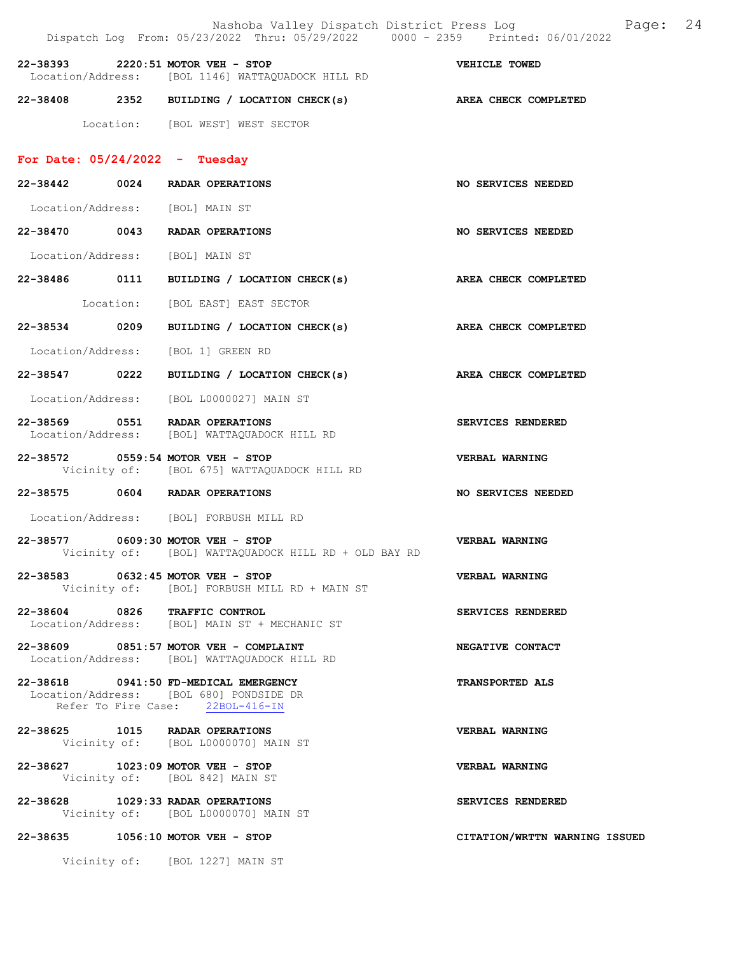|                                         | Nashoba Valley Dispatch District Press Log Mashoba Valley Dispatch District Press Log<br>Dispatch Log From: 05/23/2022 Thru: 05/29/2022 0000 - 2359 Printed: 06/01/2022 |                               |  |
|-----------------------------------------|-------------------------------------------------------------------------------------------------------------------------------------------------------------------------|-------------------------------|--|
| 22-38393 2220:51 MOTOR VEH - STOP       | Location/Address: [BOL 1146] WATTAQUADOCK HILL RD                                                                                                                       | VEHICLE TOWED                 |  |
|                                         | 22-38408 2352 BUILDING / LOCATION CHECK(s) AREA CHECK COMPLETED                                                                                                         |                               |  |
|                                         | Location: [BOL WEST] WEST SECTOR                                                                                                                                        |                               |  |
| For Date: $05/24/2022 - Tuesday$        |                                                                                                                                                                         |                               |  |
| 22-38442 0024 RADAR OPERATIONS          |                                                                                                                                                                         | NO SERVICES NEEDED            |  |
| Location/Address: [BOL] MAIN ST         |                                                                                                                                                                         |                               |  |
| 22-38470 0043 RADAR OPERATIONS          |                                                                                                                                                                         | NO SERVICES NEEDED            |  |
| Location/Address: [BOL] MAIN ST         |                                                                                                                                                                         |                               |  |
|                                         | 22-38486 0111 BUILDING / LOCATION CHECK(s)                                                                                                                              | AREA CHECK COMPLETED          |  |
|                                         | Location: [BOL EAST] EAST SECTOR                                                                                                                                        |                               |  |
|                                         | 22-38534 0209 BUILDING / LOCATION CHECK(s) AREA CHECK COMPLETED                                                                                                         |                               |  |
| Location/Address: [BOL 1] GREEN RD      |                                                                                                                                                                         |                               |  |
| 22-38547 0222                           | BUILDING / LOCATION CHECK(s) AREA CHECK COMPLETED                                                                                                                       |                               |  |
|                                         | Location/Address: [BOL L0000027] MAIN ST                                                                                                                                |                               |  |
| 22-38569 0551 RADAR OPERATIONS          | Location/Address: [BOL] WATTAQUADOCK HILL RD                                                                                                                            | SERVICES RENDERED             |  |
| 22-38572 0559:54 MOTOR VEH - STOP       | Vicinity of: [BOL 675] WATTAQUADOCK HILL RD                                                                                                                             | <b>VERBAL WARNING</b>         |  |
| 22-38575 0604 RADAR OPERATIONS          |                                                                                                                                                                         | NO SERVICES NEEDED            |  |
| Location/Address: [BOL] FORBUSH MILL RD |                                                                                                                                                                         |                               |  |
| 22-38577 0609:30 MOTOR VEH - STOP       | Vicinity of: [BOL] WATTAQUADOCK HILL RD + OLD BAY RD                                                                                                                    | <b>VERBAL WARNING</b>         |  |
| 22-38583 0632:45 MOTOR VEH - STOP       | Vicinity of: [BOL] FORBUSH MILL RD + MAIN ST                                                                                                                            | <b>VERBAL WARNING</b>         |  |
|                                         | 22-38604 0826 TRAFFIC CONTROL<br>Location/Address: [BOL] MAIN ST + MECHANIC ST                                                                                          | SERVICES RENDERED             |  |
| 22-38609 0851:57 MOTOR VEH - COMPLAINT  | Location/Address: [BOL] WATTAQUADOCK HILL RD                                                                                                                            | NEGATIVE CONTACT              |  |
| 22-38618 0941:50 FD-MEDICAL EMERGENCY   | Location/Address: [BOL 680] PONDSIDE DR<br>Refer To Fire Case: 22BOL-416-IN                                                                                             | <b>TRANSPORTED ALS</b>        |  |
| 22-38625 1015 RADAR OPERATIONS          | Vicinity of: [BOL L0000070] MAIN ST                                                                                                                                     | VERBAL WARNING                |  |
| 22-38627 1023:09 MOTOR VEH - STOP       | Vicinity of: [BOL 842] MAIN ST                                                                                                                                          | VERBAL WARNING                |  |
| 22-38628 1029:33 RADAR OPERATIONS       | Vicinity of: [BOL L0000070] MAIN ST                                                                                                                                     | SERVICES RENDERED             |  |
| 22-38635 1056:10 MOTOR VEH - STOP       |                                                                                                                                                                         | CITATION/WRTTN WARNING ISSUED |  |
|                                         | Vicinity of: [BOL 1227] MAIN ST                                                                                                                                         |                               |  |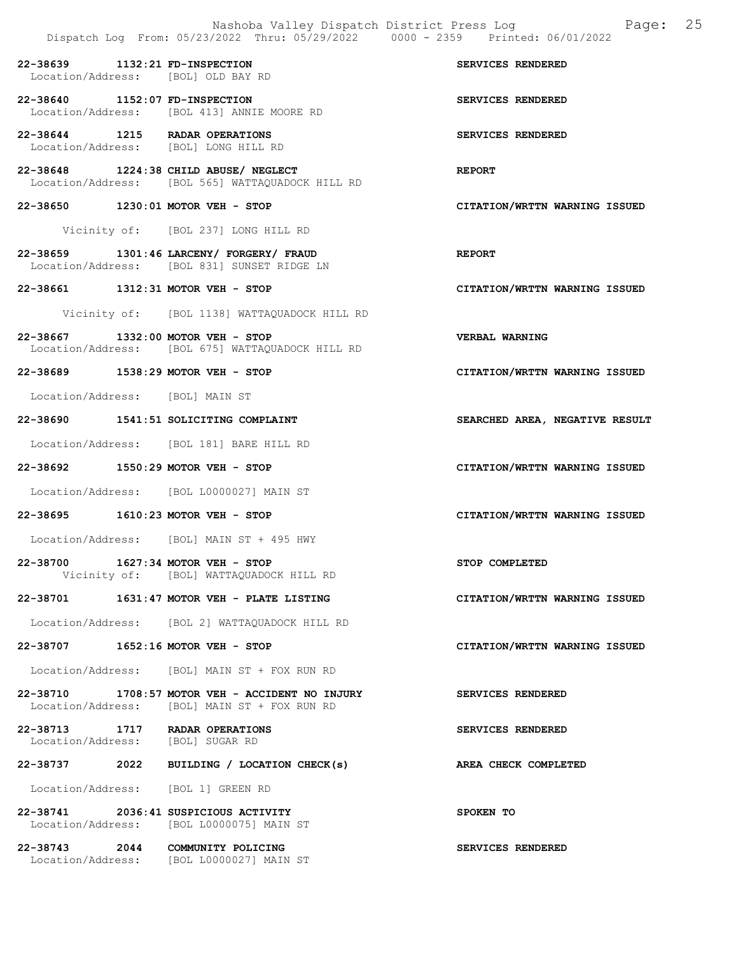|                                                                        |                                                                                                 | 25<br>Nashoba Valley Dispatch District Press Log<br>Page:<br>Dispatch Log From: 05/23/2022 Thru: 05/29/2022 0000 - 2359 Printed: 06/01/2022 |
|------------------------------------------------------------------------|-------------------------------------------------------------------------------------------------|---------------------------------------------------------------------------------------------------------------------------------------------|
| 22-38639 1132:21 FD-INSPECTION<br>Location/Address: [BOL] OLD BAY RD   |                                                                                                 | SERVICES RENDERED                                                                                                                           |
| 22-38640 1152:07 FD-INSPECTION                                         | Location/Address: [BOL 413] ANNIE MOORE RD                                                      | SERVICES RENDERED                                                                                                                           |
| 22-38644 1215 RADAR OPERATIONS<br>Location/Address: [BOL] LONG HILL RD |                                                                                                 | SERVICES RENDERED                                                                                                                           |
|                                                                        | 22-38648 1224:38 CHILD ABUSE/ NEGLECT<br>Location/Address: [BOL 565] WATTAQUADOCK HILL RD       | <b>REPORT</b>                                                                                                                               |
| 22-38650 1230:01 MOTOR VEH - STOP                                      |                                                                                                 | CITATION/WRTTN WARNING ISSUED                                                                                                               |
|                                                                        | Vicinity of: [BOL 237] LONG HILL RD                                                             |                                                                                                                                             |
|                                                                        | 22-38659 1301:46 LARCENY/ FORGERY/ FRAUD<br>Location/Address: [BOL 831] SUNSET RIDGE LN         | <b>REPORT</b>                                                                                                                               |
| 22-38661 1312:31 MOTOR VEH - STOP                                      |                                                                                                 | CITATION/WRTTN WARNING ISSUED                                                                                                               |
|                                                                        | Vicinity of: [BOL 1138] WATTAQUADOCK HILL RD                                                    |                                                                                                                                             |
| 22-38667 1332:00 MOTOR VEH - STOP                                      | Location/Address: [BOL 675] WATTAOUADOCK HILL RD                                                | <b>VERBAL WARNING</b>                                                                                                                       |
| 22-38689 1538:29 MOTOR VEH - STOP                                      |                                                                                                 | CITATION/WRTTN WARNING ISSUED                                                                                                               |
| Location/Address: [BOL] MAIN ST                                        |                                                                                                 |                                                                                                                                             |
|                                                                        | 22-38690 1541:51 SOLICITING COMPLAINT                                                           | SEARCHED AREA, NEGATIVE RESULT                                                                                                              |
|                                                                        | Location/Address: [BOL 181] BARE HILL RD                                                        |                                                                                                                                             |
| 22-38692 1550:29 MOTOR VEH - STOP                                      |                                                                                                 | CITATION/WRTTN WARNING ISSUED                                                                                                               |
|                                                                        | Location/Address: [BOL L0000027] MAIN ST                                                        |                                                                                                                                             |
| 22-38695 1610:23 MOTOR VEH - STOP                                      |                                                                                                 | CITATION/WRTTN WARNING ISSUED                                                                                                               |
|                                                                        | Location/Address: [BOL] MAIN ST + 495 HWY                                                       |                                                                                                                                             |
| 22-38700                                                               | 1627:34 MOTOR VEH - STOP<br>Vicinity of: [BOL] WATTAQUADOCK HILL RD                             | STOP COMPLETED                                                                                                                              |
|                                                                        | $22-38701$ 1631:47 MOTOR VEH - PLATE LISTING                                                    | CITATION/WRTTN WARNING ISSUED                                                                                                               |
|                                                                        | Location/Address: [BOL 2] WATTAQUADOCK HILL RD                                                  |                                                                                                                                             |
| 22-38707 1652:16 MOTOR VEH - STOP                                      |                                                                                                 | CITATION/WRTTN WARNING ISSUED                                                                                                               |
|                                                                        | Location/Address: [BOL] MAIN ST + FOX RUN RD                                                    |                                                                                                                                             |
|                                                                        | 22-38710 1708:57 MOTOR VEH - ACCIDENT NO INJURY<br>Location/Address: [BOL] MAIN ST + FOX RUN RD | SERVICES RENDERED                                                                                                                           |
| 22-38713 1717 RADAR OPERATIONS<br>Location/Address: [BOL] SUGAR RD     |                                                                                                 | SERVICES RENDERED                                                                                                                           |
|                                                                        | 22-38737 2022 BUILDING / LOCATION CHECK(s)                                                      | AREA CHECK COMPLETED                                                                                                                        |
| Location/Address: [BOL 1] GREEN RD                                     |                                                                                                 |                                                                                                                                             |
| 22-38741 2036:41 SUSPICIOUS ACTIVITY                                   | Location/Address: [BOL L0000075] MAIN ST                                                        | SPOKEN TO                                                                                                                                   |
| 22-38743 2044 COMMUNITY POLICING                                       | Location/Address: [BOL L0000027] MAIN ST                                                        | SERVICES RENDERED                                                                                                                           |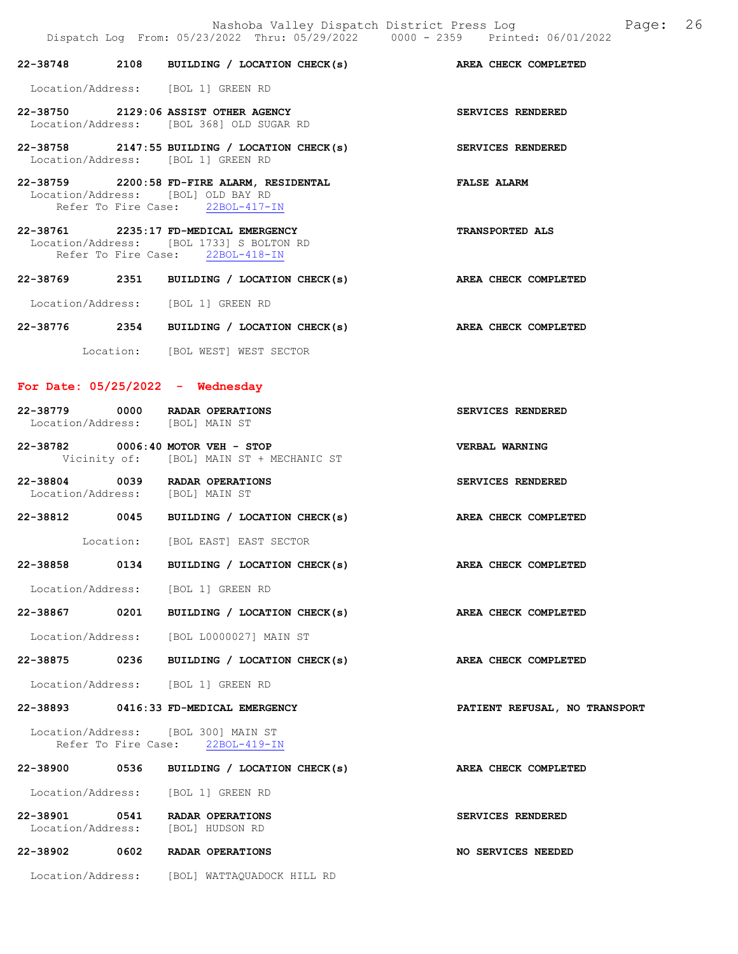|  | 22-38748 2108 BUILDING / LOCATION CHECK(s) AREA CHECK COMPLETED                                                       |                          |
|--|-----------------------------------------------------------------------------------------------------------------------|--------------------------|
|  | Location/Address: [BOL 1] GREEN RD                                                                                    |                          |
|  | 22-38750 2129:06 ASSIST OTHER AGENCY<br>Location/Address: [BOL 368] OLD SUGAR RD                                      | SERVICES RENDERED        |
|  | $22-38758$ 2147:55 BUILDING / LOCATION CHECK(s)<br>Location/Address: [BOL 1] GREEN RD                                 | <b>SERVICES RENDERED</b> |
|  | 22-38759 2200:58 FD-FIRE ALARM, RESIDENTAL<br>Location/Address: [BOL] OLD BAY RD<br>Refer To Fire Case: 22BOL-417-IN  | <b>FALSE ALARM</b>       |
|  | 22-38761 2235:17 FD-MEDICAL EMERGENCY<br>Location/Address: [BOL 1733] S BOLTON RD<br>Refer To Fire Case: 22BOL-418-IN | <b>TRANSPORTED ALS</b>   |
|  |                                                                                                                       |                          |
|  | 22-38769 2351 BUILDING / LOCATION CHECK(s)                                                                            | AREA CHECK COMPLETED     |
|  | Location/Address: [BOL 1] GREEN RD                                                                                    |                          |
|  | 22-38776 2354 BUILDING / LOCATION CHECK(s)                                                                            | AREA CHECK COMPLETED     |
|  | Location: [BOL WEST] WEST SECTOR                                                                                      |                          |

| 22-38779          | 0000 | RADAR OPERATIONS | SERVICES RENDERED |
|-------------------|------|------------------|-------------------|
| Location/Address: |      | [BOL] MAIN ST    |                   |
|                   |      |                  |                   |

| 22-38782 | $0006:40$ MOTOR VEH - STOP |  |                                          |  | VERBAL WARNING |
|----------|----------------------------|--|------------------------------------------|--|----------------|
|          |                            |  | Vicinity of: [BOL] MAIN ST + MECHANIC ST |  |                |

22-38804 0039 RADAR OPERATIONS SERVICES RENDERED Location/Address: [BOL] MAIN ST

AREA CHECK COMPLETED

22-38812 0045 BUILDING / LOCATION CHECK(s) AREA CHECK COMPLETED Location: [BOL EAST] EAST SECTOR

| 22-38858 | 0134 | BUILDING / LOCATION CHECK(s) |  |
|----------|------|------------------------------|--|

Location/Address: [BOL 1] GREEN RD

22-38867 0201 BUILDING / LOCATION CHECK(s) AREA CHECK COMPLETED

Location/Address: [BOL L0000027] MAIN ST

22-38875 0236 BUILDING / LOCATION CHECK(s) AREA CHECK COMPLETED

Location/Address: [BOL 1] GREEN RD

```
22-38893 0416:33 FD-MEDICAL EMERGENCY PATIENT REFUSAL, NO TRANSPORT
```

| Location/Address:   | [BOL 300] MAIN ST |
|---------------------|-------------------|
| Refer To Fire Case: | $22BOL-419-TN$    |

| 22-38900                      | 0536 | BUILDING / LOCATION CHECK(s)        | AREA CHECK COMPLETED |
|-------------------------------|------|-------------------------------------|----------------------|
| Location/Address:             |      | [BOL 1] GREEN RD                    |                      |
| 22-38901<br>Location/Address: | 0541 | RADAR OPERATIONS<br>[BOL] HUDSON RD | SERVICES RENDERED    |
| 22-38902                      | 0602 | RADAR OPERATIONS                    | NO SERVICES NEEDED   |
| Location/Address:             |      | [BOL] WATTAOUADOCK HILL RD          |                      |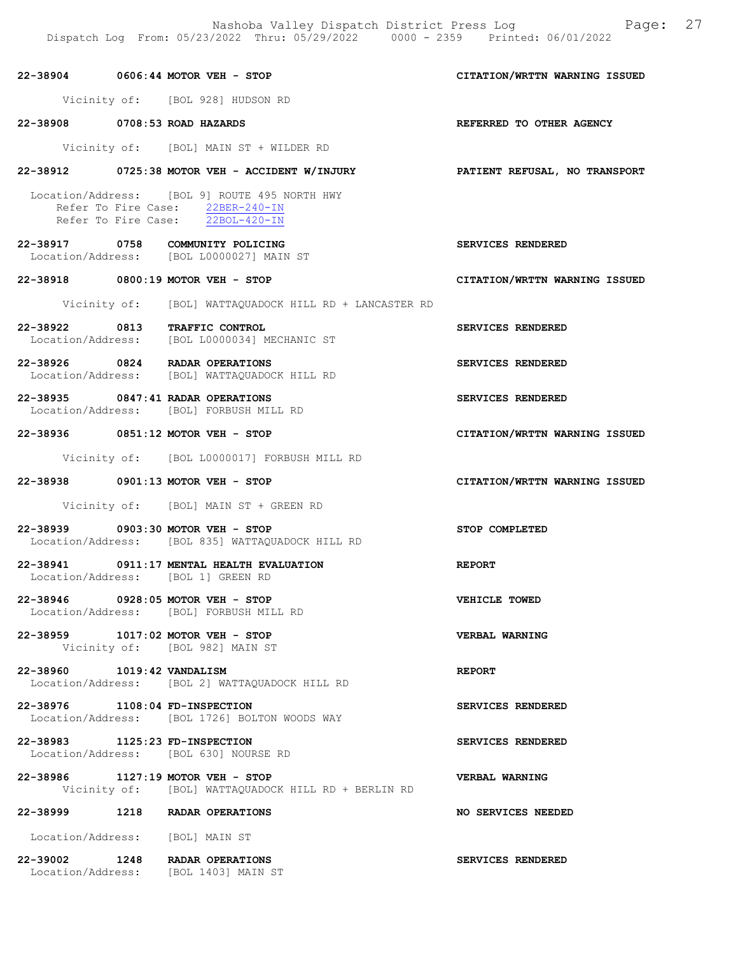Nashoba Valley Dispatch District Press Log Fage: 27 Dispatch Log From: 05/23/2022 Thru: 05/29/2022 0000 - 2359 Printed: 06/01/2022

22-38904 0606:44 MOTOR VEH - STOP CITATION/WRTTN WARNING ISSUED Vicinity of: [BOL 928] HUDSON RD 22-38908 0708:53 ROAD HAZARDS REFERRED TO OTHER AGENCY Vicinity of: [BOL] MAIN ST + WILDER RD 22-38912 0725:38 MOTOR VEH - ACCIDENT W/INJURY PATIENT REFUSAL, NO TRANSPORT Location/Address: [BOL 9] ROUTE 495 NORTH HWY Refer To Fire Case:  $\frac{22BER-240-IN}{22BOL-420-IN}$ Refer To Fire Case: 22-38917 0758 COMMUNITY POLICING<br>
Location/Address: [BOL L0000027] MAIN ST Location/Address: [BOL L0000027] MAIN ST 22-38918 0800:19 MOTOR VEH - STOP CITATION/WRTTN WARNING ISSUED Vicinity of: [BOL] WATTAQUADOCK HILL RD + LANCASTER RD 22-38922 0813 TRAFFIC CONTROL SERVICES RENDERED Location/Address: [BOL L0000034] MECHANIC ST 22-38926 0824 RADAR OPERATIONS SERVICES RENDERED Location/Address: [BOL] WATTAQUADOCK HILL RD 22-38935 0847:41 RADAR OPERATIONS SERVICES RENDERED Location/Address: [BOL] FORBUSH MILL RD 22-38936 0851:12 MOTOR VEH - STOP CITATION/WRTTN WARNING ISSUED Vicinity of: [BOL L0000017] FORBUSH MILL RD 22-38938 0901:13 MOTOR VEH - STOP CITATION/WRTTN WARNING ISSUED Vicinity of: [BOL] MAIN ST + GREEN RD 22-38939 0903:30 MOTOR VEH - STOP STOP COMPLETED Location/Address: [BOL 835] WATTAQUADOCK HILL RD 22-38941 0911:17 MENTAL HEALTH EVALUATION REPORT Location/Address: [BOL 1] GREEN RD 22-38946 0928:05 MOTOR VEH - STOP VEHICLE TOWED Location/Address: [BOL] FORBUSH MILL RD 22-38959 1017:02 MOTOR VEH - STOP VERBAL WARNING Vicinity of: [BOL 982] MAIN ST 22-38960 1019:42 VANDALISM REPORT Location/Address: [BOL 2] WATTAQUADOCK HILL RD 22-38976 1108:04 FD-INSPECTION SERVICES RENDERED Location/Address: [BOL 1726] BOLTON WOODS WAY 22-38983 1125:23 FD-INSPECTION SERVICES RENDERED Location/Address: [BOL 630] NOURSE RD 22-38986 1127:19 MOTOR VEH - STOP VERBAL WARNING Vicinity of: [BOL] WATTAQUADOCK HILL RD + BERLIN RD 22-38999 1218 RADAR OPERATIONS NO SERVICES NEEDED Location/Address: [BOL] MAIN ST 22-39002 1248 RADAR OPERATIONS SERVICES RENDERED Location/Address: [BOL 1403] MAIN ST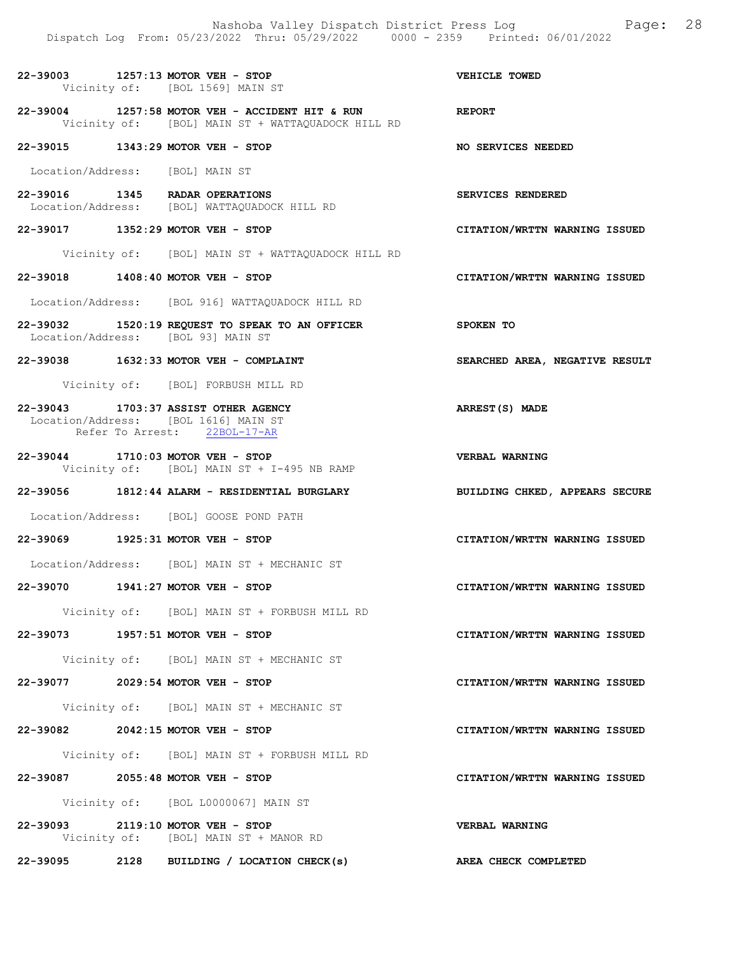22-39003 1257:13 MOTOR VEH - STOP VEHICLE TOWED Vicinity of: [BOL 1569] MAIN ST 22-39004 1257:58 MOTOR VEH - ACCIDENT HIT & RUN REPORT<br>Vicinity of: [BOL] MAIN ST + WATTAOUADOCK HILL RD Vicinity of: [BOL] MAIN ST + WATTAQUADOCK HILL RD 22-39015 1343:29 MOTOR VEH - STOP NO SERVICES NEEDED Location/Address: [BOL] MAIN ST 22-39016 1345 RADAR OPERATIONS<br>
Location/Address: [BOL] WATTAOUADOCK HILL RD Location/Address: [BOL] WATTAQUADOCK HILL RD 22-39017 1352:29 MOTOR VEH - STOP CITATION/WRTTN WARNING ISSUED Vicinity of: [BOL] MAIN ST + WATTAQUADOCK HILL RD 22-39018 1408:40 MOTOR VEH - STOP CITATION/WRTTN WARNING ISSUED Location/Address: [BOL 916] WATTAQUADOCK HILL RD 22-39032 1520:19 REQUEST TO SPEAK TO AN OFFICER SPOKEN TO Location/Address: [BOL 93] MAIN ST 22-39038 1632:33 MOTOR VEH - COMPLAINT SEARCHED AREA, NEGATIVE RESULT Vicinity of: [BOL] FORBUSH MILL RD 22-39043 1703:37 ASSIST OTHER AGENCY ARREST(S) MADE Location/Address: [BOL 1616] MAIN ST<br>Refer To Arrest: 22BOL-17-AR Refer To Arrest: 22-39044 1710:03 MOTOR VEH - STOP VERBAL WARNING Vicinity of: [BOL] MAIN ST + I-495 NB RAMP 22-39056 1812:44 ALARM - RESIDENTIAL BURGLARY BUILDING CHKED, APPEARS SECURE Location/Address: [BOL] GOOSE POND PATH 22-39069 1925:31 MOTOR VEH - STOP CITATION/WRTTN WARNING ISSUED Location/Address: [BOL] MAIN ST + MECHANIC ST 22-39070 1941:27 MOTOR VEH - STOP CITATION/WRTTN WARNING ISSUED Vicinity of: [BOL] MAIN ST + FORBUSH MILL RD 22-39073 1957:51 MOTOR VEH - STOP CITATION/WRTTN WARNING ISSUED Vicinity of: [BOL] MAIN ST + MECHANIC ST 22-39077 2029:54 MOTOR VEH - STOP CITATION/WRTTN WARNING ISSUED Vicinity of: [BOL] MAIN ST + MECHANIC ST 22-39082 2042:15 MOTOR VEH - STOP CITATION/WRTTN WARNING ISSUED Vicinity of: [BOL] MAIN ST + FORBUSH MILL RD 22-39087 2055:48 MOTOR VEH - STOP CITATION/WRTTN WARNING ISSUED Vicinity of: [BOL L0000067] MAIN ST 22-39093 2119:10 MOTOR VEH - STOP VERBAL WARNING Vicinity of: [BOL] MAIN ST + MANOR RD

22-39095 2128 BUILDING / LOCATION CHECK(s) AREA CHECK COMPLETED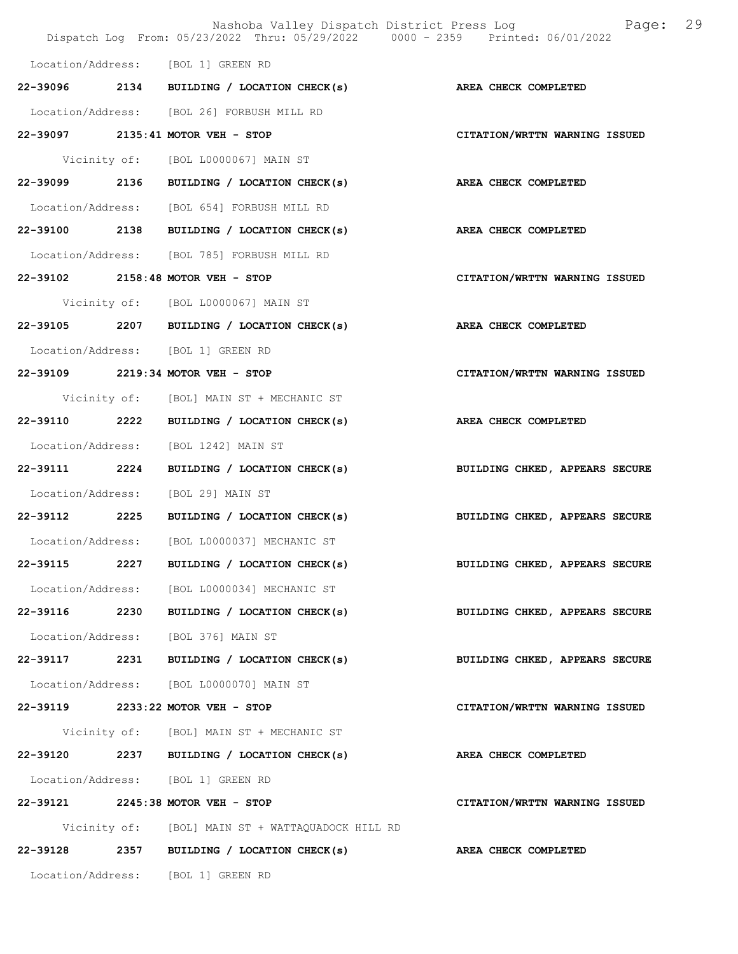|               |      | Nashoba Valley Dispatch District Press Log<br>Dispatch Log From: 05/23/2022 Thru: 05/29/2022 0000 - 2359 Printed: 06/01/2022 | 29<br>Page:                    |
|---------------|------|------------------------------------------------------------------------------------------------------------------------------|--------------------------------|
|               |      | Location/Address: [BOL 1] GREEN RD                                                                                           |                                |
|               |      | 22-39096 2134 BUILDING / LOCATION CHECK(s)                                                                                   | AREA CHECK COMPLETED           |
|               |      | Location/Address: [BOL 26] FORBUSH MILL RD                                                                                   |                                |
|               |      | 22-39097 2135:41 MOTOR VEH - STOP                                                                                            | CITATION/WRTTN WARNING ISSUED  |
|               |      | Vicinity of: [BOL L0000067] MAIN ST                                                                                          |                                |
|               |      | 22-39099 2136 BUILDING / LOCATION CHECK(s)                                                                                   | AREA CHECK COMPLETED           |
|               |      | Location/Address: [BOL 654] FORBUSH MILL RD                                                                                  |                                |
|               |      | 22-39100 2138 BUILDING / LOCATION CHECK(s)                                                                                   | AREA CHECK COMPLETED           |
|               |      | Location/Address: [BOL 785] FORBUSH MILL RD                                                                                  |                                |
|               |      | 22-39102 2158:48 MOTOR VEH - STOP                                                                                            | CITATION/WRTTN WARNING ISSUED  |
|               |      | Vicinity of: [BOL L0000067] MAIN ST                                                                                          |                                |
|               |      | 22-39105 2207 BUILDING / LOCATION CHECK(s)                                                                                   | AREA CHECK COMPLETED           |
|               |      | Location/Address: [BOL 1] GREEN RD                                                                                           |                                |
|               |      | 22-39109 2219:34 MOTOR VEH - STOP                                                                                            | CITATION/WRTTN WARNING ISSUED  |
|               |      | Vicinity of: [BOL] MAIN ST + MECHANIC ST                                                                                     |                                |
| 22-39110 2222 |      | BUILDING / LOCATION CHECK(s)                                                                                                 | <b>AREA CHECK COMPLETED</b>    |
|               |      | Location/Address: [BOL 1242] MAIN ST                                                                                         |                                |
| 22-39111 2224 |      | BUILDING / LOCATION CHECK(s)                                                                                                 | BUILDING CHKED, APPEARS SECURE |
|               |      | Location/Address: [BOL 29] MAIN ST                                                                                           |                                |
|               |      | 22-39112 2225 BUILDING / LOCATION CHECK(s)                                                                                   | BUILDING CHKED, APPEARS SECURE |
|               |      | Location/Address: [BOL L0000037] MECHANIC ST                                                                                 |                                |
| 22-39115      | 2227 | BUILDING / LOCATION CHECK(s)                                                                                                 | BUILDING CHKED, APPEARS SECURE |
|               |      | Location/Address: [BOL L0000034] MECHANIC ST                                                                                 |                                |
| 22-39116 2230 |      | BUILDING / LOCATION CHECK(s)                                                                                                 | BUILDING CHKED, APPEARS SECURE |
|               |      | Location/Address: [BOL 376] MAIN ST                                                                                          |                                |
| 22-39117      |      | 2231 BUILDING / LOCATION CHECK(s)                                                                                            | BUILDING CHKED, APPEARS SECURE |
|               |      | Location/Address: [BOL L0000070] MAIN ST                                                                                     |                                |
|               |      | 22-39119 2233:22 MOTOR VEH - STOP                                                                                            | CITATION/WRTTN WARNING ISSUED  |
|               |      | Vicinity of: [BOL] MAIN ST + MECHANIC ST                                                                                     |                                |
|               |      | $22-39120$ 2237 BUILDING / LOCATION CHECK(s)                                                                                 | AREA CHECK COMPLETED           |
|               |      | Location/Address: [BOL 1] GREEN RD                                                                                           |                                |
|               |      | 22-39121 2245:38 MOTOR VEH - STOP                                                                                            | CITATION/WRTTN WARNING ISSUED  |
|               |      | Vicinity of: [BOL] MAIN ST + WATTAQUADOCK HILL RD                                                                            |                                |
| 22-39128      |      | 2357 BUILDING / LOCATION CHECK(s) AREA CHECK COMPLETED                                                                       |                                |
|               |      | Location/Address: [BOL 1] GREEN RD                                                                                           |                                |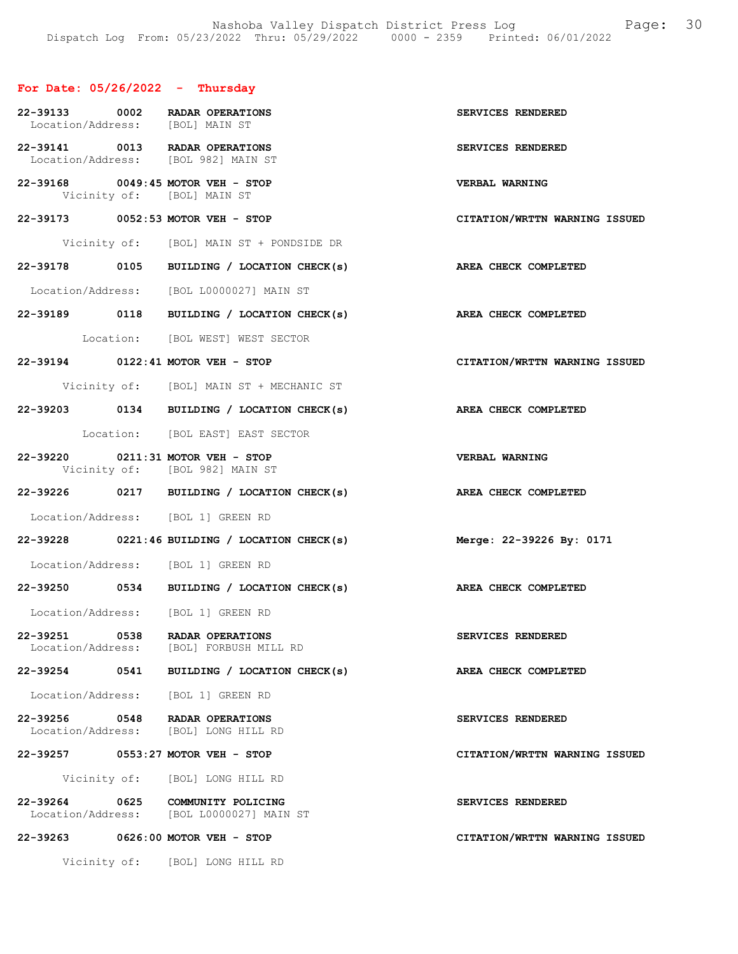# For Date: 05/26/2022 - Thursday

| Location/Address: [BOL] MAIN ST | 22-39133 0002 RADAR OPERATIONS                                               | SERVICES RENDERED             |
|---------------------------------|------------------------------------------------------------------------------|-------------------------------|
|                                 | 22-39141 0013 RADAR OPERATIONS<br>Location/Address: [BOL 982] MAIN ST        | SERVICES RENDERED             |
|                                 | 22-39168 0049:45 MOTOR VEH - STOP<br>Vicinity of: [BOL] MAIN ST              | VERBAL WARNING                |
|                                 | 22-39173 0052:53 MOTOR VEH - STOP                                            | CITATION/WRTTN WARNING ISSUED |
|                                 | Vicinity of: [BOL] MAIN ST + PONDSIDE DR                                     |                               |
|                                 | 22-39178 0105 BUILDING / LOCATION CHECK(s)                                   | AREA CHECK COMPLETED          |
|                                 | Location/Address: [BOL L0000027] MAIN ST                                     |                               |
|                                 | 22-39189 0118 BUILDING / LOCATION CHECK(s)                                   | AREA CHECK COMPLETED          |
|                                 | Location: [BOL WEST] WEST SECTOR                                             |                               |
|                                 | 22-39194 0122:41 MOTOR VEH - STOP                                            | CITATION/WRTTN WARNING ISSUED |
|                                 | Vicinity of: [BOL] MAIN ST + MECHANIC ST                                     |                               |
|                                 | 22-39203 0134 BUILDING / LOCATION CHECK(s)                                   | AREA CHECK COMPLETED          |
|                                 | Location: [BOL EAST] EAST SECTOR                                             |                               |
|                                 | 22-39220 0211:31 MOTOR VEH - STOP<br>Vicinity of: [BOL 982] MAIN ST          | <b>VERBAL WARNING</b>         |
|                                 | 22-39226 0217 BUILDING / LOCATION CHECK(s)                                   | AREA CHECK COMPLETED          |
|                                 | Location/Address: [BOL 1] GREEN RD                                           |                               |
|                                 | 22-39228 0221:46 BUILDING / LOCATION CHECK(s)                                | Merge: 22-39226 By: 0171      |
|                                 | Location/Address: [BOL 1] GREEN RD                                           |                               |
|                                 | 22-39250 0534 BUILDING / LOCATION CHECK(s) AREA CHECK COMPLETED              |                               |
|                                 | Location/Address: [BOL 1] GREEN RD                                           |                               |
|                                 | 22-39251 0538 RADAR OPERATIONS<br>Location/Address: [BOL] FORBUSH MILL RD    | SERVICES RENDERED             |
|                                 | 22-39254 0541 BUILDING / LOCATION CHECK(s)                                   | AREA CHECK COMPLETED          |
|                                 | Location/Address: [BOL 1] GREEN RD                                           |                               |
|                                 | 22-39256 0548 RADAR OPERATIONS<br>Location/Address: [BOL] LONG HILL RD       | SERVICES RENDERED             |
|                                 | 22-39257 0553:27 MOTOR VEH - STOP                                            | CITATION/WRTTN WARNING ISSUED |
|                                 | Vicinity of: [BOL] LONG HILL RD                                              |                               |
|                                 | 22-39264 0625 COMMUNITY POLICING<br>Location/Address: [BOL L0000027] MAIN ST | SERVICES RENDERED             |
|                                 | 22-39263 0626:00 MOTOR VEH - STOP                                            | CITATION/WRTTN WARNING ISSUED |
|                                 | Vicinity of: [BOL] LONG HILL RD                                              |                               |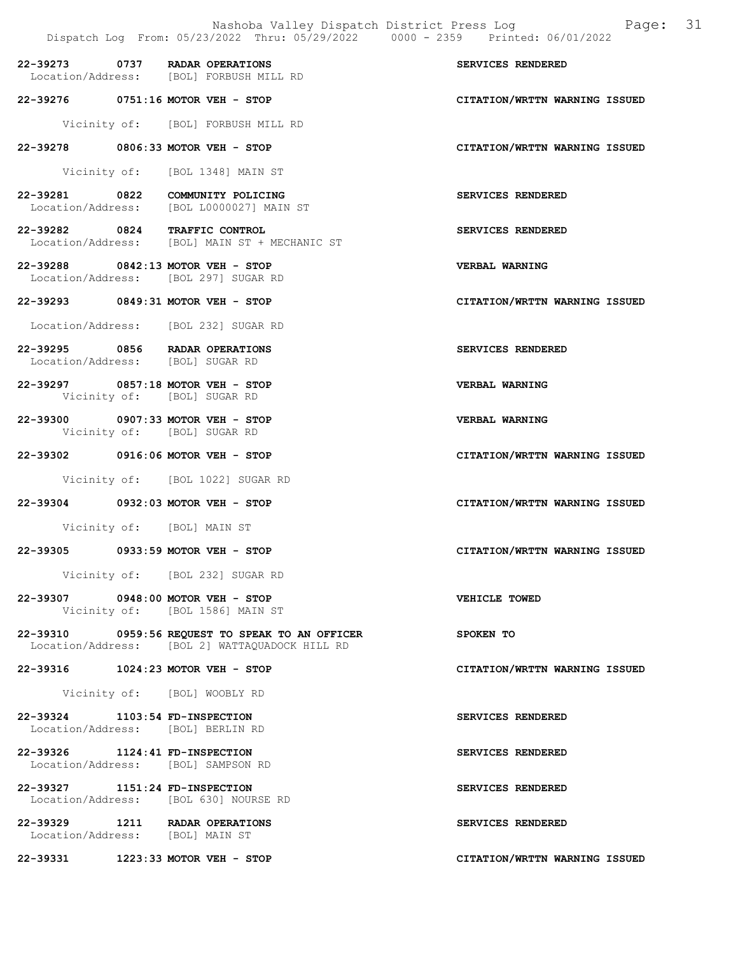22-39273 0737 RADAR OPERATIONS<br>
Location/Address: [BOL] FORBUSH MILL RD Location/Address: [BOL] FORBUSH MILL RD 22-39276 0751:16 MOTOR VEH - STOP CITATION/WRTTN WARNING ISSUED Vicinity of: [BOL] FORBUSH MILL RD 22-39278 0806:33 MOTOR VEH - STOP CITATION/WRTTN WARNING ISSUED Vicinity of: [BOL 1348] MAIN ST 22-39281 0822 COMMUNITY POLICING SERVICES RENDERED Location/Address: [BOL L0000027] MAIN ST 22-39282 0824 TRAFFIC CONTROL SERVICES RENDERED<br>Location/Address: [BOL] MAIN ST + MECHANIC ST Location/Address: [BOL] MAIN ST + MECHANIC ST 22-39288 0842:13 MOTOR VEH - STOP VERBAL WARNING Location/Address: [BOL 297] SUGAR RD 22-39293 0849:31 MOTOR VEH - STOP CITATION/WRTTN WARNING ISSUED Location/Address: [BOL 232] SUGAR RD 22-39295 0856 RADAR OPERATIONS SERVICES RENDERED Location/Address: [BOL] SUGAR RD 22-39297 0857:18 MOTOR VEH - STOP VERBAL WARNING Vicinity of: [BOL] SUGAR RD 22-39300 0907:33 MOTOR VEH - STOP VERBAL WARNING Vicinity of: [BOL] SUGAR RD 22-39302 0916:06 MOTOR VEH - STOP CITATION/WRTTN WARNING ISSUED Vicinity of: [BOL 1022] SUGAR RD 22-39304 0932:03 MOTOR VEH - STOP CITATION/WRTTN WARNING ISSUED Vicinity of: [BOL] MAIN ST 22-39305 0933:59 MOTOR VEH - STOP CITATION/WRTTN WARNING ISSUED Vicinity of: [BOL 232] SUGAR RD 22-39307 0948:00 MOTOR VEH - STOP VEHICLE TOWED Vicinity of: [BOL 1586] MAIN ST 22-39310 0959:56 REQUEST TO SPEAK TO AN OFFICER SPOKEN TO Location/Address: [BOL 2] WATTAQUADOCK HILL RD 22-39316 1024:23 MOTOR VEH - STOP CITATION/WRTTN WARNING ISSUED Vicinity of: [BOL] WOOBLY RD 22-39324 1103:54 FD-INSPECTION SERVICES RENDERED Location/Address: [BOL] BERLIN RD 22-39326 1124:41 FD-INSPECTION SERVICES RENDERED Location/Address: [BOL] SAMPSON RD 22-39327 1151:24 FD-INSPECTION SERVICES RENDERED Location/Address: [BOL 630] NOURSE RD 22-39329 1211 RADAR OPERATIONS SERVICES RENDERED Location/Address: [BOL] MAIN ST 22-39331 1223:33 MOTOR VEH - STOP CITATION/WRTTN WARNING ISSUED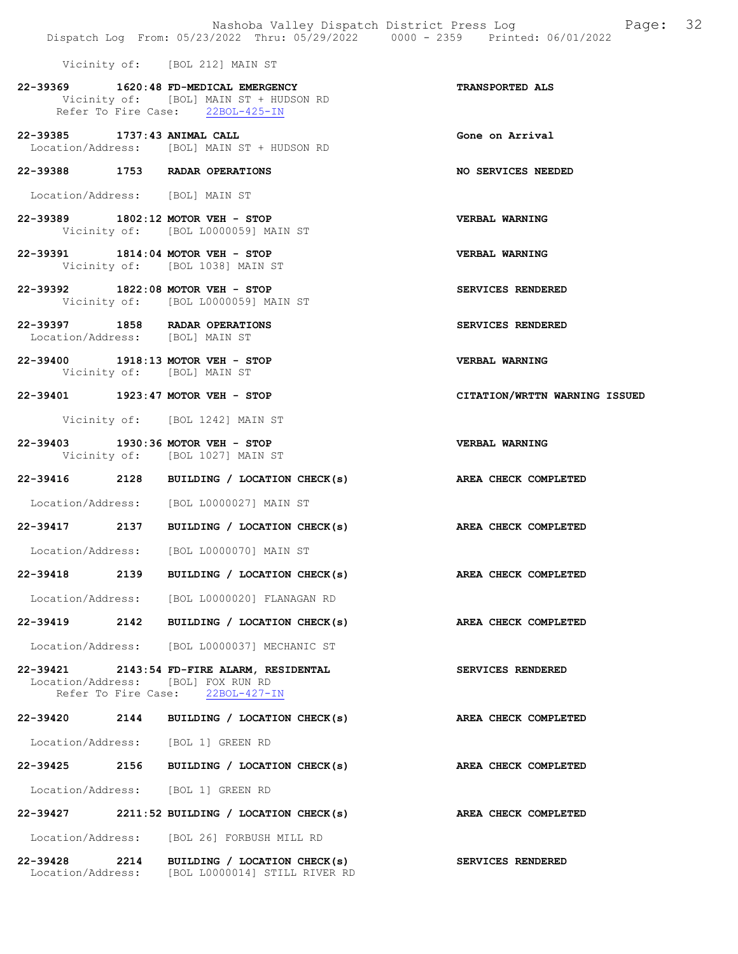Vicinity of: [BOL 212] MAIN ST

- 22-39369 1620:48 FD-MEDICAL EMERGENCY TRANSPORTED ALS Vicinity of: [BOL] MAIN ST + HUDSON RD<br>Refer To Fire Case: 22BOL-425-IN Refer To Fire Case:
- 22-39385 1737:43 ANIMAL CALL Gone on Arrival Location/Address: [BOL] MAIN ST + HUDSON RD
- 22-39388 1753 RADAR OPERATIONS NO SERVICES NEEDED
- Location/Address: [BOL] MAIN ST
- 22-39389 1802:12 MOTOR VEH STOP VERBAL WARNING<br>Vicinity of: [BOL L0000059] MAIN ST [BOL L0000059] MAIN ST
- 22-39391 1814:04 MOTOR VEH STOP VERBAL WARNING Vicinity of: [BOL 1038] MAIN ST
- 22-39392 1822:08 MOTOR VEH STOP SERVICES RENDERED Vicinity of: [BOL L0000059] MAIN ST
- 22-39397 1858 RADAR OPERATIONS SERVICES RENDERED Location/Address: [BOL] MAIN ST
- 22-39400 1918:13 MOTOR VEH STOP VERBAL WARNING Vicinity of: [BOL] MAIN ST
- 22-39401 1923:47 MOTOR VEH STOP CITATION/WRTTN WARNING ISSUED

Vicinity of: [BOL 1242] MAIN ST

- 22-39403 1930:36 MOTOR VEH STOP VERBAL WARNING Vicinity of: [BOL 1027] MAIN ST
- 22-39416 2128 BUILDING / LOCATION CHECK(s) AREA CHECK COMPLETED
- Location/Address: [BOL L0000027] MAIN ST
- 22-39417 2137 BUILDING / LOCATION CHECK(s) AREA CHECK COMPLETED
- Location/Address: [BOL L0000070] MAIN ST
- 22-39418 2139 BUILDING / LOCATION CHECK(s) AREA CHECK COMPLETED
- Location/Address: [BOL L0000020] FLANAGAN RD
- 22-39419 2142 BUILDING / LOCATION CHECK(s) AREA CHECK COMPLETED Location/Address: [BOL L0000037] MECHANIC ST
- 22-39421 2143:54 FD-FIRE ALARM, RESIDENTAL SERVICES RENDERED Location/Address: [BOL] FOX RUN RD Refer To Fire Case: 22BOL-427-IN
- 22-39420 2144 BUILDING / LOCATION CHECK(s) AREA CHECK COMPLETED Location/Address: [BOL 1] GREEN RD
- Location/Address: [BOL 1] GREEN RD
- 22-39427 2211:52 BUILDING / LOCATION CHECK(s) AREA CHECK COMPLETED
- Location/Address: [BOL 26] FORBUSH MILL RD
- 22-39428 2214 BUILDING / LOCATION CHECK(s) SERVICES RENDERED Location/Address: [BOL L0000014] STILL RIVER RD
- 
- 
- 
- 
- 
- 
- 
- 
- 
- 
- 
- 
- 
- 
- 
- 22-39425 2156 BUILDING / LOCATION CHECK(s) AREA CHECK COMPLETED
	-
	-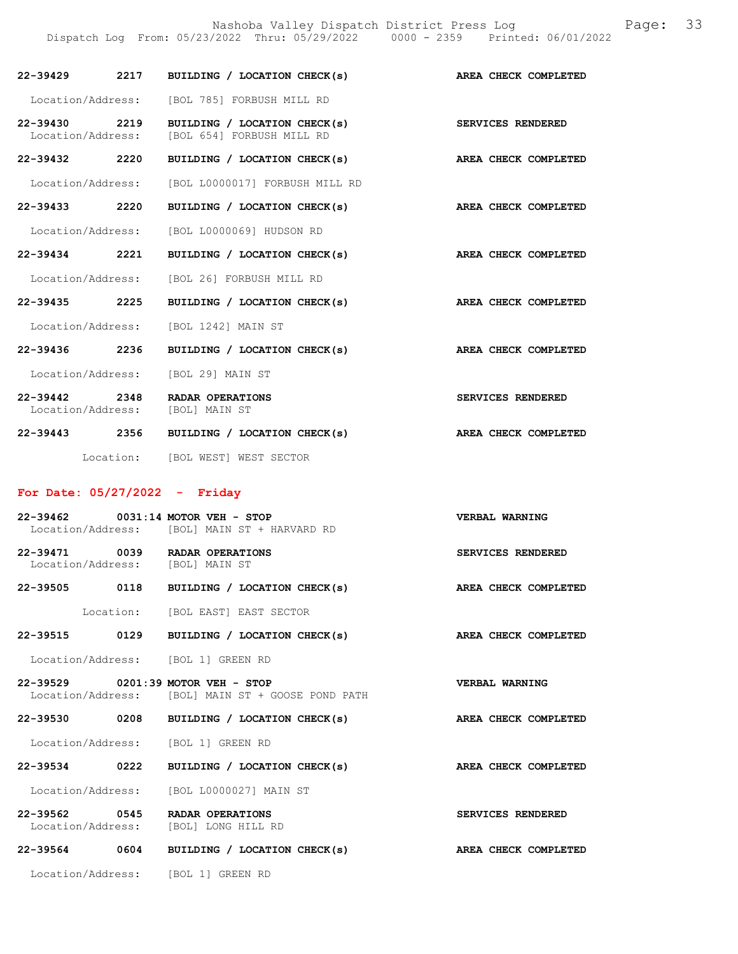Nashoba Valley Dispatch District Press Log Fage: 33 Dispatch Log From: 05/23/2022 Thru: 05/29/2022 0000 - 2359 Printed: 06/01/2022

| 22-39429 2217                      |           | BUILDING / LOCATION CHECK(s)                              | AREA CHECK COMPLETED        |
|------------------------------------|-----------|-----------------------------------------------------------|-----------------------------|
| Location/Address:                  |           | [BOL 785] FORBUSH MILL RD                                 |                             |
| 22-39430 2219<br>Location/Address: |           | BUILDING / LOCATION CHECK(s)<br>[BOL 654] FORBUSH MILL RD | SERVICES RENDERED           |
| 22-39432 2220                      |           | BUILDING / LOCATION CHECK(s)                              | AREA CHECK COMPLETED        |
| Location/Address:                  |           | [BOL L0000017] FORBUSH MILL RD                            |                             |
| 22-39433 2220                      |           | BUILDING / LOCATION CHECK(s)                              | AREA CHECK COMPLETED        |
| Location/Address:                  |           | [BOL L0000069] HUDSON RD                                  |                             |
| 22-39434 2221                      |           | BUILDING / LOCATION CHECK(s)                              | AREA CHECK COMPLETED        |
|                                    |           | Location/Address: [BOL 26] FORBUSH MILL RD                |                             |
| 22-39435 2225                      |           | BUILDING / LOCATION CHECK(s)                              | AREA CHECK COMPLETED        |
| Location/Address:                  |           | [BOL 1242] MAIN ST                                        |                             |
| 22-39436 2236                      |           | BUILDING / LOCATION CHECK(s)                              | AREA CHECK COMPLETED        |
|                                    |           | Location/Address: [BOL 29] MAIN ST                        |                             |
| 22-39442 2348<br>Location/Address: |           | RADAR OPERATIONS<br>[BOL] MAIN ST                         | <b>SERVICES RENDERED</b>    |
|                                    |           | 22-39443 2356 BUILDING / LOCATION CHECK(s)                | <b>AREA CHECK COMPLETED</b> |
|                                    | Location: | [BOL WEST] WEST SECTOR                                    |                             |

# For Date: 05/27/2022 - Friday

|                                    | 22-39462 0031:14 MOTOR VEH - STOP<br>Location/Address: [BOL] MAIN ST + HARVARD RD          | VERBAL WARNING           |
|------------------------------------|--------------------------------------------------------------------------------------------|--------------------------|
| Location/Address: [BOL] MAIN ST    | 22-39471 0039 RADAR OPERATIONS                                                             | SERVICES RENDERED        |
| 22-39505 0118                      | BUILDING / LOCATION CHECK(s)                                                               | AREA CHECK COMPLETED     |
|                                    | Location: [BOL EAST] EAST SECTOR                                                           |                          |
| 22-39515 0129                      | BUILDING / LOCATION CHECK(s)                                                               | AREA CHECK COMPLETED     |
|                                    | Location/Address: [BOL 1] GREEN RD                                                         |                          |
|                                    | $22 - 39529$ 0201:39 MOTOR VEH - STOP<br>Location/Address: [BOL] MAIN ST + GOOSE POND PATH | VERBAL WARNING           |
| 22-39530 0208                      | BUILDING / LOCATION CHECK(s)                                                               | AREA CHECK COMPLETED     |
|                                    | Location/Address: [BOL 1] GREEN RD                                                         |                          |
| 22-39534 0222                      | BUILDING / LOCATION CHECK(s)                                                               | AREA CHECK COMPLETED     |
|                                    | Location/Address: [BOL L0000027] MAIN ST                                                   |                          |
| 22-39562 0545<br>Location/Address: | RADAR OPERATIONS<br>[BOL] LONG HILL RD                                                     | <b>SERVICES RENDERED</b> |
| 22-39564 0604                      | BUILDING / LOCATION CHECK(s)                                                               | AREA CHECK COMPLETED     |
|                                    | Location/Address: [BOL 1] GREEN RD                                                         |                          |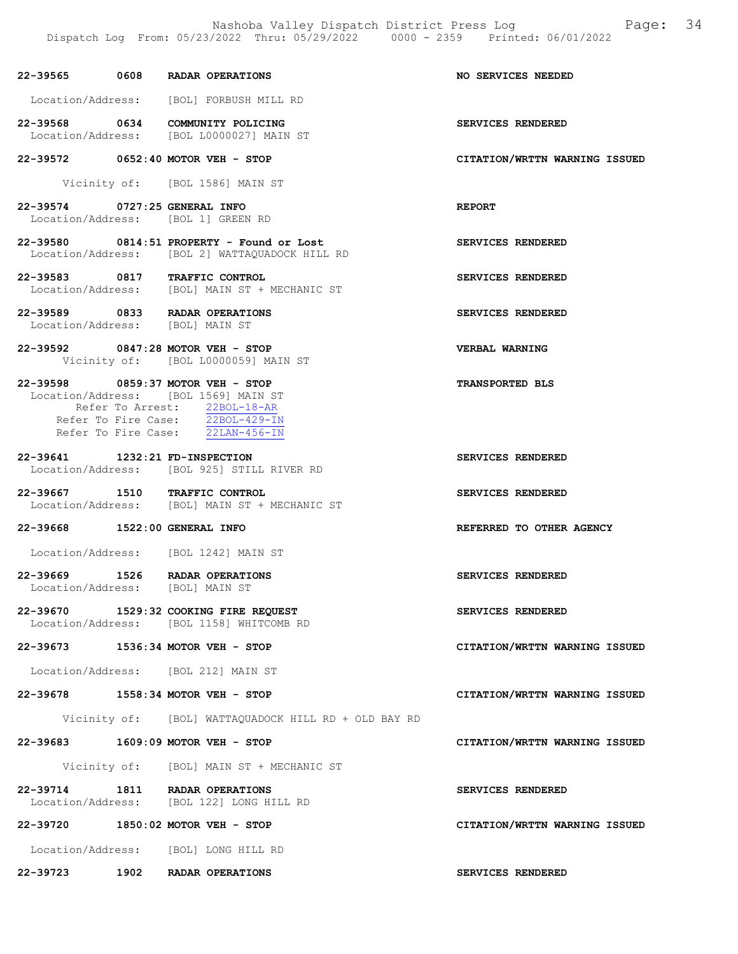|                                | Dispatch Log From: 05/23/2022 Thru: 05/29/2022 0000 - 2359 Printed: 06/01/2022                                                                                                    |                               |
|--------------------------------|-----------------------------------------------------------------------------------------------------------------------------------------------------------------------------------|-------------------------------|
|                                | 22-39565 0608 RADAR OPERATIONS                                                                                                                                                    | NO SERVICES NEEDED            |
|                                | Location/Address: [BOL] FORBUSH MILL RD                                                                                                                                           |                               |
|                                | 22-39568 0634 COMMUNITY POLICING<br>Location/Address: [BOL L0000027] MAIN ST                                                                                                      | SERVICES RENDERED             |
|                                | 22-39572 0652:40 MOTOR VEH - STOP                                                                                                                                                 | CITATION/WRTTN WARNING ISSUED |
|                                | Vicinity of: [BOL 1586] MAIN ST                                                                                                                                                   |                               |
| 22-39574 0727:25 GENERAL INFO  | Location/Address: [BOL 1] GREEN RD                                                                                                                                                | <b>REPORT</b>                 |
|                                | 22-39580 0814:51 PROPERTY - Found or Lost<br>Location/Address: [BOL 2] WATTAQUADOCK HILL RD                                                                                       | SERVICES RENDERED             |
|                                | 22-39583 0817 TRAFFIC CONTROL<br>Location/Address: [BOL] MAIN ST + MECHANIC ST                                                                                                    | SERVICES RENDERED             |
|                                | 22-39589 0833 RADAR OPERATIONS<br>Location/Address: [BOL] MAIN ST                                                                                                                 | SERVICES RENDERED             |
|                                | 22-39592 0847:28 MOTOR VEH - STOP<br>Vicinity of: [BOL L0000059] MAIN ST                                                                                                          | VERBAL WARNING                |
|                                | 22-39598 0859:37 MOTOR VEH - STOP<br>Location/Address: [BOL 1569] MAIN ST<br>Refer To Arrest: 22BOL-18-AR<br>Refer To Fire Case: 22BOL-429-IN<br>Refer To Fire Case: 22LAN-456-IN | TRANSPORTED BLS               |
| 22-39641 1232:21 FD-INSPECTION | Location/Address: [BOL 925] STILL RIVER RD                                                                                                                                        | SERVICES RENDERED             |
|                                | 22-39667 1510 TRAFFIC CONTROL<br>Location/Address: [BOL] MAIN ST + MECHANIC ST                                                                                                    | SERVICES RENDERED             |
| 22-39668 1522:00 GENERAL INFO  |                                                                                                                                                                                   | REFERRED TO OTHER AGENCY      |
|                                | Location/Address: [BOL 1242] MAIN ST                                                                                                                                              |                               |
|                                | 22-39669 1526 RADAR OPERATIONS<br>Location/Address: [BOL] MAIN ST                                                                                                                 | SERVICES RENDERED             |
|                                | 22-39670 1529:32 COOKING FIRE REQUEST<br>Location/Address: [BOL 1158] WHITCOMB RD                                                                                                 | SERVICES RENDERED             |
|                                | 22-39673 1536:34 MOTOR VEH - STOP                                                                                                                                                 | CITATION/WRTTN WARNING ISSUED |
|                                | Location/Address: [BOL 212] MAIN ST                                                                                                                                               |                               |
|                                | 22-39678 1558:34 MOTOR VEH - STOP                                                                                                                                                 | CITATION/WRTTN WARNING ISSUED |
|                                | Vicinity of: [BOL] WATTAQUADOCK HILL RD + OLD BAY RD                                                                                                                              |                               |
|                                | 22-39683 1609:09 MOTOR VEH - STOP                                                                                                                                                 | CITATION/WRTTN WARNING ISSUED |
|                                | Vicinity of: [BOL] MAIN ST + MECHANIC ST                                                                                                                                          |                               |
|                                | 22-39714 1811 RADAR OPERATIONS<br>Location/Address: [BOL 122] LONG HILL RD                                                                                                        | SERVICES RENDERED             |
|                                | 22-39720 1850:02 MOTOR VEH - STOP                                                                                                                                                 | CITATION/WRTTN WARNING ISSUED |
|                                | Location/Address: [BOL] LONG HILL RD                                                                                                                                              |                               |

22-39723 1902 RADAR OPERATIONS SERVICES RENDERED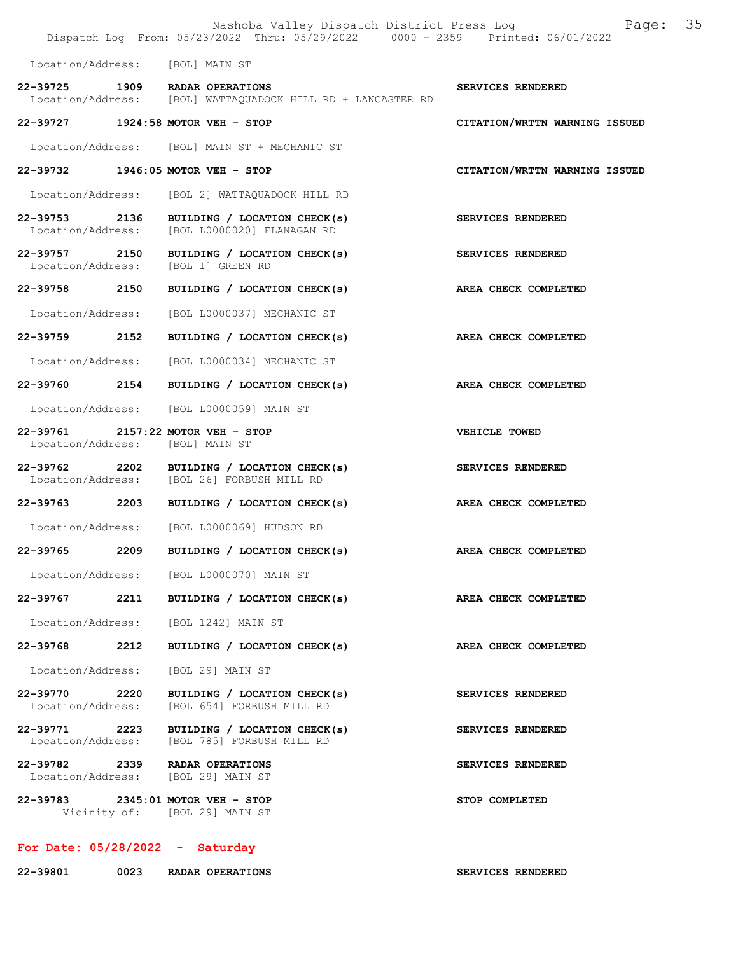|                                    |      | Nashoba Valley Dispatch District Press Log<br>Dispatch Log From: 05/23/2022 Thru: 05/29/2022 0000 - 2359 Printed: 06/01/2022 | Page: 35                      |  |
|------------------------------------|------|------------------------------------------------------------------------------------------------------------------------------|-------------------------------|--|
| Location/Address: [BOL] MAIN ST    |      |                                                                                                                              |                               |  |
|                                    |      | 22-39725 1909 RADAR OPERATIONS<br>Location/Address: [BOL] WATTAQUADOCK HILL RD + LANCASTER RD                                | SERVICES RENDERED             |  |
|                                    |      | 22-39727 1924:58 MOTOR VEH - STOP                                                                                            | CITATION/WRTTN WARNING ISSUED |  |
|                                    |      | Location/Address: [BOL] MAIN ST + MECHANIC ST                                                                                |                               |  |
|                                    |      | 22-39732 1946:05 MOTOR VEH - STOP                                                                                            | CITATION/WRTTN WARNING ISSUED |  |
|                                    |      | Location/Address: [BOL 2] WATTAQUADOCK HILL RD                                                                               |                               |  |
|                                    |      | 22-39753 2136 BUILDING / LOCATION CHECK(s)<br>Location/Address: [BOL L0000020] FLANAGAN RD                                   | SERVICES RENDERED             |  |
|                                    |      | 22-39757 2150 BUILDING / LOCATION CHECK(s)<br>Location/Address: [BOL 1] GREEN RD                                             | SERVICES RENDERED             |  |
|                                    |      | 22-39758 2150 BUILDING / LOCATION CHECK(s)                                                                                   | AREA CHECK COMPLETED          |  |
|                                    |      | Location/Address: [BOL L0000037] MECHANIC ST                                                                                 |                               |  |
| 22-39759 2152                      |      | BUILDING / LOCATION CHECK(s)                                                                                                 | AREA CHECK COMPLETED          |  |
|                                    |      | Location/Address: [BOL L0000034] MECHANIC ST                                                                                 |                               |  |
|                                    |      | 22-39760 2154 BUILDING / LOCATION CHECK(s)                                                                                   | AREA CHECK COMPLETED          |  |
|                                    |      | Location/Address: [BOL L0000059] MAIN ST                                                                                     |                               |  |
| Location/Address: [BOL] MAIN ST    |      | 22-39761 2157:22 MOTOR VEH - STOP                                                                                            | VEHICLE TOWED                 |  |
|                                    |      | 22-39762 2202 BUILDING / LOCATION CHECK(s)<br>Location/Address: [BOL 26] FORBUSH MILL RD                                     | SERVICES RENDERED             |  |
|                                    |      | 22-39763 2203 BUILDING / LOCATION CHECK(s)                                                                                   | AREA CHECK COMPLETED          |  |
|                                    |      | Location/Address: [BOL L0000069] HUDSON RD                                                                                   |                               |  |
| 22-39765                           | 2209 | BUILDING / LOCATION CHECK(s)                                                                                                 | AREA CHECK COMPLETED          |  |
|                                    |      | Location/Address: [BOL L0000070] MAIN ST                                                                                     |                               |  |
|                                    |      | 22-39767 2211 BUILDING / LOCATION CHECK(s)                                                                                   | AREA CHECK COMPLETED          |  |
|                                    |      | Location/Address: [BOL 1242] MAIN ST                                                                                         |                               |  |
| 22-39768 2212                      |      | BUILDING / LOCATION CHECK(s)                                                                                                 | AREA CHECK COMPLETED          |  |
|                                    |      | Location/Address: [BOL 29] MAIN ST                                                                                           |                               |  |
| 22-39770 2220<br>Location/Address: |      | BUILDING / LOCATION CHECK(s)<br>[BOL 654] FORBUSH MILL RD                                                                    | SERVICES RENDERED             |  |
|                                    |      | 22-39771 2223 BUILDING / LOCATION CHECK(s)<br>Location/Address: [BOL 785] FORBUSH MILL RD                                    | SERVICES RENDERED             |  |
|                                    |      | 22-39782 2339 RADAR OPERATIONS<br>Location/Address: [BOL 29] MAIN ST                                                         | SERVICES RENDERED             |  |
|                                    |      | 22-39783 2345:01 MOTOR VEH - STOP<br>Vicinity of: [BOL 29] MAIN ST                                                           | STOP COMPLETED                |  |
|                                    |      |                                                                                                                              |                               |  |

# For Date: 05/28/2022 - Saturday

| 22-39801 | 0023 | RADAR OPERATIONS |
|----------|------|------------------|
|          |      |                  |

SERVICES RENDERED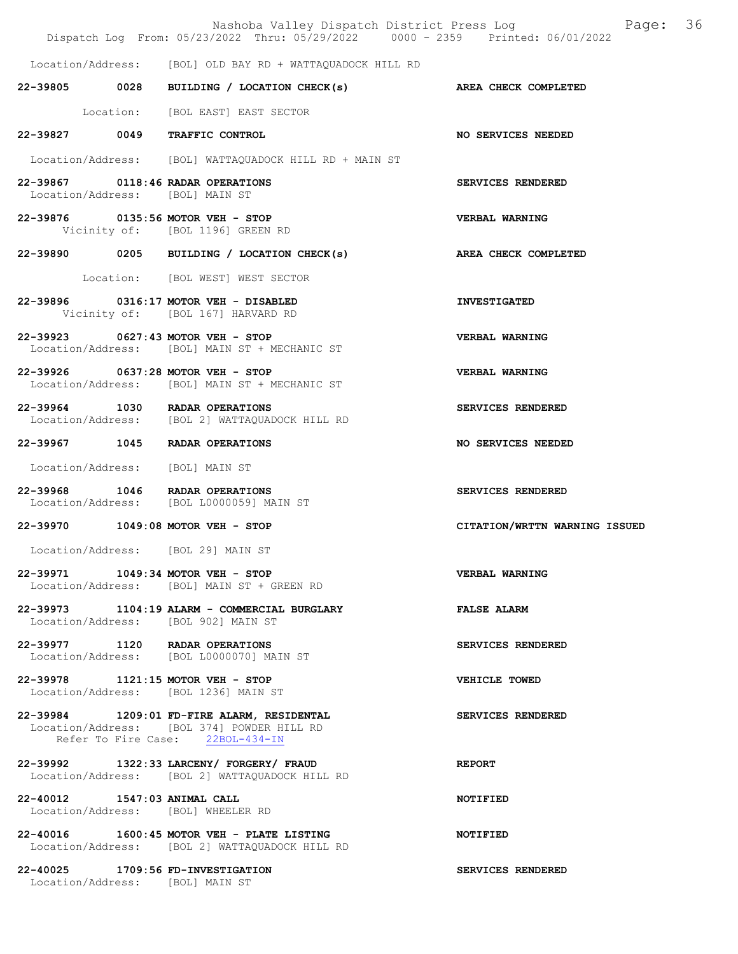|                              | Nashoba Valley Dispatch District Press Log<br>Dispatch Log From: 05/23/2022 Thru: 05/29/2022 0000 - 2359 Printed: 06/01/2022 | Page: 36                      |
|------------------------------|------------------------------------------------------------------------------------------------------------------------------|-------------------------------|
|                              | Location/Address: [BOL] OLD BAY RD + WATTAQUADOCK HILL RD                                                                    |                               |
|                              | 22-39805 0028 BUILDING / LOCATION CHECK(s) AREA CHECK COMPLETED                                                              |                               |
|                              | Location: [BOL EAST] EAST SECTOR                                                                                             |                               |
|                              | 22-39827 0049 TRAFFIC CONTROL                                                                                                | <b>NO SERVICES NEEDED</b>     |
|                              | Location/Address: [BOL] WATTAQUADOCK HILL RD + MAIN ST                                                                       |                               |
|                              | 22-39867 0118:46 RADAR OPERATIONS<br>Location/Address: [BOL] MAIN ST                                                         | SERVICES RENDERED             |
|                              | 22-39876 0135:56 MOTOR VEH - STOP<br>Vicinity of: [BOL 1196] GREEN RD                                                        | <b>VERBAL WARNING</b>         |
|                              | 22-39890 0205 BUILDING / LOCATION CHECK(s) AREA CHECK COMPLETED                                                              |                               |
|                              | Location: [BOL WEST] WEST SECTOR                                                                                             |                               |
|                              | 22-39896 0316:17 MOTOR VEH - DISABLED<br>Vicinity of: [BOL 167] HARVARD RD                                                   | <b>INVESTIGATED</b>           |
|                              | 22-39923 0627:43 MOTOR VEH - STOP<br>Location/Address: [BOL] MAIN ST + MECHANIC ST                                           | <b>VERBAL WARNING</b>         |
|                              | 22-39926 0637:28 MOTOR VEH - STOP<br>Location/Address: [BOL] MAIN ST + MECHANIC ST                                           | <b>VERBAL WARNING</b>         |
|                              | 22-39964 1030 RADAR OPERATIONS<br>Location/Address: [BOL 2] WATTAQUADOCK HILL RD                                             | <b>SERVICES RENDERED</b>      |
|                              | 22-39967 1045 RADAR OPERATIONS                                                                                               | <b>NO SERVICES NEEDED</b>     |
|                              | Location/Address: [BOL] MAIN ST                                                                                              |                               |
|                              | 22-39968 1046 RADAR OPERATIONS<br>Location/Address: [BOL L0000059] MAIN ST                                                   | SERVICES RENDERED             |
|                              | 22-39970 1049:08 MOTOR VEH - STOP                                                                                            | CITATION/WRTTN WARNING ISSUED |
|                              | Location/Address: [BOL 29] MAIN ST                                                                                           |                               |
|                              | 22-39971 1049:34 MOTOR VEH - STOP<br>Location/Address: [BOL] MAIN ST + GREEN RD                                              | <b>VERBAL WARNING</b>         |
|                              | 22-39973 1104:19 ALARM - COMMERCIAL BURGLARY<br>Location/Address: [BOL 902] MAIN ST                                          | <b>FALSE ALARM</b>            |
|                              | 22-39977 1120 RADAR OPERATIONS<br>Location/Address: [BOL L0000070] MAIN ST                                                   | SERVICES RENDERED             |
|                              | 22-39978 1121:15 MOTOR VEH - STOP<br>Location/Address: [BOL 1236] MAIN ST                                                    | VEHICLE TOWED                 |
|                              | 22-39984 1209:01 FD-FIRE ALARM, RESIDENTAL<br>Location/Address: [BOL 374] POWDER HILL RD<br>Refer To Fire Case: 22BOL-434-IN | SERVICES RENDERED             |
|                              | 22-39992 1322:33 LARCENY/ FORGERY/ FRAUD<br>Location/Address: [BOL 2] WATTAQUADOCK HILL RD                                   | <b>REPORT</b>                 |
| 22-40012 1547:03 ANIMAL CALL | Location/Address: [BOL] WHEELER RD                                                                                           | <b>NOTIFIED</b>               |
|                              | 22-40016 1600:45 MOTOR VEH - PLATE LISTING<br>Location/Address: [BOL 2] WATTAQUADOCK HILL RD                                 | <b>NOTIFIED</b>               |
|                              | 22-40025 1709:56 FD-INVESTIGATION<br>Location/Address: [BOL] MAIN ST                                                         | SERVICES RENDERED             |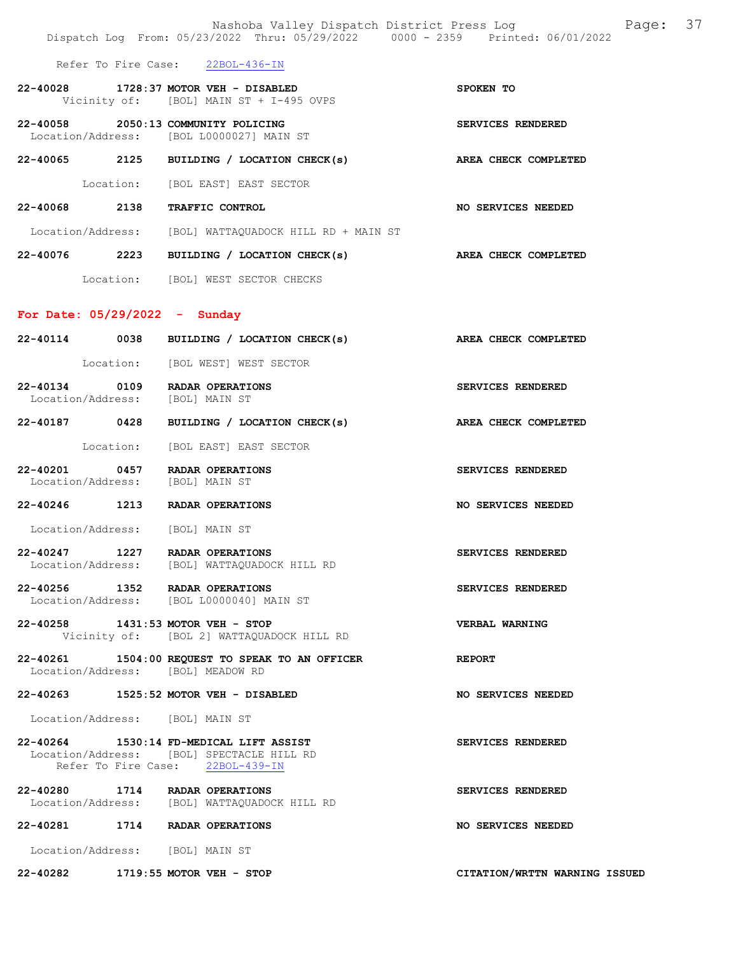|                                 | Nashoba Valley Dispatch District Press Log<br>Dispatch Log From: 05/23/2022 Thru: 05/29/2022 0000 - 2359 Printed: 06/01/2022 |                               | Page: 37 |  |
|---------------------------------|------------------------------------------------------------------------------------------------------------------------------|-------------------------------|----------|--|
|                                 | Refer To Fire Case: 22BOL-436-IN                                                                                             |                               |          |  |
|                                 | 22-40028 1728:37 MOTOR VEH - DISABLED<br>Vicinity of: [BOL] MAIN ST + I-495 OVPS                                             | SPOKEN TO                     |          |  |
|                                 | 22-40058 2050:13 COMMUNITY POLICING<br>Location/Address: [BOL L0000027] MAIN ST                                              | SERVICES RENDERED             |          |  |
|                                 | 22-40065 2125 BUILDING / LOCATION CHECK(s)                                                                                   | AREA CHECK COMPLETED          |          |  |
|                                 | Location: [BOL EAST] EAST SECTOR                                                                                             |                               |          |  |
|                                 | 22-40068 2138 TRAFFIC CONTROL                                                                                                | NO SERVICES NEEDED            |          |  |
|                                 | Location/Address: [BOL] WATTAQUADOCK HILL RD + MAIN ST                                                                       |                               |          |  |
|                                 | 22-40076 2223 BUILDING / LOCATION CHECK(s) AREA CHECK COMPLETED                                                              |                               |          |  |
|                                 | Location: [BOL] WEST SECTOR CHECKS                                                                                           |                               |          |  |
| For Date: $05/29/2022 -$ Sunday |                                                                                                                              |                               |          |  |
|                                 | 22-40114 0038 BUILDING / LOCATION CHECK(s) AREA CHECK COMPLETED                                                              |                               |          |  |
|                                 | Location: [BOL WEST] WEST SECTOR                                                                                             |                               |          |  |
|                                 | 22-40134 0109 RADAR OPERATIONS<br>Location/Address: [BOL] MAIN ST                                                            | SERVICES RENDERED             |          |  |
|                                 | 22-40187 0428 BUILDING / LOCATION CHECK(s)                                                                                   | AREA CHECK COMPLETED          |          |  |
|                                 | Location: [BOL EAST] EAST SECTOR                                                                                             |                               |          |  |
| Location/Address: [BOL] MAIN ST | 22-40201 0457 RADAR OPERATIONS                                                                                               | SERVICES RENDERED             |          |  |
|                                 | 22-40246 1213 RADAR OPERATIONS                                                                                               | NO SERVICES NEEDED            |          |  |
|                                 | Location/Address: [BOL] MAIN ST                                                                                              |                               |          |  |
|                                 | 22-40247 1227 RADAR OPERATIONS<br>Location/Address: [BOL] WATTAQUADOCK HILL RD                                               | SERVICES RENDERED             |          |  |
|                                 | 22-40256 1352 RADAR OPERATIONS<br>Location/Address: [BOL L0000040] MAIN ST                                                   | SERVICES RENDERED             |          |  |
|                                 | 22-40258 1431:53 MOTOR VEH - STOP<br>Vicinity of: [BOL 2] WATTAQUADOCK HILL RD                                               | <b>VERBAL WARNING</b>         |          |  |
|                                 | 22-40261 1504:00 REQUEST TO SPEAK TO AN OFFICER<br>Location/Address: [BOL] MEADOW RD                                         | <b>REPORT</b>                 |          |  |
|                                 | 22-40263 1525:52 MOTOR VEH - DISABLED                                                                                        | NO SERVICES NEEDED            |          |  |
|                                 | Location/Address: [BOL] MAIN ST                                                                                              |                               |          |  |
|                                 | 22-40264 1530:14 FD-MEDICAL LIFT ASSIST<br>Location/Address: [BOL] SPECTACLE HILL RD<br>Refer To Fire Case: 22BOL-439-IN     | SERVICES RENDERED             |          |  |
|                                 | 22-40280 1714 RADAR OPERATIONS<br>Location/Address: [BOL] WATTAQUADOCK HILL RD                                               | SERVICES RENDERED             |          |  |
|                                 | 22-40281 1714 RADAR OPERATIONS                                                                                               | NO SERVICES NEEDED            |          |  |
| Location/Address: [BOL] MAIN ST |                                                                                                                              |                               |          |  |
|                                 | 22-40282 1719:55 MOTOR VEH - STOP                                                                                            | CITATION/WRTTN WARNING ISSUED |          |  |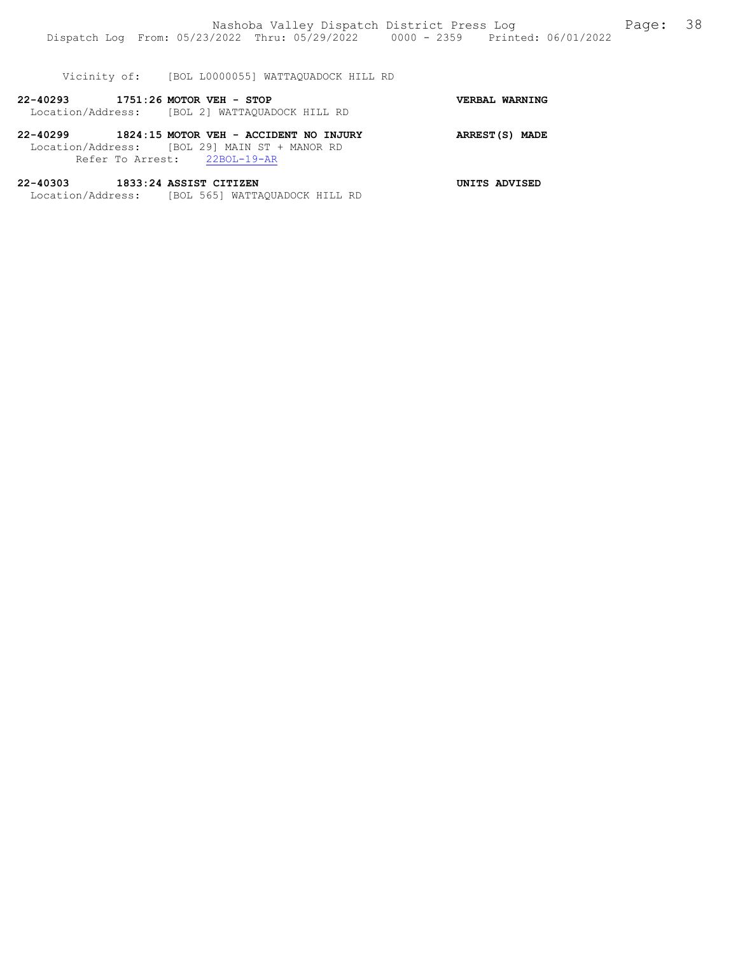|                                   | Vicinity of: [BOL L0000055] WATTAOUADOCK HILL RD                                                                                 |                |
|-----------------------------------|----------------------------------------------------------------------------------------------------------------------------------|----------------|
| 22-40293 1751:26 MOTOR VEH - STOP | Location/Address: [BOL 2] WATTAOUADOCK HILL RD                                                                                   | VERBAL WARNING |
|                                   | 22-40299 1824:15 MOTOR VEH - ACCIDENT NO INJURY<br>Location/Address: [BOL 29] MAIN ST + MANOR RD<br>Refer To Arrest: 22BOL-19-AR | ARREST(S) MADE |
| 22-40303 1833:24 ASSIST CITIZEN   | Location/Address: [BOL 565] WATTAQUADOCK HILL RD                                                                                 | UNITS ADVISED  |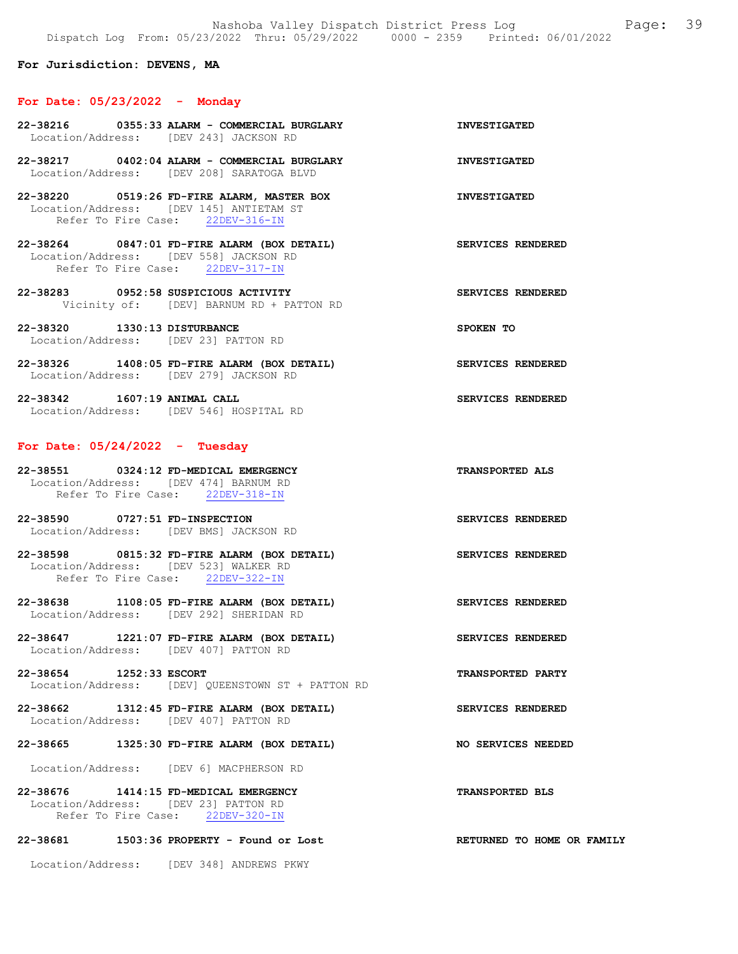For Jurisdiction: DEVENS, MA

### For Date: 05/23/2022 - Monday

- 22-38216 0355:33 ALARM COMMERCIAL BURGLARY INVESTIGATED Location/Address: [DEV 243] JACKSON RD 22-38217 0402:04 ALARM - COMMERCIAL BURGLARY INVESTIGATED Location/Address: [DEV 208] SARATOGA BLVD 22-38220 0519:26 FD-FIRE ALARM, MASTER BOX INVESTIGATED Location/Address: [DEV 145] ANTIETAM ST Refer To Fire Case: 22DEV-316-IN 22-38264 0847:01 FD-FIRE ALARM (BOX DETAIL) SERVICES RENDERED Location/Address: [DEV 558] JACKSON RD Refer To Fire Case: 22DEV-317-IN 22-38283 0952:58 SUSPICIOUS ACTIVITY SERVICES RENDERED Vicinity of: [DEV] BARNUM RD + PATTON RD 22-38320 1330:13 DISTURBANCE SPOKEN TO Location/Address: [DEV 23] PATTON RD
- 22-38326 1408:05 FD-FIRE ALARM (BOX DETAIL) SERVICES RENDERED Location/Address: [DEV 279] JACKSON RD

22-38342 1607:19 ANIMAL CALL SERVICES RENDERED Location/Address: [DEV 546] HOSPITAL RD

## For Date: 05/24/2022 - Tuesday

22-38551 0324:12 FD-MEDICAL EMERGENCY TRANSPORTED ALS Location/Address: [DEV 474] BARNUM RD Refer To Fire Case: 22DEV-318-IN

22-38590 0727:51 FD-INSPECTION SERVICES RENDERED Location/Address: [DEV BMS] JACKSON RD

22-38598 0815:32 FD-FIRE ALARM (BOX DETAIL) SERVICES RENDERED Location/Address: [DEV 523] WALKER RD Refer To Fire Case: 22DEV-322-IN

- 22-38638 1108:05 FD-FIRE ALARM (BOX DETAIL) SERVICES RENDERED Location/Address: [DEV 292] SHERIDAN RD
- 22-38647 1221:07 FD-FIRE ALARM (BOX DETAIL) SERVICES RENDERED Location/Address: [DEV 407] PATTON RD
- 22-38654 1252:33 ESCORT TRANSPORTED PARTY Location/Address: [DEV] QUEENSTOWN ST + PATTON RD

22-38662 1312:45 FD-FIRE ALARM (BOX DETAIL) SERVICES RENDERED Location/Address: [DEV 407] PATTON RD

### 22-38665 1325:30 FD-FIRE ALARM (BOX DETAIL) NO SERVICES NEEDED

Location/Address: [DEV 6] MACPHERSON RD

22-38676 1414:15 FD-MEDICAL EMERGENCY TRANSPORTED BLS Location/Address: [DEV 23] PATTON RD Refer To Fire Case: 22DEV-320-IN

### 22-38681 1503:36 PROPERTY - Found or Lost RETURNED TO HOME OR FAMILY

Location/Address: [DEV 348] ANDREWS PKWY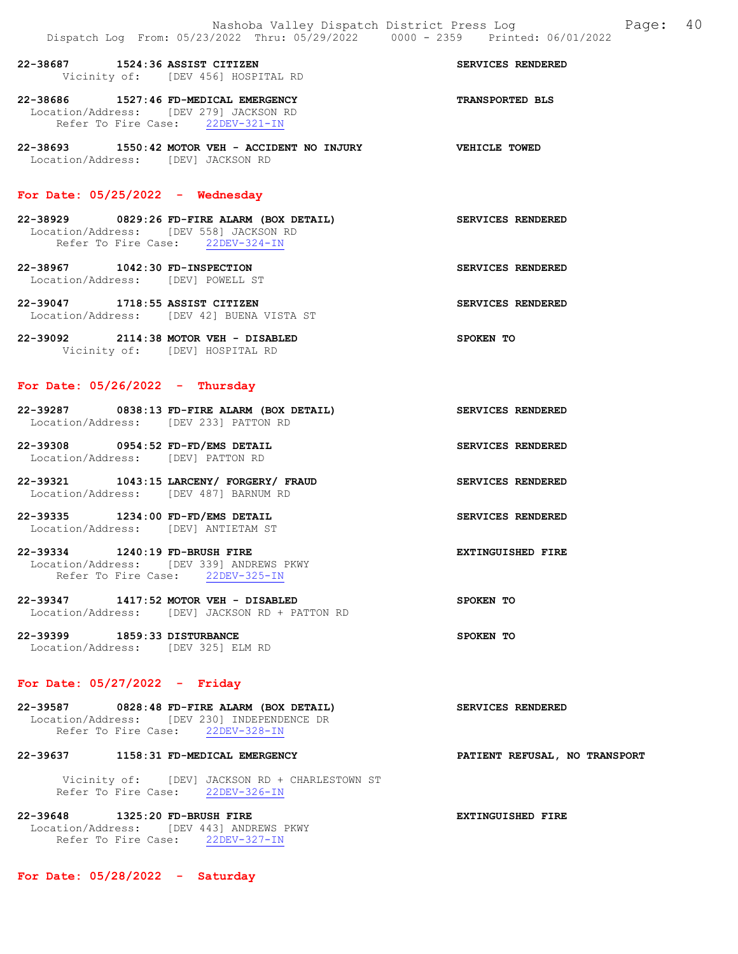22-38687 1524:36 ASSIST CITIZEN SERVICES RENDERED Vicinity of: [DEV 456] HOSPITAL RD 22-38686 1527:46 FD-MEDICAL EMERGENCY TRANSPORTED BLS Location/Address: [DEV 279] JACKSON RD Refer To Fire Case: 22DEV-321-IN

22-38693 1550:42 MOTOR VEH - ACCIDENT NO INJURY VEHICLE TOWED Location/Address: [DEV] JACKSON RD

### For Date: 05/25/2022 - Wednesday

- 22-38929 0829:26 FD-FIRE ALARM (BOX DETAIL) SERVICES RENDERED Location/Address: [DEV 558] JACKSON RD Refer To Fire Case: 22DEV-324-IN
- 22-38967 1042:30 FD-INSPECTION SERVICES RENDERED Location/Address: [DEV] POWELL ST
- 22-39047 1718:55 ASSIST CITIZEN SERVICES RENDERED Location/Address: [DEV 42] BUENA VISTA ST
- 22-39092 2114:38 MOTOR VEH DISABLED SPOKEN TO Vicinity of: [DEV] HOSPITAL RD

## For Date: 05/26/2022 - Thursday

| 22-39287          | 0838:13 FD-FIRE ALARM (BOX DETAIL) |  | <b>SERVICES RENDERED</b> |
|-------------------|------------------------------------|--|--------------------------|
| Location/Address: | TDEV 2331 PATTON RD                |  |                          |
| 22-39308          | 0954:52 FD-FD/EMS DETAIL           |  | <b>SERVICES RENDERED</b> |

- Location/Address: [DEV] PATTON RD
- 22-39321 1043:15 LARCENY/ FORGERY/ FRAUD SERVICES RENDERED Location/Address: [DEV 487] BARNUM RD
- 22-39335 1234:00 FD-FD/EMS DETAIL SERVICES RENDERED Location/Address: [DEV] ANTIETAM ST
- 22-39334 1240:19 FD-BRUSH FIRE EXTINGUISHED FIRE Location/Address: [DEV 339] ANDREWS PKWY Refer To Fire Case: 22DEV-325-IN
- 22-39347 1417:52 MOTOR VEH DISABLED SPOKEN TO Location/Address: [DEV] JACKSON RD + PATTON RD
- 22-39399 1859:33 DISTURBANCE SPOKEN TO Location/Address: [DEV 325] ELM RD

# For Date: 05/27/2022 - Friday

| 22-39587                                    |  | 0828:48 FD-FIRE ALARM (BOX DETAIL) | SERVICES RENDERED |  |
|---------------------------------------------|--|------------------------------------|-------------------|--|
| Location/Address: [DEV 230] INDEPENDENCE DR |  |                                    |                   |  |
| Refer To Fire Case:                         |  | 22DEV-328-IN                       |                   |  |

# 22-39637 1158:31 FD-MEDICAL EMERGENCY PATIENT REFUSAL, NO TRANSPORT

 Vicinity of: [DEV] JACKSON RD + CHARLESTOWN ST Refer To Fire Case: 22DEV-326-IN

22-39648 1325:20 FD-BRUSH FIRE EXTINGUISHED FIRE Location/Address: [DEV 443] ANDREWS PKWY Refer To Fire Case: 22DEV-327-IN

For Date: 05/28/2022 - Saturday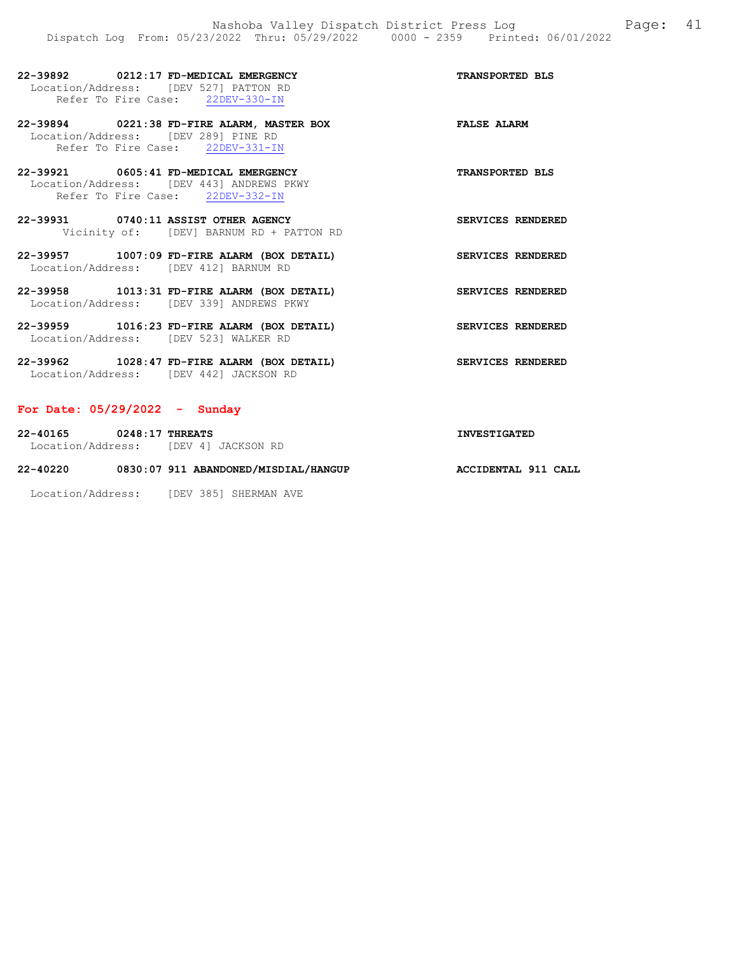| 22-39892                              | 0212:17 FD-MEDICAL EMERGENCY |              |  | <b>TRANSPORTED BLS</b> |  |
|---------------------------------------|------------------------------|--------------|--|------------------------|--|
| Location/Address: [DEV 527] PATTON RD |                              |              |  |                        |  |
| Refer To Fire Case:                   |                              | 22DEV-330-IN |  |                        |  |

22-39894 0221:38 FD-FIRE ALARM, MASTER BOX FALSE ALARM Location/Address: [DEV 289] PINE RD Refer To Fire Case: 22DEV-331-IN

22-39921 0605:41 FD-MEDICAL EMERGENCY TRANSPORTED BLS Location/Address: [DEV 443] ANDREWS PKWY Refer To Fire Case: 22DEV-332-IN

22-39931 0740:11 ASSIST OTHER AGENCY SERVICES RENDERED Vicinity of: [DEV] BARNUM RD + PATTON RD

22-39957 1007:09 FD-FIRE ALARM (BOX DETAIL) SERVICES RENDERED Location/Address: [DEV 412] BARNUM RD

22-39958 1013:31 FD-FIRE ALARM (BOX DETAIL) SERVICES RENDERED Location/Address: [DEV 339] ANDREWS PKWY

22-39959 1016:23 FD-FIRE ALARM (BOX DETAIL) SERVICES RENDERED Location/Address: [DEV 523] WALKER RD

22-39962 1028:47 FD-FIRE ALARM (BOX DETAIL) SERVICES RENDERED Location/Address: [DEV 442] JACKSON RD

### For Date: 05/29/2022 - Sunday

22-40165 0248:17 THREATS INVESTIGATED Location/Address: [DEV 4] JACKSON RD 22-40220 0830:07 911 ABANDONED/MISDIAL/HANGUP ACCIDENTAL 911 CALL

Location/Address: [DEV 385] SHERMAN AVE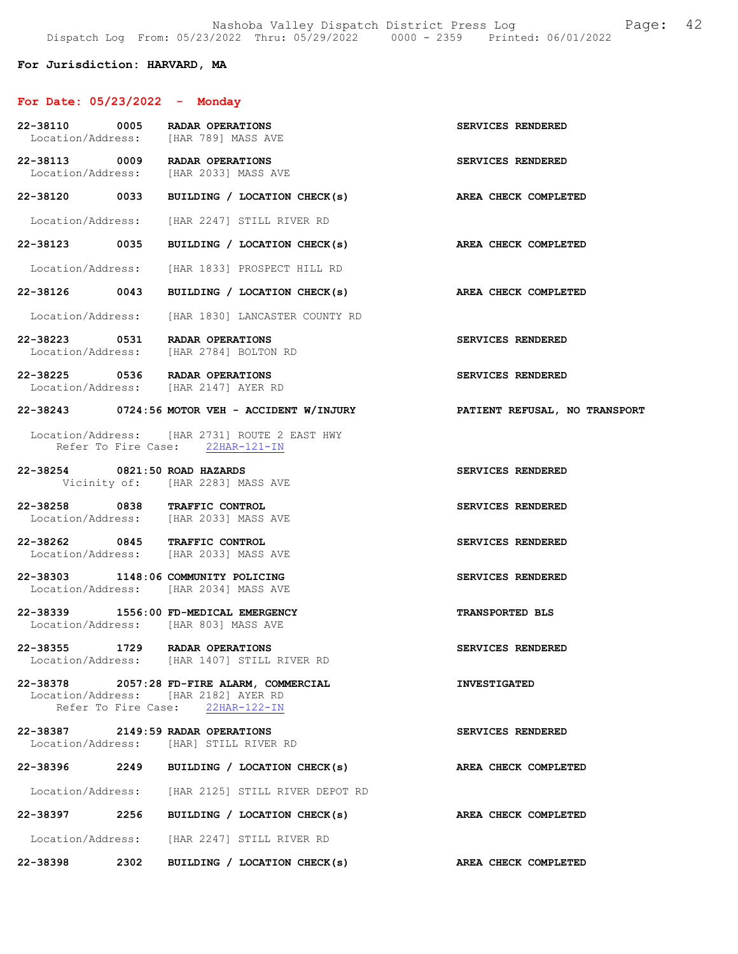## For Jurisdiction: HARVARD, MA

# For Date: 05/23/2022 - Monday

| 22-38110 0005                 | RADAR OPERATIONS<br>Location/Address: [HAR 789] MASS AVE                                                               | SERVICES RENDERED      |
|-------------------------------|------------------------------------------------------------------------------------------------------------------------|------------------------|
|                               | 22-38113 0009 RADAR OPERATIONS<br>Location/Address: [HAR 2033] MASS AVE                                                | SERVICES RENDERED      |
|                               | 22-38120 0033 BUILDING / LOCATION CHECK(s)                                                                             | AREA CHECK COMPLETED   |
|                               | Location/Address: [HAR 2247] STILL RIVER RD                                                                            |                        |
|                               | 22-38123 0035 BUILDING / LOCATION CHECK(s)                                                                             | AREA CHECK COMPLETED   |
|                               | Location/Address: [HAR 1833] PROSPECT HILL RD                                                                          |                        |
|                               | 22-38126 0043 BUILDING / LOCATION CHECK(s)                                                                             | AREA CHECK COMPLETED   |
|                               | Location/Address: [HAR 1830] LANCASTER COUNTY RD                                                                       |                        |
|                               | 22-38223 0531 RADAR OPERATIONS<br>Location/Address: [HAR 2784] BOLTON RD                                               | SERVICES RENDERED      |
|                               | 22-38225 0536 RADAR OPERATIONS<br>Location/Address: [HAR 2147] AYER RD                                                 | SERVICES RENDERED      |
|                               | 22-38243 0724:56 MOTOR VEH - ACCIDENT W/INJURY PATIENT REFUSAL, NO TRANSPORT                                           |                        |
|                               | Location/Address: [HAR 2731] ROUTE 2 EAST HWY<br>Refer To Fire Case: 22HAR-121-IN                                      |                        |
| 22-38254 0821:50 ROAD HAZARDS | Vicinity of: [HAR 2283] MASS AVE                                                                                       | SERVICES RENDERED      |
|                               | 22-38258 0838 TRAFFIC CONTROL<br>Location/Address: [HAR 2033] MASS AVE                                                 | SERVICES RENDERED      |
|                               | 22-38262 0845 TRAFFIC CONTROL<br>Location/Address: [HAR 2033] MASS AVE                                                 | SERVICES RENDERED      |
|                               | 22-38303 1148:06 COMMUNITY POLICING<br>Location/Address: [HAR 2034] MASS AVE                                           | SERVICES RENDERED      |
|                               | 22-38339 1556:00 FD-MEDICAL EMERGENCY<br>Location/Address: [HAR 803] MASS AVE                                          | <b>TRANSPORTED BLS</b> |
|                               | 22-38355 1729 RADAR OPERATIONS<br>Location/Address: [HAR 1407] STILL RIVER RD                                          | SERVICES RENDERED      |
|                               | 22-38378 2057:28 FD-FIRE ALARM, COMMERCIAL<br>Location/Address: [HAR 2182] AYER RD<br>Refer To Fire Case: 22HAR-122-IN | <b>INVESTIGATED</b>    |
|                               | 22-38387 2149:59 RADAR OPERATIONS<br>Location/Address: [HAR] STILL RIVER RD                                            | SERVICES RENDERED      |
|                               | 22-38396 2249 BUILDING / LOCATION CHECK(s)                                                                             | AREA CHECK COMPLETED   |
|                               | Location/Address: [HAR 2125] STILL RIVER DEPOT RD                                                                      |                        |
|                               | 22-38397 2256 BUILDING / LOCATION CHECK(s)                                                                             | AREA CHECK COMPLETED   |
|                               | Location/Address: [HAR 2247] STILL RIVER RD                                                                            |                        |
| 22-38398                      | 2302 BUILDING / LOCATION CHECK(s)                                                                                      | AREA CHECK COMPLETED   |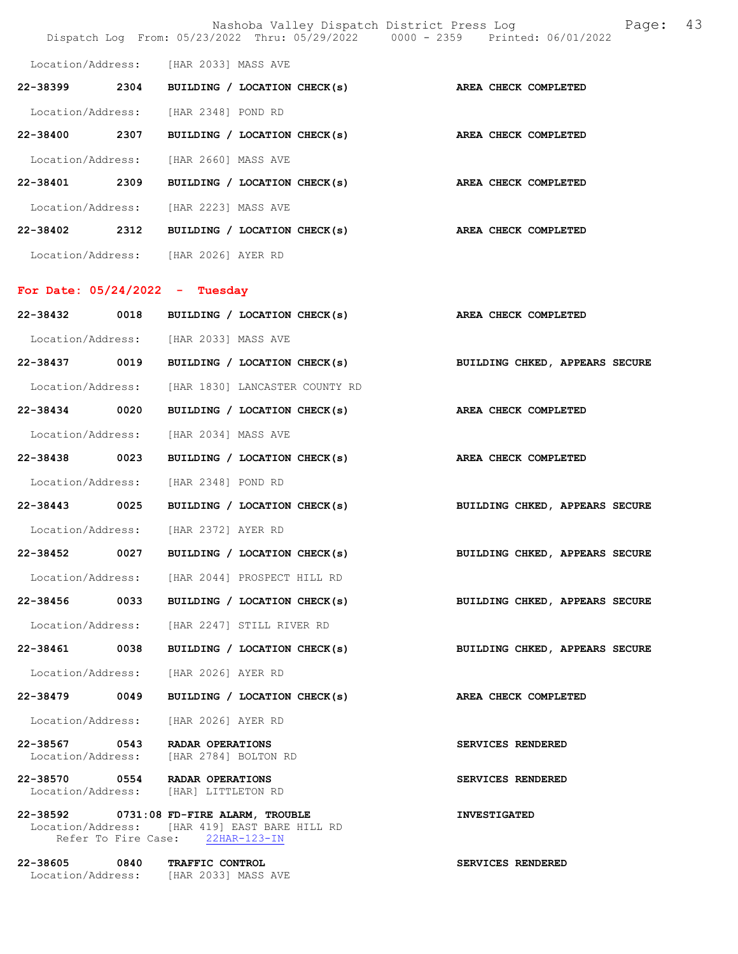|                                  |      |                                                                                                                                |                      | Nashoba Valley Dispatch District Press Log Nashoba Valley Dispatch District Press Log<br>Dispatch Log From: 05/23/2022 Thru: 05/29/2022 0000 - 2359 Printed: 06/01/2022 | 43 |
|----------------------------------|------|--------------------------------------------------------------------------------------------------------------------------------|----------------------|-------------------------------------------------------------------------------------------------------------------------------------------------------------------------|----|
|                                  |      | Location/Address: [HAR 2033] MASS AVE                                                                                          |                      |                                                                                                                                                                         |    |
| 22-38399                         | 2304 | BUILDING / LOCATION CHECK(s)                                                                                                   |                      | AREA CHECK COMPLETED                                                                                                                                                    |    |
|                                  |      | Location/Address: [HAR 2348] POND RD                                                                                           |                      |                                                                                                                                                                         |    |
| 22-38400 2307                    |      | BUILDING / LOCATION CHECK(s) AREA CHECK COMPLETED                                                                              |                      |                                                                                                                                                                         |    |
| Location/Address:                |      | [HAR 2660] MASS AVE                                                                                                            |                      |                                                                                                                                                                         |    |
| 22-38401 2309                    |      | BUILDING / LOCATION CHECK(s) AREA CHECK COMPLETED                                                                              |                      |                                                                                                                                                                         |    |
|                                  |      | Location/Address: [HAR 2223] MASS AVE                                                                                          |                      |                                                                                                                                                                         |    |
| 22-38402                         | 2312 | BUILDING / LOCATION CHECK(s)                                                                                                   |                      | AREA CHECK COMPLETED                                                                                                                                                    |    |
|                                  |      | Location/Address: [HAR 2026] AYER RD                                                                                           |                      |                                                                                                                                                                         |    |
|                                  |      |                                                                                                                                |                      |                                                                                                                                                                         |    |
| For Date: $05/24/2022 -$ Tuesday |      |                                                                                                                                |                      |                                                                                                                                                                         |    |
| 22-38432                         | 0018 | BUILDING / LOCATION CHECK(s)                                                                                                   |                      | <b>AREA CHECK COMPLETED</b>                                                                                                                                             |    |
|                                  |      | Location/Address: [HAR 2033] MASS AVE                                                                                          |                      |                                                                                                                                                                         |    |
| 22-38437                         | 0019 | BUILDING / LOCATION CHECK(s)                                                                                                   |                      | BUILDING CHKED, APPEARS SECURE                                                                                                                                          |    |
| Location/Address:                |      | [HAR 1830] LANCASTER COUNTY RD                                                                                                 |                      |                                                                                                                                                                         |    |
| 22-38434 0020                    |      | BUILDING / LOCATION CHECK(s)                                                                                                   |                      | AREA CHECK COMPLETED                                                                                                                                                    |    |
| Location/Address:                |      | [HAR 2034] MASS AVE                                                                                                            |                      |                                                                                                                                                                         |    |
| 22-38438                         | 0023 | BUILDING / LOCATION CHECK(s)                                                                                                   | AREA CHECK COMPLETED |                                                                                                                                                                         |    |
| Location/Address:                |      | [HAR 2348] POND RD                                                                                                             |                      |                                                                                                                                                                         |    |
| 22-38443                         | 0025 | BUILDING / LOCATION CHECK(s)                                                                                                   |                      | BUILDING CHKED, APPEARS SECURE                                                                                                                                          |    |
|                                  |      | Location/Address: [HAR 2372] AYER RD                                                                                           |                      |                                                                                                                                                                         |    |
|                                  |      |                                                                                                                                |                      | 22-38452 0027 BUILDING / LOCATION CHECK(s) BUILDING CHKED, APPEARS SECURE                                                                                               |    |
|                                  |      | Location/Address: [HAR 2044] PROSPECT HILL RD                                                                                  |                      |                                                                                                                                                                         |    |
|                                  |      | 22-38456 0033 BUILDING / LOCATION CHECK(s)                                                                                     |                      | BUILDING CHKED, APPEARS SECURE                                                                                                                                          |    |
|                                  |      | Location/Address: [HAR 2247] STILL RIVER RD                                                                                    |                      |                                                                                                                                                                         |    |
| 22-38461 0038                    |      | BUILDING / LOCATION CHECK(s)                                                                                                   |                      | BUILDING CHKED, APPEARS SECURE                                                                                                                                          |    |
|                                  |      | Location/Address: [HAR 2026] AYER RD                                                                                           |                      |                                                                                                                                                                         |    |
| 22-38479 0049                    |      | BUILDING / LOCATION CHECK(s)                                                                                                   |                      | AREA CHECK COMPLETED                                                                                                                                                    |    |
|                                  |      | Location/Address: [HAR 2026] AYER RD                                                                                           |                      |                                                                                                                                                                         |    |
|                                  |      | 22-38567 0543 RADAR OPERATIONS<br>Location/Address: [HAR 2784] BOLTON RD                                                       |                      | SERVICES RENDERED                                                                                                                                                       |    |
|                                  |      | 22-38570 0554 RADAR OPERATIONS<br>Location/Address: [HAR] LITTLETON RD                                                         |                      | SERVICES RENDERED                                                                                                                                                       |    |
|                                  |      | $22-38592$ 0731:08 FD-FIRE ALARM, TROUBLE<br>Location/Address: [HAR 419] EAST BARE HILL RD<br>Refer To Fire Case: 22HAR-123-IN |                      | <b>INVESTIGATED</b>                                                                                                                                                     |    |
|                                  |      | 22-38605 0840 TRAFFIC CONTROL<br>Location/Address: [HAR 2033] MASS AVE                                                         |                      | SERVICES RENDERED                                                                                                                                                       |    |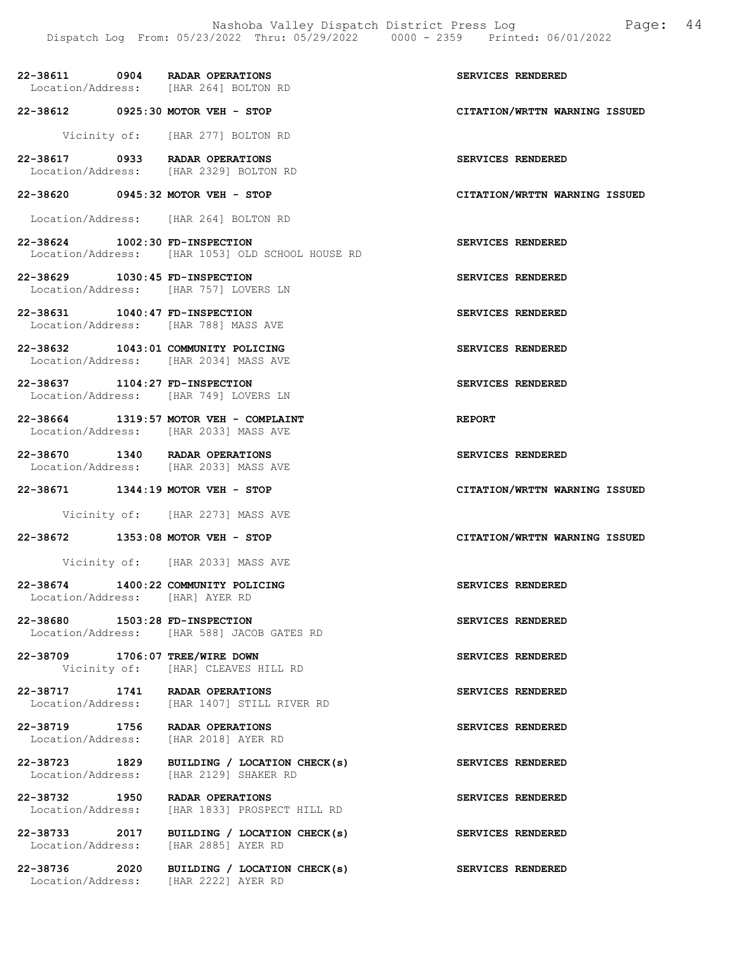| 22-38611          | 0904 | RADAR OPERATIONS    |
|-------------------|------|---------------------|
| Location/Address: |      | [HAR 264] BOLTON RD |

22-38612 0925:30 MOTOR VEH - STOP CITATION/WRTTN WARNING ISSUED

Vicinity of: [HAR 277] BOLTON RD

- 22-38617 0933 RADAR OPERATIONS SERVICES RENDERED<br>
Location/Address: [HAR 2329] BOLTON RD [HAR 2329] BOLTON RD
- 22-38620 0945:32 MOTOR VEH STOP CITATION/WRTTN WARNING ISSUED
- Location/Address: [HAR 264] BOLTON RD
- 22-38624 1002:30 FD-INSPECTION SERVICES RENDERED Location/Address: [HAR 1053] OLD SCHOOL HOUSE RD
- 22-38629 1030:45 FD-INSPECTION SERVICES RENDERED Location/Address: [HAR 757] LOVERS LN
- 22-38631 1040:47 FD-INSPECTION SERVICES RENDERED Location/Address: [HAR 788] MASS AVE
- 22-38632 1043:01 COMMUNITY POLICING SERVICES RENDERED Location/Address: [HAR 2034] MASS AVE
- 22-38637 1104:27 FD-INSPECTION SERVICES RENDERED Location/Address: [HAR 749] LOVERS LN
- 22-38664 1319:57 MOTOR VEH COMPLAINT REPORT Location/Address: [HAR 2033] MASS AVE
- 22-38670 1340 RADAR OPERATIONS SERVICES RENDERED Location/Address: [HAR 2033] MASS AVE
- 22-38671 1344:19 MOTOR VEH STOP CITATION/WRTTN WARNING ISSUED
	- Vicinity of: [HAR 2273] MASS AVE
- 22-38672 1353:08 MOTOR VEH STOP CITATION/WRTTN WARNING ISSUED
	- Vicinity of: [HAR 2033] MASS AVE
- 22-38674 1400:22 COMMUNITY POLICING SERVICES RENDERED Location/Address: [HAR] AYER RD
- 22-38680 1503:28 FD-INSPECTION SERVICES RENDERED Location/Address: [HAR 588] JACOB GATES RD
- 22-38709 1706:07 TREE/WIRE DOWN SERVICES RENDERED Vicinity of: [HAR] CLEAVES HILL RD
- 22-38717 1741 RADAR OPERATIONS SERVICES RENDERED Location/Address: [HAR 1407] STILL RIVER RD
- 22-38719 1756 RADAR OPERATIONS SERVICES RENDERED Location/Address: [HAR 2018] AYER RD
- 22-38723 1829 BUILDING / LOCATION CHECK(s) SERVICES RENDERED Location/Address: [HAR 2129] SHAKER RD
- 22-38732 1950 RADAR OPERATIONS SERVICES RENDERED<br>Location/Address: [HAR 1833] PROSPECT HILL RD Location/Address: [HAR 1833] PROSPECT HILL RD
- 22-38733 2017 BUILDING / LOCATION CHECK(s) SERVICES RENDERED Location/Address: [HAR 2885] AYER RD
	-
- 22-38736 2020 BUILDING / LOCATION CHECK(s) SERVICES RENDERED Location/Address: [HAR 2222] AYER RD

SERVICES RENDERED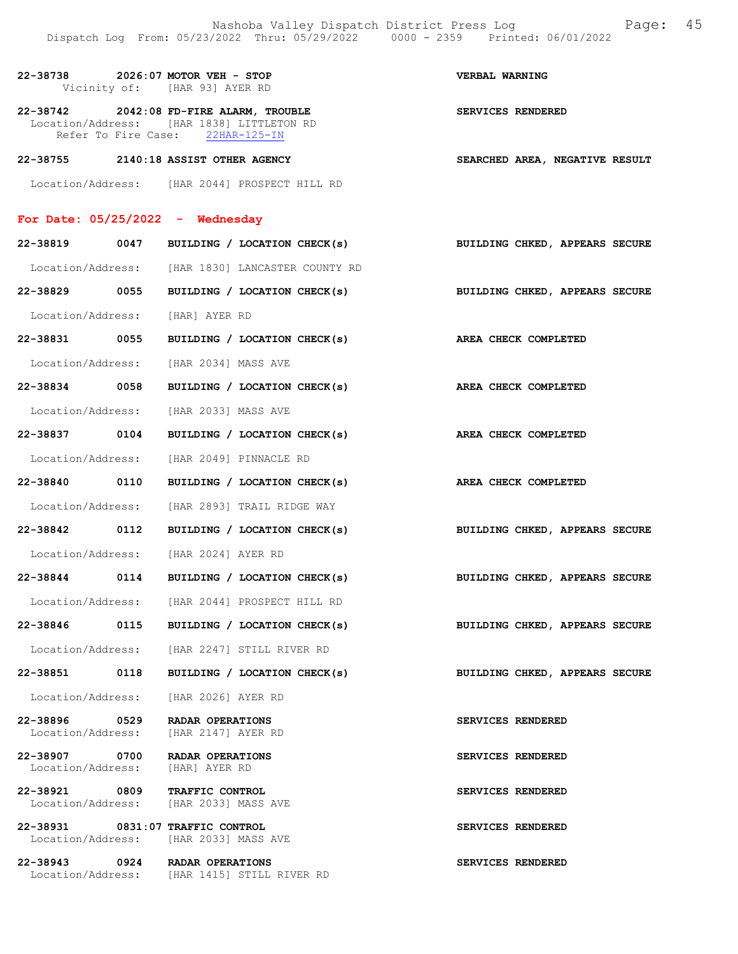| 22-38738 2026:07 MOTOR VEH - STOP                                         | Vicinity of: [HAR 93] AYER RD                                                                                            | VERBAL WARNING                 |
|---------------------------------------------------------------------------|--------------------------------------------------------------------------------------------------------------------------|--------------------------------|
|                                                                           | 22-38742 2042:08 FD-FIRE ALARM, TROUBLE<br>Location/Address: [HAR 1838] LITTLETON RD<br>Refer To Fire Case: 22HAR-125-IN | SERVICES RENDERED              |
| 22-38755 2140:18 ASSIST OTHER AGENCY                                      |                                                                                                                          | SEARCHED AREA, NEGATIVE RESULT |
|                                                                           | Location/Address: [HAR 2044] PROSPECT HILL RD                                                                            |                                |
| For Date: $05/25/2022 -$ Wednesday                                        |                                                                                                                          |                                |
|                                                                           | 22-38819 0047 BUILDING / LOCATION CHECK(s) BUILDING CHKED, APPEARS SECURE                                                |                                |
|                                                                           | Location/Address: [HAR 1830] LANCASTER COUNTY RD                                                                         |                                |
|                                                                           | 22-38829 0055 BUILDING / LOCATION CHECK(s) BUILDING CHKED, APPEARS SECURE                                                |                                |
| Location/Address: [HAR] AYER RD                                           |                                                                                                                          |                                |
| 22-38831 0055                                                             | BUILDING / LOCATION CHECK(s) AREA CHECK COMPLETED                                                                        |                                |
| Location/Address: [HAR 2034] MASS AVE                                     |                                                                                                                          |                                |
| 22-38834 0058                                                             | BUILDING / LOCATION CHECK(s) AREA CHECK COMPLETED                                                                        |                                |
| Location/Address: [HAR 2033] MASS AVE                                     |                                                                                                                          |                                |
|                                                                           | 22-38837 0104 BUILDING / LOCATION CHECK(s) AREA CHECK COMPLETED                                                          |                                |
|                                                                           | Location/Address: [HAR 2049] PINNACLE RD                                                                                 |                                |
| 22-38840 0110                                                             | BUILDING / LOCATION CHECK(s) AREA CHECK COMPLETED                                                                        |                                |
|                                                                           | Location/Address: [HAR 2893] TRAIL RIDGE WAY                                                                             |                                |
| 22-38842 0112                                                             | BUILDING / LOCATION CHECK(s) BUILDING CHKED, APPEARS SECURE                                                              |                                |
| Location/Address: [HAR 2024] AYER RD                                      |                                                                                                                          |                                |
|                                                                           | 22-38844 0114 BUILDING / LOCATION CHECK(s) BUILDING CHKED, APPEARS SECURE                                                |                                |
| Location/Address:                                                         | [HAR 2044] PROSPECT HILL RD                                                                                              |                                |
| 22-38846                                                                  | 0115 BUILDING / LOCATION CHECK(s)                                                                                        | BUILDING CHKED, APPEARS SECURE |
|                                                                           | Location/Address: [HAR 2247] STILL RIVER RD                                                                              |                                |
| 22-38851 0118                                                             | BUILDING / LOCATION CHECK(s)                                                                                             | BUILDING CHKED, APPEARS SECURE |
| Location/Address:                                                         | [HAR 2026] AYER RD                                                                                                       |                                |
| 22-38896 0529<br>Location/Address: [HAR 2147] AYER RD                     | RADAR OPERATIONS                                                                                                         | SERVICES RENDERED              |
| 22-38907 0700 RADAR OPERATIONS<br>Location/Address: [HAR] AYER RD         |                                                                                                                          | SERVICES RENDERED              |
| 22-38921 0809 TRAFFIC CONTROL<br>Location/Address: [HAR 2033] MASS AVE    |                                                                                                                          | SERVICES RENDERED              |
| 22-38931 0831:07 TRAFFIC CONTROL<br>Location/Address: [HAR 2033] MASS AVE |                                                                                                                          | SERVICES RENDERED              |
| 22-38943 0924 RADAR OPERATIONS                                            | Location/Address: [HAR 1415] STILL RIVER RD                                                                              | SERVICES RENDERED              |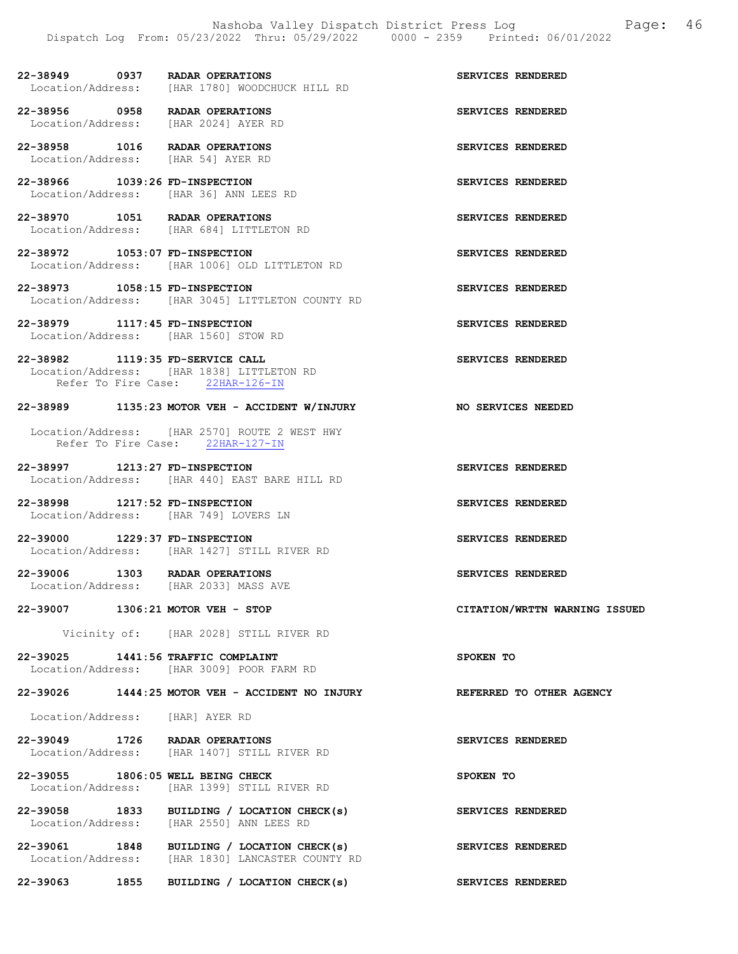## 22-38949 0937 RADAR OPERATIONS SERVICES RENDERED Location/Address: [HAR 1780] WOODCHUCK HILL RD

22-38956 0958 RADAR OPERATIONS SERVICES RENDERED<br>
Location/Address: [HAR 2024] AYER RD [HAR 2024] AYER RD

22-38958 1016 RADAR OPERATIONS SERVICES RENDERED Location/Address: [HAR 54] AYER RD

22-38966 1039:26 FD-INSPECTION SERVICES RENDERED Location/Address: [HAR 36] ANN LEES RD

22-38970 1051 RADAR OPERATIONS SERVICES RENDERED Location/Address: [HAR 684] LITTLETON RD

22-38972 1053:07 FD-INSPECTION SERVICES RENDERED Location/Address: [HAR 1006] OLD LITTLETON RD

22-38973 1058:15 FD-INSPECTION SERVICES RENDERED Location/Address: [HAR 3045] LITTLETON COUNTY RD

### 22-38979 1117:45 FD-INSPECTION SERVICES RENDERED Location/Address: [HAR 1560] STOW RD

22-38982 1119:35 FD-SERVICE CALL SERVICES RENDERED Location/Address: [HAR 1838] LITTLETON RD Refer To Fire Case: 22HAR-126-IN

### 22-38989 1135:23 MOTOR VEH - ACCIDENT W/INJURY NO SERVICES NEEDED

 Location/Address: [HAR 2570] ROUTE 2 WEST HWY Refer To Fire Case: 22HAR-127-IN

22-38997 1213:27 FD-INSPECTION SERVICES RENDERED Location/Address: [HAR 440] EAST BARE HILL RD

22-38998 1217:52 FD-INSPECTION SERVICES RENDERED Location/Address: [HAR 749] LOVERS LN

22-39000 1229:37 FD-INSPECTION SERVICES RENDERED Location/Address: [HAR 1427] STILL RIVER RD

22-39006 1303 RADAR OPERATIONS SERVICES RENDERED<br>Location/Address: [HAR 2033] MASS AVE [HAR 2033] MASS AVE

22-39007 1306:21 MOTOR VEH - STOP CITATION/WRTTN WARNING ISSUED

Vicinity of: [HAR 2028] STILL RIVER RD

22-39025 1441:56 TRAFFIC COMPLAINT SPOKEN TO Location/Address: [HAR 3009] POOR FARM RD

### 22-39026 1444:25 MOTOR VEH - ACCIDENT NO INJURY REFERRED TO OTHER AGENCY

Location/Address: [HAR] AYER RD

22-39049 1726 RADAR OPERATIONS<br>
Location/Address: [HAR 1407] STILL RIVER RD<br>
The services RENDERED Location/Address: [HAR 1407] STILL RIVER RD

22-39055 1806:05 WELL BEING CHECK SPOKEN TO Location/Address: [HAR 1399] STILL RIVER RD

22-39058 1833 BUILDING / LOCATION CHECK(s) SERVICES RENDERED Location/Address: [HAR 2550] ANN LEES RD

22-39061 1848 BUILDING / LOCATION CHECK(s) SERVICES RENDERED Location/Address: [HAR 1830] LANCASTER COUNTY RD

22-39063 1855 BUILDING / LOCATION CHECK(s) SERVICES RENDERED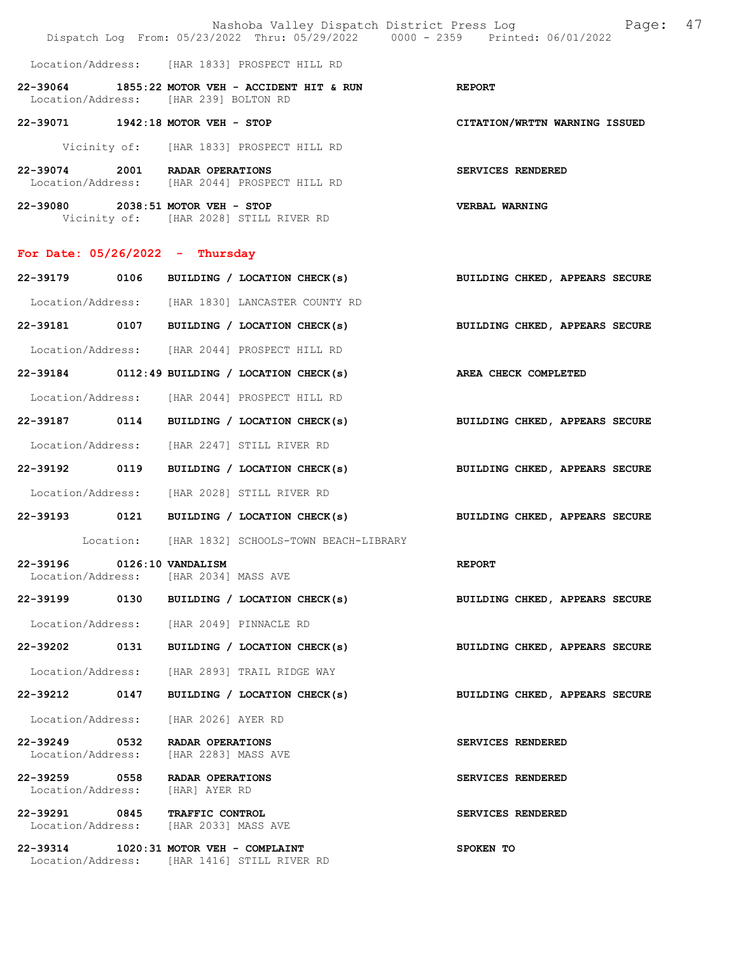|                                   | Dispatch Log From: 05/23/2022 Thru: 05/29/2022 0000 - 2359 Printed: 06/01/2022 | Nashoba Valley Dispatch District Press Log Mashoba Valley Dispatch District Press Log |
|-----------------------------------|--------------------------------------------------------------------------------|---------------------------------------------------------------------------------------|
|                                   | Location/Address: [HAR 1833] PROSPECT HILL RD                                  |                                                                                       |
|                                   | 22-39064 1855:22 MOTOR VEH - ACCIDENT HIT & RUN                                | <b>REPORT</b>                                                                         |
|                                   | Location/Address: [HAR 239] BOLTON RD                                          |                                                                                       |
| 22-39071 1942:18 MOTOR VEH - STOP |                                                                                | CITATION/WRTTN WARNING ISSUED                                                         |
|                                   | Vicinity of: [HAR 1833] PROSPECT HILL RD                                       |                                                                                       |
| 22-39074 2001 RADAR OPERATIONS    | Location/Address: [HAR 2044] PROSPECT HILL RD                                  | SERVICES RENDERED                                                                     |
| 22-39080 2038:51 MOTOR VEH - STOP | Vicinity of: [HAR 2028] STILL RIVER RD                                         | <b>VERBAL WARNING</b>                                                                 |
| For Date: $05/26/2022 - Thursday$ |                                                                                |                                                                                       |
|                                   | 22-39179 0106 BUILDING / LOCATION CHECK(s)                                     | BUILDING CHKED, APPEARS SECURE                                                        |
|                                   | Location/Address: [HAR 1830] LANCASTER COUNTY RD                               |                                                                                       |
|                                   | 22-39181 0107 BUILDING / LOCATION CHECK(s)                                     | BUILDING CHKED, APPEARS SECURE                                                        |
|                                   | Location/Address: [HAR 2044] PROSPECT HILL RD                                  |                                                                                       |
|                                   | 22-39184 0112:49 BUILDING / LOCATION CHECK(s)                                  | <b>AREA CHECK COMPLETED</b>                                                           |
|                                   | Location/Address: [HAR 2044] PROSPECT HILL RD                                  |                                                                                       |
|                                   | 22-39187 0114 BUILDING / LOCATION CHECK(s)                                     | BUILDING CHKED, APPEARS SECURE                                                        |
|                                   | Location/Address: [HAR 2247] STILL RIVER RD                                    |                                                                                       |
|                                   | 22-39192 0119 BUILDING / LOCATION CHECK(s)                                     | BUILDING CHKED, APPEARS SECURE                                                        |
|                                   | Location/Address: [HAR 2028] STILL RIVER RD                                    |                                                                                       |
| 0121<br>22-39193                  | BUILDING / LOCATION CHECK(s)                                                   | BUILDING CHKED, APPEARS SECURE                                                        |
|                                   | Location: [HAR 1832] SCHOOLS-TOWN BEACH-LIBRARY                                |                                                                                       |
| 22-39196<br>Location/Address:     | 0126:10 VANDALISM<br>[HAR 2034] MASS AVE                                       | <b>REPORT</b>                                                                         |
| 22-39199<br>0130                  | BUILDING / LOCATION CHECK(s)                                                   | BUILDING CHKED, APPEARS SECURE                                                        |
|                                   | Location/Address: [HAR 2049] PINNACLE RD                                       |                                                                                       |
| 0131<br>22-39202                  | BUILDING / LOCATION CHECK(s)                                                   | BUILDING CHKED, APPEARS SECURE                                                        |
| Location/Address:                 | [HAR 2893] TRAIL RIDGE WAY                                                     |                                                                                       |
| 0147<br>22-39212                  | BUILDING / LOCATION CHECK(s)                                                   | BUILDING CHKED, APPEARS SECURE                                                        |

Location/Address: [HAR 2026] AYER RD

22-39249 0532 RADAR OPERATIONS SERVICES RENDERED Location/Address: [HAR 2283] MASS AVE

22-39259 0558 RADAR OPERATIONS SERVICES RENDERED Location/Address: [HAR] AYER RD

22-39291 0845 TRAFFIC CONTROL SERVICES RENDERED Location/Address: [HAR 2033] MASS AVE

22-39314 1020:31 MOTOR VEH - COMPLAINT SPOKEN TO Location/Address: [HAR 1416] STILL RIVER RD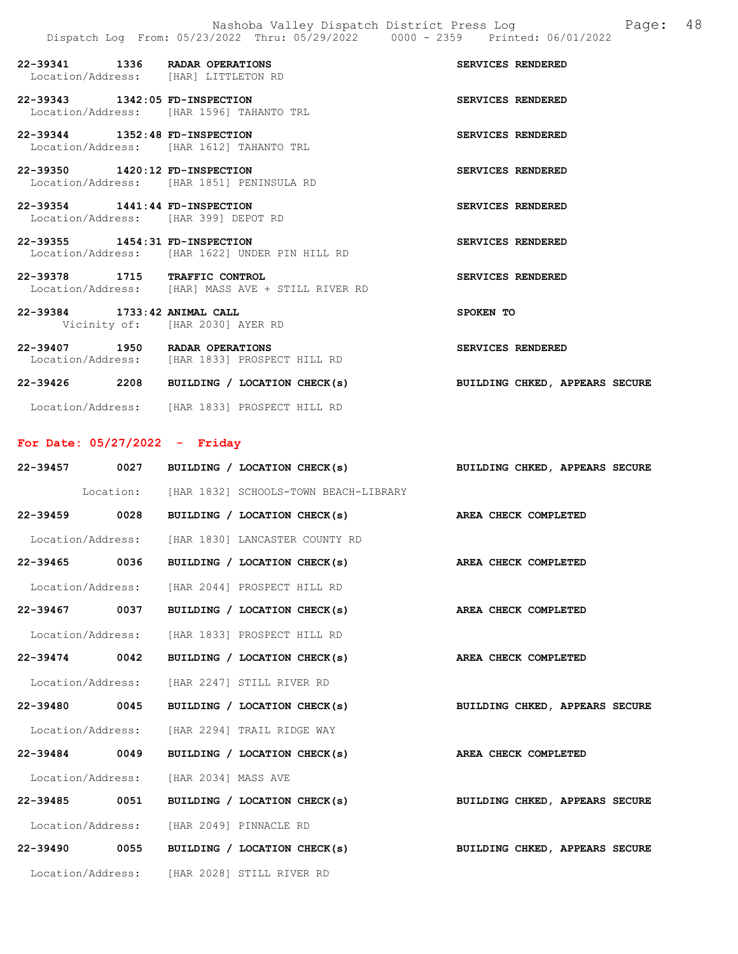| 22-39341 1336 RADAR OPERATIONS<br>Location/Address: [HAR] LITTLETON RD |                                                   | SERVICES RENDERED |
|------------------------------------------------------------------------|---------------------------------------------------|-------------------|
| 22-39343 1342:05 FD-INSPECTION                                         | Location/Address: [HAR 1596] TAHANTO TRL          | SERVICES RENDERED |
| 22-39344 1352:48 FD-INSPECTION                                         | Location/Address: [HAR 1612] TAHANTO TRL          | SERVICES RENDERED |
| 22-39350 1420:12 FD-INSPECTION                                         | Location/Address: [HAR 1851] PENINSULA RD         | SERVICES RENDERED |
| 22-39354 1441:44 FD-INSPECTION<br>Location/Address: [HAR 399] DEPOT RD |                                                   | SERVICES RENDERED |
| 22-39355 1454:31 FD-INSPECTION                                         | Location/Address: [HAR 1622] UNDER PIN HILL RD    | SERVICES RENDERED |
| 22-39378 1715 TRAFFIC CONTROL                                          | Location/Address: [HAR] MASS AVE + STILL RIVER RD | SERVICES RENDERED |
| 22-39384 1733:42 ANIMAL CALL                                           | Vicinity of: [HAR 2030] AYER RD                   | SPOKEN TO         |
| 22-39407 1950 RADAR OPERATIONS                                         | Location/Address: [HAR 1833] PROSPECT HILL RD     | SERVICES RENDERED |

| 22-39426 | 2208 | BUILDING / LOCATION CHECK(s) | BUILDING CHKED, APPEARS SECURE |
|----------|------|------------------------------|--------------------------------|
|          |      |                              |                                |

# Location/Address: [HAR 1833] PROSPECT HILL RD

# For Date: 05/27/2022 - Friday

|               |                                                  | 22-39457 0027 BUILDING / LOCATION CHECK(s)<br>BUILDING CHKED, APPEARS SECURE |
|---------------|--------------------------------------------------|------------------------------------------------------------------------------|
|               |                                                  | Location: [HAR 1832] SCHOOLS-TOWN BEACH-LIBRARY                              |
| 22-39459 0028 |                                                  | BUILDING / LOCATION CHECK(s) AREA CHECK COMPLETED                            |
|               | Location/Address: [HAR 1830] LANCASTER COUNTY RD |                                                                              |
| 22-39465 0036 |                                                  | BUILDING / LOCATION CHECK(s)<br>AREA CHECK COMPLETED                         |
|               | Location/Address: [HAR 2044] PROSPECT HILL RD    |                                                                              |
| 22-39467 0037 |                                                  | BUILDING / LOCATION CHECK(s) AREA CHECK COMPLETED                            |
|               | Location/Address: [HAR 1833] PROSPECT HILL RD    |                                                                              |
| 22-39474 0042 |                                                  | BUILDING / LOCATION CHECK(s) AREA CHECK COMPLETED                            |
|               | Location/Address: [HAR 2247] STILL RIVER RD      |                                                                              |
| 22-39480 0045 |                                                  | BUILDING / LOCATION CHECK(s) BUILDING CHKED, APPEARS SECURE                  |
|               | Location/Address: [HAR 2294] TRAIL RIDGE WAY     |                                                                              |
| 22-39484 0049 |                                                  | AREA CHECK COMPLETED<br>BUILDING / LOCATION CHECK(s)                         |
|               | Location/Address: [HAR 2034] MASS AVE            |                                                                              |
| 22-39485 0051 |                                                  | BUILDING / LOCATION CHECK(s) BUILDING CHKED, APPEARS SECURE                  |
|               | Location/Address: [HAR 2049] PINNACLE RD         |                                                                              |
|               |                                                  | 22-39490 0055 BUILDING / LOCATION CHECK(s) BUILDING CHKED, APPEARS SECURE    |
|               | Location/Address: [HAR 2028] STILL RIVER RD      |                                                                              |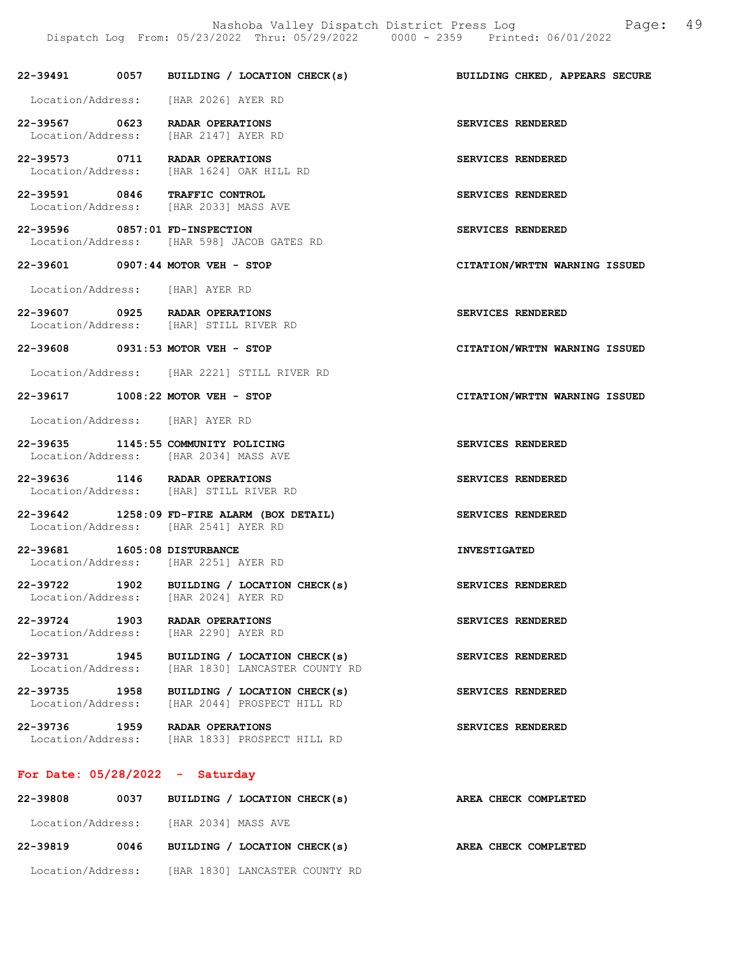22-39491 0057 BUILDING / LOCATION CHECK(s) BUILDING CHKED, APPEARS SECURE Location/Address: [HAR 2026] AYER RD 22-39567 0623 RADAR OPERATIONS SERVICES RENDERED Location/Address: [HAR 2147] AYER RD 22-39573 0711 RADAR OPERATIONS SERVICES RENDERED<br>Location/Address: [HAR 1624] OAK HILL RD [HAR 1624] OAK HILL RD 22-39591 0846 TRAFFIC CONTROL SERVICES RENDERED<br>Location/Address: [HAR 2033] MASS AVE [HAR 2033] MASS AVE 22-39596 0857:01 FD-INSPECTION SERVICES RENDERED Location/Address: [HAR 598] JACOB GATES RD 22-39601 0907:44 MOTOR VEH - STOP CITATION/WRTTN WARNING ISSUED Location/Address: [HAR] AYER RD 22-39607 0925 RADAR OPERATIONS SERVICES RENDERED Location/Address: [HAR] STILL RIVER RD 22-39608 0931:53 MOTOR VEH - STOP CITATION/WRTTN WARNING ISSUED Location/Address: [HAR 2221] STILL RIVER RD 22-39617 1008:22 MOTOR VEH - STOP CITATION/WRTTN WARNING ISSUED Location/Address: [HAR] AYER RD 22-39635 1145:55 COMMUNITY POLICING SERVICES RENDERED Location/Address: [HAR 2034] MASS AVE 22-39636 1146 RADAR OPERATIONS SERVICES RENDERED Location/Address: [HAR] STILL RIVER RD 22-39642 1258:09 FD-FIRE ALARM (BOX DETAIL) SERVICES RENDERED Location/Address: [HAR 2541] AYER RD 22-39681 1605:08 DISTURBANCE INVESTIGATED Location/Address: [HAR 2251] AYER RD 22-39722 1902 BUILDING / LOCATION CHECK(s) SERVICES RENDERED<br>Location/Address: [HAR 2024] AYER RD Location/Address: 22-39724 1903 RADAR OPERATIONS SERVICES RENDERED<br>Location/Address: [HAR 2290] AYER RD Location/Address: 22-39731 1945 BUILDING / LOCATION CHECK(s) SERVICES RENDERED Location/Address: [HAR 1830] LANCASTER COUNTY RD 22-39735 1958 BUILDING / LOCATION CHECK(s) SERVICES RENDERED Location/Address: [HAR 2044] PROSPECT HILL RD 22-39736 1959 RADAR OPERATIONS SERVICES RENDERED Location/Address: [HAR 1833] PROSPECT HILL RD For Date: 05/28/2022 - Saturday 22-39808 0037 BUILDING / LOCATION CHECK(s) AREA CHECK COMPLETED

Location/Address: [HAR 2034] MASS AVE

22-39819 0046 BUILDING / LOCATION CHECK(s) AREA CHECK COMPLETED Location/Address: [HAR 1830] LANCASTER COUNTY RD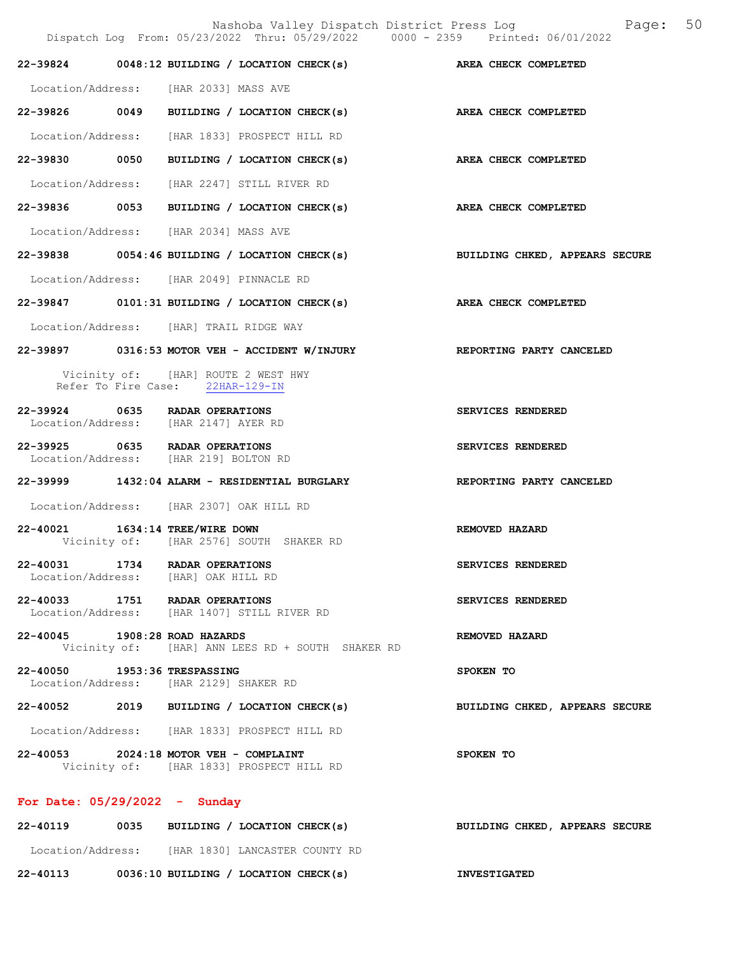Nashoba Valley Dispatch District Press Log Fage: 50

|                                 | Dispatch Log From: 05/23/2022 Thru: 05/29/2022 0000 - 2359 Printed: 06/01/2022     |                                |
|---------------------------------|------------------------------------------------------------------------------------|--------------------------------|
|                                 | 22-39824 0048:12 BUILDING / LOCATION CHECK(s) AREA CHECK COMPLETED                 |                                |
|                                 | Location/Address: [HAR 2033] MASS AVE                                              |                                |
|                                 | 22-39826 0049 BUILDING / LOCATION CHECK(s) AREA CHECK COMPLETED                    |                                |
|                                 | Location/Address: [HAR 1833] PROSPECT HILL RD                                      |                                |
|                                 | 22-39830 0050 BUILDING / LOCATION CHECK(s) AREA CHECK COMPLETED                    |                                |
|                                 | Location/Address: [HAR 2247] STILL RIVER RD                                        |                                |
|                                 | 22-39836 0053 BUILDING / LOCATION CHECK(s)                                         | AREA CHECK COMPLETED           |
|                                 | Location/Address: [HAR 2034] MASS AVE                                              |                                |
|                                 | 22-39838 0054:46 BUILDING / LOCATION CHECK(s) BUILDING CHKED, APPEARS SECURE       |                                |
|                                 | Location/Address: [HAR 2049] PINNACLE RD                                           |                                |
|                                 | 22-39847 0101:31 BUILDING / LOCATION CHECK(s) AREA CHECK COMPLETED                 |                                |
|                                 | Location/Address: [HAR] TRAIL RIDGE WAY                                            |                                |
|                                 | 22-39897 0316:53 MOTOR VEH - ACCIDENT W/INJURY REPORTING PARTY CANCELED            |                                |
|                                 | Vicinity of: [HAR] ROUTE 2 WEST HWY<br>Refer To Fire Case: 22HAR-129-IN            |                                |
|                                 | 22-39924 0635 RADAR OPERATIONS<br>Location/Address: [HAR 2147] AYER RD             | SERVICES RENDERED              |
|                                 | 22-39925 0635 RADAR OPERATIONS<br>Location/Address: [HAR 219] BOLTON RD            | SERVICES RENDERED              |
|                                 | 22-39999 1432:04 ALARM - RESIDENTIAL BURGLARY NEPORTING PARTY CANCELED             |                                |
|                                 | Location/Address: [HAR 2307] OAK HILL RD                                           |                                |
|                                 | 22-40021 1634:14 TREE/WIRE DOWN<br>Vicinity of: [HAR 2576] SOUTH SHAKER RD         | REMOVED HAZARD                 |
|                                 | 22-40031 1734 RADAR OPERATIONS<br>Location/Address: [HAR] OAK HILL RD              | SERVICES RENDERED              |
|                                 | 22-40033 1751 RADAR OPERATIONS<br>Location/Address: [HAR 1407] STILL RIVER RD      | SERVICES RENDERED              |
| 22-40045 1908:28 ROAD HAZARDS   | Vicinity of: [HAR] ANN LEES RD + SOUTH SHAKER RD                                   | REMOVED HAZARD                 |
| 22-40050 1953:36 TRESPASSING    | Location/Address: [HAR 2129] SHAKER RD                                             | SPOKEN TO                      |
|                                 | 22-40052 2019 BUILDING / LOCATION CHECK(s)                                         | BUILDING CHKED, APPEARS SECURE |
|                                 | Location/Address: [HAR 1833] PROSPECT HILL RD                                      |                                |
|                                 | 22-40053 2024:18 MOTOR VEH - COMPLAINT<br>Vicinity of: [HAR 1833] PROSPECT HILL RD | SPOKEN TO                      |
| For Date: $05/29/2022 -$ Sunday |                                                                                    |                                |

22-40119 0035 BUILDING / LOCATION CHECK(s) BUILDING CHKED, APPEARS SECURE Location/Address: [HAR 1830] LANCASTER COUNTY RD 22-40113 0036:10 BUILDING / LOCATION CHECK(s) INVESTIGATED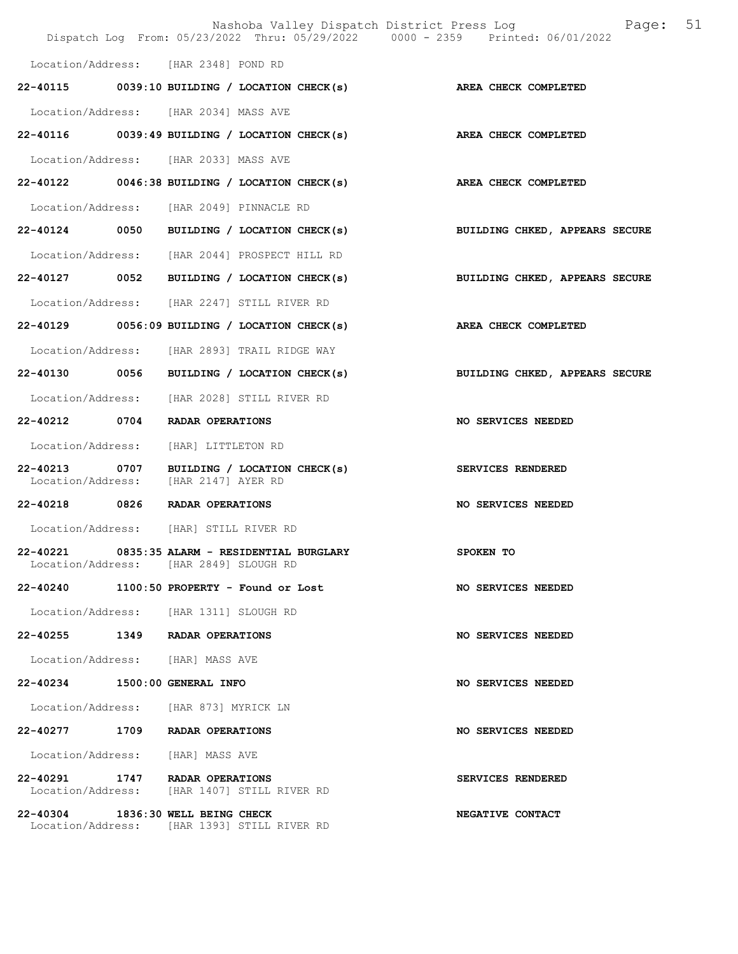|                                           |                                                                                | Nashoba Valley Dispatch District Press Log<br>Page:<br>Dispatch Log From: 05/23/2022 Thru: 05/29/2022 0000 - 2359 Printed: 06/01/2022 | 51 |
|-------------------------------------------|--------------------------------------------------------------------------------|---------------------------------------------------------------------------------------------------------------------------------------|----|
| Location/Address: [HAR 2348] POND RD      |                                                                                |                                                                                                                                       |    |
|                                           | 22-40115 0039:10 BUILDING / LOCATION CHECK(s)                                  | AREA CHECK COMPLETED                                                                                                                  |    |
| Location/Address: [HAR 2034] MASS AVE     |                                                                                |                                                                                                                                       |    |
|                                           | $22-40116$ 0039:49 BUILDING / LOCATION CHECK(s)                                | AREA CHECK COMPLETED                                                                                                                  |    |
| Location/Address: [HAR 2033] MASS AVE     |                                                                                |                                                                                                                                       |    |
|                                           | $22-40122$ 0046:38 BUILDING / LOCATION CHECK(s)                                | AREA CHECK COMPLETED                                                                                                                  |    |
|                                           | Location/Address: [HAR 2049] PINNACLE RD                                       |                                                                                                                                       |    |
|                                           | 22-40124 0050 BUILDING / LOCATION CHECK(s)                                     | BUILDING CHKED, APPEARS SECURE                                                                                                        |    |
|                                           | Location/Address: [HAR 2044] PROSPECT HILL RD                                  |                                                                                                                                       |    |
| $22 - 40127$<br>0052                      | BUILDING / LOCATION CHECK(s)                                                   | BUILDING CHKED, APPEARS SECURE                                                                                                        |    |
|                                           | Location/Address: [HAR 2247] STILL RIVER RD                                    |                                                                                                                                       |    |
|                                           | 22-40129 0056:09 BUILDING / LOCATION CHECK(s)                                  | AREA CHECK COMPLETED                                                                                                                  |    |
|                                           | Location/Address: [HAR 2893] TRAIL RIDGE WAY                                   |                                                                                                                                       |    |
| 22-40130 0056                             | BUILDING / LOCATION CHECK(s)                                                   | BUILDING CHKED, APPEARS SECURE                                                                                                        |    |
|                                           | Location/Address: [HAR 2028] STILL RIVER RD                                    |                                                                                                                                       |    |
| 22-40212<br>0704                          | RADAR OPERATIONS                                                               | NO SERVICES NEEDED                                                                                                                    |    |
| Location/Address:                         | [HAR] LITTLETON RD                                                             |                                                                                                                                       |    |
| $22 - 40213$<br>0707<br>Location/Address: | BUILDING / LOCATION CHECK(s)<br>[HAR 2147] AYER RD                             | SERVICES RENDERED                                                                                                                     |    |
| 22-40218 0826 RADAR OPERATIONS            |                                                                                | NO SERVICES NEEDED                                                                                                                    |    |
| Location/Address: [HAR] STILL RIVER RD    |                                                                                |                                                                                                                                       |    |
| 22-40221                                  | 0835:35 ALARM - RESIDENTIAL BURGLARY<br>Location/Address: [HAR 2849] SLOUGH RD | SPOKEN TO                                                                                                                             |    |
| 22-40240                                  | 1100:50 PROPERTY - Found or Lost                                               | NO SERVICES NEEDED                                                                                                                    |    |
|                                           | Location/Address: [HAR 1311] SLOUGH RD                                         |                                                                                                                                       |    |
| 22-40255                                  | 1349 RADAR OPERATIONS                                                          | <b>NO SERVICES NEEDED</b>                                                                                                             |    |
| Location/Address: [HAR] MASS AVE          |                                                                                |                                                                                                                                       |    |
| 22-40234 1500:00 GENERAL INFO             |                                                                                | NO SERVICES NEEDED                                                                                                                    |    |
| Location/Address: [HAR 873] MYRICK LN     |                                                                                |                                                                                                                                       |    |
| 22-40277                                  | 1709 RADAR OPERATIONS                                                          | NO SERVICES NEEDED                                                                                                                    |    |
| Location/Address: [HAR] MASS AVE          |                                                                                |                                                                                                                                       |    |
| 22-40291 1747 RADAR OPERATIONS            | Location/Address: [HAR 1407] STILL RIVER RD                                    | SERVICES RENDERED                                                                                                                     |    |
| 22-40304 1836:30 WELL BEING CHECK         | Location/Address: [HAR 1393] STILL RIVER RD                                    | NEGATIVE CONTACT                                                                                                                      |    |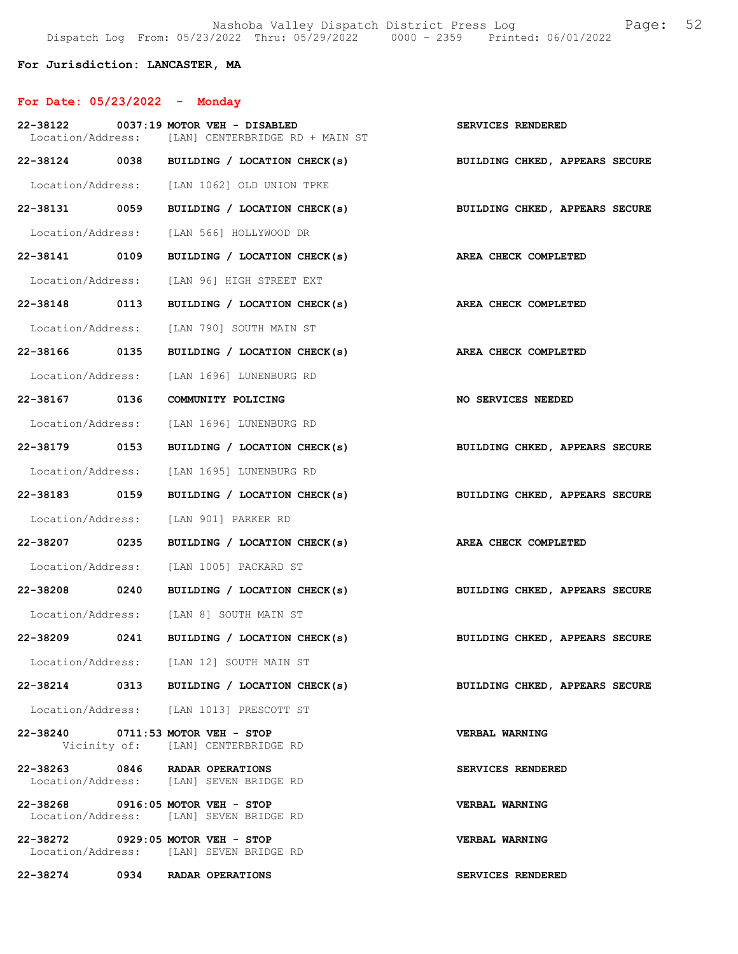## For Jurisdiction: LANCASTER, MA

# For Date: 05/23/2022 - Monday

|                                   | 22-38122 0037:19 MOTOR VEH - DISABLED<br>Location/Address: [LAN] CENTERBRIDGE RD + MAIN ST | SERVICES RENDERED                                                         |
|-----------------------------------|--------------------------------------------------------------------------------------------|---------------------------------------------------------------------------|
|                                   |                                                                                            | 22-38124 0038 BUILDING / LOCATION CHECK(s) BUILDING CHKED, APPEARS SECURE |
|                                   | Location/Address: [LAN 1062] OLD UNION TPKE                                                |                                                                           |
| 22-38131 0059                     | BUILDING / LOCATION CHECK(s)                                                               | BUILDING CHKED, APPEARS SECURE                                            |
|                                   | Location/Address: [LAN 566] HOLLYWOOD DR                                                   |                                                                           |
| 22-38141 0109                     | BUILDING / LOCATION CHECK(s) AREA CHECK COMPLETED                                          |                                                                           |
|                                   | Location/Address: [LAN 96] HIGH STREET EXT                                                 |                                                                           |
| 22-38148 0113                     | BUILDING / LOCATION CHECK(s) AREA CHECK COMPLETED                                          |                                                                           |
|                                   | Location/Address: [LAN 790] SOUTH MAIN ST                                                  |                                                                           |
| 22-38166 0135                     | BUILDING / LOCATION CHECK(s) AREA CHECK COMPLETED                                          |                                                                           |
|                                   | Location/Address: [LAN 1696] LUNENBURG RD                                                  |                                                                           |
| 22-38167 0136                     | COMMUNITY POLICING                                                                         | NO SERVICES NEEDED                                                        |
|                                   | Location/Address: [LAN 1696] LUNENBURG RD                                                  |                                                                           |
| 22-38179 0153                     |                                                                                            | BUILDING / LOCATION CHECK(s) BUILDING CHKED, APPEARS SECURE               |
|                                   | Location/Address: [LAN 1695] LUNENBURG RD                                                  |                                                                           |
| 22-38183 0159                     |                                                                                            | BUILDING / LOCATION CHECK(s) BUILDING CHKED, APPEARS SECURE               |
|                                   | Location/Address: [LAN 901] PARKER RD                                                      |                                                                           |
| 22-38207 0235                     | BUILDING / LOCATION CHECK(s) AREA CHECK COMPLETED                                          |                                                                           |
|                                   | Location/Address: [LAN 1005] PACKARD ST                                                    |                                                                           |
| 22-38208 0240                     |                                                                                            | BUILDING / LOCATION CHECK(s) BUILDING CHKED, APPEARS SECURE               |
|                                   | Location/Address: [LAN 8] SOUTH MAIN ST                                                    |                                                                           |
|                                   |                                                                                            | 22-38209 0241 BUILDING / LOCATION CHECK(s) BUILDING CHKED, APPEARS SECURE |
|                                   | Location/Address: [LAN 12] SOUTH MAIN ST                                                   |                                                                           |
|                                   | 22-38214 0313 BUILDING / LOCATION CHECK(s)                                                 | BUILDING CHKED, APPEARS SECURE                                            |
|                                   | Location/Address: [LAN 1013] PRESCOTT ST                                                   |                                                                           |
| 22-38240 0711:53 MOTOR VEH - STOP | Vicinity of: [LAN] CENTERBRIDGE RD                                                         | <b>VERBAL WARNING</b>                                                     |
| 22-38263 0846 RADAR OPERATIONS    | Location/Address: [LAN] SEVEN BRIDGE RD                                                    | SERVICES RENDERED                                                         |
| 22-38268 0916:05 MOTOR VEH - STOP | Location/Address: [LAN] SEVEN BRIDGE RD                                                    | <b>VERBAL WARNING</b>                                                     |
| 22-38272 0929:05 MOTOR VEH - STOP | Location/Address: [LAN] SEVEN BRIDGE RD                                                    | <b>VERBAL WARNING</b>                                                     |
| 22-38274                          | 0934 RADAR OPERATIONS                                                                      | SERVICES RENDERED                                                         |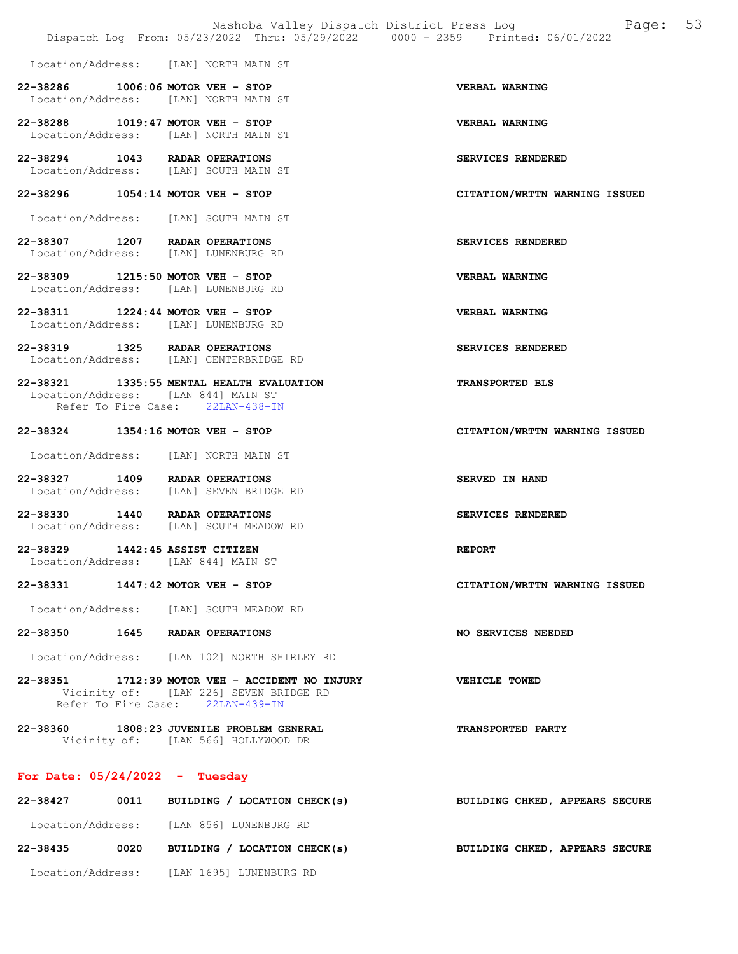Nashoba Valley Dispatch District Press Log Page: 53 Dispatch Log From: 05/23/2022 Thru: 05/29/2022 0000 - 2359 Printed: 06/01/2022 Location/Address: [LAN] NORTH MAIN ST 22-38286 1006:06 MOTOR VEH - STOP VERBAL WARNING Location/Address: [LAN] NORTH MAIN ST 22-38288 1019:47 MOTOR VEH - STOP VERBAL WARNING Location/Address: [LAN] NORTH MAIN ST 22-38294 1043 RADAR OPERATIONS<br>
Location/Address: [LAN] SOUTH MAIN ST Location/Address: [LAN] SOUTH MAIN ST 22-38296 1054:14 MOTOR VEH - STOP CITATION/WRTTN WARNING ISSUED Location/Address: [LAN] SOUTH MAIN ST 22-38307 1207 RADAR OPERATIONS SERVICES RENDERED Location/Address: [LAN] LUNENBURG RD 22-38309 1215:50 MOTOR VEH - STOP VERBAL WARNING Location/Address: [LAN] LUNENBURG RD 22-38311 1224:44 MOTOR VEH - STOP VERBAL WARNING Location/Address: [LAN] LUNENBURG RD 22-38319 1325 RADAR OPERATIONS SERVICES RENDERED Location/Address: [LAN] CENTERBRIDGE RD 22-38321 1335:55 MENTAL HEALTH EVALUATION TRANSPORTED BLS Location/Address: [LAN 844] MAIN ST<br>Refer To Fire Case: 22LAN-438-IN Refer To Fire Case: 22-38324 1354:16 MOTOR VEH - STOP CITATION/WRTTN WARNING ISSUED Location/Address: [LAN] NORTH MAIN ST 22-38327 1409 RADAR OPERATIONS SERVED IN HAND Location/Address: [LAN] SEVEN BRIDGE RD 22-38330 1440 RADAR OPERATIONS SERVICES RENDERED<br>Location/Address: [LAN] SOUTH MEADOW RD [LAN] SOUTH MEADOW RD 22-38329 1442:45 ASSIST CITIZEN REPORT Location/Address: [LAN 844] MAIN ST 22-38331 1447:42 MOTOR VEH - STOP CITATION/WRTTN WARNING ISSUED Location/Address: [LAN] SOUTH MEADOW RD 22-38350 1645 RADAR OPERATIONS NO SERVICES NEEDED Location/Address: [LAN 102] NORTH SHIRLEY RD 22-38351 1712:39 MOTOR VEH - ACCIDENT NO INJURY VEHICLE TOWED Vicinity of: [LAN 226] SEVEN BRIDGE RD Refer To Fire Case: 22LAN-439-IN 22-38360 1808:23 JUVENILE PROBLEM GENERAL TRANSPORTED PARTY Vicinity of: [LAN 566] HOLLYWOOD DR For Date: 05/24/2022 - Tuesday 22-38427 0011 BUILDING / LOCATION CHECK(s) BUILDING CHKED, APPEARS SECURE Location/Address: [LAN 856] LUNENBURG RD

22-38435 0020 BUILDING / LOCATION CHECK(s) BUILDING CHKED, APPEARS SECURE

Location/Address: [LAN 1695] LUNENBURG RD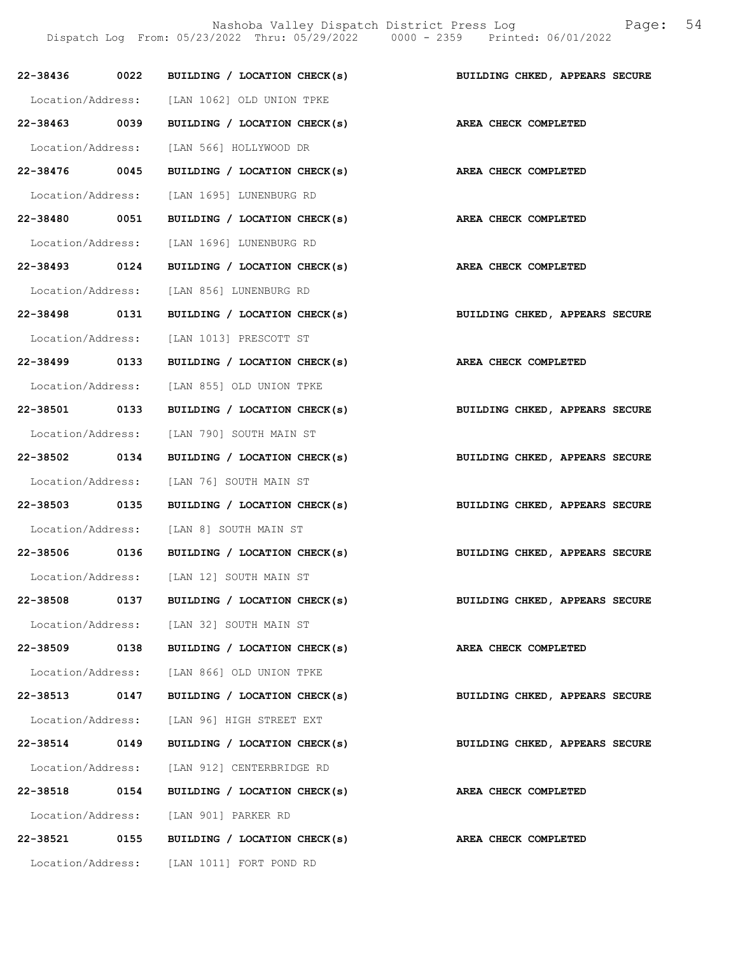Nashoba Valley Dispatch District Press Log Fage: 54 Dispatch Log From: 05/23/2022 Thru: 05/29/2022 0000 - 2359 Printed: 06/01/2022

|               |      | 22-38436 0022 BUILDING / LOCATION CHECK(s) BUILDING CHKED, APPEARS SECURE |                                |
|---------------|------|---------------------------------------------------------------------------|--------------------------------|
|               |      | Location/Address: [LAN 1062] OLD UNION TPKE                               |                                |
|               |      | 22-38463 0039 BUILDING / LOCATION CHECK(s) AREA CHECK COMPLETED           |                                |
|               |      | Location/Address: [LAN 566] HOLLYWOOD DR                                  |                                |
| 22-38476 0045 |      | BUILDING / LOCATION CHECK(s) AREA CHECK COMPLETED                         |                                |
|               |      | Location/Address: [LAN 1695] LUNENBURG RD                                 |                                |
| 22-38480 0051 |      | BUILDING / LOCATION CHECK(s) AREA CHECK COMPLETED                         |                                |
|               |      | Location/Address: [LAN 1696] LUNENBURG RD                                 |                                |
| 22-38493 0124 |      | BUILDING / LOCATION CHECK(s) AREA CHECK COMPLETED                         |                                |
|               |      | Location/Address: [LAN 856] LUNENBURG RD                                  |                                |
| 22-38498 0131 |      | BUILDING / LOCATION CHECK(s) BUILDING CHKED, APPEARS SECURE               |                                |
|               |      | Location/Address: [LAN 1013] PRESCOTT ST                                  |                                |
|               |      | 22-38499 0133 BUILDING / LOCATION CHECK(s) AREA CHECK COMPLETED           |                                |
|               |      | Location/Address: [LAN 855] OLD UNION TPKE                                |                                |
| 22-38501 0133 |      | BUILDING / LOCATION CHECK(s)                                              | BUILDING CHKED, APPEARS SECURE |
|               |      | Location/Address: [LAN 790] SOUTH MAIN ST                                 |                                |
| 22-38502 0134 |      | BUILDING / LOCATION CHECK(s) BUILDING CHKED, APPEARS SECURE               |                                |
|               |      | Location/Address: [LAN 76] SOUTH MAIN ST                                  |                                |
|               |      | 22-38503 0135 BUILDING / LOCATION CHECK(s) BUILDING CHKED, APPEARS SECURE |                                |
|               |      | Location/Address: [LAN 8] SOUTH MAIN ST                                   |                                |
|               |      | 22-38506 0136 BUILDING / LOCATION CHECK(s)                                | BUILDING CHKED, APPEARS SECURE |
|               |      | Location/Address: [LAN 12] SOUTH MAIN ST                                  |                                |
| 22-38508      | 0137 | BUILDING / LOCATION CHECK(s)                                              | BUILDING CHKED, APPEARS SECURE |
|               |      | Location/Address: [LAN 32] SOUTH MAIN ST                                  |                                |
| 22-38509 0138 |      | BUILDING / LOCATION CHECK(s)                                              | AREA CHECK COMPLETED           |
|               |      | Location/Address: [LAN 866] OLD UNION TPKE                                |                                |
| 22-38513      | 0147 | BUILDING / LOCATION CHECK(s)                                              | BUILDING CHKED, APPEARS SECURE |
|               |      | Location/Address: [LAN 96] HIGH STREET EXT                                |                                |
| $22 - 38514$  | 0149 | BUILDING / LOCATION CHECK(s)                                              | BUILDING CHKED, APPEARS SECURE |
|               |      | Location/Address: [LAN 912] CENTERBRIDGE RD                               |                                |
| 22-38518 0154 |      | BUILDING / LOCATION CHECK(s)                                              | AREA CHECK COMPLETED           |
|               |      | Location/Address: [LAN 901] PARKER RD                                     |                                |
| 22-38521      | 0155 | BUILDING / LOCATION CHECK(s)                                              | AREA CHECK COMPLETED           |
|               |      | Location/Address: [LAN 1011] FORT POND RD                                 |                                |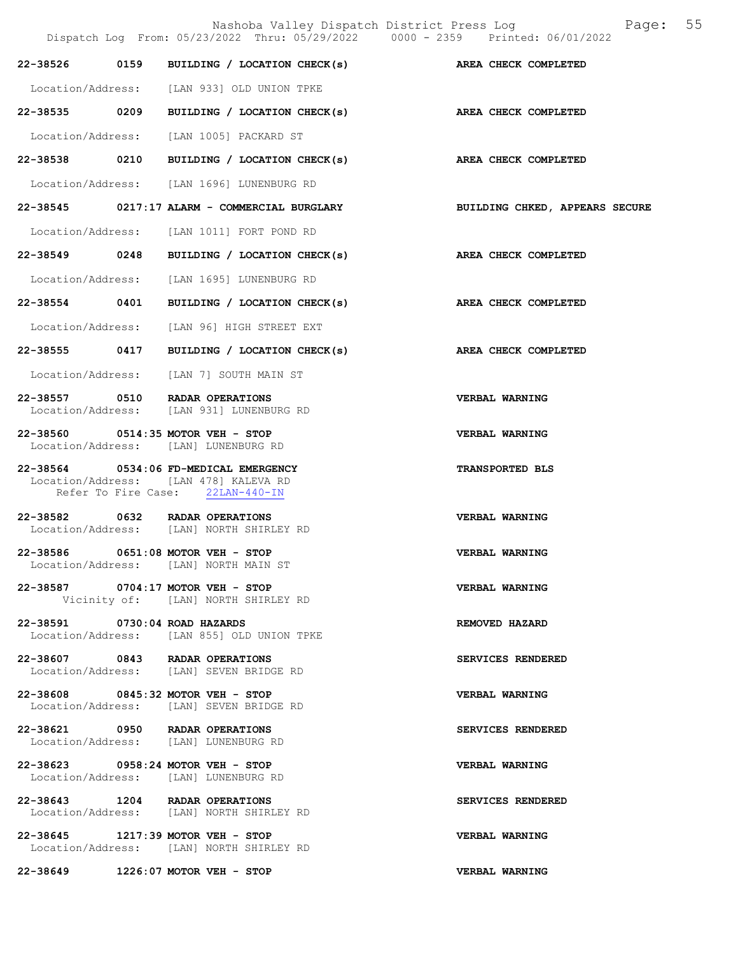|                               |                                                                                                                    | Page: 55<br>Nashoba Valley Dispatch District Press Log<br>Dispatch Log From: 05/23/2022 Thru: 05/29/2022 0000 - 2359 Printed: 06/01/2022 |
|-------------------------------|--------------------------------------------------------------------------------------------------------------------|------------------------------------------------------------------------------------------------------------------------------------------|
|                               |                                                                                                                    | 22-38526 0159 BUILDING / LOCATION CHECK(s) AREA CHECK COMPLETED                                                                          |
|                               | Location/Address: [LAN 933] OLD UNION TPKE                                                                         |                                                                                                                                          |
|                               | 22-38535 0209 BUILDING / LOCATION CHECK(s) AREA CHECK COMPLETED                                                    |                                                                                                                                          |
|                               | Location/Address: [LAN 1005] PACKARD ST                                                                            |                                                                                                                                          |
|                               | 22-38538 0210 BUILDING / LOCATION CHECK(s)                                                                         | AREA CHECK COMPLETED                                                                                                                     |
|                               | Location/Address: [LAN 1696] LUNENBURG RD                                                                          |                                                                                                                                          |
|                               |                                                                                                                    | 22-38545 0217:17 ALARM - COMMERCIAL BURGLARY BUILDING CHKED, APPEARS SECURE                                                              |
|                               | Location/Address: [LAN 1011] FORT POND RD                                                                          |                                                                                                                                          |
|                               | 22-38549 0248 BUILDING / LOCATION CHECK(s) AREA CHECK COMPLETED                                                    |                                                                                                                                          |
|                               | Location/Address: [LAN 1695] LUNENBURG RD                                                                          |                                                                                                                                          |
|                               | 22-38554 0401 BUILDING / LOCATION CHECK(s)                                                                         | AREA CHECK COMPLETED                                                                                                                     |
|                               | Location/Address: [LAN 96] HIGH STREET EXT                                                                         |                                                                                                                                          |
|                               | 22-38555 0417 BUILDING / LOCATION CHECK(s) AREA CHECK COMPLETED                                                    |                                                                                                                                          |
|                               | Location/Address: [LAN 7] SOUTH MAIN ST                                                                            |                                                                                                                                          |
|                               | 22-38557 0510 RADAR OPERATIONS<br>Location/Address: [LAN 931] LUNENBURG RD                                         | VERBAL WARNING                                                                                                                           |
|                               | 22-38560 0514:35 MOTOR VEH - STOP<br>Location/Address: [LAN] LUNENBURG RD                                          | <b>VERBAL WARNING</b>                                                                                                                    |
|                               | 22-38564 0534:06 FD-MEDICAL EMERGENCY<br>Location/Address: [LAN 478] KALEVA RD<br>Refer To Fire Case: 22LAN-440-IN | <b>TRANSPORTED BLS</b>                                                                                                                   |
|                               | 22-38582 0632 RADAR OPERATIONS<br>Location/Address: [LAN] NORTH SHIRLEY RD                                         | VERBAL WARNING                                                                                                                           |
|                               | 22-38586 0651:08 MOTOR VEH - STOP<br>Location/Address: [LAN] NORTH MAIN ST                                         | VERBAL WARNING                                                                                                                           |
|                               | 22-38587 0704:17 MOTOR VEH - STOP<br>Vicinity of: [LAN] NORTH SHIRLEY RD                                           | VERBAL WARNING                                                                                                                           |
| 22-38591 0730:04 ROAD HAZARDS | Location/Address: [LAN 855] OLD UNION TPKE                                                                         | REMOVED HAZARD                                                                                                                           |
|                               | 22-38607 0843 RADAR OPERATIONS<br>Location/Address: [LAN] SEVEN BRIDGE RD                                          | SERVICES RENDERED                                                                                                                        |
|                               | 22-38608 0845:32 MOTOR VEH - STOP<br>Location/Address: [LAN] SEVEN BRIDGE RD                                       | <b>VERBAL WARNING</b>                                                                                                                    |
|                               | 22-38621 0950 RADAR OPERATIONS<br>Location/Address: [LAN] LUNENBURG RD                                             | SERVICES RENDERED                                                                                                                        |
|                               | 22-38623 0958:24 MOTOR VEH - STOP<br>Location/Address: [LAN] LUNENBURG RD                                          | VERBAL WARNING                                                                                                                           |
|                               | 22-38643 1204 RADAR OPERATIONS<br>Location/Address: [LAN] NORTH SHIRLEY RD                                         | SERVICES RENDERED                                                                                                                        |
|                               | 22-38645 1217:39 MOTOR VEH - STOP<br>Location/Address: [LAN] NORTH SHIRLEY RD                                      | VERBAL WARNING                                                                                                                           |
|                               | 22-38649 1226:07 MOTOR VEH - STOP                                                                                  | VERBAL WARNING                                                                                                                           |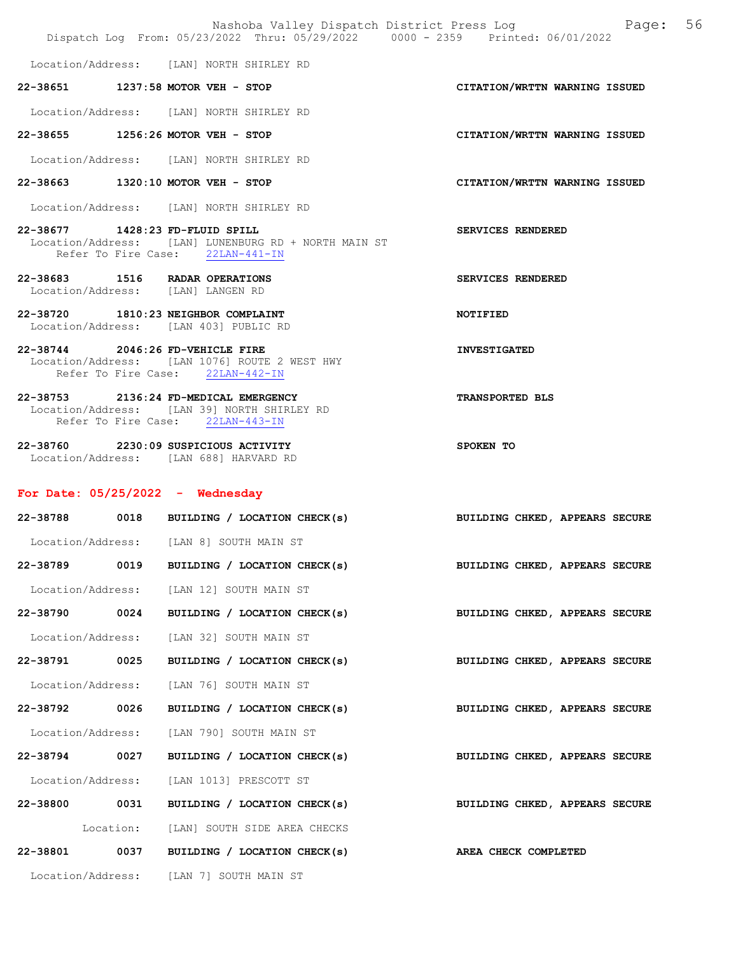|                   |           | Nashoba Valley Dispatch District Press Log<br>Dispatch Log From: 05/23/2022 Thru: 05/29/2022 0000 - 2359 Printed: 06/01/2022 | Page: 56                       |
|-------------------|-----------|------------------------------------------------------------------------------------------------------------------------------|--------------------------------|
|                   |           | Location/Address: [LAN] NORTH SHIRLEY RD                                                                                     |                                |
|                   |           | 22-38651 1237:58 MOTOR VEH - STOP                                                                                            | CITATION/WRTTN WARNING ISSUED  |
|                   |           | Location/Address: [LAN] NORTH SHIRLEY RD                                                                                     |                                |
|                   |           | 22-38655 1256:26 MOTOR VEH - STOP                                                                                            | CITATION/WRTTN WARNING ISSUED  |
|                   |           | Location/Address: [LAN] NORTH SHIRLEY RD                                                                                     |                                |
|                   |           | 22-38663 1320:10 MOTOR VEH - STOP                                                                                            | CITATION/WRTTN WARNING ISSUED  |
|                   |           | Location/Address: [LAN] NORTH SHIRLEY RD                                                                                     |                                |
|                   |           | 22-38677 1428:23 FD-FLUID SPILL<br>Location/Address: [LAN] LUNENBURG RD + NORTH MAIN ST<br>Refer To Fire Case: 22LAN-441-IN  | SERVICES RENDERED              |
|                   |           | 22-38683 1516 RADAR OPERATIONS<br>Location/Address: [LAN] LANGEN RD                                                          | SERVICES RENDERED              |
|                   |           | 22-38720 1810:23 NEIGHBOR COMPLAINT<br>Location/Address: [LAN 403] PUBLIC RD                                                 | <b>NOTIFIED</b>                |
|                   |           | 22-38744 2046:26 FD-VEHICLE FIRE<br>Location/Address: [LAN 1076] ROUTE 2 WEST HWY<br>Refer To Fire Case: 22LAN-442-IN        | <b>INVESTIGATED</b>            |
|                   |           | 22-38753 2136:24 FD-MEDICAL EMERGENCY<br>Location/Address: [LAN 39] NORTH SHIRLEY RD<br>Refer To Fire Case: 22LAN-443-IN     | <b>TRANSPORTED BLS</b>         |
|                   |           | 22-38760 2230:09 SUSPICIOUS ACTIVITY<br>Location/Address: [LAN 688] HARVARD RD                                               | SPOKEN TO                      |
|                   |           | For Date: $05/25/2022 -$ Wednesday                                                                                           |                                |
|                   |           | 22-38788 0018 BUILDING / LOCATION CHECK(s)                                                                                   | BUILDING CHKED, APPEARS SECURE |
|                   |           | Location/Address: [LAN 8] SOUTH MAIN ST                                                                                      |                                |
| 22-38789          | 0019      | BUILDING / LOCATION CHECK(s)                                                                                                 | BUILDING CHKED, APPEARS SECURE |
| Location/Address: |           | [LAN 12] SOUTH MAIN ST                                                                                                       |                                |
| 22-38790          | 0024      | BUILDING / LOCATION CHECK(s)                                                                                                 | BUILDING CHKED, APPEARS SECURE |
| Location/Address: |           | [LAN 32] SOUTH MAIN ST                                                                                                       |                                |
| 22-38791          | 0025      | BUILDING / LOCATION CHECK(s)                                                                                                 | BUILDING CHKED, APPEARS SECURE |
| Location/Address: |           | [LAN 76] SOUTH MAIN ST                                                                                                       |                                |
| 22-38792 0026     |           | BUILDING / LOCATION CHECK(s)                                                                                                 | BUILDING CHKED, APPEARS SECURE |
| Location/Address: |           | [LAN 790] SOUTH MAIN ST                                                                                                      |                                |
| 22-38794 0027     |           | BUILDING / LOCATION CHECK(s)                                                                                                 | BUILDING CHKED, APPEARS SECURE |
| Location/Address: |           | [LAN 1013] PRESCOTT ST                                                                                                       |                                |
| 22-38800          | 0031      | BUILDING / LOCATION CHECK(s)                                                                                                 | BUILDING CHKED, APPEARS SECURE |
|                   | Location: | [LAN] SOUTH SIDE AREA CHECKS                                                                                                 |                                |
| 22-38801          | 0037      | BUILDING / LOCATION CHECK(s)                                                                                                 | AREA CHECK COMPLETED           |
|                   |           | Location/Address: [LAN 7] SOUTH MAIN ST                                                                                      |                                |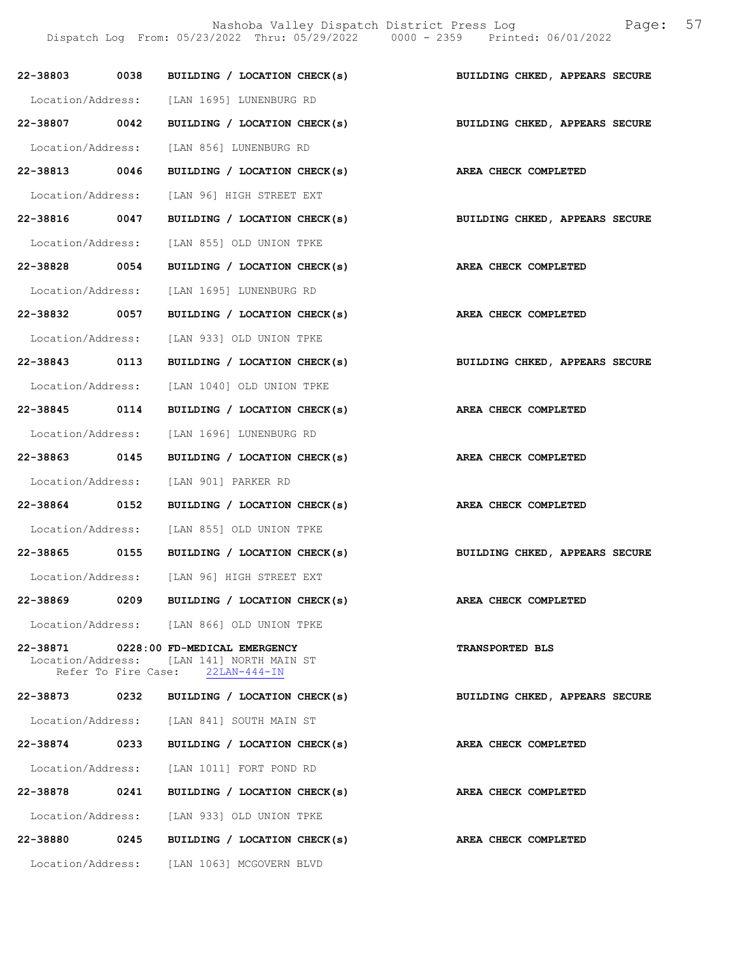Nashoba Valley Dispatch District Press Log Fage: 57 Dispatch Log From: 05/23/2022 Thru: 05/29/2022 0000 - 2359 Printed: 06/01/2022

| 22-38803 0038     |      | BUILDING / LOCATION CHECK(s)                                                       | BUILDING CHKED, APPEARS SECURE |
|-------------------|------|------------------------------------------------------------------------------------|--------------------------------|
|                   |      | Location/Address: [LAN 1695] LUNENBURG RD                                          |                                |
| 22-38807 0042     |      | BUILDING / LOCATION CHECK(s)                                                       | BUILDING CHKED, APPEARS SECURE |
|                   |      | Location/Address: [LAN 856] LUNENBURG RD                                           |                                |
| 22-38813 0046     |      | BUILDING / LOCATION CHECK(s)                                                       | AREA CHECK COMPLETED           |
|                   |      | Location/Address: [LAN 96] HIGH STREET EXT                                         |                                |
|                   |      | 22-38816 0047 BUILDING / LOCATION CHECK(s) BUILDING CHKED, APPEARS SECURE          |                                |
|                   |      | Location/Address: [LAN 855] OLD UNION TPKE                                         |                                |
| 22-38828 0054     |      | BUILDING / LOCATION CHECK(s) AREA CHECK COMPLETED                                  |                                |
|                   |      | Location/Address: [LAN 1695] LUNENBURG RD                                          |                                |
| 22-38832 0057     |      | BUILDING / LOCATION CHECK(s)                                                       | AREA CHECK COMPLETED           |
|                   |      | Location/Address: [LAN 933] OLD UNION TPKE                                         |                                |
| 22-38843 0113     |      | BUILDING / LOCATION CHECK(s)                                                       | BUILDING CHKED, APPEARS SECURE |
|                   |      | Location/Address: [LAN 1040] OLD UNION TPKE                                        |                                |
| 22-38845 0114     |      | BUILDING / LOCATION CHECK(s)                                                       | <b>AREA CHECK COMPLETED</b>    |
|                   |      | Location/Address: [LAN 1696] LUNENBURG RD                                          |                                |
| 22-38863 0145     |      | BUILDING / LOCATION CHECK(s)                                                       | AREA CHECK COMPLETED           |
|                   |      | Location/Address: [LAN 901] PARKER RD                                              |                                |
| 22-38864 0152     |      | BUILDING / LOCATION CHECK(s) AREA CHECK COMPLETED                                  |                                |
|                   |      | Location/Address: [LAN 855] OLD UNION TPKE                                         |                                |
|                   |      | 22-38865 0155 BUILDING / LOCATION CHECK(s)                                         | BUILDING CHKED, APPEARS SECURE |
|                   |      | Location/Address: [LAN 96] HIGH STREET EXT                                         |                                |
| 22-38869          | 0209 | BUILDING / LOCATION CHECK(s)                                                       | AREA CHECK COMPLETED           |
|                   |      | Location/Address: [LAN 866] OLD UNION TPKE                                         |                                |
|                   |      | 22-38871 0228:00 FD-MEDICAL EMERGENCY<br>Location/Address: [LAN 141] NORTH MAIN ST | <b>TRANSPORTED BLS</b>         |
|                   |      | Refer To Fire Case: 22LAN-444-IN                                                   |                                |
| 22-38873          | 0232 | BUILDING / LOCATION CHECK(s)                                                       | BUILDING CHKED, APPEARS SECURE |
|                   |      | Location/Address: [LAN 841] SOUTH MAIN ST                                          |                                |
| 22-38874          | 0233 | BUILDING / LOCATION CHECK(s)                                                       | AREA CHECK COMPLETED           |
|                   |      | Location/Address: [LAN 1011] FORT POND RD                                          |                                |
| 22-38878 0241     |      | BUILDING / LOCATION CHECK(s)                                                       | AREA CHECK COMPLETED           |
| Location/Address: |      | [LAN 933] OLD UNION TPKE                                                           |                                |
| 22-38880 0245     |      | BUILDING / LOCATION CHECK(s)                                                       | AREA CHECK COMPLETED           |
|                   |      | Location/Address: [LAN 1063] MCGOVERN BLVD                                         |                                |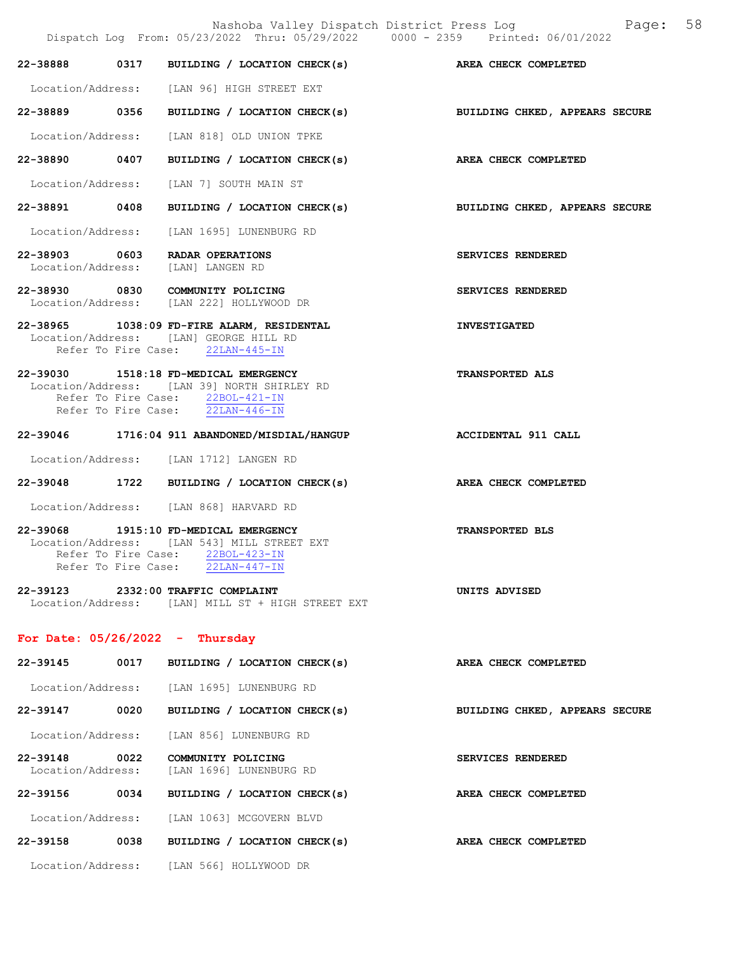|                               |      | Nashoba Valley Dispatch District Press Log<br>Dispatch Log From: 05/23/2022 Thru: 05/29/2022 0000 - 2359 Printed: 06/01/2022                                 | 58<br>Page:                    |
|-------------------------------|------|--------------------------------------------------------------------------------------------------------------------------------------------------------------|--------------------------------|
| 22-38888                      |      | 0317 BUILDING / LOCATION CHECK(s) AREA CHECK COMPLETED                                                                                                       |                                |
|                               |      | Location/Address: [LAN 96] HIGH STREET EXT                                                                                                                   |                                |
| 22-38889 0356                 |      | BUILDING / LOCATION CHECK(s)                                                                                                                                 | BUILDING CHKED, APPEARS SECURE |
| Location/Address:             |      | [LAN 818] OLD UNION TPKE                                                                                                                                     |                                |
| 22-38890 0407                 |      | BUILDING / LOCATION CHECK(s) AREA CHECK COMPLETED                                                                                                            |                                |
|                               |      | Location/Address: [LAN 7] SOUTH MAIN ST                                                                                                                      |                                |
| 22-38891 0408                 |      | BUILDING / LOCATION CHECK(s)                                                                                                                                 | BUILDING CHKED, APPEARS SECURE |
| Location/Address:             |      | [LAN 1695] LUNENBURG RD                                                                                                                                      |                                |
|                               |      | 22-38903 0603 RADAR OPERATIONS<br>Location/Address: [LAN] LANGEN RD                                                                                          | SERVICES RENDERED              |
|                               |      | 22-38930 0830 COMMUNITY POLICING<br>Location/Address: [LAN 222] HOLLYWOOD DR                                                                                 | SERVICES RENDERED              |
|                               |      | 22-38965 1038:09 FD-FIRE ALARM, RESIDENTAL<br>Location/Address: [LAN] GEORGE HILL RD<br>Refer To Fire Case: 22LAN-445-IN                                     | <b>INVESTIGATED</b>            |
|                               |      | 22-39030 1518:18 FD-MEDICAL EMERGENCY<br>Location/Address: [LAN 39] NORTH SHIRLEY RD<br>Refer To Fire Case: 22BOL-421-IN<br>Refer To Fire Case: 22LAN-446-IN | <b>TRANSPORTED ALS</b>         |
|                               |      | 22-39046 1716:04 911 ABANDONED/MISDIAL/HANGUP                                                                                                                | <b>ACCIDENTAL 911 CALL</b>     |
|                               |      | Location/Address: [LAN 1712] LANGEN RD                                                                                                                       |                                |
| 22-39048                      |      | 1722 BUILDING / LOCATION CHECK(s)                                                                                                                            | AREA CHECK COMPLETED           |
|                               |      | Location/Address: [LAN 868] HARVARD RD                                                                                                                       |                                |
|                               |      | 22-39068 1915:10 FD-MEDICAL EMERGENCY<br>Location/Address: [LAN 543] MILL STREET EXT<br>Refer To Fire Case: 22BOL-423-IN<br>Refer To Fire Case: 22LAN-447-IN | TRANSPORTED BLS                |
|                               |      | 22-39123 2332:00 TRAFFIC COMPLAINT<br>Location/Address: [LAN] MILL ST + HIGH STREET EXT                                                                      | UNITS ADVISED                  |
|                               |      | For Date: $05/26/2022 -$ Thursday                                                                                                                            |                                |
| 22-39145                      | 0017 | BUILDING / LOCATION CHECK(s)                                                                                                                                 | AREA CHECK COMPLETED           |
|                               |      | Location/Address: [LAN 1695] LUNENBURG RD                                                                                                                    |                                |
| 22-39147 0020                 |      | BUILDING / LOCATION CHECK(s)                                                                                                                                 | BUILDING CHKED, APPEARS SECURE |
| Location/Address:             |      | [LAN 856] LUNENBURG RD                                                                                                                                       |                                |
| 22-39148<br>Location/Address: | 0022 | COMMUNITY POLICING<br>[LAN 1696] LUNENBURG RD                                                                                                                | SERVICES RENDERED              |
| 22-39156                      | 0034 | BUILDING / LOCATION CHECK(s)                                                                                                                                 | AREA CHECK COMPLETED           |
|                               |      | Location/Address: [LAN 1063] MCGOVERN BLVD                                                                                                                   |                                |
|                               |      | $22-39158$ 0038 BUILDING / LOCATION CHECK(s)                                                                                                                 | AREA CHECK COMPLETED           |
|                               |      | Location/Address: [LAN 566] HOLLYWOOD DR                                                                                                                     |                                |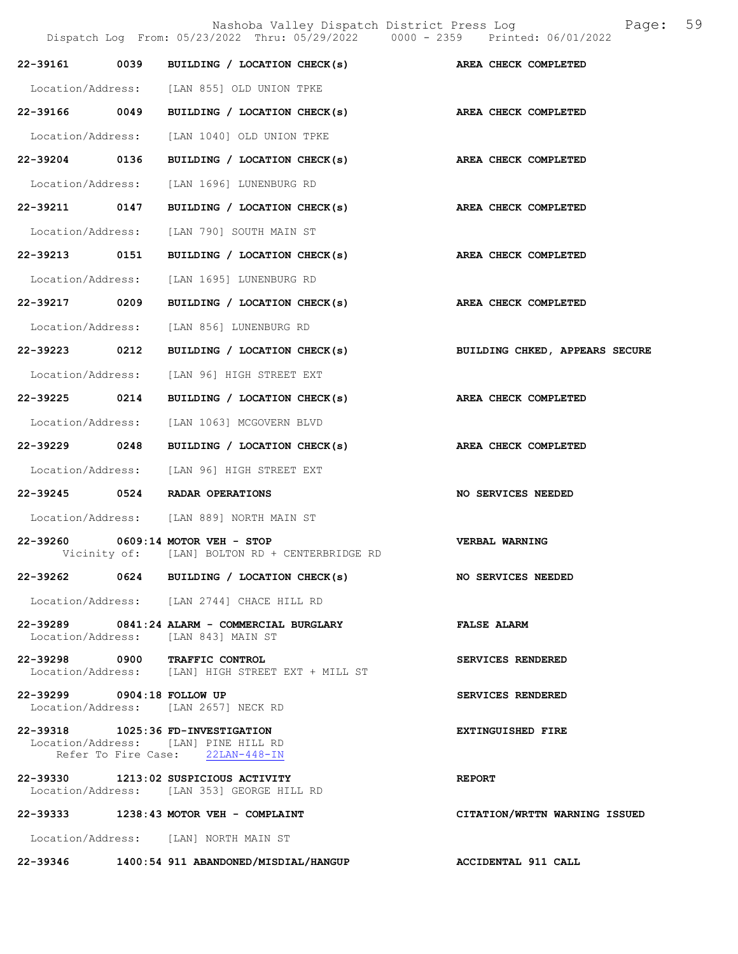|                            |      | Nashoba Valley Dispatch District Press Log<br>Dispatch Log From: 05/23/2022 Thru: 05/29/2022 0000 - 2359 Printed: 06/01/2022 | 59<br>Page:                    |
|----------------------------|------|------------------------------------------------------------------------------------------------------------------------------|--------------------------------|
| 22-39161 0039              |      | BUILDING / LOCATION CHECK(s) AREA CHECK COMPLETED                                                                            |                                |
|                            |      | Location/Address: [LAN 855] OLD UNION TPKE                                                                                   |                                |
| 22-39166 0049              |      | BUILDING / LOCATION CHECK(s) AREA CHECK COMPLETED                                                                            |                                |
| Location/Address:          |      | [LAN 1040] OLD UNION TPKE                                                                                                    |                                |
| 22-39204 0136              |      | BUILDING / LOCATION CHECK(s)                                                                                                 | AREA CHECK COMPLETED           |
| Location/Address:          |      | [LAN 1696] LUNENBURG RD                                                                                                      |                                |
| 22-39211 0147              |      | BUILDING / LOCATION CHECK(s)                                                                                                 | AREA CHECK COMPLETED           |
| Location/Address:          |      | [LAN 790] SOUTH MAIN ST                                                                                                      |                                |
| 22-39213 0151              |      | BUILDING / LOCATION CHECK(s)                                                                                                 | AREA CHECK COMPLETED           |
| Location/Address:          |      | [LAN 1695] LUNENBURG RD                                                                                                      |                                |
| 22-39217 0209              |      | BUILDING / LOCATION CHECK(s)                                                                                                 | AREA CHECK COMPLETED           |
| Location/Address:          |      | [LAN 856] LUNENBURG RD                                                                                                       |                                |
| 22-39223                   | 0212 | BUILDING / LOCATION CHECK(s)                                                                                                 | BUILDING CHKED, APPEARS SECURE |
| Location/Address:          |      | [LAN 96] HIGH STREET EXT                                                                                                     |                                |
| 22-39225 0214              |      | BUILDING / LOCATION CHECK(s)                                                                                                 | AREA CHECK COMPLETED           |
| Location/Address:          |      | [LAN 1063] MCGOVERN BLVD                                                                                                     |                                |
| 22-39229 0248              |      | BUILDING / LOCATION CHECK(s)                                                                                                 | AREA CHECK COMPLETED           |
| Location/Address:          |      | [LAN 96] HIGH STREET EXT                                                                                                     |                                |
| 22-39245                   | 0524 | RADAR OPERATIONS                                                                                                             | NO SERVICES NEEDED             |
|                            |      | Location/Address: [LAN 889] NORTH MAIN ST                                                                                    |                                |
|                            |      | 22-39260 0609:14 MOTOR VEH - STOP<br>Vicinity of: [LAN] BOLTON RD + CENTERBRIDGE RD                                          | <b>VERBAL WARNING</b>          |
|                            |      | 22-39262 0624 BUILDING / LOCATION CHECK(s) NO SERVICES NEEDED                                                                |                                |
|                            |      | Location/Address: [LAN 2744] CHACE HILL RD                                                                                   |                                |
|                            |      | 22-39289 0841:24 ALARM - COMMERCIAL BURGLARY<br>Location/Address: [LAN 843] MAIN ST                                          | <b>FALSE ALARM</b>             |
|                            |      | 22-39298 0900 TRAFFIC CONTROL<br>Location/Address: [LAN] HIGH STREET EXT + MILL ST                                           | SERVICES RENDERED              |
| 22-39299 0904:18 FOLLOW UP |      | Location/Address: [LAN 2657] NECK RD                                                                                         | SERVICES RENDERED              |
|                            |      | 22-39318 1025:36 FD-INVESTIGATION<br>Location/Address: [LAN] PINE HILL RD<br>Refer To Fire Case: 22LAN-448-IN                | EXTINGUISHED FIRE              |
|                            |      | 22-39330 1213:02 SUSPICIOUS ACTIVITY<br>Location/Address: [LAN 353] GEORGE HILL RD                                           | <b>REPORT</b>                  |
|                            |      | 22-39333 1238:43 MOTOR VEH - COMPLAINT                                                                                       | CITATION/WRTTN WARNING ISSUED  |
|                            |      | Location/Address: [LAN] NORTH MAIN ST                                                                                        |                                |

22-39346 1400:54 911 ABANDONED/MISDIAL/HANGUP ACCIDENTAL 911 CALL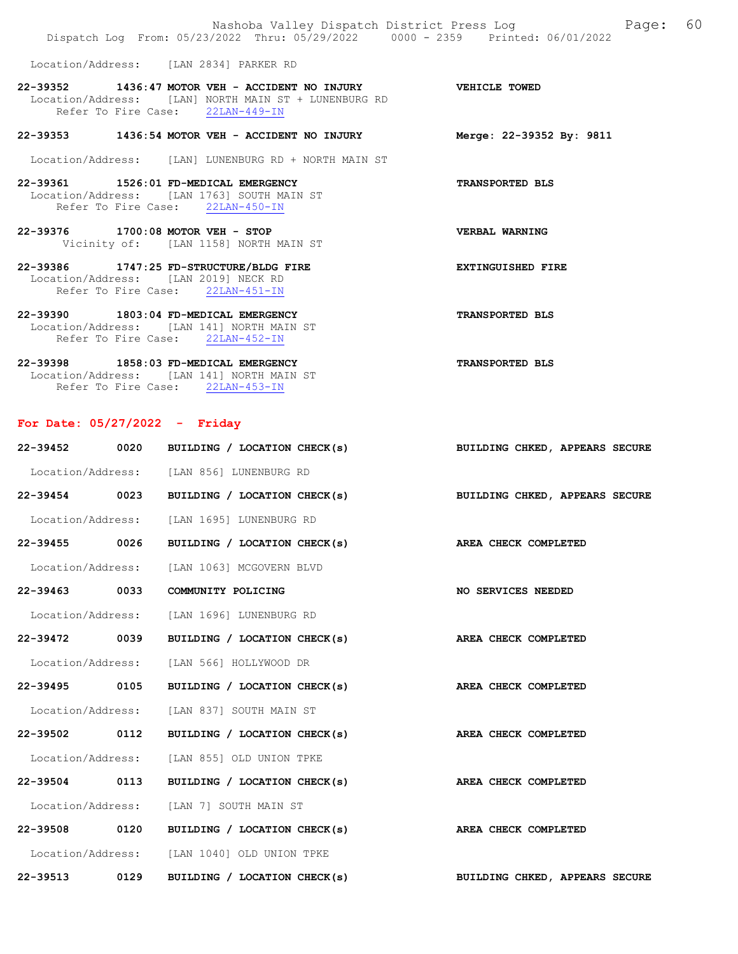| Nashoba Valley Dispatch District Press Log Nashoba Valley Dispatch District Press Log<br>Dispatch Log From: 05/23/2022 Thru: 05/29/2022 0000 - 2359 Printed: 06/01/2022 | 60                       |
|-------------------------------------------------------------------------------------------------------------------------------------------------------------------------|--------------------------|
| Location/Address: [LAN 2834] PARKER RD                                                                                                                                  |                          |
| 22-39352 1436:47 MOTOR VEH - ACCIDENT NO INJURY WEHICLE TOWED<br>Location/Address: [LAN] NORTH MAIN ST + LUNENBURG RD<br>Refer To Fire Case: 22LAN-449-IN               |                          |
| 22-39353 1436:54 MOTOR VEH - ACCIDENT NO INJURY                                                                                                                         | Merge: 22-39352 By: 9811 |
| Location/Address: [LAN] LUNENBURG RD + NORTH MAIN ST                                                                                                                    |                          |
| 22-39361 1526:01 FD-MEDICAL EMERGENCY<br>Location/Address: [LAN 1763] SOUTH MAIN ST<br>Refer To Fire Case: 22LAN-450-IN                                                 | <b>TRANSPORTED BLS</b>   |
| 22-39376 1700:08 MOTOR VEH - STOP<br>Vicinity of: [LAN 1158] NORTH MAIN ST                                                                                              | VERBAL WARNING           |
| 22-39386 1747:25 FD-STRUCTURE/BLDG FIRE<br>Location/Address: [LAN 2019] NECK RD<br>Refer To Fire Case: 22LAN-451-IN                                                     | <b>EXTINGUISHED FIRE</b> |
| $22-39390$ 1803:04 FD-MEDICAL EMERGENCY<br>Location/Address: [LAN 141] NORTH MAIN ST<br>Refer To Fire Case: 22LAN-452-IN                                                | <b>TRANSPORTED BLS</b>   |
| 22-39398 1858:03 FD-MEDICAL EMERGENCY<br>Location/Address: [LAN 141] NORTH MAIN ST                                                                                      | <b>TRANSPORTED BLS</b>   |

For Date: 05/27/2022 - Friday

Refer To Fire Case: 22LAN-453-IN

| 22-39452 0020     | BUILDING / LOCATION CHECK(s)                      | BUILDING CHKED, APPEARS SECURE |
|-------------------|---------------------------------------------------|--------------------------------|
|                   | Location/Address: [LAN 856] LUNENBURG RD          |                                |
| 22-39454 0023     | BUILDING / LOCATION CHECK(s)                      | BUILDING CHKED, APPEARS SECURE |
| Location/Address: | [LAN 1695] LUNENBURG RD                           |                                |
| 22-39455 0026     | BUILDING / LOCATION CHECK(s) AREA CHECK COMPLETED |                                |
| Location/Address: | [LAN 1063] MCGOVERN BLVD                          |                                |
| 22-39463 0033     | COMMUNITY POLICING                                | NO SERVICES NEEDED             |
|                   | Location/Address: [LAN 1696] LUNENBURG RD         |                                |
| 22-39472 0039     | BUILDING / LOCATION CHECK(s) AREA CHECK COMPLETED |                                |
|                   | Location/Address: [LAN 566] HOLLYWOOD DR          |                                |
| 22-39495 0105     | BUILDING / LOCATION CHECK(s) AREA CHECK COMPLETED |                                |
|                   | Location/Address: [LAN 837] SOUTH MAIN ST         |                                |
| 22-39502 0112     | BUILDING / LOCATION CHECK(s)                      | AREA CHECK COMPLETED           |
|                   | Location/Address: [LAN 855] OLD UNION TPKE        |                                |
| 22-39504 0113     | BUILDING / LOCATION CHECK(s) AREA CHECK COMPLETED |                                |
|                   | Location/Address: [LAN 7] SOUTH MAIN ST           |                                |
| 22-39508 0120     | BUILDING / LOCATION CHECK(s) AREA CHECK COMPLETED |                                |
|                   | Location/Address: [LAN 1040] OLD UNION TPKE       |                                |
| 22-39513 0129     | BUILDING / LOCATION CHECK(s)                      | BUILDING CHKED, APPEARS SECURE |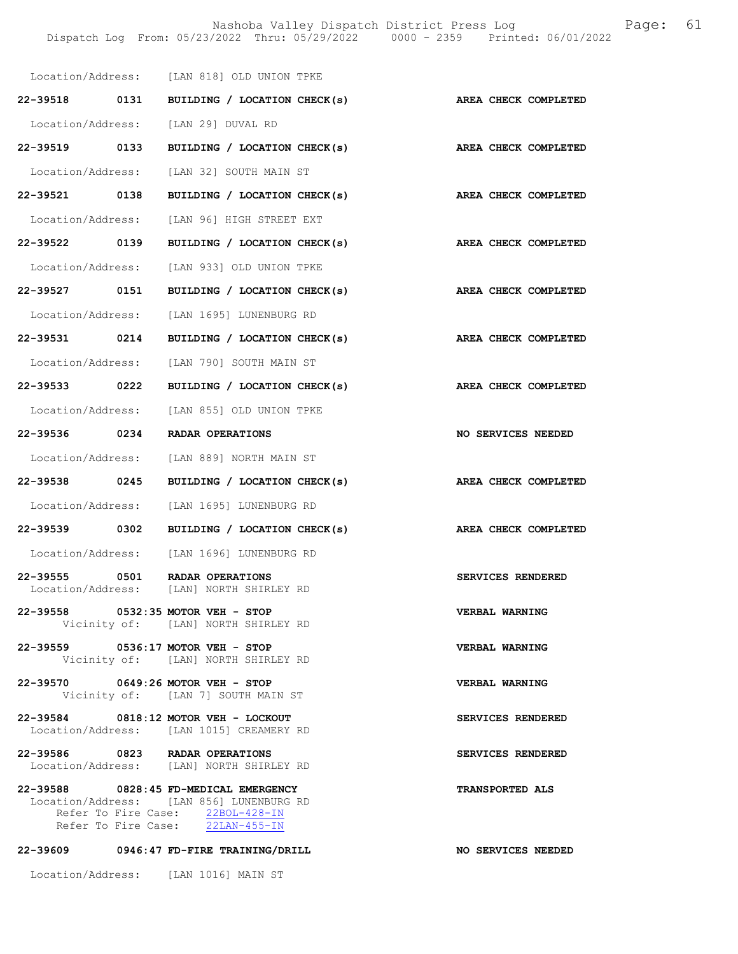|                                    | Location/Address: [LAN 818] OLD UNION TPKE                                                                                                                |                        |
|------------------------------------|-----------------------------------------------------------------------------------------------------------------------------------------------------------|------------------------|
|                                    | 22-39518 0131 BUILDING / LOCATION CHECK(s)                                                                                                                | AREA CHECK COMPLETED   |
|                                    | Location/Address: [LAN 29] DUVAL RD                                                                                                                       |                        |
| 22-39519 0133                      | BUILDING / LOCATION CHECK(s)                                                                                                                              | AREA CHECK COMPLETED   |
|                                    | Location/Address: [LAN 32] SOUTH MAIN ST                                                                                                                  |                        |
| 22-39521 0138                      | BUILDING / LOCATION CHECK(s)                                                                                                                              | AREA CHECK COMPLETED   |
|                                    | Location/Address: [LAN 96] HIGH STREET EXT                                                                                                                |                        |
| 22-39522 0139                      | BUILDING / LOCATION CHECK(s)                                                                                                                              | AREA CHECK COMPLETED   |
|                                    | Location/Address: [LAN 933] OLD UNION TPKE                                                                                                                |                        |
|                                    | 22-39527 0151 BUILDING / LOCATION CHECK(s)                                                                                                                | AREA CHECK COMPLETED   |
|                                    | Location/Address: [LAN 1695] LUNENBURG RD                                                                                                                 |                        |
| 22-39531 0214                      | BUILDING / LOCATION CHECK(s)                                                                                                                              | AREA CHECK COMPLETED   |
|                                    | Location/Address: [LAN 790] SOUTH MAIN ST                                                                                                                 |                        |
| 22-39533 0222                      | BUILDING / LOCATION CHECK(s)                                                                                                                              | AREA CHECK COMPLETED   |
|                                    | Location/Address: [LAN 855] OLD UNION TPKE                                                                                                                |                        |
|                                    | 22-39536 0234 RADAR OPERATIONS                                                                                                                            | NO SERVICES NEEDED     |
|                                    | Location/Address: [LAN 889] NORTH MAIN ST                                                                                                                 |                        |
| 22-39538 0245                      | BUILDING / LOCATION CHECK(s)                                                                                                                              | AREA CHECK COMPLETED   |
|                                    | Location/Address: [LAN 1695] LUNENBURG RD                                                                                                                 |                        |
| 22-39539 0302                      | BUILDING / LOCATION CHECK(s)                                                                                                                              | AREA CHECK COMPLETED   |
|                                    | Location/Address: [LAN 1696] LUNENBURG RD                                                                                                                 |                        |
| 22-39555 0501<br>Location/Address: | <b>RADAR OPERATIONS</b>                                                                                                                                   |                        |
|                                    | [LAN] NORTH SHIRLEY RD                                                                                                                                    | SERVICES RENDERED      |
|                                    | 22-39558 0532:35 MOTOR VEH - STOP<br>Vicinity of: [LAN] NORTH SHIRLEY RD                                                                                  | VERBAL WARNING         |
|                                    | 22-39559 0536:17 MOTOR VEH - STOP<br>Vicinity of: [LAN] NORTH SHIRLEY RD                                                                                  | <b>VERBAL WARNING</b>  |
|                                    | 22-39570 0649:26 MOTOR VEH - STOP<br>Vicinity of: [LAN 7] SOUTH MAIN ST                                                                                   | VERBAL WARNING         |
|                                    | 22-39584 0818:12 MOTOR VEH - LOCKOUT<br>Location/Address: [LAN 1015] CREAMERY RD                                                                          | SERVICES RENDERED      |
|                                    | 22-39586 0823 RADAR OPERATIONS<br>Location/Address: [LAN] NORTH SHIRLEY RD                                                                                | SERVICES RENDERED      |
|                                    | 22-39588 0828:45 FD-MEDICAL EMERGENCY<br>Location/Address: [LAN 856] LUNENBURG RD<br>Refer To Fire Case: 22BOL-428-IN<br>Refer To Fire Case: 22LAN-455-IN | <b>TRANSPORTED ALS</b> |
|                                    | 22-39609 0946:47 FD-FIRE TRAINING/DRILL                                                                                                                   | NO SERVICES NEEDED     |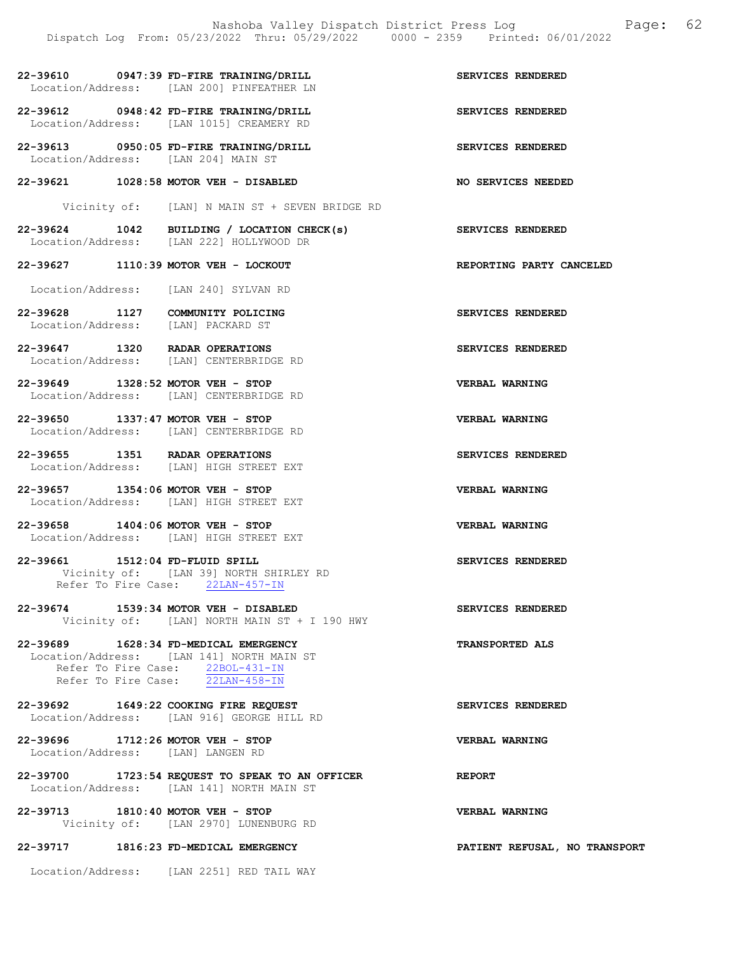|                                 | Dispatch Log From: 05/23/2022 Thru: 05/29/2022 0000 - 2359 Printed: 06/01/2022                                                                             |                               |
|---------------------------------|------------------------------------------------------------------------------------------------------------------------------------------------------------|-------------------------------|
|                                 | 22-39610 0947:39 FD-FIRE TRAINING/DRILL<br>Location/Address: [LAN 200] PINFEATHER LN                                                                       | SERVICES RENDERED             |
|                                 | 22-39612 0948:42 FD-FIRE TRAINING/DRILL<br>Location/Address: [LAN 1015] CREAMERY RD                                                                        | SERVICES RENDERED             |
|                                 | 22-39613 0950:05 FD-FIRE TRAINING/DRILL<br>Location/Address: [LAN 204] MAIN ST                                                                             | SERVICES RENDERED             |
|                                 | 22-39621 1028:58 MOTOR VEH - DISABLED                                                                                                                      | <b>NO SERVICES NEEDED</b>     |
|                                 | Vicinity of: [LAN] N MAIN ST + SEVEN BRIDGE RD                                                                                                             |                               |
|                                 | 22-39624 1042 BUILDING / LOCATION CHECK(s)<br>Location/Address: [LAN 222] HOLLYWOOD DR                                                                     | <b>SERVICES RENDERED</b>      |
|                                 | 22-39627 1110:39 MOTOR VEH - LOCKOUT                                                                                                                       | REPORTING PARTY CANCELED      |
|                                 | Location/Address: [LAN 240] SYLVAN RD                                                                                                                      |                               |
|                                 | 22-39628 1127 COMMUNITY POLICING<br>Location/Address: [LAN] PACKARD ST                                                                                     | SERVICES RENDERED             |
|                                 | 22-39647 1320 RADAR OPERATIONS<br>Location/Address: [LAN] CENTERBRIDGE RD                                                                                  | SERVICES RENDERED             |
|                                 | 22-39649 1328:52 MOTOR VEH - STOP<br>Location/Address: [LAN] CENTERBRIDGE RD                                                                               | VERBAL WARNING                |
|                                 | 22-39650 1337:47 MOTOR VEH - STOP<br>Location/Address: [LAN] CENTERBRIDGE RD                                                                               | <b>VERBAL WARNING</b>         |
|                                 | 22-39655 1351 RADAR OPERATIONS<br>Location/Address: [LAN] HIGH STREET EXT                                                                                  | SERVICES RENDERED             |
|                                 | 22-39657 1354:06 MOTOR VEH - STOP<br>Location/Address: [LAN] HIGH STREET EXT                                                                               | VERBAL WARNING                |
|                                 | 22-39658 1404:06 MOTOR VEH - STOP<br>Location/Address: [LAN] HIGH STREET EXT                                                                               | <b>VERBAL WARNING</b>         |
| 22-39661 1512:04 FD-FLUID SPILL | Vicinity of: [LAN 39] NORTH SHIRLEY RD<br>Refer To Fire Case: 22LAN-457-IN                                                                                 | SERVICES RENDERED             |
|                                 | 22-39674 1539:34 MOTOR VEH - DISABLED<br>Vicinity of: [LAN] NORTH MAIN ST + I 190 HWY                                                                      | SERVICES RENDERED             |
|                                 | 22-39689 1628:34 FD-MEDICAL EMERGENCY<br>Location/Address: [LAN 141] NORTH MAIN ST<br>Refer To Fire Case: 22BOL-431-IN<br>Refer To Fire Case: 22LAN-458-IN | TRANSPORTED ALS               |
|                                 | 22-39692 1649:22 COOKING FIRE REQUEST<br>Location/Address: [LAN 916] GEORGE HILL RD                                                                        | SERVICES RENDERED             |
|                                 | 22-39696 1712:26 MOTOR VEH - STOP<br>Location/Address: [LAN] LANGEN RD                                                                                     | VERBAL WARNING                |
|                                 | 22-39700 1723:54 REQUEST TO SPEAK TO AN OFFICER<br>Location/Address: [LAN 141] NORTH MAIN ST                                                               | <b>REPORT</b>                 |
|                                 | 22-39713 1810:40 MOTOR VEH - STOP<br>Vicinity of: [LAN 2970] LUNENBURG RD                                                                                  | <b>VERBAL WARNING</b>         |
|                                 | 22-39717 1816:23 FD-MEDICAL EMERGENCY                                                                                                                      | PATIENT REFUSAL, NO TRANSPORT |
|                                 | Location/Address: [LAN 2251] RED TAIL WAY                                                                                                                  |                               |

Nashoba Valley Dispatch District Press Log Fage: 62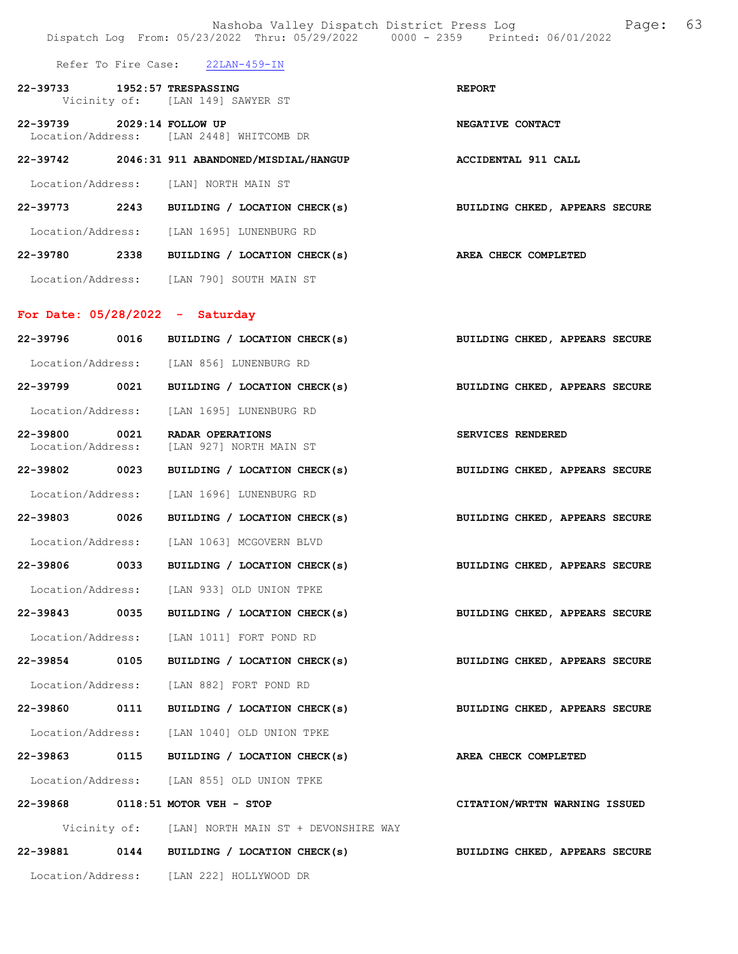|                               |      | Nashoba Valley Dispatch District Press Loq<br>Dispatch Log From: 05/23/2022 Thru: 05/29/2022 0000 - 2359 Printed: 06/01/2022 | Page: 63                       |
|-------------------------------|------|------------------------------------------------------------------------------------------------------------------------------|--------------------------------|
|                               |      | Refer To Fire Case: 22LAN-459-IN                                                                                             |                                |
| 22-39733 1952:57 TRESPASSING  |      | Vicinity of: [LAN 149] SAWYER ST                                                                                             | <b>REPORT</b>                  |
| 22-39739 2029:14 FOLLOW UP    |      | Location/Address: [LAN 2448] WHITCOMB DR                                                                                     | NEGATIVE CONTACT               |
|                               |      | 22-39742 2046:31 911 ABANDONED/MISDIAL/HANGUP                                                                                | ACCIDENTAL 911 CALL            |
|                               |      | Location/Address: [LAN] NORTH MAIN ST                                                                                        |                                |
|                               |      | 22-39773 2243 BUILDING / LOCATION CHECK(s)                                                                                   | BUILDING CHKED, APPEARS SECURE |
|                               |      | Location/Address: [LAN 1695] LUNENBURG RD                                                                                    |                                |
|                               |      | 22-39780 2338 BUILDING / LOCATION CHECK(s)                                                                                   | AREA CHECK COMPLETED           |
|                               |      | Location/Address: [LAN 790] SOUTH MAIN ST                                                                                    |                                |
|                               |      | For Date: $05/28/2022 -$ Saturday                                                                                            |                                |
|                               |      | 22-39796 0016 BUILDING / LOCATION CHECK(s)                                                                                   | BUILDING CHKED, APPEARS SECURE |
|                               |      | Location/Address: [LAN 856] LUNENBURG RD                                                                                     |                                |
|                               |      | 22-39799 0021 BUILDING / LOCATION CHECK(s)                                                                                   | BUILDING CHKED, APPEARS SECURE |
| Location/Address:             |      | [LAN 1695] LUNENBURG RD                                                                                                      |                                |
| 22-39800<br>Location/Address: | 0021 | RADAR OPERATIONS<br>[LAN 927] NORTH MAIN ST                                                                                  | SERVICES RENDERED              |
| 22-39802 0023                 |      | BUILDING / LOCATION CHECK(s)                                                                                                 | BUILDING CHKED, APPEARS SECURE |
| Location/Address:             |      | [LAN 1696] LUNENBURG RD                                                                                                      |                                |
| 22-39803 0026                 |      | BUILDING / LOCATION CHECK(s)                                                                                                 | BUILDING CHKED, APPEARS SECURE |
|                               |      | Location/Address: [LAN 1063] MCGOVERN BLVD                                                                                   |                                |
| 22-39806                      | 0033 | BUILDING / LOCATION CHECK(s)                                                                                                 | BUILDING CHKED, APPEARS SECURE |
|                               |      | Location/Address: [LAN 933] OLD UNION TPKE                                                                                   |                                |
| 22-39843 0035                 |      | BUILDING / LOCATION CHECK(s)                                                                                                 | BUILDING CHKED, APPEARS SECURE |
| Location/Address:             |      | [LAN 1011] FORT POND RD                                                                                                      |                                |
| 22-39854 0105                 |      | BUILDING / LOCATION CHECK(s)                                                                                                 | BUILDING CHKED, APPEARS SECURE |
|                               |      | Location/Address: [LAN 882] FORT POND RD                                                                                     |                                |
| 22-39860 0111                 |      | BUILDING / LOCATION CHECK(s)                                                                                                 | BUILDING CHKED, APPEARS SECURE |
|                               |      | Location/Address: [LAN 1040] OLD UNION TPKE                                                                                  |                                |
|                               |      | 22-39863 0115 BUILDING / LOCATION CHECK(s)                                                                                   | AREA CHECK COMPLETED           |
|                               |      | Location/Address: [LAN 855] OLD UNION TPKE                                                                                   |                                |
|                               |      | 22-39868 0118:51 MOTOR VEH - STOP                                                                                            | CITATION/WRTTN WARNING ISSUED  |
|                               |      | Vicinity of: [LAN] NORTH MAIN ST + DEVONSHIRE WAY                                                                            |                                |
|                               |      | 22-39881 0144 BUILDING / LOCATION CHECK(s)                                                                                   | BUILDING CHKED, APPEARS SECURE |
|                               |      | Location/Address: [LAN 222] HOLLYWOOD DR                                                                                     |                                |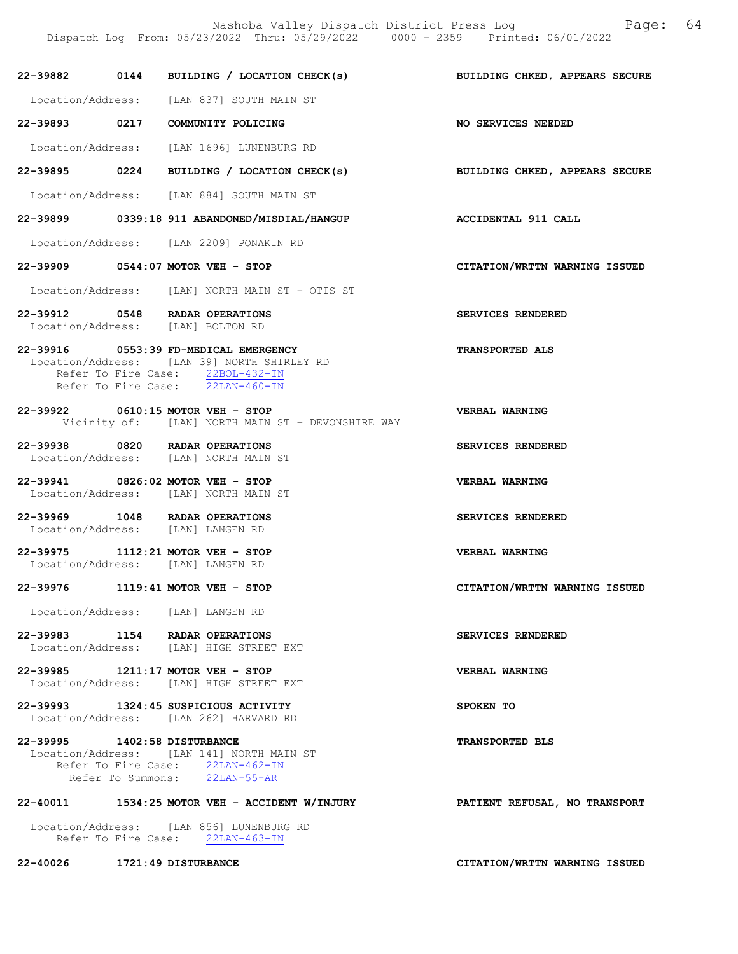22-39882 0144 BUILDING / LOCATION CHECK(s) BUILDING CHKED, APPEARS SECURE Location/Address: [LAN 837] SOUTH MAIN ST 22-39893 0217 COMMUNITY POLICING NO SERVICES NEEDED Location/Address: [LAN 1696] LUNENBURG RD 22-39895 0224 BUILDING / LOCATION CHECK(s) BUILDING CHKED, APPEARS SECURE Location/Address: [LAN 884] SOUTH MAIN ST 22-39899 0339:18 911 ABANDONED/MISDIAL/HANGUP ACCIDENTAL 911 CALL Location/Address: [LAN 2209] PONAKIN RD 22-39909 0544:07 MOTOR VEH - STOP CITATION/WRTTN WARNING ISSUED Location/Address: [LAN] NORTH MAIN ST + OTIS ST 22-39912 0548 RADAR OPERATIONS SERVICES RENDERED Location/Address: [LAN] BOLTON RD 22-39916 0553:39 FD-MEDICAL EMERGENCY TRANSPORTED ALS Location/Address: [LAN 39] NORTH SHIRLEY RD Refer To Fire Case: 22BOL-432-IN Refer To Fire Case: 22LAN-460-IN 22-39922 0610:15 MOTOR VEH - STOP VERBAL WARNING Vicinity of: [LAN] NORTH MAIN ST + DEVONSHIRE WAY 22-39938 0820 RADAR OPERATIONS SERVICES RENDERED Location/Address: [LAN] NORTH MAIN ST 22-39941 0826:02 MOTOR VEH - STOP VERBAL WARNING Location/Address: [LAN] NORTH MAIN ST 22-39969 1048 RADAR OPERATIONS SERVICES RENDERED Location/Address: [LAN] LANGEN RD 22-39975 1112:21 MOTOR VEH - STOP VERBAL WARNING Location/Address: [LAN] LANGEN RD 22-39976 1119:41 MOTOR VEH - STOP CITATION/WRTTN WARNING ISSUED Location/Address: [LAN] LANGEN RD 22-39983 1154 RADAR OPERATIONS SERVICES RENDERED Location/Address: [LAN] HIGH STREET EXT 22-39985 1211:17 MOTOR VEH - STOP VERBAL WARNING Location/Address: [LAN] HIGH STREET EXT 22-39993 1324:45 SUSPICIOUS ACTIVITY SPOKEN TO Location/Address: [LAN 262] HARVARD RD 22-39995 1402:58 DISTURBANCE TRANSPORTED BLS Location/Address: [LAN 141] NORTH MAIN ST Refer To Fire Case:  $\frac{22 \text{LAN}-462-\text{IN}}{22 \text{LAN}-55-\text{AR}}$ Refer To Summons: 22-40011 1534:25 MOTOR VEH - ACCIDENT W/INJURY PATIENT REFUSAL, NO TRANSPORT Location/Address: [LAN 856] LUNENBURG RD Refer To Fire Case: 22LAN-463-IN

22-40026 1721:49 DISTURBANCE CITATION/WRTTN WARNING ISSUED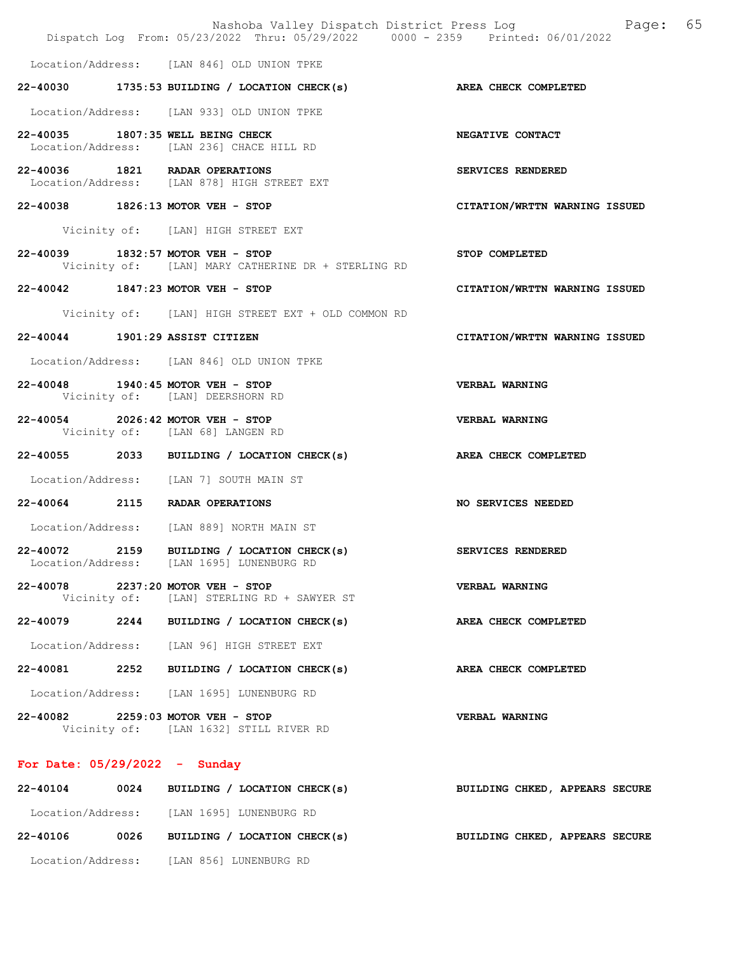|                                 | Nashoba Valley Dispatch District Press Log<br>Dispatch Log From: 05/23/2022 Thru: 05/29/2022 0000 - 2359 Printed: 06/01/2022 | 65<br>Page:                    |
|---------------------------------|------------------------------------------------------------------------------------------------------------------------------|--------------------------------|
|                                 | Location/Address: [LAN 846] OLD UNION TPKE                                                                                   |                                |
|                                 | 22-40030 1735:53 BUILDING / LOCATION CHECK(s) AREA CHECK COMPLETED                                                           |                                |
|                                 | Location/Address: [LAN 933] OLD UNION TPKE                                                                                   |                                |
|                                 | 22-40035 1807:35 WELL BEING CHECK<br>Location/Address: [LAN 236] CHACE HILL RD                                               | NEGATIVE CONTACT               |
|                                 | 22-40036 1821 RADAR OPERATIONS<br>Location/Address: [LAN 878] HIGH STREET EXT                                                | SERVICES RENDERED              |
|                                 | 22-40038 1826:13 MOTOR VEH - STOP                                                                                            | CITATION/WRTTN WARNING ISSUED  |
|                                 | Vicinity of: [LAN] HIGH STREET EXT                                                                                           |                                |
|                                 | 22-40039 1832:57 MOTOR VEH - STOP<br>Vicinity of: [LAN] MARY CATHERINE DR + STERLING RD                                      | STOP COMPLETED                 |
|                                 | 22-40042 1847:23 MOTOR VEH - STOP                                                                                            | CITATION/WRTTN WARNING ISSUED  |
|                                 | Vicinity of: [LAN] HIGH STREET EXT + OLD COMMON RD                                                                           |                                |
| 22-40044 1901:29 ASSIST CITIZEN |                                                                                                                              | CITATION/WRTTN WARNING ISSUED  |
|                                 | Location/Address: [LAN 846] OLD UNION TPKE                                                                                   |                                |
|                                 | 22-40048 1940:45 MOTOR VEH - STOP<br>Vicinity of: [LAN] DEERSHORN RD                                                         | VERBAL WARNING                 |
|                                 | 22-40054 2026:42 MOTOR VEH - STOP<br>Vicinity of: [LAN 68] LANGEN RD                                                         | <b>VERBAL WARNING</b>          |
|                                 | 22-40055 2033 BUILDING / LOCATION CHECK(s)                                                                                   | AREA CHECK COMPLETED           |
|                                 | Location/Address: [LAN 7] SOUTH MAIN ST                                                                                      |                                |
|                                 | 22-40064 2115 RADAR OPERATIONS                                                                                               | NO SERVICES NEEDED             |
|                                 | Location/Address: [LAN 889] NORTH MAIN ST                                                                                    |                                |
| 22-40072 2159                   | BUILDING / LOCATION CHECK(s)<br>Location/Address: [LAN 1695] LUNENBURG RD                                                    | SERVICES RENDERED              |
|                                 | 22-40078 2237:20 MOTOR VEH - STOP<br>Vicinity of: [LAN] STERLING RD + SAWYER ST                                              | VERBAL WARNING                 |
|                                 | 22-40079 2244 BUILDING / LOCATION CHECK(s)                                                                                   | AREA CHECK COMPLETED           |
|                                 | Location/Address: [LAN 96] HIGH STREET EXT                                                                                   |                                |
|                                 | 22-40081 2252 BUILDING / LOCATION CHECK(s)                                                                                   | AREA CHECK COMPLETED           |
|                                 | Location/Address: [LAN 1695] LUNENBURG RD                                                                                    |                                |
|                                 | 22-40082 2259:03 MOTOR VEH - STOP<br>Vicinity of: [LAN 1632] STILL RIVER RD                                                  | VERBAL WARNING                 |
| For Date: $05/29/2022 -$ Sunday |                                                                                                                              |                                |
|                                 | $22 - 40104$ 0024 BUILDING / LOCATION CHECK(s)                                                                               | BUILDING CHKED, APPEARS SECURE |

| -22-40104         |      | VVZI DULLULING / LUCALIUN CHECKISI |  | BUILDING CARED, AFFEARS SECURE |  |  |
|-------------------|------|------------------------------------|--|--------------------------------|--|--|
| Location/Address: |      | [LAN 1695] LUNENBURG RD            |  |                                |  |  |
| 22-40106          | 0026 | BUILDING / LOCATION CHECK(s)       |  | BUILDING CHKED, APPEARS SECURE |  |  |
| Location/Address: |      | [LAN 856] LUNENBURG RD             |  |                                |  |  |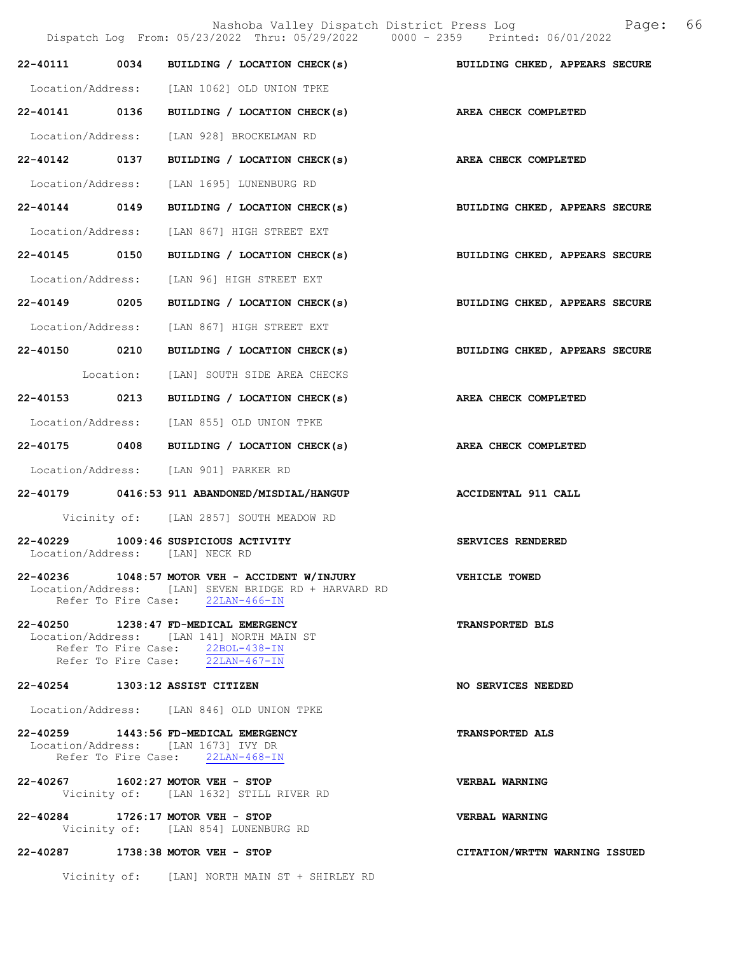Nashoba Valley Dispatch District Press Log Fage: 66 Dispatch Log From: 05/23/2022 Thru: 05/29/2022 0000 - 2359 Printed: 06/01/2022 22-40111 0034 BUILDING / LOCATION CHECK(s) BUILDING CHKED, APPEARS SECURE Location/Address: [LAN 1062] OLD UNION TPKE 22-40141 0136 BUILDING / LOCATION CHECK(s) AREA CHECK COMPLETED Location/Address: [LAN 928] BROCKELMAN RD 22-40142 0137 BUILDING / LOCATION CHECK(s) AREA CHECK COMPLETED Location/Address: [LAN 1695] LUNENBURG RD 22-40144 0149 BUILDING / LOCATION CHECK(s) BUILDING CHKED, APPEARS SECURE Location/Address: [LAN 867] HIGH STREET EXT 22-40145 0150 BUILDING / LOCATION CHECK(s) BUILDING CHKED, APPEARS SECURE Location/Address: [LAN 96] HIGH STREET EXT 22-40149 0205 BUILDING / LOCATION CHECK(s) BUILDING CHKED, APPEARS SECURE Location/Address: [LAN 867] HIGH STREET EXT 22-40150 0210 BUILDING / LOCATION CHECK(s) BUILDING CHKED, APPEARS SECURE Location: [LAN] SOUTH SIDE AREA CHECKS 22-40153 0213 BUILDING / LOCATION CHECK(s) AREA CHECK COMPLETED Location/Address: [LAN 855] OLD UNION TPKE 22-40175 0408 BUILDING / LOCATION CHECK(s) AREA CHECK COMPLETED Location/Address: [LAN 901] PARKER RD 22-40179 0416:53 911 ABANDONED/MISDIAL/HANGUP ACCIDENTAL 911 CALL Vicinity of: [LAN 2857] SOUTH MEADOW RD 22-40229 1009:46 SUSPICIOUS ACTIVITY SERVICES RENDERED Location/Address: [LAN] NECK RD 22-40236 1048:57 MOTOR VEH - ACCIDENT W/INJURY VEHICLE TOWED Location/Address: [LAN] SEVEN BRIDGE RD + HARVARD RD Refer To Fire Case: 22LAN-466-IN 22-40250 1238:47 FD-MEDICAL EMERGENCY TRANSPORTED BLS Location/Address: [LAN 141] NORTH MAIN ST Refer To Fire Case:  $22BOL-438-IN$  Refer To Fire Case: 22LAN-467-IN 22-40254 1303:12 ASSIST CITIZEN NO SERVICES NEEDED Location/Address: [LAN 846] OLD UNION TPKE 22-40259 1443:56 FD-MEDICAL EMERGENCY TRANSPORTED ALS Location/Address: [LAN 1673] IVY DR Refer To Fire Case: 22LAN-468-IN 22-40267 1602:27 MOTOR VEH - STOP VERBAL WARNING Vicinity of: [LAN 1632] STILL RIVER RD 22-40284 1726:17 MOTOR VEH - STOP VERBAL WARNING Vicinity of: [LAN 854] LUNENBURG RD 22-40287 1738:38 MOTOR VEH - STOP CITATION/WRTTN WARNING ISSUED Vicinity of: [LAN] NORTH MAIN ST + SHIRLEY RD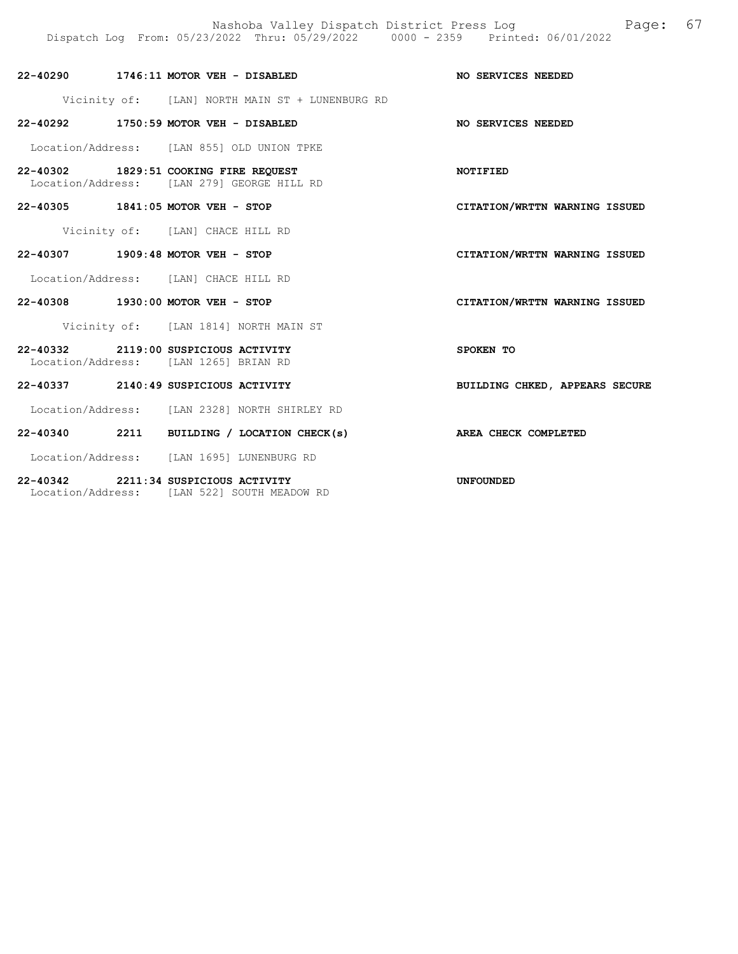Nashoba Valley Dispatch District Press Log Fage: 67 Dispatch Log From: 05/23/2022 Thru: 05/29/2022 0000 - 2359 Printed: 06/01/2022

| 22-40290 1746:11 MOTOR VEH - DISABLED                                               |                                  |                                                 | NO SERVICES NEEDED             |
|-------------------------------------------------------------------------------------|----------------------------------|-------------------------------------------------|--------------------------------|
|                                                                                     |                                  | Vicinity of: [LAN] NORTH MAIN ST + LUNENBURG RD |                                |
| 22-40292 1750:59 MOTOR VEH - DISABLED                                               |                                  |                                                 | NO SERVICES NEEDED             |
| Location/Address: [LAN 855] OLD UNION TPKE                                          |                                  |                                                 |                                |
| 22-40302 1829:51 COOKING FIRE REQUEST<br>Location/Address: [LAN 279] GEORGE HILL RD |                                  |                                                 | NOTIFIED                       |
| 22-40305 1841:05 MOTOR VEH - STOP                                                   |                                  |                                                 | CITATION/WRTTN WARNING ISSUED  |
|                                                                                     | Vicinity of: [LAN] CHACE HILL RD |                                                 |                                |
| 22-40307 1909:48 MOTOR VEH - STOP                                                   |                                  |                                                 | CITATION/WRTTN WARNING ISSUED  |
| Location/Address: [LAN] CHACE HILL RD                                               |                                  |                                                 |                                |
| 22-40308 1930:00 MOTOR VEH - STOP                                                   |                                  |                                                 | CITATION/WRTTN WARNING ISSUED  |
|                                                                                     |                                  | Vicinity of: [LAN 1814] NORTH MAIN ST           |                                |
| 22-40332 2119:00 SUSPICIOUS ACTIVITY<br>Location/Address: [LAN 1265] BRIAN RD       |                                  |                                                 | SPOKEN TO                      |
| 22-40337 2140:49 SUSPICIOUS ACTIVITY                                                |                                  |                                                 | BUILDING CHKED, APPEARS SECURE |
|                                                                                     |                                  | Location/Address: [LAN 2328] NORTH SHIRLEY RD   |                                |
|                                                                                     |                                  | 22-40340 2211 BUILDING / LOCATION CHECK(s)      | AREA CHECK COMPLETED           |
| Location/Address: [LAN 1695] LUNENBURG RD                                           |                                  |                                                 |                                |
| 22-40342 2211:34 SUSPICIOUS ACTIVITY                                                |                                  |                                                 | <b>UNFOUNDED</b>               |

Location/Address: [LAN 522] SOUTH MEADOW RD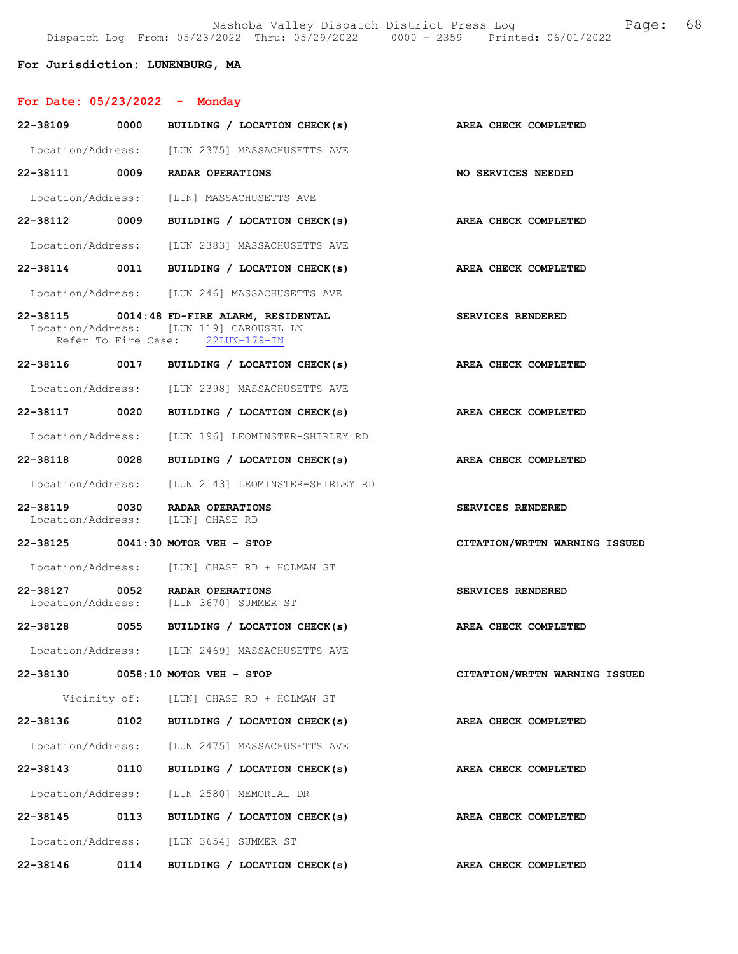## For Jurisdiction: LUNENBURG, MA

| For Date: $05/23/2022 -$ Monday |      |                                                                                                                           |                               |
|---------------------------------|------|---------------------------------------------------------------------------------------------------------------------------|-------------------------------|
| 22-38109 0000                   |      | BUILDING / LOCATION CHECK(s)                                                                                              | AREA CHECK COMPLETED          |
|                                 |      | Location/Address: [LUN 2375] MASSACHUSETTS AVE                                                                            |                               |
|                                 |      | 22-38111 0009 RADAR OPERATIONS                                                                                            | <b>NO SERVICES NEEDED</b>     |
|                                 |      | Location/Address: [LUN] MASSACHUSETTS AVE                                                                                 |                               |
|                                 |      | 22-38112 0009 BUILDING / LOCATION CHECK(s)                                                                                | AREA CHECK COMPLETED          |
|                                 |      | Location/Address: [LUN 2383] MASSACHUSETTS AVE                                                                            |                               |
|                                 |      | 22-38114 0011 BUILDING / LOCATION CHECK(s)                                                                                | AREA CHECK COMPLETED          |
|                                 |      | Location/Address: [LUN 246] MASSACHUSETTS AVE                                                                             |                               |
|                                 |      | 22-38115 0014:48 FD-FIRE ALARM, RESIDENTAL<br>Location/Address: [LUN 119] CAROUSEL LN<br>Refer To Fire Case: 22LUN-179-IN | SERVICES RENDERED             |
|                                 |      | 22-38116 0017 BUILDING / LOCATION CHECK(s)                                                                                | AREA CHECK COMPLETED          |
|                                 |      | Location/Address: [LUN 2398] MASSACHUSETTS AVE                                                                            |                               |
| 22-38117 0020                   |      | BUILDING / LOCATION CHECK(s)                                                                                              | <b>AREA CHECK COMPLETED</b>   |
|                                 |      | Location/Address: [LUN 196] LEOMINSTER-SHIRLEY RD                                                                         |                               |
|                                 |      | 22-38118 0028 BUILDING / LOCATION CHECK(s)                                                                                | AREA CHECK COMPLETED          |
|                                 |      | Location/Address: [LUN 2143] LEOMINSTER-SHIRLEY RD                                                                        |                               |
| 22-38119                        |      | 0030 RADAR OPERATIONS<br>Location/Address: [LUN] CHASE RD                                                                 | SERVICES RENDERED             |
|                                 |      | 22-38125 0041:30 MOTOR VEH - STOP                                                                                         | CITATION/WRTTN WARNING ISSUED |
|                                 |      | Location/Address: [LUN] CHASE RD + HOLMAN ST                                                                              |                               |
| 22-38127 0052                   |      | RADAR OPERATIONS<br>Location/Address: [LUN 3670] SUMMER ST                                                                | SERVICES RENDERED             |
| 22-38128 0055                   |      | BUILDING / LOCATION CHECK(s)                                                                                              | AREA CHECK COMPLETED          |
|                                 |      | Location/Address: [LUN 2469] MASSACHUSETTS AVE                                                                            |                               |
|                                 |      | 22-38130 0058:10 MOTOR VEH - STOP                                                                                         | CITATION/WRTTN WARNING ISSUED |
|                                 |      | Vicinity of: [LUN] CHASE RD + HOLMAN ST                                                                                   |                               |
| 22-38136                        |      | 0102 BUILDING / LOCATION CHECK(s)                                                                                         | AREA CHECK COMPLETED          |
|                                 |      | Location/Address: [LUN 2475] MASSACHUSETTS AVE                                                                            |                               |
|                                 |      | 22-38143 0110 BUILDING / LOCATION CHECK(s)                                                                                | AREA CHECK COMPLETED          |
|                                 |      | Location/Address: [LUN 2580] MEMORIAL DR                                                                                  |                               |
|                                 |      | 22-38145 0113 BUILDING / LOCATION CHECK(s)                                                                                | AREA CHECK COMPLETED          |
|                                 |      | Location/Address: [LUN 3654] SUMMER ST                                                                                    |                               |
| 22-38146                        | 0114 | BUILDING / LOCATION CHECK(s)                                                                                              | AREA CHECK COMPLETED          |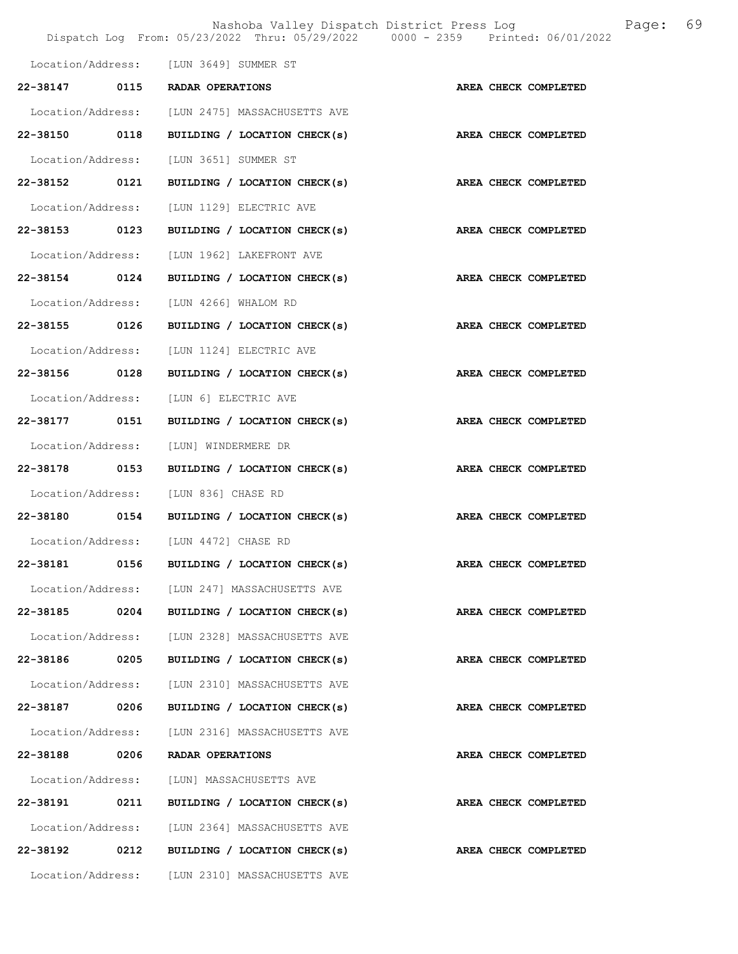|               |      | Dispatch Log From: 05/23/2022 Thru: 05/29/2022 0000 - 2359 Printed: 06/01/2022 | Nashoba Valley Dispatch District Press Log<br>Page: 69 |
|---------------|------|--------------------------------------------------------------------------------|--------------------------------------------------------|
|               |      | Location/Address: [LUN 3649] SUMMER ST                                         |                                                        |
|               |      | 22-38147 0115 RADAR OPERATIONS                                                 | AREA CHECK COMPLETED                                   |
|               |      | Location/Address: [LUN 2475] MASSACHUSETTS AVE                                 |                                                        |
|               |      | 22-38150 0118 BUILDING / LOCATION CHECK(s)                                     | AREA CHECK COMPLETED                                   |
|               |      | Location/Address: [LUN 3651] SUMMER ST                                         |                                                        |
|               |      | 22-38152 0121 BUILDING / LOCATION CHECK(s) AREA CHECK COMPLETED                |                                                        |
|               |      | Location/Address: [LUN 1129] ELECTRIC AVE                                      |                                                        |
|               |      | 22-38153 0123 BUILDING / LOCATION CHECK(s) AREA CHECK COMPLETED                |                                                        |
|               |      | Location/Address: [LUN 1962] LAKEFRONT AVE                                     |                                                        |
| 22-38154 0124 |      | BUILDING / LOCATION CHECK(s)                                                   | AREA CHECK COMPLETED                                   |
|               |      | Location/Address: [LUN 4266] WHALOM RD                                         |                                                        |
|               |      | 22-38155 0126 BUILDING / LOCATION CHECK(s)                                     | AREA CHECK COMPLETED                                   |
|               |      | Location/Address: [LUN 1124] ELECTRIC AVE                                      |                                                        |
|               |      | 22-38156 0128 BUILDING / LOCATION CHECK(s)                                     | AREA CHECK COMPLETED                                   |
|               |      | Location/Address: [LUN 6] ELECTRIC AVE                                         |                                                        |
|               |      | 22-38177 0151 BUILDING / LOCATION CHECK(s) AREA CHECK COMPLETED                |                                                        |
|               |      | Location/Address: [LUN] WINDERMERE DR                                          |                                                        |
|               |      |                                                                                |                                                        |
|               |      | Location/Address: [LUN 836] CHASE RD                                           |                                                        |
|               |      | 22-38180 0154 BUILDING / LOCATION CHECK(s) AREA CHECK COMPLETED                |                                                        |
|               |      | Location/Address: [LUN 4472] CHASE RD                                          |                                                        |
| 22-38181      | 0156 | BUILDING / LOCATION CHECK(s)                                                   | AREA CHECK COMPLETED                                   |
|               |      | Location/Address: [LUN 247] MASSACHUSETTS AVE                                  |                                                        |
|               |      | 22-38185 0204 BUILDING / LOCATION CHECK(s) AREA CHECK COMPLETED                |                                                        |
|               |      | Location/Address: [LUN 2328] MASSACHUSETTS AVE                                 |                                                        |
|               |      | 22-38186 0205 BUILDING / LOCATION CHECK(s)                                     | AREA CHECK COMPLETED                                   |
|               |      | Location/Address: [LUN 2310] MASSACHUSETTS AVE                                 |                                                        |
|               |      |                                                                                | AREA CHECK COMPLETED                                   |
|               |      | Location/Address: [LUN 2316] MASSACHUSETTS AVE                                 |                                                        |
|               |      | 22-38188 0206 RADAR OPERATIONS                                                 | AREA CHECK COMPLETED                                   |
|               |      | Location/Address: [LUN] MASSACHUSETTS AVE                                      |                                                        |
|               |      | 22-38191 0211 BUILDING / LOCATION CHECK(s)                                     | AREA CHECK COMPLETED                                   |
|               |      | Location/Address: [LUN 2364] MASSACHUSETTS AVE                                 |                                                        |
| 22-38192      |      | 0212 BUILDING / LOCATION CHECK(s)                                              | <b>AREA CHECK COMPLETED</b>                            |
|               |      | Location/Address: [LUN 2310] MASSACHUSETTS AVE                                 |                                                        |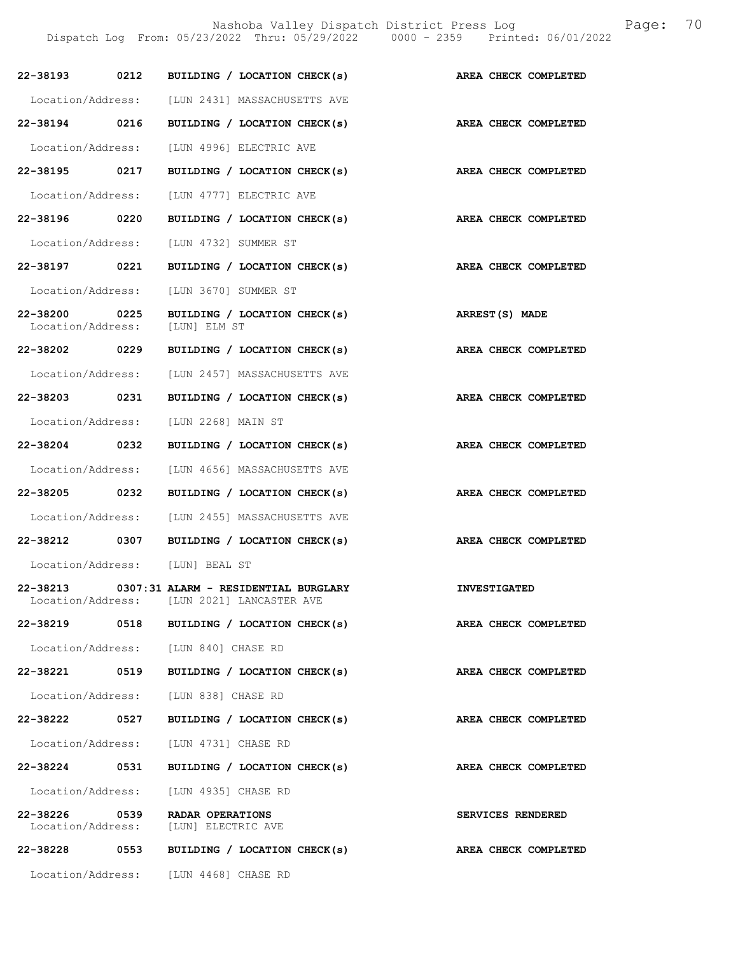Nashoba Valley Dispatch District Press Log Fage: 70

Dispatch Log From: 05/23/2022 Thru: 05/29/2022 0000 - 2359 Printed: 06/01/2022

| 22-38193 0212                      |      | BUILDING / LOCATION CHECK(s)                                                                | AREA CHECK COMPLETED        |
|------------------------------------|------|---------------------------------------------------------------------------------------------|-----------------------------|
|                                    |      | Location/Address: [LUN 2431] MASSACHUSETTS AVE                                              |                             |
| 22-38194                           | 0216 | BUILDING / LOCATION CHECK(s)                                                                | AREA CHECK COMPLETED        |
| Location/Address:                  |      | [LUN 4996] ELECTRIC AVE                                                                     |                             |
| 22-38195 0217                      |      | BUILDING / LOCATION CHECK(s)                                                                | <b>AREA CHECK COMPLETED</b> |
| Location/Address:                  |      | [LUN 4777] ELECTRIC AVE                                                                     |                             |
| 22-38196 0220                      |      | BUILDING / LOCATION CHECK(s)                                                                | AREA CHECK COMPLETED        |
|                                    |      | Location/Address: [LUN 4732] SUMMER ST                                                      |                             |
| 22-38197                           | 0221 | BUILDING / LOCATION CHECK(s)                                                                | AREA CHECK COMPLETED        |
| Location/Address:                  |      | [LUN 3670] SUMMER ST                                                                        |                             |
| 22-38200 0225<br>Location/Address: |      | BUILDING / LOCATION CHECK(s)<br>[LUN] ELM ST                                                | ARREST(S) MADE              |
| 22-38202 0229                      |      | BUILDING / LOCATION CHECK(s)                                                                | AREA CHECK COMPLETED        |
| Location/Address:                  |      | [LUN 2457] MASSACHUSETTS AVE                                                                |                             |
| 22-38203                           | 0231 | BUILDING / LOCATION CHECK(s)                                                                | AREA CHECK COMPLETED        |
| Location/Address:                  |      | [LUN 2268] MAIN ST                                                                          |                             |
| 22-38204 0232                      |      | BUILDING / LOCATION CHECK(s)                                                                | AREA CHECK COMPLETED        |
| Location/Address:                  |      | [LUN 4656] MASSACHUSETTS AVE                                                                |                             |
| 22-38205 0232                      |      | BUILDING / LOCATION CHECK(s)                                                                | AREA CHECK COMPLETED        |
|                                    |      | Location/Address: [LUN 2455] MASSACHUSETTS AVE                                              |                             |
| 22-38212                           | 0307 | BUILDING / LOCATION CHECK(s)                                                                | AREA CHECK COMPLETED        |
|                                    |      | Location/Address: [LUN] BEAL ST                                                             |                             |
|                                    |      | 22-38213 0307:31 ALARM - RESIDENTIAL BURGLARY<br>Location/Address: [LUN 2021] LANCASTER AVE | <b>INVESTIGATED</b>         |
| 22-38219                           | 0518 | BUILDING / LOCATION CHECK(s)                                                                | AREA CHECK COMPLETED        |
|                                    |      | Location/Address: [LUN 840] CHASE RD                                                        |                             |
| 22-38221 0519                      |      | BUILDING / LOCATION CHECK(s)                                                                | AREA CHECK COMPLETED        |
|                                    |      | Location/Address: [LUN 838] CHASE RD                                                        |                             |
| 22-38222 0527                      |      | BUILDING / LOCATION CHECK(s)                                                                | AREA CHECK COMPLETED        |
|                                    |      | Location/Address: [LUN 4731] CHASE RD                                                       |                             |
| 22-38224                           | 0531 | BUILDING / LOCATION CHECK(s)                                                                | AREA CHECK COMPLETED        |
|                                    |      | Location/Address: [LUN 4935] CHASE RD                                                       |                             |
| 22-38226 0539                      |      | RADAR OPERATIONS<br>Location/Address: [LUN] ELECTRIC AVE                                    | SERVICES RENDERED           |
| 22-38228 0553                      |      | BUILDING / LOCATION CHECK(s)                                                                | AREA CHECK COMPLETED        |
|                                    |      | Location/Address: [LUN 4468] CHASE RD                                                       |                             |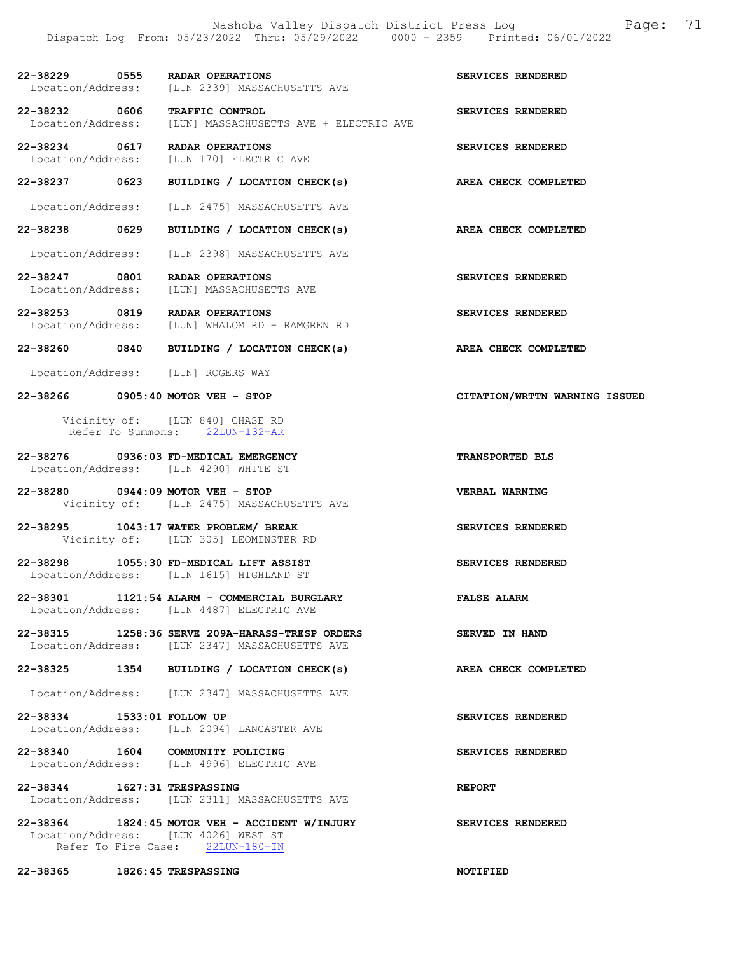- 22-38229 0555 RADAR OPERATIONS SERVICES RENDERED<br>Location/Address: [LUN 2339] MASSACHUSETTS AVE Location/Address: [LUN 2339] MASSACHUSETTS AVE
- 22-38232 0606 TRAFFIC CONTROL SERVICES RENDERED<br>Location/Address: [LUN] MASSACHUSETTS AVE + ELECTRIC AVE Location/Address: [LUN] MASSACHUSETTS AVE + ELECTRIC AVE
- 22-38234 0617 RADAR OPERATIONS SERVICES RENDERED Location/Address: [LUN 170] ELECTRIC AVE

22-38237 0623 BUILDING / LOCATION CHECK(s) AREA CHECK COMPLETED

- Location/Address: [LUN 2475] MASSACHUSETTS AVE
- 22-38238 0629 BUILDING / LOCATION CHECK(s) AREA CHECK COMPLETED
	- Location/Address: [LUN 2398] MASSACHUSETTS AVE
- 22-38247 0801 RADAR OPERATIONS<br>
Location/Address: [LUN] MASSACHUSETTS AVE Location/Address: [LUN] MASSACHUSETTS AVE
- 22-38253 0819 RADAR OPERATIONS SERVICES RENDERED Location/Address: [LUN] WHALOM RD + RAMGREN RD
- 22-38260 0840 BUILDING / LOCATION CHECK(s) AREA CHECK COMPLETED
- Location/Address: [LUN] ROGERS WAY
- 22-38266 0905:40 MOTOR VEH STOP CITATION/WRTTN WARNING ISSUED

 Vicinity of: [LUN 840] CHASE RD Refer To Summons: 22LUN-132-AR

- 22-38276 0936:03 FD-MEDICAL EMERGENCY TRANSPORTED BLS Location/Address: [LUN 4290] WHITE ST
- 22-38280 0944:09 MOTOR VEH STOP VERBAL WARNING Vicinity of: [LUN 2475] MASSACHUSETTS AVE
- 22-38295 1043:17 WATER PROBLEM/ BREAK SERVICES RENDERED Vicinity of: [LUN 305] LEOMINSTER RD
- 22-38298 1055:30 FD-MEDICAL LIFT ASSIST SERVICES RENDERED Location/Address: [LUN 1615] HIGHLAND ST
- 22-38301 1121:54 ALARM COMMERCIAL BURGLARY FALSE ALARM Location/Address: [LUN 4487] ELECTRIC AVE
- 22-38315 1258:36 SERVE 209A-HARASS-TRESP ORDERS SERVED IN HAND Location/Address: [LUN 2347] MASSACHUSETTS AVE
- 22-38325 1354 BUILDING / LOCATION CHECK(s) AREA CHECK COMPLETED
- Location/Address: [LUN 2347] MASSACHUSETTS AVE
- 22-38334 1533:01 FOLLOW UP SERVICES RENDERED Location/Address: [LUN 2094] LANCASTER AVE
- 22-38340 1604 COMMUNITY POLICING SERVICES RENDERED Location/Address: [LUN 4996] ELECTRIC AVE
- 22-38344 1627:31 TRESPASSING REPORT Location/Address: [LUN 2311] MASSACHUSETTS AVE
- 22-38364 1824:45 MOTOR VEH ACCIDENT W/INJURY SERVICES RENDERED Location/Address: [LUN 4026] WEST ST Refer To Fire Case: 22LUN-180-IN

22-38365 1826:45 TRESPASSING NOTIFIED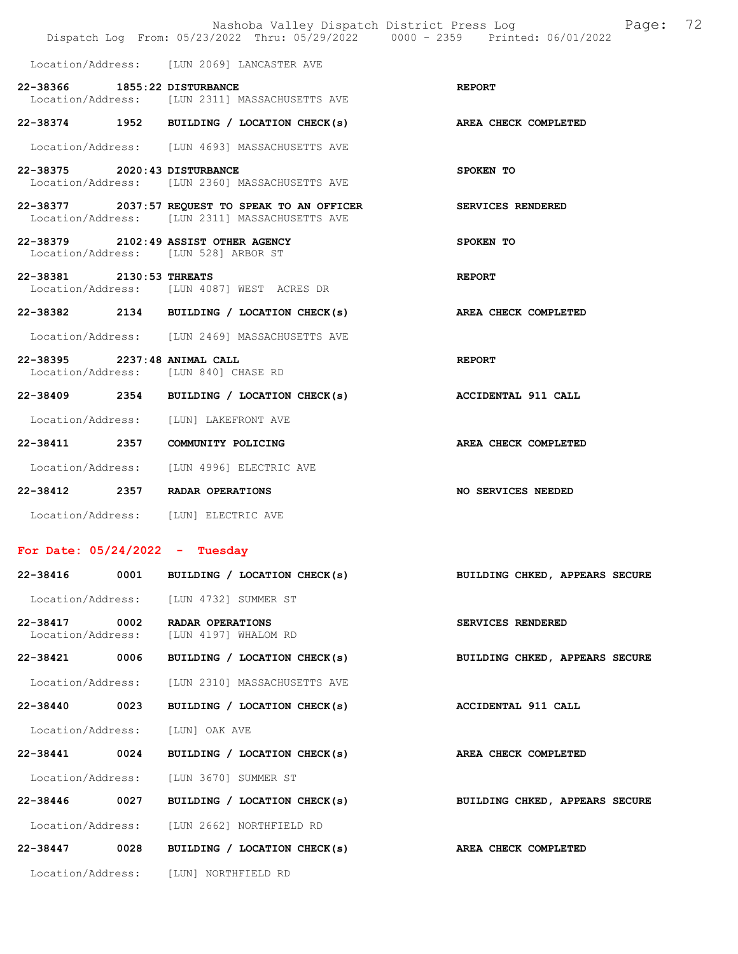|                                    |      | Nashoba Valley Dispatch District Press Log Nashoba Page:<br>Dispatch Log From: 05/23/2022 Thru: 05/29/2022 0000 - 2359 Printed: 06/01/2022 | 72                             |
|------------------------------------|------|--------------------------------------------------------------------------------------------------------------------------------------------|--------------------------------|
|                                    |      | Location/Address: [LUN 2069] LANCASTER AVE                                                                                                 |                                |
| 22-38366 1855:22 DISTURBANCE       |      | Location/Address: [LUN 2311] MASSACHUSETTS AVE                                                                                             | <b>REPORT</b>                  |
|                                    |      | 22-38374 1952 BUILDING / LOCATION CHECK(s) AREA CHECK COMPLETED                                                                            |                                |
|                                    |      | Location/Address: [LUN 4693] MASSACHUSETTS AVE                                                                                             |                                |
| 22-38375 2020:43 DISTURBANCE       |      | Location/Address: [LUN 2360] MASSACHUSETTS AVE                                                                                             | SPOKEN TO                      |
|                                    |      | 22-38377 2037:57 REQUEST TO SPEAK TO AN OFFICER<br>Location/Address: [LUN 2311] MASSACHUSETTS AVE                                          | SERVICES RENDERED              |
|                                    |      | 22-38379 2102:49 ASSIST OTHER AGENCY<br>Location/Address: [LUN 528] ARBOR ST                                                               | SPOKEN TO                      |
| 22-38381 2130:53 THREATS           |      | Location/Address: [LUN 4087] WEST ACRES DR                                                                                                 | <b>REPORT</b>                  |
|                                    |      | 22-38382 2134 BUILDING / LOCATION CHECK(s) AREA CHECK COMPLETED                                                                            |                                |
|                                    |      | Location/Address: [LUN 2469] MASSACHUSETTS AVE                                                                                             |                                |
| 22-38395 2237:48 ANIMAL CALL       |      | Location/Address: [LUN 840] CHASE RD                                                                                                       | <b>REPORT</b>                  |
|                                    |      | 22-38409 2354 BUILDING / LOCATION CHECK(s)                                                                                                 | <b>ACCIDENTAL 911 CALL</b>     |
|                                    |      | Location/Address: [LUN] LAKEFRONT AVE                                                                                                      |                                |
|                                    |      | 22-38411 2357 COMMUNITY POLICING                                                                                                           | AREA CHECK COMPLETED           |
|                                    |      | Location/Address: [LUN 4996] ELECTRIC AVE                                                                                                  |                                |
|                                    |      | 22-38412 2357 RADAR OPERATIONS                                                                                                             | <b>NO SERVICES NEEDED</b>      |
|                                    |      | Location/Address: [LUN] ELECTRIC AVE                                                                                                       |                                |
| For Date: $05/24/2022 -$ Tuesday   |      |                                                                                                                                            |                                |
| 22-38416                           |      | 0001 BUILDING / LOCATION CHECK(s)                                                                                                          | BUILDING CHKED, APPEARS SECURE |
|                                    |      | Location/Address: [LUN 4732] SUMMER ST                                                                                                     |                                |
| 22-38417 0002<br>Location/Address: |      | RADAR OPERATIONS<br>[LUN 4197] WHALOM RD                                                                                                   | SERVICES RENDERED              |
| 22-38421                           | 0006 | BUILDING / LOCATION CHECK(s)                                                                                                               | BUILDING CHKED, APPEARS SECURE |
| Location/Address:                  |      | [LUN 2310] MASSACHUSETTS AVE                                                                                                               |                                |
| 22-38440 0023                      |      | BUILDING / LOCATION CHECK(s)                                                                                                               | ACCIDENTAL 911 CALL            |
| Location/Address:                  |      | [LUN] OAK AVE                                                                                                                              |                                |
| 22-38441 0024                      |      | BUILDING / LOCATION CHECK(s)                                                                                                               | AREA CHECK COMPLETED           |
| Location/Address:                  |      | [LUN 3670] SUMMER ST                                                                                                                       |                                |
| 22-38446                           | 0027 | BUILDING / LOCATION CHECK(s)                                                                                                               | BUILDING CHKED, APPEARS SECURE |
| Location/Address:                  |      | [LUN 2662] NORTHFIELD RD                                                                                                                   |                                |
| 22-38447                           | 0028 | BUILDING / LOCATION CHECK(s)                                                                                                               | AREA CHECK COMPLETED           |
|                                    |      | Location/Address: [LUN] NORTHFIELD RD                                                                                                      |                                |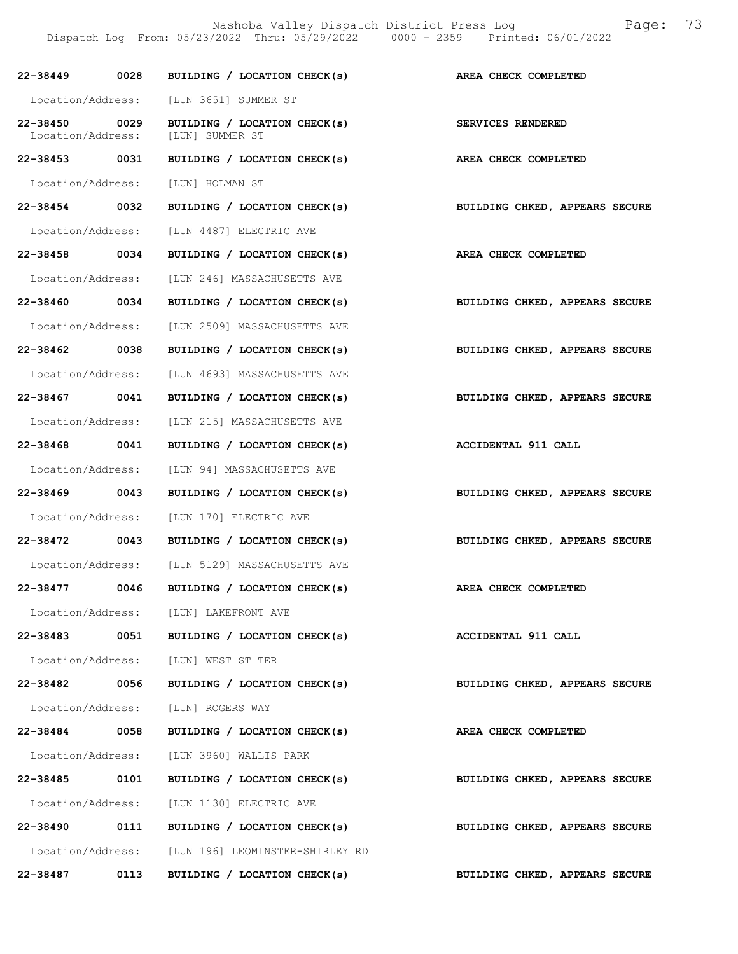Nashoba Valley Dispatch District Press Log Fage: 73 Dispatch Log From: 05/23/2022 Thru: 05/29/2022 0000 - 2359 Printed: 06/01/2022

| 22-38449 0028                      | BUILDING / LOCATION CHECK(s) AREA CHECK COMPLETED           |                                |
|------------------------------------|-------------------------------------------------------------|--------------------------------|
|                                    | Location/Address: [LUN 3651] SUMMER ST                      |                                |
| 22-38450 0029<br>Location/Address: | BUILDING / LOCATION CHECK(s)<br>[LUN] SUMMER ST             | SERVICES RENDERED              |
| 22-38453 0031                      | BUILDING / LOCATION CHECK(s) AREA CHECK COMPLETED           |                                |
|                                    | Location/Address: [LUN] HOLMAN ST                           |                                |
| 22-38454 0032                      | BUILDING / LOCATION CHECK(s) BUILDING CHKED, APPEARS SECURE |                                |
|                                    | Location/Address: [LUN 4487] ELECTRIC AVE                   |                                |
| 22-38458 0034                      | BUILDING / LOCATION CHECK(s) AREA CHECK COMPLETED           |                                |
|                                    | Location/Address: [LUN 246] MASSACHUSETTS AVE               |                                |
| 22-38460 0034                      | BUILDING / LOCATION CHECK(s)                                | BUILDING CHKED, APPEARS SECURE |
|                                    | Location/Address: [LUN 2509] MASSACHUSETTS AVE              |                                |
| 22-38462 0038                      | BUILDING / LOCATION CHECK(s)                                | BUILDING CHKED, APPEARS SECURE |
|                                    | Location/Address: [LUN 4693] MASSACHUSETTS AVE              |                                |
| 22-38467 0041                      | BUILDING / LOCATION CHECK(s) BUILDING CHKED, APPEARS SECURE |                                |
|                                    | Location/Address: [LUN 215] MASSACHUSETTS AVE               |                                |
| 22-38468 0041                      | BUILDING / LOCATION CHECK(s) ACCIDENTAL 911 CALL            |                                |
| Location/Address:                  | [LUN 94] MASSACHUSETTS AVE                                  |                                |
| 22-38469 0043                      | BUILDING / LOCATION CHECK(s)                                | BUILDING CHKED, APPEARS SECURE |
| Location/Address:                  | [LUN 170] ELECTRIC AVE                                      |                                |
| 22-38472 0043                      | BUILDING / LOCATION CHECK(s) BUILDING CHKED, APPEARS SECURE |                                |
|                                    | Location/Address: [LUN 5129] MASSACHUSETTS AVE              |                                |
| 22-38477 0046                      | BUILDING / LOCATION CHECK(s)                                | AREA CHECK COMPLETED           |
|                                    | Location/Address: [LUN] LAKEFRONT AVE                       |                                |
|                                    | 22-38483 0051 BUILDING / LOCATION CHECK(s)                  | ACCIDENTAL 911 CALL            |
|                                    | Location/Address: [LUN] WEST ST TER                         |                                |
| 22-38482 0056                      | BUILDING / LOCATION CHECK(s)                                | BUILDING CHKED, APPEARS SECURE |
|                                    | Location/Address: [LUN] ROGERS WAY                          |                                |
| 22-38484 0058                      | BUILDING / LOCATION CHECK(s)                                | AREA CHECK COMPLETED           |
|                                    | Location/Address: [LUN 3960] WALLIS PARK                    |                                |
| 22-38485 0101                      | BUILDING / LOCATION CHECK(s)                                | BUILDING CHKED, APPEARS SECURE |
|                                    | Location/Address: [LUN 1130] ELECTRIC AVE                   |                                |
| 22-38490 0111                      | BUILDING / LOCATION CHECK(s)                                | BUILDING CHKED, APPEARS SECURE |
|                                    | Location/Address: [LUN 196] LEOMINSTER-SHIRLEY RD           |                                |
| 22-38487 0113                      | BUILDING / LOCATION CHECK(s)                                | BUILDING CHKED, APPEARS SECURE |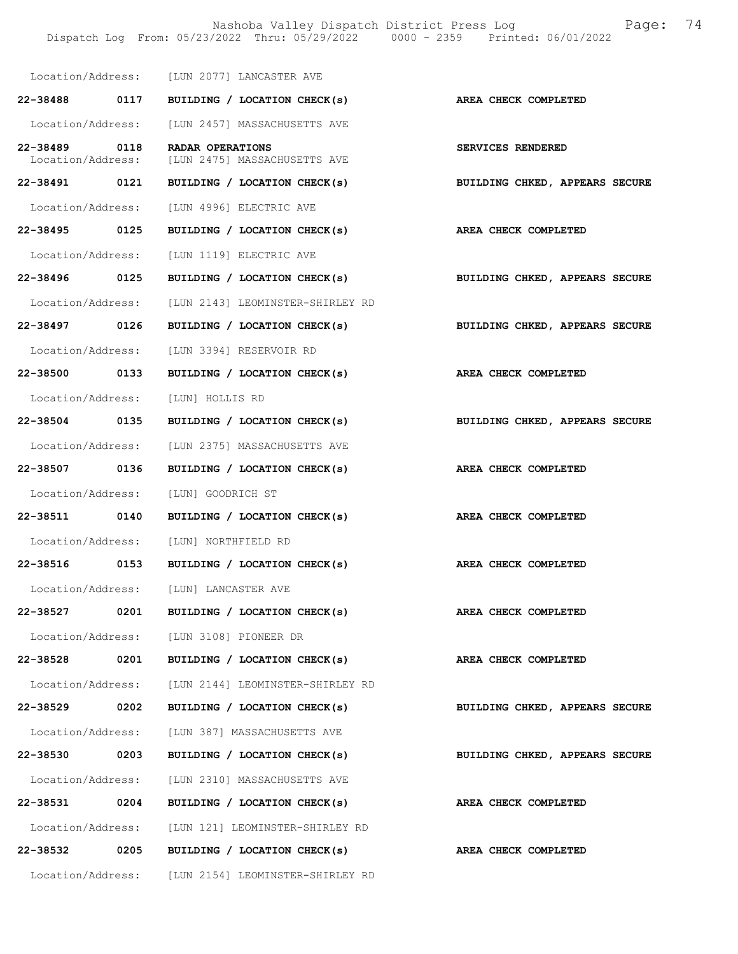Nashoba Valley Dispatch District Press Log Fage: 74 Dispatch Log From: 05/23/2022 Thru: 05/29/2022 0000 - 2359 Printed: 06/01/2022

|                                   | Location/Address: [LUN 2077] LANCASTER AVE                                |                                |
|-----------------------------------|---------------------------------------------------------------------------|--------------------------------|
|                                   | 22-38488 0117 BUILDING / LOCATION CHECK(s)                                | AREA CHECK COMPLETED           |
|                                   |                                                                           |                                |
|                                   | Location/Address: [LUN 2457] MASSACHUSETTS AVE                            |                                |
| 22-38489 0118                     | RADAR OPERATIONS<br>Location/Address: [LUN 2475] MASSACHUSETTS AVE        | SERVICES RENDERED              |
|                                   | 22-38491 0121 BUILDING / LOCATION CHECK(s)                                | BUILDING CHKED, APPEARS SECURE |
|                                   | Location/Address: [LUN 4996] ELECTRIC AVE                                 |                                |
| 22-38495 0125                     | BUILDING / LOCATION CHECK(s)                                              | AREA CHECK COMPLETED           |
|                                   | Location/Address: [LUN 1119] ELECTRIC AVE                                 |                                |
|                                   | 22-38496 0125 BUILDING / LOCATION CHECK(s) BUILDING CHKED, APPEARS SECURE |                                |
|                                   | Location/Address: [LUN 2143] LEOMINSTER-SHIRLEY RD                        |                                |
| 22-38497 0126                     | BUILDING / LOCATION CHECK(s)                                              | BUILDING CHKED, APPEARS SECURE |
|                                   | Location/Address: [LUN 3394] RESERVOIR RD                                 |                                |
| 22-38500 0133                     | BUILDING / LOCATION CHECK(s) AREA CHECK COMPLETED                         |                                |
| Location/Address: [LUN] HOLLIS RD |                                                                           |                                |
|                                   | 22-38504 0135 BUILDING / LOCATION CHECK(s) BUILDING CHKED, APPEARS SECURE |                                |
|                                   | Location/Address: [LUN 2375] MASSACHUSETTS AVE                            |                                |
| 22-38507 0136                     | BUILDING / LOCATION CHECK(s)                                              | AREA CHECK COMPLETED           |
|                                   | Location/Address: [LUN] GOODRICH ST                                       |                                |
|                                   | 22-38511 0140 BUILDING / LOCATION CHECK(s) AREA CHECK COMPLETED           |                                |
|                                   | Location/Address: [LUN] NORTHFIELD RD                                     |                                |
|                                   | 22-38516 0153 BUILDING / LOCATION CHECK(s) AREA CHECK COMPLETED           |                                |
|                                   | Location/Address: [LUN] LANCASTER AVE                                     |                                |
| 0201<br>22-38527                  | BUILDING / LOCATION CHECK(s)                                              | AREA CHECK COMPLETED           |
|                                   | Location/Address: [LUN 3108] PIONEER DR                                   |                                |
| 0201<br>22-38528                  | BUILDING / LOCATION CHECK(s)                                              | AREA CHECK COMPLETED           |
|                                   | Location/Address: [LUN 2144] LEOMINSTER-SHIRLEY RD                        |                                |
| 22-38529 0202                     | BUILDING / LOCATION CHECK(s)                                              | BUILDING CHKED, APPEARS SECURE |
|                                   | Location/Address: [LUN 387] MASSACHUSETTS AVE                             |                                |
| 22-38530<br>0203                  | BUILDING / LOCATION CHECK(s)                                              | BUILDING CHKED, APPEARS SECURE |
| Location/Address:                 | [LUN 2310] MASSACHUSETTS AVE                                              |                                |
| 22-38531<br>0204                  | BUILDING / LOCATION CHECK(s)                                              | AREA CHECK COMPLETED           |
|                                   | Location/Address: [LUN 121] LEOMINSTER-SHIRLEY RD                         |                                |
| 22-38532 0205                     | BUILDING / LOCATION CHECK(s)                                              | AREA CHECK COMPLETED           |
| Location/Address:                 | [LUN 2154] LEOMINSTER-SHIRLEY RD                                          |                                |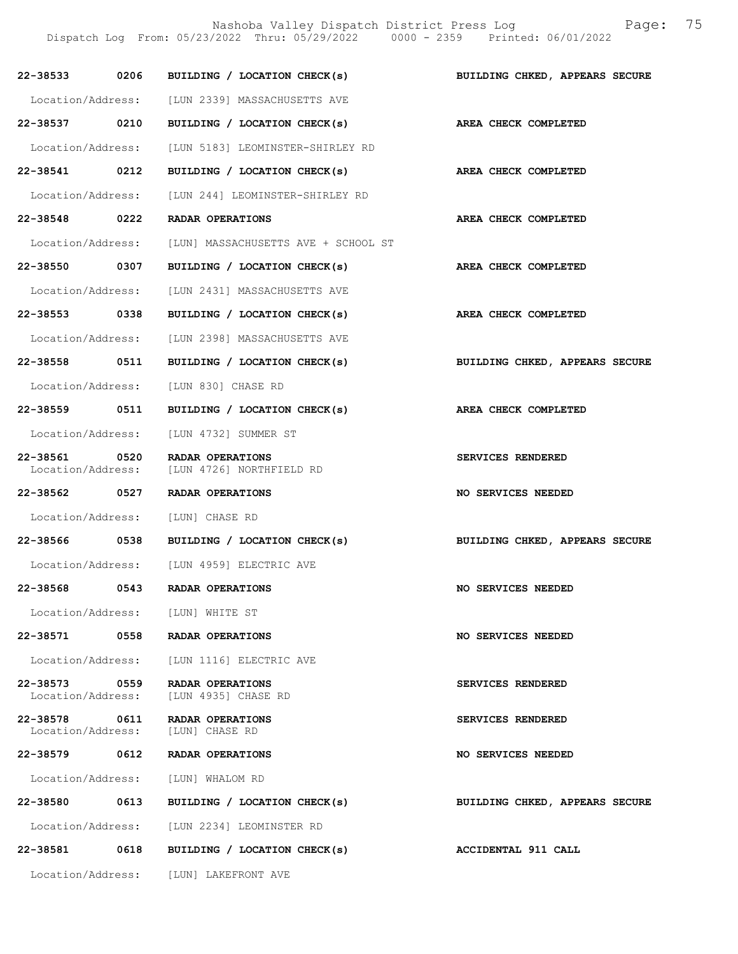Nashoba Valley Dispatch District Press Log Fage: 75 Dispatch Log From: 05/23/2022 Thru: 05/29/2022 0000 - 2359 Printed: 06/01/2022 22-38533 0206 BUILDING / LOCATION CHECK(s) BUILDING CHKED, APPEARS SECURE Location/Address: [LUN 2339] MASSACHUSETTS AVE 22-38537 0210 BUILDING / LOCATION CHECK(s) AREA CHECK COMPLETED Location/Address: [LUN 5183] LEOMINSTER-SHIRLEY RD 22-38541 0212 BUILDING / LOCATION CHECK(s) AREA CHECK COMPLETED Location/Address: [LUN 244] LEOMINSTER-SHIRLEY RD 22-38548 0222 RADAR OPERATIONS AREA CHECK COMPLETED Location/Address: [LUN] MASSACHUSETTS AVE + SCHOOL ST 22-38550 0307 BUILDING / LOCATION CHECK(s) AREA CHECK COMPLETED

 Location/Address: [LUN 2431] MASSACHUSETTS AVE 22-38553 0338 BUILDING / LOCATION CHECK(s) AREA CHECK COMPLETED

- Location/Address: [LUN 2398] MASSACHUSETTS AVE
- 22-38558 0511 BUILDING / LOCATION CHECK(s) BUILDING CHKED, APPEARS SECURE
- Location/Address: [LUN 830] CHASE RD
- 22-38559 0511 BUILDING / LOCATION CHECK(s) AREA CHECK COMPLETED
	- Location/Address: [LUN 4732] SUMMER ST
- 22-38561 0520 RADAR OPERATIONS<br>
Location/Address: [LUN 4726] NORTHFIELD RD [LUN 4726] NORTHFIELD RD
- 22-38562 0527 RADAR OPERATIONS NO SERVICES NEEDED
	- Location/Address: [LUN] CHASE RD
- 22-38566 0538 BUILDING / LOCATION CHECK(s) BUILDING CHKED, APPEARS SECURE
	- Location/Address: [LUN 4959] ELECTRIC AVE
- 22-38568 0543 RADAR OPERATIONS NO SERVICES NEEDED
- Location/Address: [LUN] WHITE ST
- 22-38571 0558 RADAR OPERATIONS NO SERVICES NEEDED
- Location/Address: [LUN 1116] ELECTRIC AVE
- 22-38573 0559 RADAR OPERATIONS SERVICES RENDERED Location/Address: [LUN 4935] CHASE RD
- 22-38578 0611 RADAR OPERATIONS SERVICES RENDERED<br>Location/Address: [LUN] CHASE RD
	- Location/Address:
	- Location/Address: [LUN] WHALOM RD
		-
- Location/Address: [LUN 2234] LEOMINSTER RD
- 
- 22-38581 0618 BUILDING / LOCATION CHECK(s) ACCIDENTAL 911 CALL
	- Location/Address: [LUN] LAKEFRONT AVE

22-38579 0612 RADAR OPERATIONS NO SERVICES NEEDED

22-38580 0613 BUILDING / LOCATION CHECK(s) BUILDING CHKED, APPEARS SECURE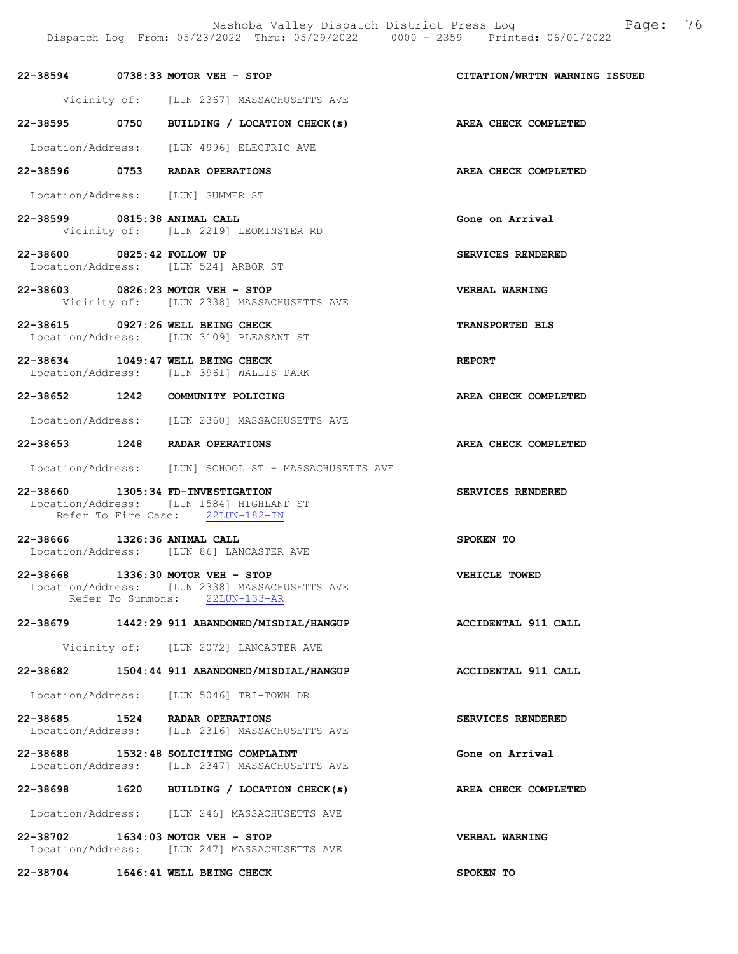| 22-38594     | $0738:33$ MOTOR VEH - STOP |                              | CITATION/WRTTN WARNING ISSUED |  |
|--------------|----------------------------|------------------------------|-------------------------------|--|
| Vicinity of: |                            | [LUN 2367] MASSACHUSETTS AVE |                               |  |

- 22-38595 0750 BUILDING / LOCATION CHECK(s) AREA CHECK COMPLETED
- Location/Address: [LUN 4996] ELECTRIC AVE
- 22-38596 0753 RADAR OPERATIONS AREA CHECK COMPLETED

Location/Address: [LUN] SUMMER ST

- 22-38599 0815:38 ANIMAL CALL Gone on Arrival Vicinity of: [LUN 2219] LEOMINSTER RD
- 22-38600 0825:42 FOLLOW UP SERVICES RENDERED Location/Address: [LUN 524] ARBOR ST
- 22-38603 0826:23 MOTOR VEH STOP VERBAL WARNING Vicinity of: [LUN 2338] MASSACHUSETTS AVE
- 22-38615 0927:26 WELL BEING CHECK TRANSPORTED BLS Location/Address: [LUN 3109] PLEASANT ST
- 22-38634 1049:47 WELL BEING CHECK Location/Address: [LUN 3961] WALLIS PARK Location/Address: [LUN 3961] WALLIS PARK

- Location/Address: [LUN 2360] MASSACHUSETTS AVE
- 22-38653 1248 RADAR OPERATIONS AREA CHECK COMPLETED
- Location/Address: [LUN] SCHOOL ST + MASSACHUSETTS AVE

22-38660 1305:34 FD-INVESTIGATION SERVICES RENDERED Location/Address: [LUN 1584] HIGHLAND ST Refer To Fire Case: 22LUN-182-IN

- 22-38666 1326:36 ANIMAL CALL SPOKEN TO Location/Address: [LUN 86] LANCASTER AVE
- 22-38668 1336:30 MOTOR VEH STOP VEHICLE TOWED Location/Address: [LUN 2338] MASSACHUSETTS AVE Refer To Summons: 22LUN-133-AR

# 22-38679 1442:29 911 ABANDONED/MISDIAL/HANGUP ACCIDENTAL 911 CALL

Vicinity of: [LUN 2072] LANCASTER AVE

- 22-38682 1504:44 911 ABANDONED/MISDIAL/HANGUP ACCIDENTAL 911 CALL
- Location/Address: [LUN 5046] TRI-TOWN DR
- 22-38685 1524 RADAR OPERATIONS<br>
Location/Address: [LUN 2316] MASSACHUSETTS AVE Location/Address: [LUN 2316] MASSACHUSETTS AVE
- 22-38688 1532:48 SOLICITING COMPLAINT Gone on Arrival Location/Address: [LUN 2347] MASSACHUSETTS AVE
- 22-38698 1620 BUILDING / LOCATION CHECK(s) AREA CHECK COMPLETED
- Location/Address: [LUN 246] MASSACHUSETTS AVE
- 22-38702 1634:03 MOTOR VEH STOP VERBAL WARNING Location/Address: [LUN 247] MASSACHUSETTS AVE

22-38704 1646:41 WELL BEING CHECK SPOKEN TO

22-38652 1242 COMMUNITY POLICING AREA CHECK COMPLETED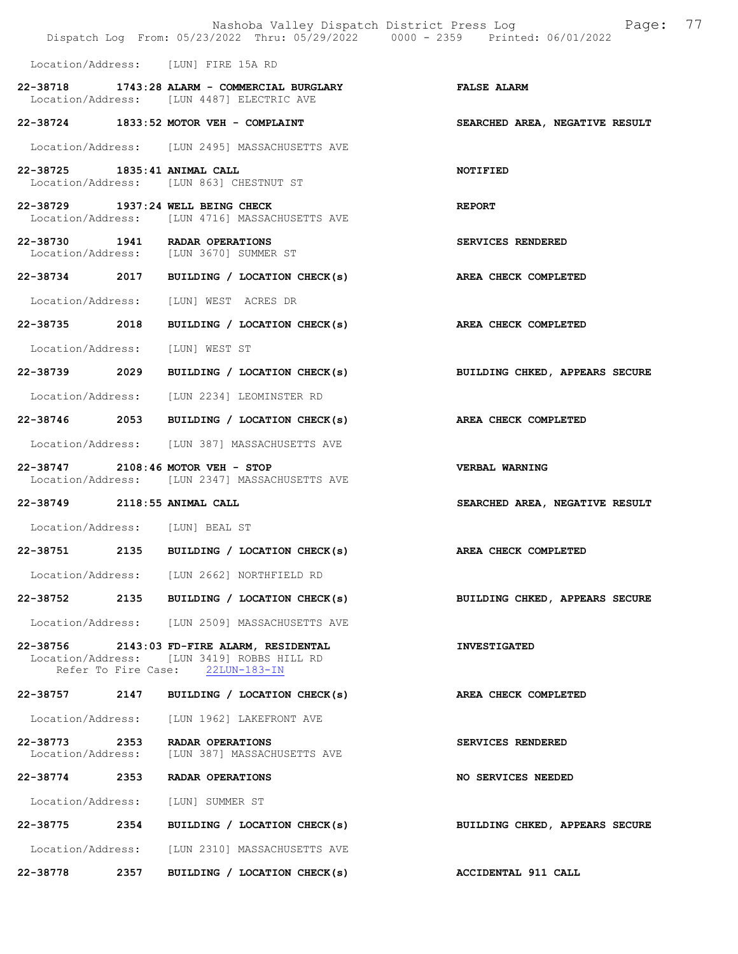|                                    |      | Nashoba Valley Dispatch District Press Log<br>Dispatch Log From: 05/23/2022 Thru: 05/29/2022 0000 - 2359 Printed: 06/01/2022 | 77<br>Page:                    |
|------------------------------------|------|------------------------------------------------------------------------------------------------------------------------------|--------------------------------|
|                                    |      | Location/Address: [LUN] FIRE 15A RD                                                                                          |                                |
|                                    |      | 22-38718 1743:28 ALARM - COMMERCIAL BURGLARY<br>Location/Address: [LUN 4487] ELECTRIC AVE                                    | <b>FALSE ALARM</b>             |
|                                    |      | 22-38724 1833:52 MOTOR VEH - COMPLAINT                                                                                       | SEARCHED AREA, NEGATIVE RESULT |
|                                    |      | Location/Address: [LUN 2495] MASSACHUSETTS AVE                                                                               |                                |
| 22-38725 1835:41 ANIMAL CALL       |      | Location/Address: [LUN 863] CHESTNUT ST                                                                                      | NOTIFIED                       |
|                                    |      | 22-38729 1937:24 WELL BEING CHECK<br>Location/Address: [LUN 4716] MASSACHUSETTS AVE                                          | <b>REPORT</b>                  |
|                                    |      | 22-38730 1941 RADAR OPERATIONS<br>Location/Address: [LUN 3670] SUMMER ST                                                     | SERVICES RENDERED              |
|                                    |      | 22-38734 2017 BUILDING / LOCATION CHECK(s)                                                                                   | AREA CHECK COMPLETED           |
|                                    |      | Location/Address: [LUN] WEST ACRES DR                                                                                        |                                |
| 22-38735 2018                      |      | BUILDING / LOCATION CHECK(s) AREA CHECK COMPLETED                                                                            |                                |
| Location/Address:                  |      | [LUN] WEST ST                                                                                                                |                                |
| 22-38739 2029                      |      | BUILDING / LOCATION CHECK(s)                                                                                                 | BUILDING CHKED, APPEARS SECURE |
|                                    |      | Location/Address: [LUN 2234] LEOMINSTER RD                                                                                   |                                |
|                                    |      | 22-38746 2053 BUILDING / LOCATION CHECK(s)                                                                                   | AREA CHECK COMPLETED           |
|                                    |      | Location/Address: [LUN 387] MASSACHUSETTS AVE                                                                                |                                |
|                                    |      | 22-38747 2108:46 MOTOR VEH - STOP<br>Location/Address: [LUN 2347] MASSACHUSETTS AVE                                          | VERBAL WARNING                 |
| 22-38749 2118:55 ANIMAL CALL       |      |                                                                                                                              | SEARCHED AREA, NEGATIVE RESULT |
| Location/Address: [LUN] BEAL ST    |      |                                                                                                                              |                                |
|                                    |      | 22-38751 2135 BUILDING / LOCATION CHECK(s) AREA CHECK COMPLETED                                                              |                                |
|                                    |      | Location/Address: [LUN 2662] NORTHFIELD RD                                                                                   |                                |
|                                    |      | 22-38752 2135 BUILDING / LOCATION CHECK(s)                                                                                   | BUILDING CHKED, APPEARS SECURE |
|                                    |      | Location/Address: [LUN 2509] MASSACHUSETTS AVE                                                                               |                                |
|                                    |      | 22-38756 2143:03 FD-FIRE ALARM, RESIDENTAL<br>Location/Address: [LUN 3419] ROBBS HILL RD<br>Refer To Fire Case: 22LUN-183-IN | <b>INVESTIGATED</b>            |
|                                    |      | 22-38757 2147 BUILDING / LOCATION CHECK(s)                                                                                   | AREA CHECK COMPLETED           |
|                                    |      | Location/Address: [LUN 1962] LAKEFRONT AVE                                                                                   |                                |
| 22-38773 2353<br>Location/Address: |      | RADAR OPERATIONS<br>[LUN 387] MASSACHUSETTS AVE                                                                              | SERVICES RENDERED              |
| 22-38774                           | 2353 | RADAR OPERATIONS                                                                                                             | NO SERVICES NEEDED             |
|                                    |      | Location/Address: [LUN] SUMMER ST                                                                                            |                                |
| 22-38775 2354                      |      | BUILDING / LOCATION CHECK(s)                                                                                                 | BUILDING CHKED, APPEARS SECURE |
| Location/Address:                  |      | [LUN 2310] MASSACHUSETTS AVE                                                                                                 |                                |
| 22-38778 2357                      |      | BUILDING / LOCATION CHECK(s)                                                                                                 | ACCIDENTAL 911 CALL            |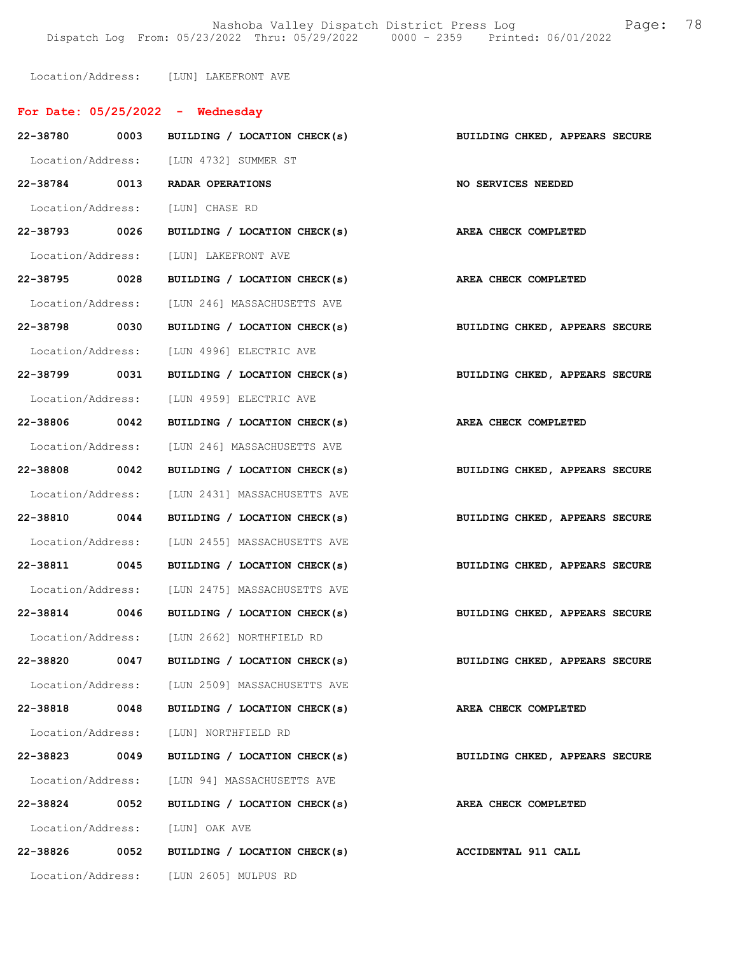Nashoba Valley Dispatch District Press Log Fage: 78 Dispatch Log From: 05/23/2022 Thru: 05/29/2022 0000 - 2359 Printed: 06/01/2022

Location/Address: [LUN] LAKEFRONT AVE

|                   |      | For Date: $05/25/2022 -$ Wednesday                                        |                                |
|-------------------|------|---------------------------------------------------------------------------|--------------------------------|
|                   |      | 22-38780 0003 BUILDING / LOCATION CHECK(s) BUILDING CHKED, APPEARS SECURE |                                |
|                   |      | Location/Address: [LUN 4732] SUMMER ST                                    |                                |
|                   |      | 22-38784 0013 RADAR OPERATIONS                                            | NO SERVICES NEEDED             |
|                   |      | Location/Address: [LUN] CHASE RD                                          |                                |
| 22-38793 0026     |      | BUILDING / LOCATION CHECK(s)                                              | AREA CHECK COMPLETED           |
|                   |      | Location/Address: [LUN] LAKEFRONT AVE                                     |                                |
|                   |      | 22-38795 0028 BUILDING / LOCATION CHECK(s) AREA CHECK COMPLETED           |                                |
|                   |      | Location/Address: [LUN 246] MASSACHUSETTS AVE                             |                                |
| 22-38798 0030     |      | BUILDING / LOCATION CHECK(s)                                              | BUILDING CHKED, APPEARS SECURE |
|                   |      | Location/Address: [LUN 4996] ELECTRIC AVE                                 |                                |
| 22-38799 0031     |      | BUILDING / LOCATION CHECK(s)                                              | BUILDING CHKED, APPEARS SECURE |
|                   |      | Location/Address: [LUN 4959] ELECTRIC AVE                                 |                                |
| 22-38806 0042     |      | BUILDING / LOCATION CHECK(s)                                              | AREA CHECK COMPLETED           |
|                   |      | Location/Address: [LUN 246] MASSACHUSETTS AVE                             |                                |
| 22-38808 0042     |      | BUILDING / LOCATION CHECK(s)                                              | BUILDING CHKED, APPEARS SECURE |
|                   |      | Location/Address: [LUN 2431] MASSACHUSETTS AVE                            |                                |
| 22-38810 0044     |      | BUILDING / LOCATION CHECK(s)                                              | BUILDING CHKED, APPEARS SECURE |
|                   |      | Location/Address: [LUN 2455] MASSACHUSETTS AVE                            |                                |
| 22-38811 0045     |      | BUILDING / LOCATION CHECK(s)                                              | BUILDING CHKED, APPEARS SECURE |
|                   |      | Location/Address: [LUN 2475] MASSACHUSETTS AVE                            |                                |
|                   |      | 22-38814 0046 BUILDING / LOCATION CHECK(s)                                | BUILDING CHKED, APPEARS SECURE |
| Location/Address: |      | [LUN 2662] NORTHFIELD RD                                                  |                                |
| 22-38820          | 0047 | BUILDING / LOCATION CHECK(s)                                              | BUILDING CHKED, APPEARS SECURE |
|                   |      | Location/Address: [LUN 2509] MASSACHUSETTS AVE                            |                                |
| 22-38818 0048     |      | BUILDING / LOCATION CHECK(s)                                              | AREA CHECK COMPLETED           |
|                   |      | Location/Address: [LUN] NORTHFIELD RD                                     |                                |
| 22-38823          | 0049 | BUILDING / LOCATION CHECK(s)                                              | BUILDING CHKED, APPEARS SECURE |
|                   |      | Location/Address: [LUN 94] MASSACHUSETTS AVE                              |                                |
| 22-38824          | 0052 | BUILDING / LOCATION CHECK(s)                                              | AREA CHECK COMPLETED           |
|                   |      | Location/Address: [LUN] OAK AVE                                           |                                |
|                   |      | 22-38826 0052 BUILDING / LOCATION CHECK(s)                                | ACCIDENTAL 911 CALL            |
|                   |      | Location/Address: [LUN 2605] MULPUS RD                                    |                                |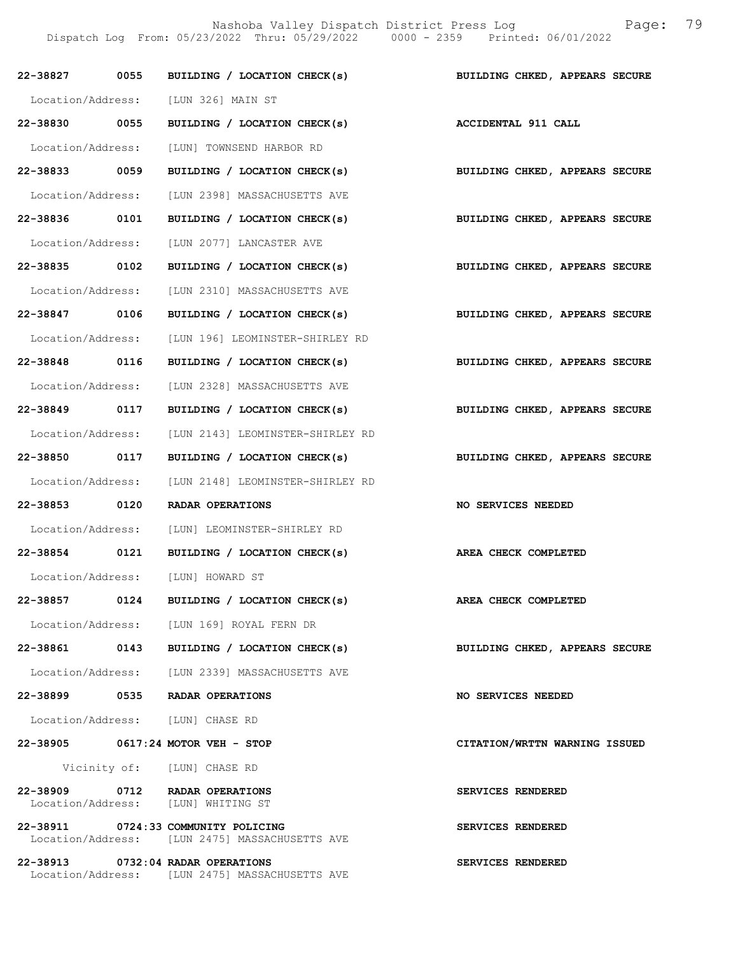Nashoba Valley Dispatch District Press Log Fage: 79

Dispatch Log From: 05/23/2022 Thru: 05/29/2022 0000 - 2359 Printed: 06/01/2022

|               |      | 22-38827 0055 BUILDING / LOCATION CHECK(s)                                            | BUILDING CHKED, APPEARS SECURE |
|---------------|------|---------------------------------------------------------------------------------------|--------------------------------|
|               |      | Location/Address: [LUN 326] MAIN ST                                                   |                                |
| 22-38830 0055 |      | BUILDING / LOCATION CHECK(s) ACCIDENTAL 911 CALL                                      |                                |
|               |      | Location/Address: [LUN] TOWNSEND HARBOR RD                                            |                                |
| 22-38833 0059 |      | BUILDING / LOCATION CHECK(s)                                                          | BUILDING CHKED, APPEARS SECURE |
|               |      | Location/Address: [LUN 2398] MASSACHUSETTS AVE                                        |                                |
| 22-38836 0101 |      | BUILDING / LOCATION CHECK(s) BUILDING CHKED, APPEARS SECURE                           |                                |
|               |      | Location/Address: [LUN 2077] LANCASTER AVE                                            |                                |
| 22-38835 0102 |      | BUILDING / LOCATION CHECK(s)                                                          | BUILDING CHKED, APPEARS SECURE |
|               |      | Location/Address: [LUN 2310] MASSACHUSETTS AVE                                        |                                |
| 22-38847 0106 |      | BUILDING / LOCATION CHECK(s)                                                          | BUILDING CHKED, APPEARS SECURE |
|               |      | Location/Address: [LUN 196] LEOMINSTER-SHIRLEY RD                                     |                                |
| 22-38848 0116 |      | BUILDING / LOCATION CHECK(s)                                                          | BUILDING CHKED, APPEARS SECURE |
|               |      | Location/Address: [LUN 2328] MASSACHUSETTS AVE                                        |                                |
| 22-38849 0117 |      | BUILDING / LOCATION CHECK(s)                                                          | BUILDING CHKED, APPEARS SECURE |
|               |      | Location/Address: [LUN 2143] LEOMINSTER-SHIRLEY RD                                    |                                |
| 22-38850 0117 |      | BUILDING / LOCATION CHECK(s)                                                          | BUILDING CHKED, APPEARS SECURE |
|               |      | Location/Address: [LUN 2148] LEOMINSTER-SHIRLEY RD                                    |                                |
| 22-38853 0120 |      | RADAR OPERATIONS                                                                      | NO SERVICES NEEDED             |
|               |      | Location/Address: [LUN] LEOMINSTER-SHIRLEY RD                                         |                                |
|               |      | 22-38854 0121 BUILDING / LOCATION CHECK(s)                                            | AREA CHECK COMPLETED           |
|               |      | Location/Address: [LUN] HOWARD ST                                                     |                                |
| 22-38857      | 0124 | BUILDING / LOCATION CHECK(s)                                                          | AREA CHECK COMPLETED           |
|               |      | Location/Address: [LUN 169] ROYAL FERN DR                                             |                                |
|               |      | 22-38861 0143 BUILDING / LOCATION CHECK(s)                                            | BUILDING CHKED, APPEARS SECURE |
|               |      | Location/Address: [LUN 2339] MASSACHUSETTS AVE                                        |                                |
|               |      | 22-38899 0535 RADAR OPERATIONS                                                        | <b>NO SERVICES NEEDED</b>      |
|               |      | Location/Address: [LUN] CHASE RD                                                      |                                |
|               |      | 22-38905 0617:24 MOTOR VEH - STOP                                                     | CITATION/WRTTN WARNING ISSUED  |
|               |      | Vicinity of: [LUN] CHASE RD                                                           |                                |
|               |      | 22-38909 0712 RADAR OPERATIONS<br>Location/Address: [LUN] WHITING ST                  | SERVICES RENDERED              |
|               |      | 22-38911 0724:33 COMMUNITY POLICING<br>Location/Address: [LUN 2475] MASSACHUSETTS AVE | SERVICES RENDERED              |
|               |      | 22-38913 0732:04 RADAR OPERATIONS<br>Location/Address: [LUN 2475] MASSACHUSETTS AVE   | SERVICES RENDERED              |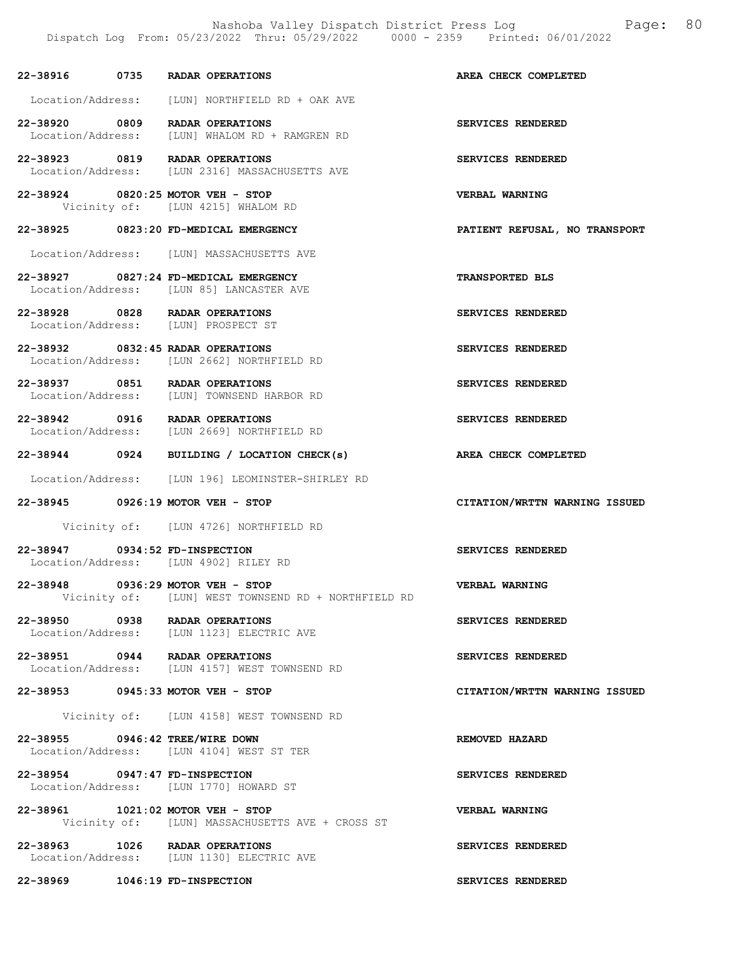Nashoba Valley Dispatch District Press Log Page: 80

22-38916 0735 RADAR OPERATIONS AREA CHECK COMPLETED Location/Address: [LUN] NORTHFIELD RD + OAK AVE 22-38920 0809 RADAR OPERATIONS SERVICES RENDERED Location/Address: [LUN] WHALOM RD + RAMGREN RD 22-38923 0819 RADAR OPERATIONS<br>
Location/Address: [LUN 2316] MASSACHUSETTS AVE [LUN 2316] MASSACHUSETTS AVE 22-38924 0820:25 MOTOR VEH - STOP VERBAL WARNING<br>Vicinity of: [LUN 4215] WHALOM RD [LUN 4215] WHALOM RD 22-38925 0823:20 FD-MEDICAL EMERGENCY PATIENT REFUSAL, NO TRANSPORT Location/Address: [LUN] MASSACHUSETTS AVE 22-38927 0827:24 FD-MEDICAL EMERGENCY<br>
Location/Address: [LUN 85] LANCASTER AVE [LUN 85] LANCASTER AVE 22-38928 0828 RADAR OPERATIONS SERVICES RENDERED Location/Address: [LUN] PROSPECT ST 22-38932 0832:45 RADAR OPERATIONS SERVICES RENDERED Location/Address: [LUN 2662] NORTHFIELD RD 22-38937 0851 RADAR OPERATIONS<br>
Location/Address: [LUN] TOWNSEND HARBOR RD [LUN] TOWNSEND HARBOR RD 22-38942 0916 RADAR OPERATIONS<br>
Location/Address: [LUN 2669] NORTHFIELD RD [LUN 2669] NORTHFIELD RD 22-38944 0924 BUILDING / LOCATION CHECK(s) AREA CHECK COMPLETED Location/Address: [LUN 196] LEOMINSTER-SHIRLEY RD 22-38945 0926:19 MOTOR VEH - STOP CITATION/WRTTN WARNING ISSUED Vicinity of: [LUN 4726] NORTHFIELD RD 22-38947 0934:52 FD-INSPECTION SERVICES RENDERED Location/Address: [LUN 4902] RILEY RD 22-38948 0936:29 MOTOR VEH - STOP VERBAL WARNING Vicinity of: [LUN] WEST TOWNSEND RD + NORTHFIELD RD 22-38950 0938 RADAR OPERATIONS<br>
Location/Address: [LUN 1123] ELECTRIC AVE [LUN 1123] ELECTRIC AVE 22-38951 0944 RADAR OPERATIONS<br>
Location/Address: [LUN 4157] WEST TOWNSEND RD<br>
SERVICES RENDERED [LUN 4157] WEST TOWNSEND RD 22-38953 0945:33 MOTOR VEH - STOP CITATION/WRTTN WARNING ISSUED Vicinity of: [LUN 4158] WEST TOWNSEND RD 22-38955 0946:42 TREE/WIRE DOWN REMOVED HAZARD Location/Address: [LUN 4104] WEST ST TER 22-38954 0947:47 FD-INSPECTION SERVICES RENDERED Location/Address: [LUN 1770] HOWARD ST 22-38961 1021:02 MOTOR VEH - STOP VERBAL WARNING Vicinity of: [LUN] MASSACHUSETTS AVE + CROSS ST 22-38963 1026 RADAR OPERATIONS SERVICES RENDERED Location/Address: [LUN 1130] ELECTRIC AVE

22-38969 1046:19 FD-INSPECTION SERVICES RENDERED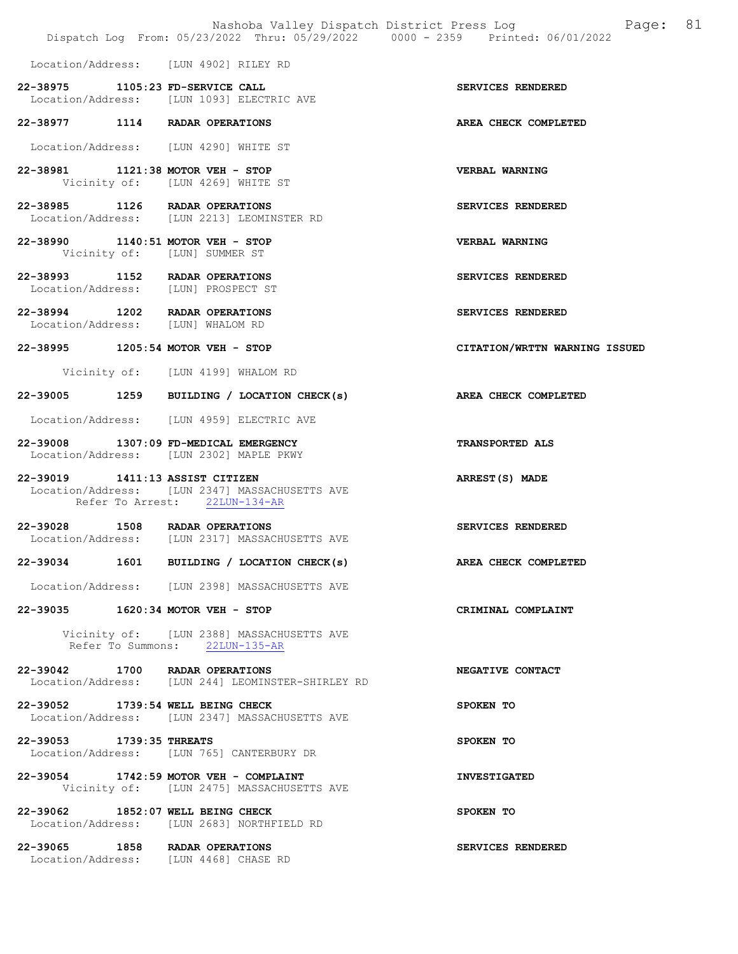Location/Address: [LUN 4902] RILEY RD

| 22-38975          | 1105:23 FD-SERVICE CALL |  |                         |  |
|-------------------|-------------------------|--|-------------------------|--|
| Location/Address: |                         |  | ILUN 10931 ELECTRIC AVE |  |

22-38977 1114 RADAR OPERATIONS AREA CHECK COMPLETED

Location/Address: [LUN 4290] WHITE ST

22-38981 1121:38 MOTOR VEH - STOP VERBAL WARNING Vicinity of: [LUN 4269] WHITE ST

22-38985 1126 RADAR OPERATIONS SERVICES RENDERED Location/Address: [LUN 2213] LEOMINSTER RD

22-38990 1140:51 MOTOR VEH - STOP CHEREAL WARNING<br>Vicinity of: [LUN] SUMMER ST [LUN] SUMMER ST

22-38993 1152 RADAR OPERATIONS SERVICES RENDERED Location/Address: [LUN] PROSPECT ST

22-38994 1202 RADAR OPERATIONS SERVICES RENDERED<br>
Location/Address: [LUN] WHALOM RD Location/Address:

### 22-38995 1205:54 MOTOR VEH - STOP CITATION/WRTTN WARNING ISSUED

Vicinity of: [LUN 4199] WHALOM RD

# 22-39005 1259 BUILDING / LOCATION CHECK(s) AREA CHECK COMPLETED

Location/Address: [LUN 4959] ELECTRIC AVE

22-39008 1307:09 FD-MEDICAL EMERGENCY TRANSPORTED ALS Location/Address: [LUN 2302] MAPLE PKWY

22-39019 1411:13 ASSIST CITIZEN ARREST(S) MADE Location/Address: [LUN 2347] MASSACHUSETTS AVE Refer To Arrest: 22LUN-134-AR

22-39028 1508 RADAR OPERATIONS<br>
Location/Address: [LUN 2317] MASSACHUSETTS AVE [LUN 2317] MASSACHUSETTS AVE

22-39034 1601 BUILDING / LOCATION CHECK(s) AREA CHECK COMPLETED

Location/Address: [LUN 2398] MASSACHUSETTS AVE

22-39035 1620:34 MOTOR VEH - STOP CRIMINAL COMPLAINT

 Vicinity of: [LUN 2388] MASSACHUSETTS AVE Refer To Summons: 22LUN-135-AR

22-39042 1700 RADAR OPERATIONS REGATIVE CONTACT Location/Address: [LUN 244] LEOMINSTER-SHIRLEY RD [LUN 244] LEOMINSTER-SHIRLEY RD

22-39052 1739:54 WELL BEING CHECK SPOKEN TO Location/Address: [LUN 2347] MASSACHUSETTS AVE

22-39053 1739:35 THREATS SPOKEN TO<br>
Location/Address: [LUN 765] CANTERBURY DR [LUN 765] CANTERBURY DR

22-39054 1742:59 MOTOR VEH - COMPLAINT **INVESTIGATED** Vicinity of: [LUN 2475] MASSACHUSETTS AVE

22-39062 1852:07 WELL BEING CHECK SPOKEN TO Location/Address: [LUN 2683] NORTHFIELD RD

22-39065 1858 RADAR OPERATIONS SERVICES RENDERED Location/Address: [LUN 4468] CHASE RD

SERVICES RENDERED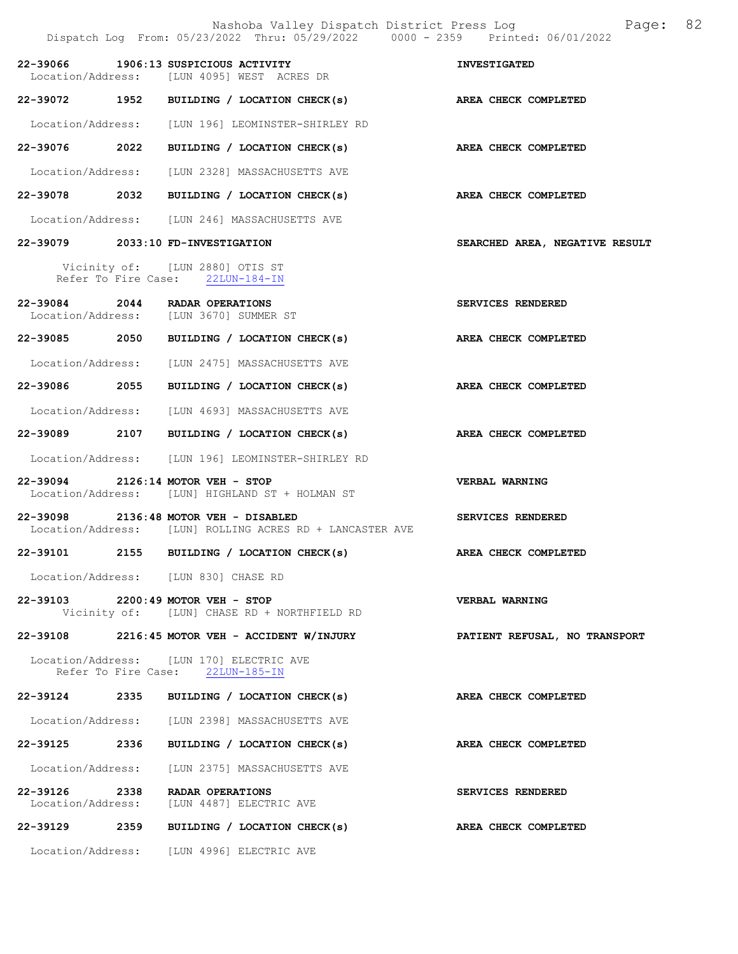|                   | Nashoba Valley Dispatch District Press Log<br>Dispatch Log From: 05/23/2022 Thru: 05/29/2022 0000 - 2359 Printed: 06/01/2022 | 82<br>Page:                    |
|-------------------|------------------------------------------------------------------------------------------------------------------------------|--------------------------------|
|                   | 22-39066 1906:13 SUSPICIOUS ACTIVITY<br>Location/Address: [LUN 4095] WEST ACRES DR                                           | <b>INVESTIGATED</b>            |
|                   | 22-39072 1952 BUILDING / LOCATION CHECK(s) AREA CHECK COMPLETED                                                              |                                |
| Location/Address: | [LUN 196] LEOMINSTER-SHIRLEY RD                                                                                              |                                |
|                   | 22-39076 2022 BUILDING / LOCATION CHECK(s)                                                                                   | AREA CHECK COMPLETED           |
|                   | Location/Address: [LUN 2328] MASSACHUSETTS AVE                                                                               |                                |
|                   | 22-39078 2032 BUILDING / LOCATION CHECK(s)                                                                                   | AREA CHECK COMPLETED           |
|                   | Location/Address: [LUN 246] MASSACHUSETTS AVE                                                                                |                                |
|                   | 22-39079 2033:10 FD-INVESTIGATION                                                                                            | SEARCHED AREA, NEGATIVE RESULT |
|                   | Vicinity of: [LUN 2880] OTIS ST<br>Refer To Fire Case: 22LUN-184-IN                                                          |                                |
|                   | 22-39084 2044 RADAR OPERATIONS<br>Location/Address: [LUN 3670] SUMMER ST                                                     | SERVICES RENDERED              |
|                   | 22-39085 2050 BUILDING / LOCATION CHECK(s)                                                                                   | AREA CHECK COMPLETED           |
|                   | Location/Address: [LUN 2475] MASSACHUSETTS AVE                                                                               |                                |
|                   | 22-39086 2055 BUILDING / LOCATION CHECK(s)                                                                                   | AREA CHECK COMPLETED           |
|                   | Location/Address: [LUN 4693] MASSACHUSETTS AVE                                                                               |                                |
|                   | 22-39089 2107 BUILDING / LOCATION CHECK(s)                                                                                   | AREA CHECK COMPLETED           |
|                   | Location/Address: [LUN 196] LEOMINSTER-SHIRLEY RD                                                                            |                                |
|                   | 22-39094 2126:14 MOTOR VEH - STOP<br>Location/Address: [LUN] HIGHLAND ST + HOLMAN ST                                         | <b>VERBAL WARNING</b>          |
|                   | 22-39098 2136:48 MOTOR VEH - DISABLED<br>Location/Address: [LUN] ROLLING ACRES RD + LANCASTER AVE                            | SERVICES RENDERED              |
|                   | 22-39101 2155 BUILDING / LOCATION CHECK(s) AREA CHECK COMPLETED                                                              |                                |
|                   | Location/Address: [LUN 830] CHASE RD                                                                                         |                                |
|                   | 22-39103 2200:49 MOTOR VEH - STOP<br>Vicinity of: [LUN] CHASE RD + NORTHFIELD RD                                             | <b>VERBAL WARNING</b>          |
|                   | 22-39108 2216:45 MOTOR VEH - ACCIDENT W/INJURY                                                                               | PATIENT REFUSAL, NO TRANSPORT  |
|                   | Location/Address: [LUN 170] ELECTRIC AVE<br>Refer To Fire Case: 22LUN-185-IN                                                 |                                |
|                   | 22-39124 2335 BUILDING / LOCATION CHECK(s)                                                                                   | AREA CHECK COMPLETED           |
|                   | Location/Address: [LUN 2398] MASSACHUSETTS AVE                                                                               |                                |
|                   | 22-39125 2336 BUILDING / LOCATION CHECK(s) AREA CHECK COMPLETED                                                              |                                |
|                   | Location/Address: [LUN 2375] MASSACHUSETTS AVE                                                                               |                                |
|                   | 22-39126 2338 RADAR OPERATIONS<br>Location/Address: [LUN 4487] ELECTRIC AVE                                                  | SERVICES RENDERED              |
|                   | 22-39129 2359 BUILDING / LOCATION CHECK(s)                                                                                   | AREA CHECK COMPLETED           |
|                   | Location/Address: [LUN 4996] ELECTRIC AVE                                                                                    |                                |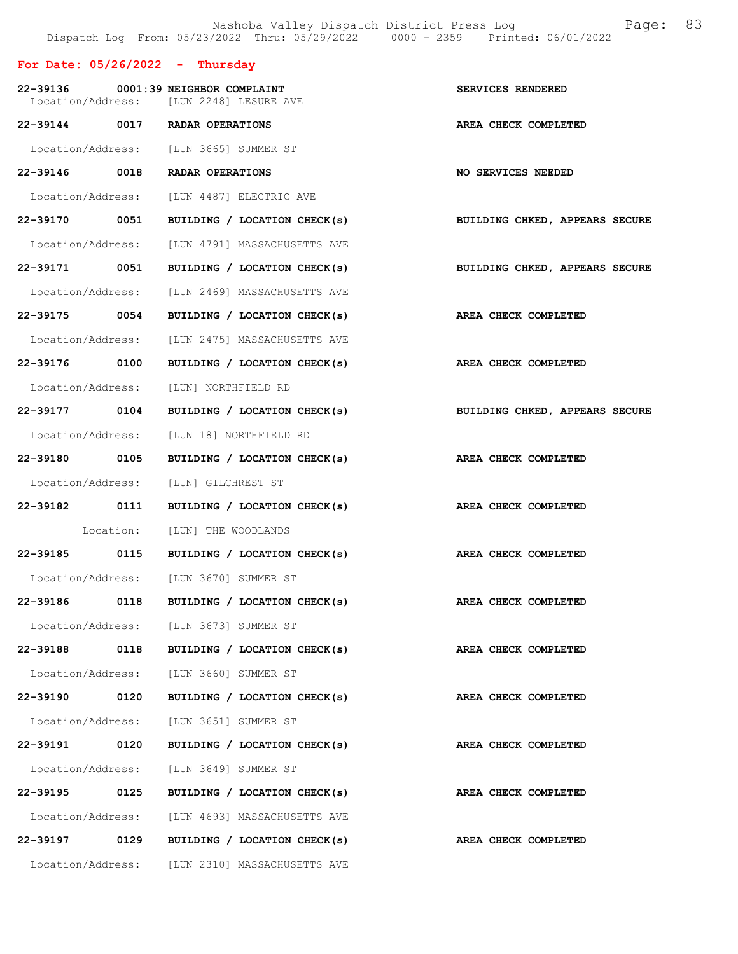# For Date: 05/26/2022 - Thursday

|                   |      | 22-39136 0001:39 NEIGHBOR COMPLAINT<br>Location/Address: [LUN 2248] LESURE AVE | SERVICES RENDERED              |
|-------------------|------|--------------------------------------------------------------------------------|--------------------------------|
|                   |      | 22-39144 0017 RADAR OPERATIONS                                                 | AREA CHECK COMPLETED           |
|                   |      | Location/Address: [LUN 3665] SUMMER ST                                         |                                |
|                   |      | 22-39146 0018 RADAR OPERATIONS                                                 | <b>NO SERVICES NEEDED</b>      |
|                   |      | Location/Address: [LUN 4487] ELECTRIC AVE                                      |                                |
| 22-39170 0051     |      | BUILDING / LOCATION CHECK(s)                                                   | BUILDING CHKED, APPEARS SECURE |
|                   |      | Location/Address: [LUN 4791] MASSACHUSETTS AVE                                 |                                |
| 22-39171 0051     |      | BUILDING / LOCATION CHECK(s)                                                   | BUILDING CHKED, APPEARS SECURE |
|                   |      | Location/Address: [LUN 2469] MASSACHUSETTS AVE                                 |                                |
|                   |      | 22-39175 0054 BUILDING / LOCATION CHECK(s) AREA CHECK COMPLETED                |                                |
|                   |      | Location/Address: [LUN 2475] MASSACHUSETTS AVE                                 |                                |
| 22-39176 0100     |      | BUILDING / LOCATION CHECK(s) AREA CHECK COMPLETED                              |                                |
|                   |      | Location/Address: [LUN] NORTHFIELD RD                                          |                                |
| 22-39177 0104     |      | BUILDING / LOCATION CHECK(s)                                                   | BUILDING CHKED, APPEARS SECURE |
|                   |      | Location/Address: [LUN 18] NORTHFIELD RD                                       |                                |
| 22-39180 0105     |      | BUILDING / LOCATION CHECK(s) AREA CHECK COMPLETED                              |                                |
|                   |      | Location/Address: [LUN] GILCHREST ST                                           |                                |
| 22-39182 0111     |      | BUILDING / LOCATION CHECK(s)                                                   | AREA CHECK COMPLETED           |
|                   |      | Location: [LUN] THE WOODLANDS                                                  |                                |
|                   |      | 22-39185 0115 BUILDING / LOCATION CHECK(s) AREA CHECK COMPLETED                |                                |
|                   |      | Location/Address: [LUN 3670] SUMMER ST                                         |                                |
| 22-39186          |      | 0118 BUILDING / LOCATION CHECK(s) <b>AREA CHECK COMPLETED</b>                  |                                |
| Location/Address: |      | [LUN 3673] SUMMER ST                                                           |                                |
| 22-39188          | 0118 | BUILDING / LOCATION CHECK(s)                                                   | AREA CHECK COMPLETED           |
|                   |      | Location/Address: [LUN 3660] SUMMER ST                                         |                                |
| 22-39190          | 0120 | BUILDING / LOCATION CHECK(s)                                                   | AREA CHECK COMPLETED           |
|                   |      | Location/Address: [LUN 3651] SUMMER ST                                         |                                |
| 22-39191 0120     |      | BUILDING / LOCATION CHECK(s)                                                   | AREA CHECK COMPLETED           |
| Location/Address: |      | [LUN 3649] SUMMER ST                                                           |                                |
| 22-39195          | 0125 | BUILDING / LOCATION CHECK(s)                                                   | AREA CHECK COMPLETED           |
|                   |      | Location/Address: [LUN 4693] MASSACHUSETTS AVE                                 |                                |
| 22-39197          | 0129 | BUILDING / LOCATION CHECK(s)                                                   | AREA CHECK COMPLETED           |
| Location/Address: |      | [LUN 2310] MASSACHUSETTS AVE                                                   |                                |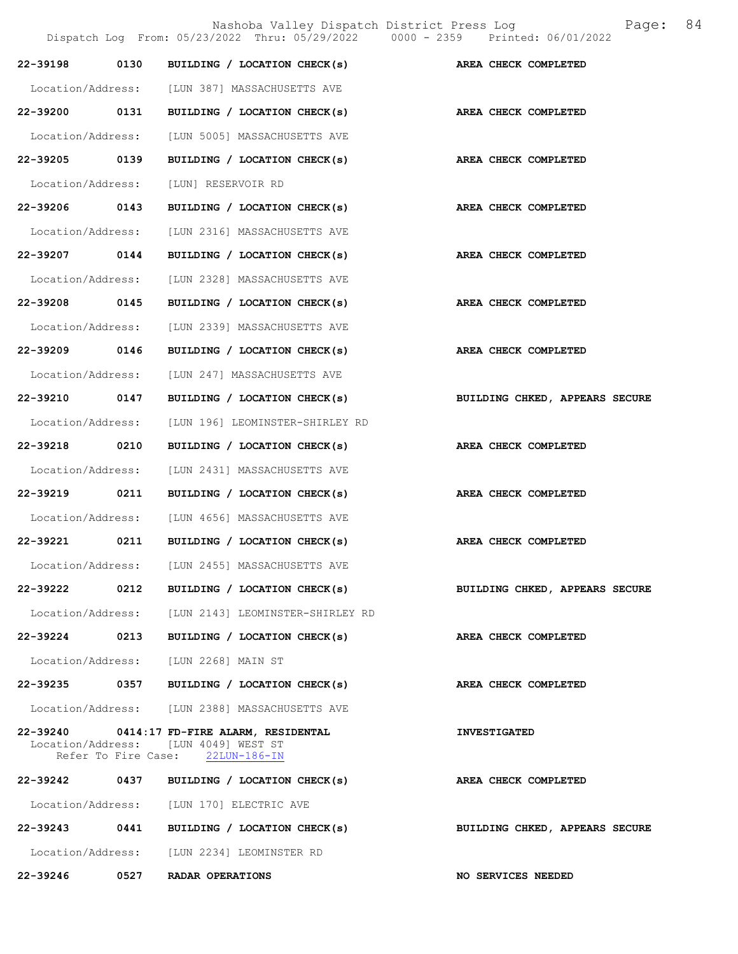Nashoba Valley Dispatch District Press Log Bage: 84<br>  $\frac{1}{2022}$  Thru: 05/29/2022 0000 - 2359 Printed: 06/01/2022 Dispatch Log From: 05/23/2022 Thru: 05/29/2022 22-39198 0130 BUILDING / LOCATION CHECK(s) AREA CHECK COMPLETED Location/Address: [LUN 387] MASSACHUSETTS AVE 22-39200 0131 BUILDING / LOCATION CHECK(s) AREA CHECK COMPLETED Location/Address: [LUN 5005] MASSACHUSETTS AVE 22-39205 0139 BUILDING / LOCATION CHECK(s) AREA CHECK COMPLETED Location/Address: [LUN] RESERVOIR RD 22-39206 0143 BUILDING / LOCATION CHECK(s) AREA CHECK COMPLETED Location/Address: [LUN 2316] MASSACHUSETTS AVE 22-39207 0144 BUILDING / LOCATION CHECK(s) AREA CHECK COMPLETED Location/Address: [LUN 2328] MASSACHUSETTS AVE 22-39208 0145 BUILDING / LOCATION CHECK(s) AREA CHECK COMPLETED Location/Address: [LUN 2339] MASSACHUSETTS AVE 22-39209 0146 BUILDING / LOCATION CHECK(s) AREA CHECK COMPLETED Location/Address: [LUN 247] MASSACHUSETTS AVE 22-39210 0147 BUILDING / LOCATION CHECK(s) BUILDING CHKED, APPEARS SECURE Location/Address: [LUN 196] LEOMINSTER-SHIRLEY RD 22-39218 0210 BUILDING / LOCATION CHECK(s) AREA CHECK COMPLETED Location/Address: [LUN 2431] MASSACHUSETTS AVE 22-39219 0211 BUILDING / LOCATION CHECK(s) AREA CHECK COMPLETED Location/Address: [LUN 4656] MASSACHUSETTS AVE 22-39221 0211 BUILDING / LOCATION CHECK(s) AREA CHECK COMPLETED Location/Address: [LUN 2455] MASSACHUSETTS AVE 22-39222 0212 BUILDING / LOCATION CHECK(s) BUILDING CHKED, APPEARS SECURE Location/Address: [LUN 2143] LEOMINSTER-SHIRLEY RD 22-39224 0213 BUILDING / LOCATION CHECK(s) AREA CHECK COMPLETED Location/Address: [LUN 2268] MAIN ST 22-39235 0357 BUILDING / LOCATION CHECK(s) AREA CHECK COMPLETED Location/Address: [LUN 2388] MASSACHUSETTS AVE 22-39240 0414:17 FD-FIRE ALARM, RESIDENTAL INVESTIGATED Location/Address: [LUN 4049] WEST ST<br>Refer To Fire Case: 22LUN-186-IN Refer To Fire Case: 22-39242 0437 BUILDING / LOCATION CHECK(s) AREA CHECK COMPLETED Location/Address: [LUN 170] ELECTRIC AVE 22-39243 0441 BUILDING / LOCATION CHECK(s) BUILDING CHKED, APPEARS SECURE Location/Address: [LUN 2234] LEOMINSTER RD

22-39246 0527 RADAR OPERATIONS NO SERVICES NEEDED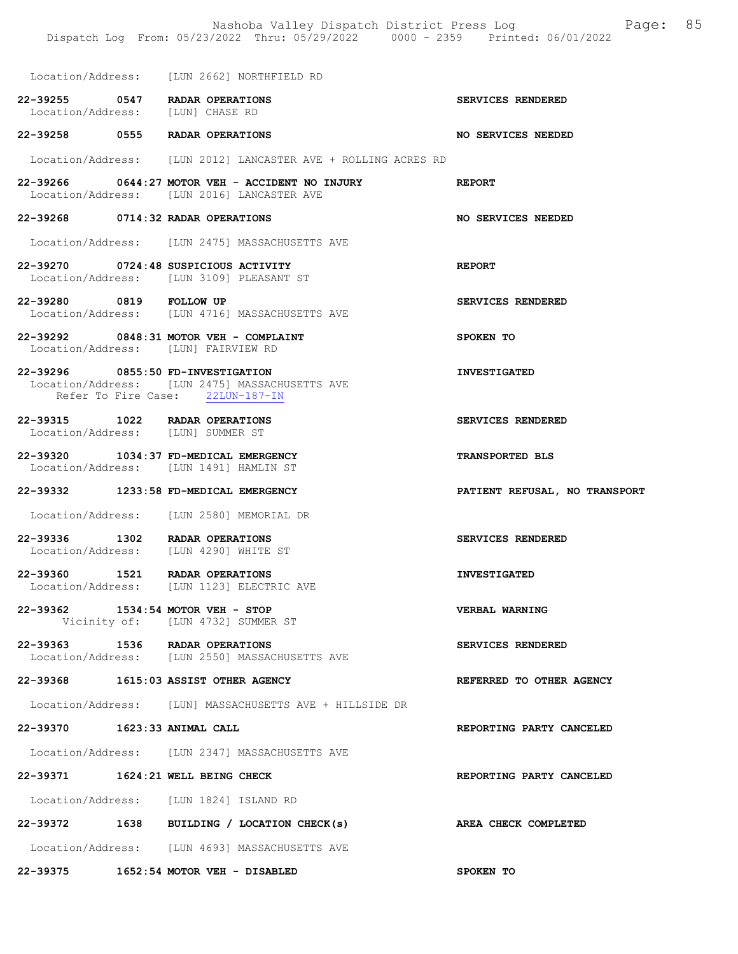|                              | Location/Address: [LUN 2662] NORTHFIELD RD                                                                              |                               |
|------------------------------|-------------------------------------------------------------------------------------------------------------------------|-------------------------------|
|                              | 22-39255 0547 RADAR OPERATIONS<br>Location/Address: [LUN] CHASE RD                                                      | SERVICES RENDERED             |
|                              | 22-39258 0555 RADAR OPERATIONS                                                                                          | NO SERVICES NEEDED            |
|                              | Location/Address: [LUN 2012] LANCASTER AVE + ROLLING ACRES RD                                                           |                               |
|                              | 22-39266 0644:27 MOTOR VEH - ACCIDENT NO INJURY REPORT<br>Location/Address: [LUN 2016] LANCASTER AVE                    |                               |
|                              | 22-39268 0714:32 RADAR OPERATIONS                                                                                       | <b>NO SERVICES NEEDED</b>     |
|                              | Location/Address: [LUN 2475] MASSACHUSETTS AVE                                                                          |                               |
|                              | 22-39270 0724:48 SUSPICIOUS ACTIVITY<br>Location/Address: [LUN 3109] PLEASANT ST                                        | <b>REPORT</b>                 |
| 22-39280 0819 FOLLOW UP      | Location/Address: [LUN 4716] MASSACHUSETTS AVE                                                                          | SERVICES RENDERED             |
|                              | 22-39292 0848:31 MOTOR VEH - COMPLAINT<br>Location/Address: [LUN] FAIRVIEW RD                                           | SPOKEN TO                     |
|                              | 22-39296 0855:50 FD-INVESTIGATION<br>Location/Address: [LUN 2475] MASSACHUSETTS AVE<br>Refer To Fire Case: 22LUN-187-IN | <b>INVESTIGATED</b>           |
|                              | 22-39315 1022 RADAR OPERATIONS<br>Location/Address: [LUN] SUMMER ST                                                     | SERVICES RENDERED             |
|                              | 22-39320 1034:37 FD-MEDICAL EMERGENCY<br>Location/Address: [LUN 1491] HAMLIN ST                                         | <b>TRANSPORTED BLS</b>        |
|                              | 22-39332 1233:58 FD-MEDICAL EMERGENCY                                                                                   | PATIENT REFUSAL, NO TRANSPORT |
|                              | Location/Address: [LUN 2580] MEMORIAL DR                                                                                |                               |
|                              | 22-39336 1302 RADAR OPERATIONS<br>Location/Address: [LUN 4290] WHITE ST                                                 | SERVICES RENDERED             |
|                              | 22-39360 1521 RADAR OPERATIONS<br>Location/Address: [LUN 1123] ELECTRIC AVE                                             | <b>INVESTIGATED</b>           |
|                              | 22-39362 1534:54 MOTOR VEH - STOP<br>Vicinity of: [LUN 4732] SUMMER ST                                                  | VERBAL WARNING                |
|                              | 22-39363 1536 RADAR OPERATIONS<br>Location/Address: [LUN 2550] MASSACHUSETTS AVE                                        | SERVICES RENDERED             |
|                              | 22-39368 1615:03 ASSIST OTHER AGENCY                                                                                    | REFERRED TO OTHER AGENCY      |
|                              | Location/Address: [LUN] MASSACHUSETTS AVE + HILLSIDE DR                                                                 |                               |
| 22-39370 1623:33 ANIMAL CALL |                                                                                                                         | REPORTING PARTY CANCELED      |
|                              | Location/Address: [LUN 2347] MASSACHUSETTS AVE                                                                          |                               |
|                              | 22-39371 1624:21 WELL BEING CHECK                                                                                       | REPORTING PARTY CANCELED      |
|                              | Location/Address: [LUN 1824] ISLAND RD                                                                                  |                               |
|                              | 22-39372 1638 BUILDING / LOCATION CHECK(s)                                                                              | AREA CHECK COMPLETED          |
|                              | Location/Address: [LUN 4693] MASSACHUSETTS AVE                                                                          |                               |
|                              | 22-39375 1652:54 MOTOR VEH - DISABLED                                                                                   | SPOKEN TO                     |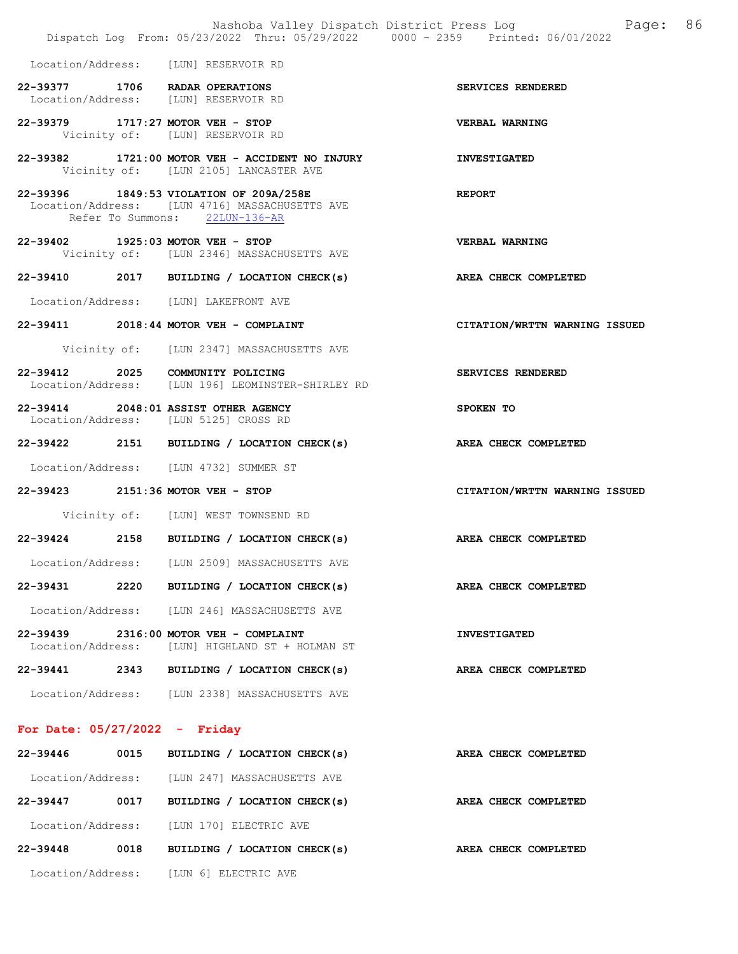|                                 |      | Nashoba Valley Dispatch District Press Log<br>Dispatch Log From: 05/23/2022 Thru: 05/29/2022 0000 - 2359 Printed: 06/01/2022 | 86<br>Page:                   |
|---------------------------------|------|------------------------------------------------------------------------------------------------------------------------------|-------------------------------|
|                                 |      | Location/Address: [LUN] RESERVOIR RD                                                                                         |                               |
|                                 |      | 22-39377 1706 RADAR OPERATIONS<br>Location/Address: [LUN] RESERVOIR RD                                                       | SERVICES RENDERED             |
|                                 |      | 22-39379 1717:27 MOTOR VEH - STOP<br>Vicinity of: [LUN] RESERVOIR RD                                                         | <b>VERBAL WARNING</b>         |
|                                 |      | 22-39382 1721:00 MOTOR VEH - ACCIDENT NO INJURY<br>Vicinity of: [LUN 2105] LANCASTER AVE                                     | <b>INVESTIGATED</b>           |
|                                 |      | 22-39396 1849:53 VIOLATION OF 209A/258E<br>Location/Address: [LUN 4716] MASSACHUSETTS AVE<br>Refer To Summons: 22LUN-136-AR  | <b>REPORT</b>                 |
|                                 |      | 22-39402 1925:03 MOTOR VEH - STOP<br>Vicinity of: [LUN 2346] MASSACHUSETTS AVE                                               | <b>VERBAL WARNING</b>         |
|                                 |      | 22-39410 2017 BUILDING / LOCATION CHECK(s)                                                                                   | AREA CHECK COMPLETED          |
|                                 |      | Location/Address: [LUN] LAKEFRONT AVE                                                                                        |                               |
|                                 |      | 22-39411 2018:44 MOTOR VEH - COMPLAINT                                                                                       | CITATION/WRTTN WARNING ISSUED |
|                                 |      | Vicinity of: [LUN 2347] MASSACHUSETTS AVE                                                                                    |                               |
|                                 |      | 22-39412 2025 COMMUNITY POLICING<br>Location/Address: [LUN 196] LEOMINSTER-SHIRLEY RD                                        | SERVICES RENDERED             |
|                                 |      | 22-39414 2048:01 ASSIST OTHER AGENCY<br>Location/Address: [LUN 5125] CROSS RD                                                | SPOKEN TO                     |
|                                 |      | 22-39422 2151 BUILDING / LOCATION CHECK(s)                                                                                   | AREA CHECK COMPLETED          |
|                                 |      | Location/Address: [LUN 4732] SUMMER ST                                                                                       |                               |
|                                 |      | 22-39423 2151:36 MOTOR VEH - STOP                                                                                            | CITATION/WRTTN WARNING ISSUED |
|                                 |      | Vicinity of: [LUN] WEST TOWNSEND RD                                                                                          |                               |
|                                 |      | 22-39424 2158 BUILDING / LOCATION CHECK(s) AREA CHECK COMPLETED                                                              |                               |
| Location/Address:               |      | [LUN 2509] MASSACHUSETTS AVE                                                                                                 |                               |
|                                 |      | 22-39431 2220 BUILDING / LOCATION CHECK(s)                                                                                   | AREA CHECK COMPLETED          |
|                                 |      | Location/Address: [LUN 246] MASSACHUSETTS AVE                                                                                |                               |
|                                 |      | 22-39439 2316:00 MOTOR VEH - COMPLAINT<br>Location/Address: [LUN] HIGHLAND ST + HOLMAN ST                                    | <b>INVESTIGATED</b>           |
|                                 |      | 22-39441 2343 BUILDING / LOCATION CHECK(s)                                                                                   | AREA CHECK COMPLETED          |
|                                 |      | Location/Address: [LUN 2338] MASSACHUSETTS AVE                                                                               |                               |
| For Date: $05/27/2022 -$ Friday |      |                                                                                                                              |                               |
|                                 |      | 22-39446 0015 BUILDING / LOCATION CHECK(s)                                                                                   | AREA CHECK COMPLETED          |
|                                 |      | Location/Address: [LUN 247] MASSACHUSETTS AVE                                                                                |                               |
|                                 |      | 22-39447 0017 BUILDING / LOCATION CHECK(s)                                                                                   | AREA CHECK COMPLETED          |
|                                 |      | Location/Address: [LUN 170] ELECTRIC AVE                                                                                     |                               |
| 22-39448                        | 0018 | BUILDING / LOCATION CHECK(s)                                                                                                 | <b>AREA CHECK COMPLETED</b>   |
|                                 |      | Location/Address: [LUN 6] ELECTRIC AVE                                                                                       |                               |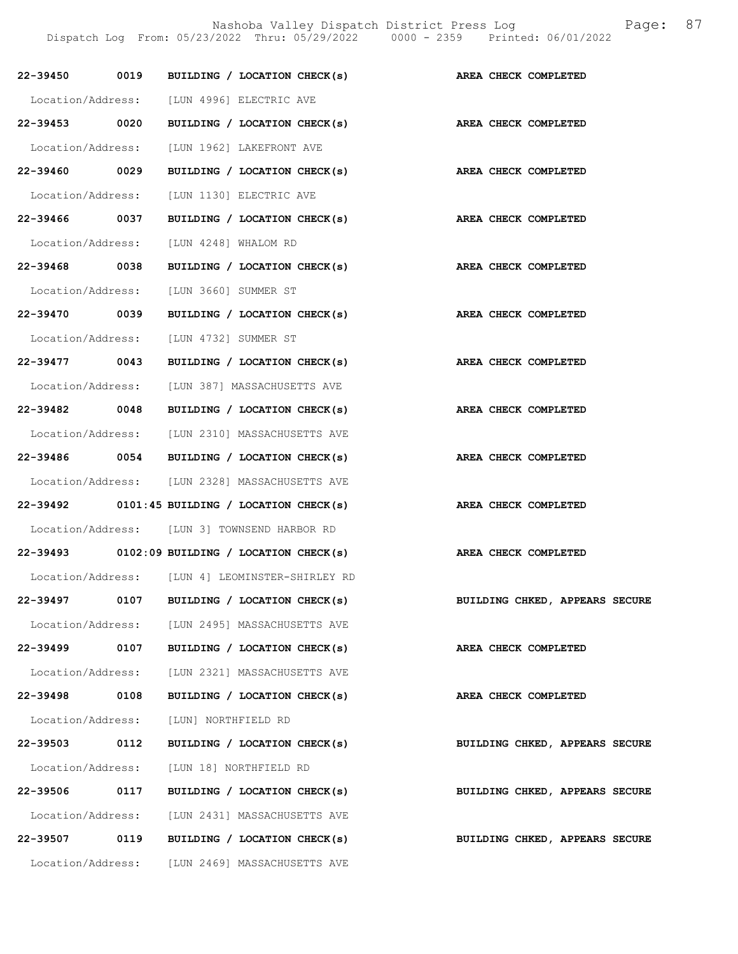Nashoba Valley Dispatch District Press Log Fage: 87

Dispatch Log From: 05/23/2022 Thru: 05/29/2022 0000 - 2359 Printed: 06/01/2022

| 22-39450 0019     |      | BUILDING / LOCATION CHECK(s)                    | AREA CHECK COMPLETED           |
|-------------------|------|-------------------------------------------------|--------------------------------|
|                   |      | Location/Address: [LUN 4996] ELECTRIC AVE       |                                |
| 22-39453 0020     |      | BUILDING / LOCATION CHECK(s)                    | AREA CHECK COMPLETED           |
| Location/Address: |      | [LUN 1962] LAKEFRONT AVE                        |                                |
| 22-39460 0029     |      | BUILDING / LOCATION CHECK(s)                    | AREA CHECK COMPLETED           |
| Location/Address: |      | [LUN 1130] ELECTRIC AVE                         |                                |
| 22-39466 0037     |      | BUILDING / LOCATION CHECK(s)                    | AREA CHECK COMPLETED           |
| Location/Address: |      | [LUN 4248] WHALOM RD                            |                                |
| 22-39468 0038     |      | BUILDING / LOCATION CHECK(s)                    | AREA CHECK COMPLETED           |
| Location/Address: |      | [LUN 3660] SUMMER ST                            |                                |
| 22-39470 0039     |      | BUILDING / LOCATION CHECK(s)                    | AREA CHECK COMPLETED           |
|                   |      | Location/Address: [LUN 4732] SUMMER ST          |                                |
| 22-39477 0043     |      | BUILDING / LOCATION CHECK(s)                    | AREA CHECK COMPLETED           |
| Location/Address: |      | [LUN 387] MASSACHUSETTS AVE                     |                                |
| 22-39482 0048     |      | BUILDING / LOCATION CHECK(s)                    | <b>AREA CHECK COMPLETED</b>    |
|                   |      | Location/Address: [LUN 2310] MASSACHUSETTS AVE  |                                |
|                   |      | 22-39486 0054 BUILDING / LOCATION CHECK(s)      | <b>AREA CHECK COMPLETED</b>    |
|                   |      | Location/Address: [LUN 2328] MASSACHUSETTS AVE  |                                |
|                   |      | 22-39492 0101:45 BUILDING / LOCATION CHECK(s)   | AREA CHECK COMPLETED           |
|                   |      | Location/Address: [LUN 3] TOWNSEND HARBOR RD    |                                |
|                   |      | $22-39493$ 0102:09 BUILDING / LOCATION CHECK(s) | AREA CHECK COMPLETED           |
|                   |      | Location/Address: [LUN 4] LEOMINSTER-SHIRLEY RD |                                |
| 22-39497          | 0107 | BUILDING / LOCATION CHECK(s)                    | BUILDING CHKED, APPEARS SECURE |
| Location/Address: |      | [LUN 2495] MASSACHUSETTS AVE                    |                                |
| 22-39499          | 0107 | BUILDING / LOCATION CHECK(s)                    | AREA CHECK COMPLETED           |
| Location/Address: |      | [LUN 2321] MASSACHUSETTS AVE                    |                                |
| 22-39498          | 0108 | BUILDING / LOCATION CHECK(s)                    | AREA CHECK COMPLETED           |
| Location/Address: |      | [LUN] NORTHFIELD RD                             |                                |
| 22-39503 0112     |      | BUILDING / LOCATION CHECK(s)                    | BUILDING CHKED, APPEARS SECURE |
| Location/Address: |      | [LUN 18] NORTHFIELD RD                          |                                |
| 22-39506          | 0117 | BUILDING / LOCATION CHECK(s)                    | BUILDING CHKED, APPEARS SECURE |
| Location/Address: |      | [LUN 2431] MASSACHUSETTS AVE                    |                                |
| 22-39507          | 0119 | BUILDING / LOCATION CHECK(s)                    | BUILDING CHKED, APPEARS SECURE |
| Location/Address: |      | [LUN 2469] MASSACHUSETTS AVE                    |                                |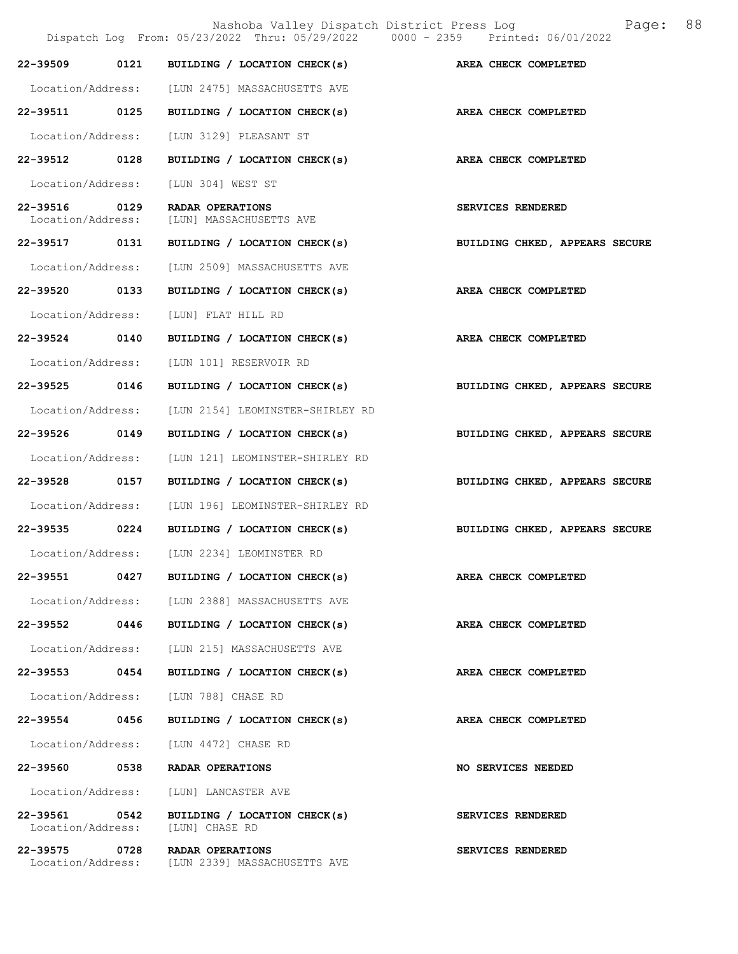|                                    |      | Dispatch Log From: 05/23/2022 Thru: 05/29/2022 0000 - 2359 Printed: 06/01/2022 | Nashoba Valley Dispatch District Press Log<br>88<br>Page: |
|------------------------------------|------|--------------------------------------------------------------------------------|-----------------------------------------------------------|
| 22-39509                           | 0121 | BUILDING / LOCATION CHECK(s)                                                   | AREA CHECK COMPLETED                                      |
|                                    |      | Location/Address: [LUN 2475] MASSACHUSETTS AVE                                 |                                                           |
| 22-39511 0125                      |      | BUILDING / LOCATION CHECK(s)                                                   | AREA CHECK COMPLETED                                      |
| Location/Address:                  |      | [LUN 3129] PLEASANT ST                                                         |                                                           |
| 22-39512 0128                      |      | BUILDING / LOCATION CHECK(s)                                                   | AREA CHECK COMPLETED                                      |
| Location/Address:                  |      | [LUN 304] WEST ST                                                              |                                                           |
| 22-39516 0129<br>Location/Address: |      | RADAR OPERATIONS<br>[LUN] MASSACHUSETTS AVE                                    | SERVICES RENDERED                                         |
| 22-39517 0131                      |      | BUILDING / LOCATION CHECK(s)                                                   | BUILDING CHKED, APPEARS SECURE                            |
| Location/Address:                  |      | [LUN 2509] MASSACHUSETTS AVE                                                   |                                                           |
| 22-39520 0133                      |      | BUILDING / LOCATION CHECK(s)                                                   | AREA CHECK COMPLETED                                      |
| Location/Address:                  |      | [LUN] FLAT HILL RD                                                             |                                                           |
| 22-39524                           | 0140 | BUILDING / LOCATION CHECK(s)                                                   | AREA CHECK COMPLETED                                      |
| Location/Address:                  |      | [LUN 101] RESERVOIR RD                                                         |                                                           |
| 22-39525 0146                      |      | BUILDING / LOCATION CHECK(s)                                                   | BUILDING CHKED, APPEARS SECURE                            |
| Location/Address:                  |      | [LUN 2154] LEOMINSTER-SHIRLEY RD                                               |                                                           |
| 22-39526 0149                      |      | BUILDING / LOCATION CHECK(s)                                                   | BUILDING CHKED, APPEARS SECURE                            |
| Location/Address:                  |      | [LUN 121] LEOMINSTER-SHIRLEY RD                                                |                                                           |
| 22-39528                           | 0157 | BUILDING / LOCATION CHECK(s)                                                   | BUILDING CHKED, APPEARS SECURE                            |
| Location/Address:                  |      | [LUN 196] LEOMINSTER-SHIRLEY RD                                                |                                                           |
| 22-39535 0224                      |      | BUILDING / LOCATION CHECK(s)                                                   | BUILDING CHKED, APPEARS SECURE                            |
| Location/Address:                  |      | [LUN 2234] LEOMINSTER RD                                                       |                                                           |
| 22-39551                           |      | 0427 BUILDING / LOCATION CHECK(s)                                              | AREA CHECK COMPLETED                                      |
|                                    |      | Location/Address: [LUN 2388] MASSACHUSETTS AVE                                 |                                                           |
| 22-39552 0446                      |      | BUILDING / LOCATION CHECK(s)                                                   | AREA CHECK COMPLETED                                      |
| Location/Address:                  |      | [LUN 215] MASSACHUSETTS AVE                                                    |                                                           |
| 22-39553 0454                      |      | BUILDING / LOCATION CHECK(s)                                                   | AREA CHECK COMPLETED                                      |
| Location/Address:                  |      | [LUN 788] CHASE RD                                                             |                                                           |
| 22-39554                           | 0456 | BUILDING / LOCATION CHECK(s)                                                   | AREA CHECK COMPLETED                                      |
| Location/Address:                  |      | [LUN 4472] CHASE RD                                                            |                                                           |
| 22-39560 0538                      |      | RADAR OPERATIONS                                                               | <b>NO SERVICES NEEDED</b>                                 |
| Location/Address:                  |      | [LUN] LANCASTER AVE                                                            |                                                           |
| 22-39561 0542<br>Location/Address: |      | BUILDING / LOCATION CHECK(s)<br>[LUN] CHASE RD                                 | SERVICES RENDERED                                         |
| 22-39575 0728                      |      | RADAR OPERATIONS<br>Location/Address: [LUN 2339] MASSACHUSETTS AVE             | SERVICES RENDERED                                         |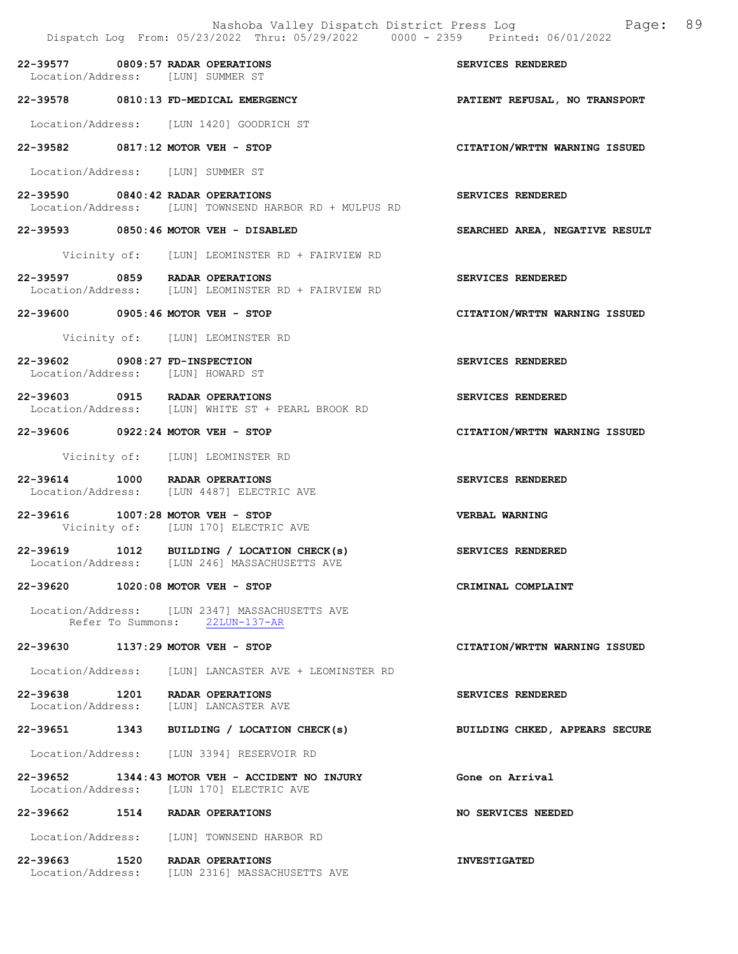|                                | Nashoba Valley Dispatch District Press Log<br>Dispatch Log From: 05/23/2022 Thru: 05/29/2022 0000 - 2359 Printed: 06/01/2022 | 89<br>Page:                    |
|--------------------------------|------------------------------------------------------------------------------------------------------------------------------|--------------------------------|
|                                | 22-39577 0809:57 RADAR OPERATIONS<br>Location/Address: [LUN] SUMMER ST                                                       | SERVICES RENDERED              |
|                                | 22-39578 0810:13 FD-MEDICAL EMERGENCY                                                                                        | PATIENT REFUSAL, NO TRANSPORT  |
|                                | Location/Address: [LUN 1420] GOODRICH ST                                                                                     |                                |
|                                | 22-39582 0817:12 MOTOR VEH - STOP                                                                                            | CITATION/WRTTN WARNING ISSUED  |
|                                | Location/Address: [LUN] SUMMER ST                                                                                            |                                |
|                                | 22-39590 0840:42 RADAR OPERATIONS<br>Location/Address: [LUN] TOWNSEND HARBOR RD + MULPUS RD                                  | SERVICES RENDERED              |
|                                | 22-39593 0850:46 MOTOR VEH - DISABLED                                                                                        | SEARCHED AREA, NEGATIVE RESULT |
|                                | Vicinity of: [LUN] LEOMINSTER RD + FAIRVIEW RD                                                                               |                                |
|                                | 22-39597 0859 RADAR OPERATIONS<br>Location/Address: [LUN] LEOMINSTER RD + FAIRVIEW RD                                        | SERVICES RENDERED              |
|                                | 22-39600 0905:46 MOTOR VEH - STOP                                                                                            | CITATION/WRTTN WARNING ISSUED  |
|                                | Vicinity of: [LUN] LEOMINSTER RD                                                                                             |                                |
| 22-39602 0908:27 FD-INSPECTION | Location/Address: [LUN] HOWARD ST                                                                                            | SERVICES RENDERED              |
|                                | 22-39603 0915 RADAR OPERATIONS<br>Location/Address: [LUN] WHITE ST + PEARL BROOK RD                                          | SERVICES RENDERED              |
|                                | 22-39606 0922:24 MOTOR VEH - STOP                                                                                            | CITATION/WRTTN WARNING ISSUED  |
|                                | Vicinity of: [LUN] LEOMINSTER RD                                                                                             |                                |
|                                | 22-39614 1000 RADAR OPERATIONS<br>Location/Address: [LUN 4487] ELECTRIC AVE                                                  | SERVICES RENDERED              |
|                                | 22-39616 1007:28 MOTOR VEH - STOP<br>Vicinity of: [LUN 170] ELECTRIC AVE                                                     | <b>VERBAL WARNING</b>          |
|                                | 22-39619 1012 BUILDING / LOCATION CHECK(s)<br>Location/Address: [LUN 246] MASSACHUSETTS AVE                                  | SERVICES RENDERED              |
|                                | 22-39620 1020:08 MOTOR VEH - STOP                                                                                            | CRIMINAL COMPLAINT             |
|                                | Location/Address: [LUN 2347] MASSACHUSETTS AVE<br>Refer To Summons: 22LUN-137-AR                                             |                                |
|                                | 22-39630 1137:29 MOTOR VEH - STOP                                                                                            | CITATION/WRTTN WARNING ISSUED  |
|                                | Location/Address: [LUN] LANCASTER AVE + LEOMINSTER RD                                                                        |                                |
|                                | 22-39638 1201 RADAR OPERATIONS<br>Location/Address: [LUN] LANCASTER AVE                                                      | SERVICES RENDERED              |
|                                | 22-39651 1343 BUILDING / LOCATION CHECK(s)                                                                                   | BUILDING CHKED, APPEARS SECURE |
|                                | Location/Address: [LUN 3394] RESERVOIR RD                                                                                    |                                |
|                                | 22-39652 1344:43 MOTOR VEH - ACCIDENT NO INJURY<br>Location/Address: [LUN 170] ELECTRIC AVE                                  | Gone on Arrival                |
|                                | 22-39662 1514 RADAR OPERATIONS                                                                                               | <b>NO SERVICES NEEDED</b>      |
|                                | Location/Address: [LUN] TOWNSEND HARBOR RD                                                                                   |                                |
|                                | 22-39663 1520 RADAR OPERATIONS<br>Location/Address: [LUN 2316] MASSACHUSETTS AVE                                             | <b>INVESTIGATED</b>            |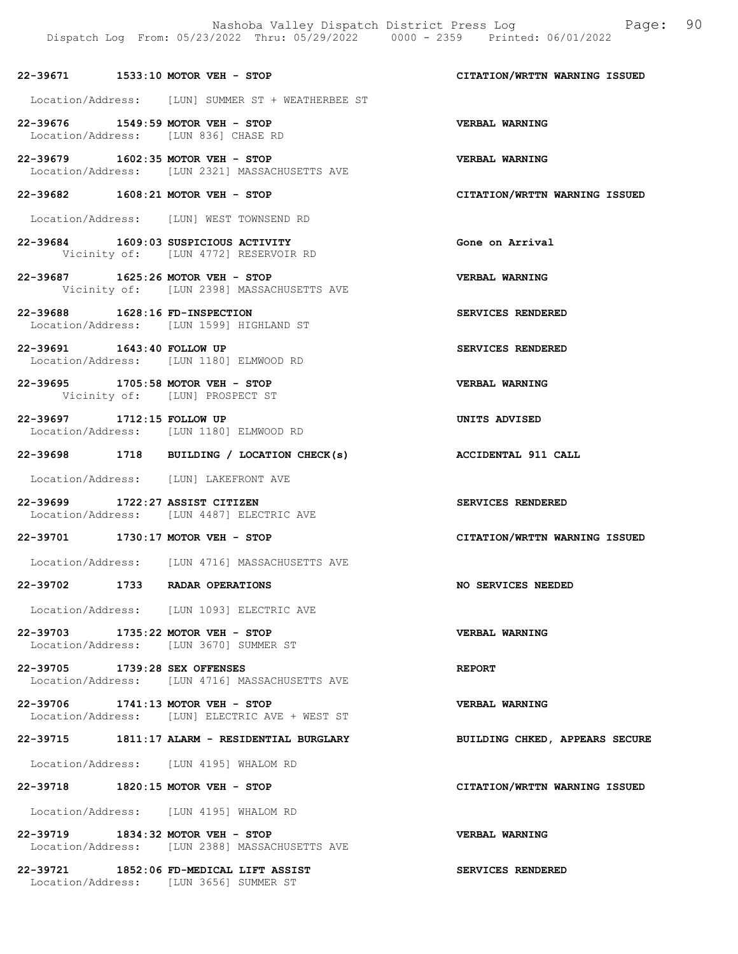#### 22-39671 1533:10 MOTOR VEH - STOP CITATION/WRTTN WARNING ISSUED

- Location/Address: [LUN] SUMMER ST + WEATHERBEE ST
- 22-39676 1549:59 MOTOR VEH STOP VERBAL WARNING Location/Address: [LUN 836] CHASE RD
- 22-39679 1602:35 MOTOR VEH STOP<br>
Location/Address: [LUN 2321] MASSACHUSETTS AVE [LUN 2321] MASSACHUSETTS AVE
- 22-39682 1608:21 MOTOR VEH STOP CITATION/WRTTN WARNING ISSUED
- Location/Address: [LUN] WEST TOWNSEND RD
- 22-39684 1609:03 SUSPICIOUS ACTIVITY Gone on Arrival Vicinity of: [LUN 4772] RESERVOIR RD
- 22-39687 1625:26 MOTOR VEH STOP VERBAL WARNING Vicinity of: [LUN 2398] MASSACHUSETTS AVE
- 22-39688 1628:16 FD-INSPECTION SERVICES RENDERED Location/Address: [LUN 1599] HIGHLAND ST
- 22-39691 1643:40 FOLLOW UP SERVICES RENDERED Location/Address: [LUN 1180] ELMWOOD RD
- 22-39695 1705:58 MOTOR VEH STOP VERBAL WARNING Vicinity of: [LUN] PROSPECT ST
- 22-39697 1712:15 FOLLOW UP UNITS ADVISED Location/Address: [LUN 1180] ELMWOOD RD
- 22-39698 1718 BUILDING / LOCATION CHECK(s) ACCIDENTAL 911 CALL
- Location/Address: [LUN] LAKEFRONT AVE
- 22-39699 1722:27 ASSIST CITIZEN SERVICES RENDERED Location/Address: [LUN 4487] ELECTRIC AVE
- 22-39701 1730:17 MOTOR VEH STOP CITATION/WRTTN WARNING ISSUED
- Location/Address: [LUN 4716] MASSACHUSETTS AVE
- 22-39702 1733 RADAR OPERATIONS NO SERVICES NEEDED
- Location/Address: [LUN 1093] ELECTRIC AVE
- 22-39703 1735:22 MOTOR VEH STOP VERBAL WARNING Location/Address: [LUN 3670] SUMMER ST
- 22-39705 1739:28 SEX OFFENSES REPORT Location/Address: [LUN 4716] MASSACHUSETTS AVE
- 22-39706 1741:13 MOTOR VEH STOP VERBAL WARNING Location/Address: [LUN] ELECTRIC AVE + WEST ST
- 22-39715 1811:17 ALARM RESIDENTIAL BURGLARY BUILDING CHKED, APPEARS SECURE
	- Location/Address: [LUN 4195] WHALOM RD
- 22-39718 1820:15 MOTOR VEH STOP CITATION/WRTTN WARNING ISSUED
- Location/Address: [LUN 4195] WHALOM RD
- 22-39719 1834:32 MOTOR VEH STOP VERBAL WARNING Location/Address: [LUN 2388] MASSACHUSETTS AVE
- 22-39721 1852:06 FD-MEDICAL LIFT ASSIST SERVICES RENDERED Location/Address: [LUN 3656] SUMMER ST
- 
- 
- 

- 
- 
- 
- 
- 
- 
- 
- 
- 
- 
- 
- 
- 
- 
- 
- 
-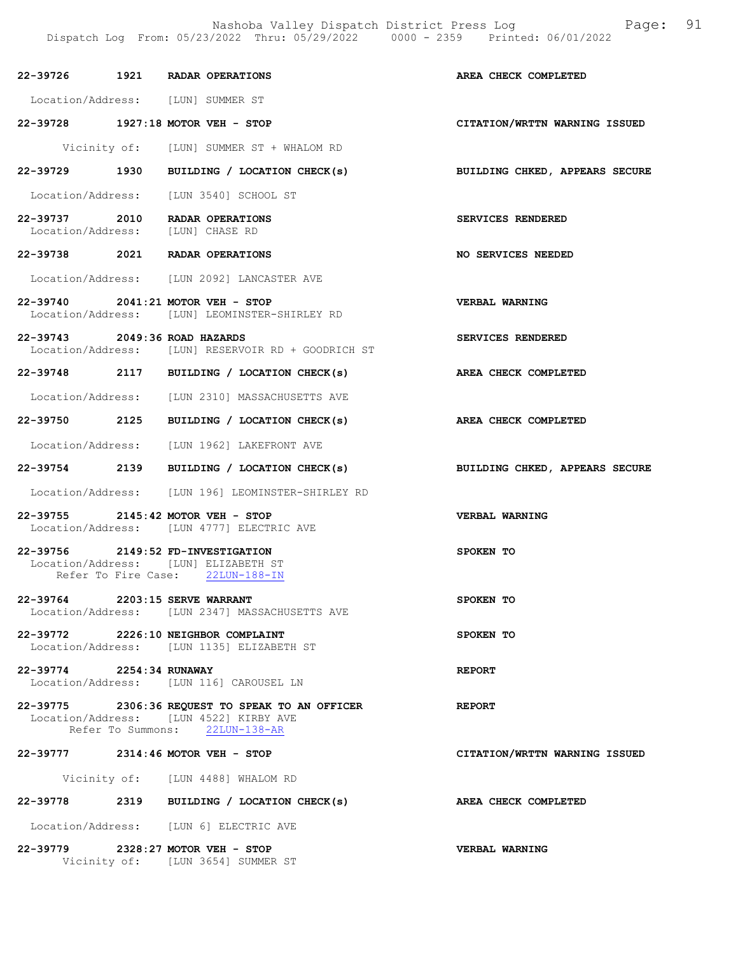Nashoba Valley Dispatch District Press Log Fage: 91 Dispatch Log From: 05/23/2022 Thru: 05/29/2022 0000 - 2359 Printed: 06/01/2022

|                                | 22-39726 1921 RADAR OPERATIONS                                                                                              | AREA CHECK COMPLETED           |
|--------------------------------|-----------------------------------------------------------------------------------------------------------------------------|--------------------------------|
|                                | Location/Address: [LUN] SUMMER ST                                                                                           |                                |
|                                | 22-39728 1927:18 MOTOR VEH - STOP                                                                                           | CITATION/WRTTN WARNING ISSUED  |
|                                | Vicinity of: [LUN] SUMMER ST + WHALOM RD                                                                                    |                                |
|                                | 22-39729 1930 BUILDING / LOCATION CHECK(s)                                                                                  | BUILDING CHKED, APPEARS SECURE |
|                                | Location/Address: [LUN 3540] SCHOOL ST                                                                                      |                                |
|                                | 22-39737 2010 RADAR OPERATIONS<br>Location/Address: [LUN] CHASE RD                                                          | SERVICES RENDERED              |
|                                | 22-39738 2021 RADAR OPERATIONS                                                                                              | NO SERVICES NEEDED             |
|                                | Location/Address: [LUN 2092] LANCASTER AVE                                                                                  |                                |
|                                | 22-39740 2041:21 MOTOR VEH - STOP<br>Location/Address: [LUN] LEOMINSTER-SHIRLEY RD                                          | <b>VERBAL WARNING</b>          |
| 22-39743 2049:36 ROAD HAZARDS  | Location/Address: [LUN] RESERVOIR RD + GOODRICH ST                                                                          | SERVICES RENDERED              |
|                                | 22-39748 2117 BUILDING / LOCATION CHECK(s)                                                                                  | AREA CHECK COMPLETED           |
|                                | Location/Address: [LUN 2310] MASSACHUSETTS AVE                                                                              |                                |
|                                | 22-39750 2125 BUILDING / LOCATION CHECK(s)                                                                                  | <b>AREA CHECK COMPLETED</b>    |
|                                | Location/Address: [LUN 1962] LAKEFRONT AVE                                                                                  |                                |
|                                | 22-39754 2139 BUILDING / LOCATION CHECK(s)                                                                                  | BUILDING CHKED, APPEARS SECURE |
|                                | Location/Address: [LUN 196] LEOMINSTER-SHIRLEY RD                                                                           |                                |
|                                | 22-39755 2145:42 MOTOR VEH - STOP<br>Location/Address: [LUN 4777] ELECTRIC AVE                                              | VERBAL WARNING                 |
|                                | 22-39756 2149:52 FD-INVESTIGATION<br>Location/Address: [LUN] ELIZABETH ST<br>Refer To Fire Case: 22LUN-188-IN               | SPOKEN TO                      |
| 22-39764 2203:15 SERVE WARRANT | Location/Address: [LUN 2347] MASSACHUSETTS AVE                                                                              | SPOKEN TO                      |
|                                | 22-39772 2226:10 NEIGHBOR COMPLAINT<br>Location/Address: [LUN 1135] ELIZABETH ST                                            | SPOKEN TO                      |
| 22-39774 2254:34 RUNAWAY       | Location/Address: [LUN 116] CAROUSEL LN                                                                                     | <b>REPORT</b>                  |
|                                | 22-39775 2306:36 REQUEST TO SPEAK TO AN OFFICER<br>Location/Address: [LUN 4522] KIRBY AVE<br>Refer To Summons: 22LUN-138-AR | <b>REPORT</b>                  |
|                                | 22-39777 2314:46 MOTOR VEH - STOP                                                                                           | CITATION/WRTTN WARNING ISSUED  |
|                                | Vicinity of: [LUN 4488] WHALOM RD                                                                                           |                                |
|                                | 22-39778 2319 BUILDING / LOCATION CHECK(s)                                                                                  | AREA CHECK COMPLETED           |
|                                | Location/Address: [LUN 6] ELECTRIC AVE                                                                                      |                                |
|                                | 22-39779 2328:27 MOTOR VEH - STOP<br>Vicinity of: [LUN 3654] SUMMER ST                                                      | VERBAL WARNING                 |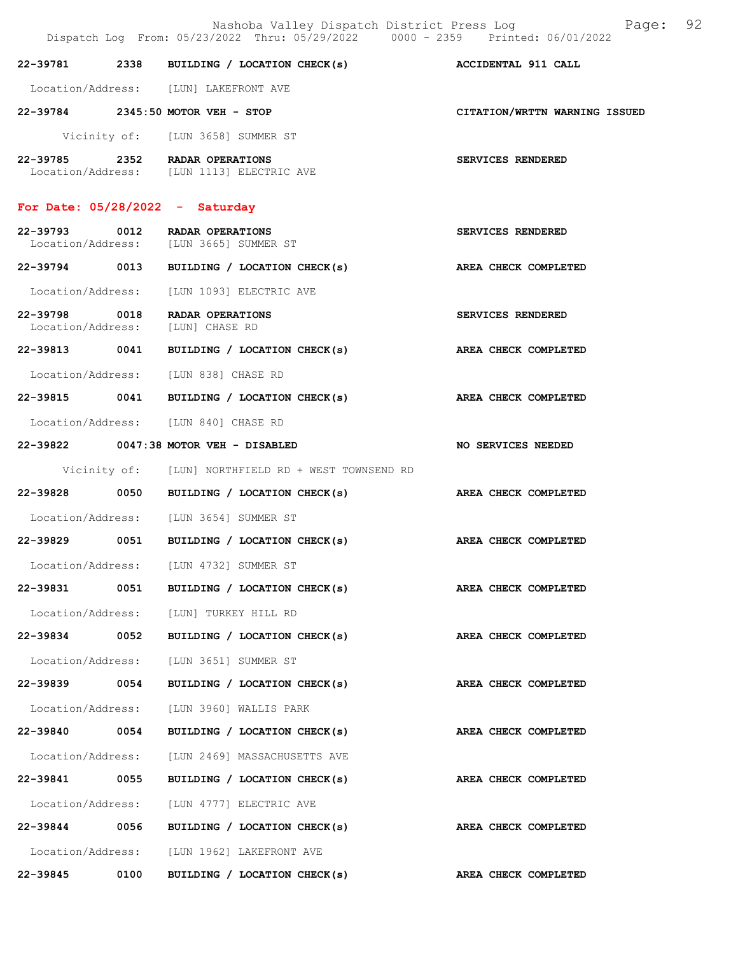Nashoba Valley Dispatch District Press Log Bage: 92<br> $(2022$  Thru: 05/29/2022 0000 - 2359 Printed: 06/01/2022 Dispatch Log From:  $05/23/2022$  Thru:  $05/29/2022$  0000 - 2359 22-39781 2338 BUILDING / LOCATION CHECK(s) ACCIDENTAL 911 CALL Location/Address: [LUN] LAKEFRONT AVE 22-39784 2345:50 MOTOR VEH - STOP CITATION/WRTTN WARNING ISSUED Vicinity of: [LUN 3658] SUMMER ST 22-39785 2352 RADAR OPERATIONS SERVICES RENDERED Location/Address: [LUN 1113] ELECTRIC AVE For Date: 05/28/2022 - Saturday 22-39793 0012 RADAR OPERATIONS<br>
Location/Address: [LUN 3665] SUMMER ST Location/Address: [LUN 3665] SUMMER ST 22-39794 0013 BUILDING / LOCATION CHECK(s) AREA CHECK COMPLETED Location/Address: [LUN 1093] ELECTRIC AVE 22-39798 0018 RADAR OPERATIONS SERVICES RENDERED Location/Address: [LUN] CHASE RD 22-39813 0041 BUILDING / LOCATION CHECK(s) AREA CHECK COMPLETED Location/Address: [LUN 838] CHASE RD 22-39815 0041 BUILDING / LOCATION CHECK(s) AREA CHECK COMPLETED Location/Address: [LUN 840] CHASE RD 22-39822 0047:38 MOTOR VEH - DISABLED NO SERVICES NEEDED Vicinity of: [LUN] NORTHFIELD RD + WEST TOWNSEND RD 22-39828 0050 BUILDING / LOCATION CHECK(s) AREA CHECK COMPLETED Location/Address: [LUN 3654] SUMMER ST 22-39829 0051 BUILDING / LOCATION CHECK(s) AREA CHECK COMPLETED Location/Address: [LUN 4732] SUMMER ST 22-39831 0051 BUILDING / LOCATION CHECK(s) AREA CHECK COMPLETED Location/Address: [LUN] TURKEY HILL RD 22-39834 0052 BUILDING / LOCATION CHECK(s) AREA CHECK COMPLETED Location/Address: [LUN 3651] SUMMER ST 22-39839 0054 BUILDING / LOCATION CHECK(s) AREA CHECK COMPLETED Location/Address: [LUN 3960] WALLIS PARK 22-39840 0054 BUILDING / LOCATION CHECK(s) AREA CHECK COMPLETED Location/Address: [LUN 2469] MASSACHUSETTS AVE 22-39841 0055 BUILDING / LOCATION CHECK(s) AREA CHECK COMPLETED Location/Address: [LUN 4777] ELECTRIC AVE 22-39844 0056 BUILDING / LOCATION CHECK(s) AREA CHECK COMPLETED Location/Address: [LUN 1962] LAKEFRONT AVE

22-39845 0100 BUILDING / LOCATION CHECK(s) AREA CHECK COMPLETED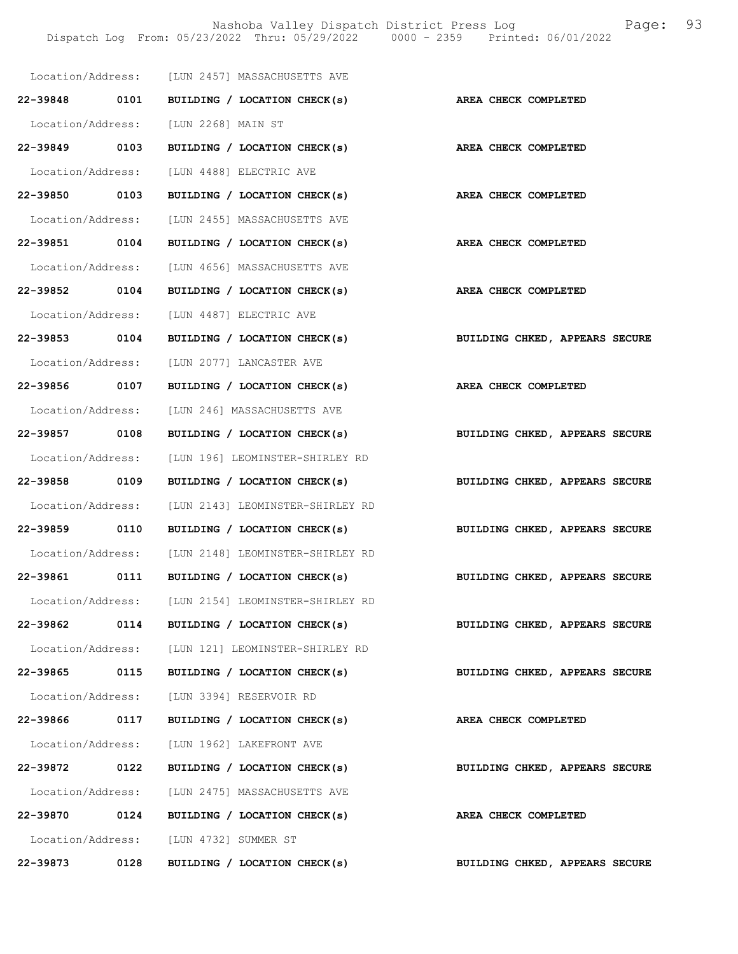|                   |      | Location/Address: [LUN 2457] MASSACHUSETTS AVE              |                                |
|-------------------|------|-------------------------------------------------------------|--------------------------------|
|                   |      | 22-39848 0101 BUILDING / LOCATION CHECK(s)                  | AREA CHECK COMPLETED           |
|                   |      | Location/Address: [LUN 2268] MAIN ST                        |                                |
| 22-39849 0103     |      | BUILDING / LOCATION CHECK(s)                                | AREA CHECK COMPLETED           |
|                   |      | Location/Address: [LUN 4488] ELECTRIC AVE                   |                                |
| 22-39850 0103     |      | BUILDING / LOCATION CHECK(s)                                | AREA CHECK COMPLETED           |
| Location/Address: |      | [LUN 2455] MASSACHUSETTS AVE                                |                                |
| 22-39851 0104     |      | BUILDING / LOCATION CHECK(s)                                | AREA CHECK COMPLETED           |
|                   |      | Location/Address: [LUN 4656] MASSACHUSETTS AVE              |                                |
| 22-39852 0104     |      | BUILDING / LOCATION CHECK(s)                                | AREA CHECK COMPLETED           |
|                   |      | Location/Address: [LUN 4487] ELECTRIC AVE                   |                                |
| 22-39853 0104     |      | BUILDING / LOCATION CHECK(s) BUILDING CHKED, APPEARS SECURE |                                |
|                   |      | Location/Address: [LUN 2077] LANCASTER AVE                  |                                |
| 22-39856 0107     |      | BUILDING / LOCATION CHECK(s) AREA CHECK COMPLETED           |                                |
|                   |      | Location/Address: [LUN 246] MASSACHUSETTS AVE               |                                |
| 22-39857 0108     |      | BUILDING / LOCATION CHECK(s)                                | BUILDING CHKED, APPEARS SECURE |
| Location/Address: |      | [LUN 196] LEOMINSTER-SHIRLEY RD                             |                                |
| 22-39858 0109     |      | BUILDING / LOCATION CHECK(s)                                | BUILDING CHKED, APPEARS SECURE |
|                   |      | Location/Address: [LUN 2143] LEOMINSTER-SHIRLEY RD          |                                |
| 22-39859 0110     |      | BUILDING / LOCATION CHECK(s)                                | BUILDING CHKED, APPEARS SECURE |
|                   |      | Location/Address: [LUN 2148] LEOMINSTER-SHIRLEY RD          |                                |
| 22-39861 0111     |      | BUILDING / LOCATION CHECK(s)                                | BUILDING CHKED, APPEARS SECURE |
|                   |      | Location/Address: [LUN 2154] LEOMINSTER-SHIRLEY RD          |                                |
| 22-39862          | 0114 | BUILDING / LOCATION CHECK(s)                                | BUILDING CHKED, APPEARS SECURE |
|                   |      | Location/Address: [LUN 121] LEOMINSTER-SHIRLEY RD           |                                |
| 22-39865 0115     |      | BUILDING / LOCATION CHECK(s)                                | BUILDING CHKED, APPEARS SECURE |
|                   |      | Location/Address: [LUN 3394] RESERVOIR RD                   |                                |
| 22-39866 0117     |      | BUILDING / LOCATION CHECK(s)                                | AREA CHECK COMPLETED           |
|                   |      | Location/Address: [LUN 1962] LAKEFRONT AVE                  |                                |
| 22-39872 0122     |      | BUILDING / LOCATION CHECK(s)                                | BUILDING CHKED, APPEARS SECURE |
|                   |      | Location/Address: [LUN 2475] MASSACHUSETTS AVE              |                                |
| 22-39870 0124     |      | BUILDING / LOCATION CHECK(s)                                | AREA CHECK COMPLETED           |
|                   |      | Location/Address: [LUN 4732] SUMMER ST                      |                                |
| 22-39873          | 0128 | BUILDING / LOCATION CHECK(s)                                | BUILDING CHKED, APPEARS SECURE |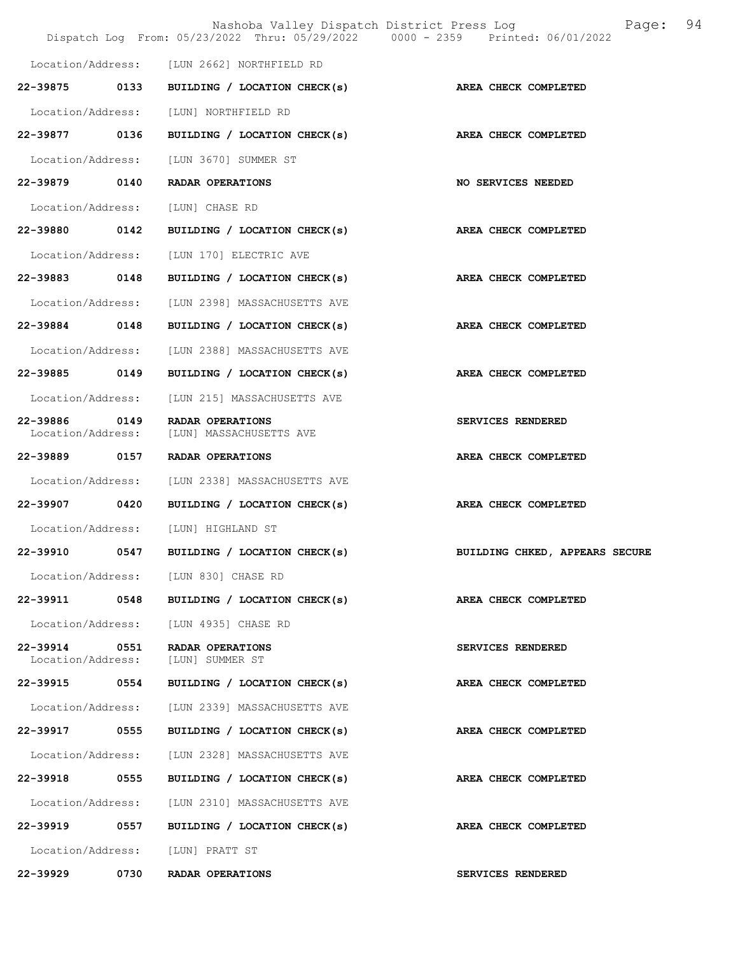|                                    |      | Nashoba Valley Dispatch District Press Log<br>Dispatch Log From: 05/23/2022 Thru: 05/29/2022 0000 - 2359 Printed: 06/01/2022 | 94<br>Page:                    |
|------------------------------------|------|------------------------------------------------------------------------------------------------------------------------------|--------------------------------|
|                                    |      | Location/Address: [LUN 2662] NORTHFIELD RD                                                                                   |                                |
| 22-39875 0133                      |      | BUILDING / LOCATION CHECK(s)                                                                                                 | AREA CHECK COMPLETED           |
| Location/Address:                  |      | [LUN] NORTHFIELD RD                                                                                                          |                                |
| 22-39877                           | 0136 | BUILDING / LOCATION CHECK(s)                                                                                                 | AREA CHECK COMPLETED           |
| Location/Address:                  |      | [LUN 3670] SUMMER ST                                                                                                         |                                |
| 22-39879 0140                      |      | RADAR OPERATIONS                                                                                                             | <b>NO SERVICES NEEDED</b>      |
| Location/Address:                  |      | [LUN] CHASE RD                                                                                                               |                                |
| 22-39880 0142                      |      | BUILDING / LOCATION CHECK(s)                                                                                                 | AREA CHECK COMPLETED           |
| Location/Address:                  |      | [LUN 170] ELECTRIC AVE                                                                                                       |                                |
| 22-39883                           | 0148 | BUILDING / LOCATION CHECK(s)                                                                                                 | AREA CHECK COMPLETED           |
| Location/Address:                  |      | [LUN 2398] MASSACHUSETTS AVE                                                                                                 |                                |
| 22-39884 0148                      |      | BUILDING / LOCATION CHECK(s)                                                                                                 | AREA CHECK COMPLETED           |
| Location/Address:                  |      | [LUN 2388] MASSACHUSETTS AVE                                                                                                 |                                |
| 22-39885 0149                      |      | BUILDING / LOCATION CHECK(s)                                                                                                 | AREA CHECK COMPLETED           |
| Location/Address:                  |      | [LUN 215] MASSACHUSETTS AVE                                                                                                  |                                |
| 22-39886<br>Location/Address:      | 0149 | RADAR OPERATIONS<br>[LUN] MASSACHUSETTS AVE                                                                                  | SERVICES RENDERED              |
| 22-39889 0157                      |      | RADAR OPERATIONS                                                                                                             | AREA CHECK COMPLETED           |
| Location/Address:                  |      | [LUN 2338] MASSACHUSETTS AVE                                                                                                 |                                |
| 22-39907 0420                      |      | BUILDING / LOCATION CHECK(s)                                                                                                 | AREA CHECK COMPLETED           |
| Location/Address:                  |      | [LUN] HIGHLAND ST                                                                                                            |                                |
| 22-39910                           | 0547 | BUILDING / LOCATION CHECK(s)                                                                                                 | BUILDING CHKED, APPEARS SECURE |
|                                    |      | Location/Address: [LUN 830] CHASE RD                                                                                         |                                |
|                                    |      | 22-39911 0548 BUILDING / LOCATION CHECK(s)                                                                                   | AREA CHECK COMPLETED           |
| Location/Address:                  |      | [LUN 4935] CHASE RD                                                                                                          |                                |
| 22-39914 0551<br>Location/Address: |      | <b>RADAR OPERATIONS</b><br>[LUN] SUMMER ST                                                                                   | SERVICES RENDERED              |
| 22-39915 0554                      |      | BUILDING / LOCATION CHECK(s)                                                                                                 | AREA CHECK COMPLETED           |
| Location/Address:                  |      | [LUN 2339] MASSACHUSETTS AVE                                                                                                 |                                |
| 22-39917 0555                      |      | BUILDING / LOCATION CHECK(s)                                                                                                 | AREA CHECK COMPLETED           |
| Location/Address:                  |      | [LUN 2328] MASSACHUSETTS AVE                                                                                                 |                                |
| 22-39918                           | 0555 | BUILDING / LOCATION CHECK(s)                                                                                                 | AREA CHECK COMPLETED           |
|                                    |      | Location/Address: [LUN 2310] MASSACHUSETTS AVE                                                                               |                                |
| 22–39919 0557                      |      | BUILDING / LOCATION CHECK(s)                                                                                                 | AREA CHECK COMPLETED           |
|                                    |      | Location/Address: [LUN] PRATT ST                                                                                             |                                |
| 22-39929                           | 0730 | RADAR OPERATIONS                                                                                                             | SERVICES RENDERED              |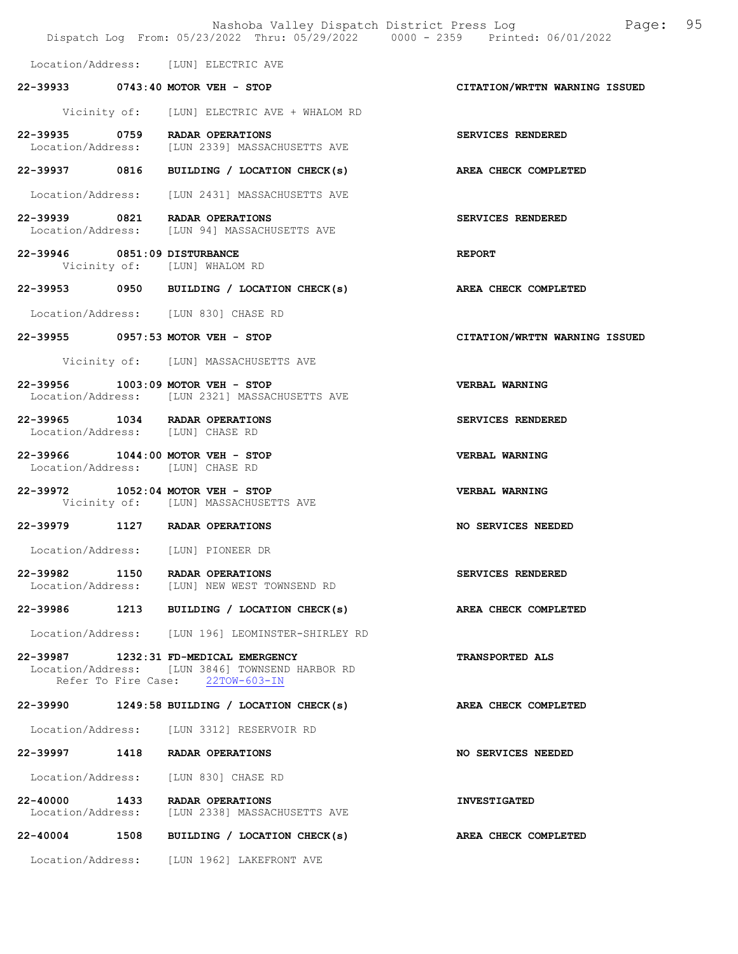|                              |                                                                                                                              | Nashoba Valley Dispatch District Press Log Fage: 95<br>Dispatch Log From: 05/23/2022 Thru: 05/29/2022 0000 - 2359 Printed: 06/01/2022 |  |
|------------------------------|------------------------------------------------------------------------------------------------------------------------------|---------------------------------------------------------------------------------------------------------------------------------------|--|
|                              | Location/Address: [LUN] ELECTRIC AVE                                                                                         |                                                                                                                                       |  |
|                              | 22-39933 0743:40 MOTOR VEH - STOP                                                                                            | CITATION/WRTTN WARNING ISSUED                                                                                                         |  |
|                              | Vicinity of: [LUN] ELECTRIC AVE + WHALOM RD                                                                                  |                                                                                                                                       |  |
|                              | 22-39935 0759 RADAR OPERATIONS<br>Location/Address: [LUN 2339] MASSACHUSETTS AVE                                             | SERVICES RENDERED                                                                                                                     |  |
|                              | 22-39937 0816 BUILDING / LOCATION CHECK(s)                                                                                   | AREA CHECK COMPLETED                                                                                                                  |  |
|                              | Location/Address: [LUN 2431] MASSACHUSETTS AVE                                                                               |                                                                                                                                       |  |
|                              | 22-39939 0821 RADAR OPERATIONS<br>Location/Address: [LUN 94] MASSACHUSETTS AVE                                               | SERVICES RENDERED                                                                                                                     |  |
| 22-39946 0851:09 DISTURBANCE | Vicinity of: [LUN] WHALOM RD                                                                                                 | <b>REPORT</b>                                                                                                                         |  |
|                              | 22-39953 0950 BUILDING / LOCATION CHECK(s)                                                                                   | <b>AREA CHECK COMPLETED</b>                                                                                                           |  |
|                              | Location/Address: [LUN 830] CHASE RD                                                                                         |                                                                                                                                       |  |
|                              | 22-39955 0957:53 MOTOR VEH - STOP                                                                                            | CITATION/WRTTN WARNING ISSUED                                                                                                         |  |
|                              | Vicinity of: [LUN] MASSACHUSETTS AVE                                                                                         |                                                                                                                                       |  |
|                              | 22-39956 1003:09 MOTOR VEH - STOP<br>Location/Address: [LUN 2321] MASSACHUSETTS AVE                                          | <b>VERBAL WARNING</b>                                                                                                                 |  |
|                              | 22-39965 1034 RADAR OPERATIONS<br>Location/Address: [LUN] CHASE RD                                                           | SERVICES RENDERED                                                                                                                     |  |
|                              | 22-39966 1044:00 MOTOR VEH - STOP<br>Location/Address: [LUN] CHASE RD                                                        | VERBAL WARNING                                                                                                                        |  |
|                              | 22-39972 1052:04 MOTOR VEH - STOP<br>Vicinity of: [LUN] MASSACHUSETTS AVE                                                    | <b>VERBAL WARNING</b>                                                                                                                 |  |
|                              | 22-39979 1127 RADAR OPERATIONS                                                                                               | <b>NO SERVICES NEEDED</b>                                                                                                             |  |
| Location/Address:            | [LUN] PIONEER DR                                                                                                             |                                                                                                                                       |  |
|                              | 22-39982 1150 RADAR OPERATIONS<br>Location/Address: [LUN] NEW WEST TOWNSEND RD                                               | SERVICES RENDERED                                                                                                                     |  |
|                              | 22-39986 1213 BUILDING / LOCATION CHECK(s)                                                                                   | AREA CHECK COMPLETED                                                                                                                  |  |
|                              | Location/Address: [LUN 196] LEOMINSTER-SHIRLEY RD                                                                            |                                                                                                                                       |  |
|                              | 22-39987 1232:31 FD-MEDICAL EMERGENCY<br>Location/Address: [LUN 3846] TOWNSEND HARBOR RD<br>Refer To Fire Case: 22TOW-603-IN | <b>TRANSPORTED ALS</b>                                                                                                                |  |
|                              | 22-39990 1249:58 BUILDING / LOCATION CHECK(s)                                                                                | AREA CHECK COMPLETED                                                                                                                  |  |
|                              | Location/Address: [LUN 3312] RESERVOIR RD                                                                                    |                                                                                                                                       |  |
|                              | 22-39997 1418 RADAR OPERATIONS                                                                                               | NO SERVICES NEEDED                                                                                                                    |  |
|                              | Location/Address: [LUN 830] CHASE RD                                                                                         |                                                                                                                                       |  |
| 22-40000 1433                | RADAR OPERATIONS<br>Location/Address: [LUN 2338] MASSACHUSETTS AVE                                                           | <b>INVESTIGATED</b>                                                                                                                   |  |
|                              | 22-40004 1508 BUILDING / LOCATION CHECK(s)                                                                                   | AREA CHECK COMPLETED                                                                                                                  |  |
|                              | Location/Address: [LUN 1962] LAKEFRONT AVE                                                                                   |                                                                                                                                       |  |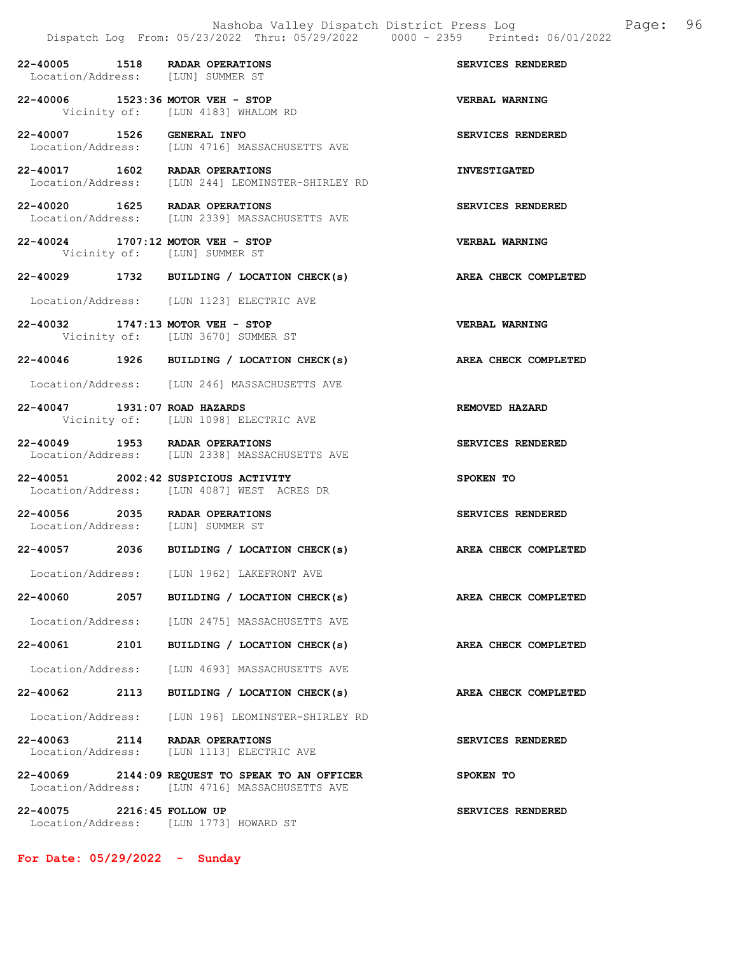|                               | 22-40005 1518 RADAR OPERATIONS<br>Location/Address: [LUN] SUMMER ST                               | SERVICES RENDERED     |
|-------------------------------|---------------------------------------------------------------------------------------------------|-----------------------|
|                               | 22-40006 1523:36 MOTOR VEH - STOP<br>Vicinity of: [LUN 4183] WHALOM RD                            | <b>VERBAL WARNING</b> |
| 22-40007 1526                 | GENERAL INFO<br>Location/Address: [LUN 4716] MASSACHUSETTS AVE                                    | SERVICES RENDERED     |
|                               | 22-40017 1602 RADAR OPERATIONS<br>Location/Address: [LUN 244] LEOMINSTER-SHIRLEY RD               | <b>INVESTIGATED</b>   |
|                               | 22-40020 1625 RADAR OPERATIONS<br>Location/Address: [LUN 2339] MASSACHUSETTS AVE                  | SERVICES RENDERED     |
|                               | 22-40024 1707:12 MOTOR VEH - STOP<br>Vicinity of: [LUN] SUMMER ST                                 | <b>VERBAL WARNING</b> |
|                               | 22-40029 1732 BUILDING / LOCATION CHECK(s)                                                        | AREA CHECK COMPLETED  |
|                               | Location/Address: [LUN 1123] ELECTRIC AVE                                                         |                       |
|                               | 22-40032 1747:13 MOTOR VEH - STOP<br>Vicinity of: [LUN 3670] SUMMER ST                            | VERBAL WARNING        |
|                               | 22-40046 1926 BUILDING / LOCATION CHECK(s)                                                        | AREA CHECK COMPLETED  |
|                               | Location/Address: [LUN 246] MASSACHUSETTS AVE                                                     |                       |
| 22-40047 1931:07 ROAD HAZARDS | Vicinity of: [LUN 1098] ELECTRIC AVE                                                              | REMOVED HAZARD        |
|                               | 22-40049 1953 RADAR OPERATIONS<br>Location/Address: [LUN 2338] MASSACHUSETTS AVE                  | SERVICES RENDERED     |
|                               | 22-40051 2002:42 SUSPICIOUS ACTIVITY<br>Location/Address: [LUN 4087] WEST ACRES DR                | SPOKEN TO             |
|                               | 22-40056 2035 RADAR OPERATIONS<br>Location/Address: [LUN] SUMMER ST                               | SERVICES RENDERED     |
|                               | 22-40057 2036 BUILDING / LOCATION CHECK(s)                                                        | AREA CHECK COMPLETED  |
|                               | Location/Address: [LUN 1962] LAKEFRONT AVE                                                        |                       |
|                               | 22-40060 2057 BUILDING / LOCATION CHECK(s) AREA CHECK COMPLETED                                   |                       |
|                               | Location/Address: [LUN 2475] MASSACHUSETTS AVE                                                    |                       |
| 22-40061 2101                 | BUILDING / LOCATION CHECK(s)                                                                      | AREA CHECK COMPLETED  |
|                               | Location/Address: [LUN 4693] MASSACHUSETTS AVE                                                    |                       |
|                               | 22-40062 2113 BUILDING / LOCATION CHECK(s)                                                        | AREA CHECK COMPLETED  |
|                               | Location/Address: [LUN 196] LEOMINSTER-SHIRLEY RD                                                 |                       |
|                               | 22-40063 2114 RADAR OPERATIONS<br>Location/Address: [LUN 1113] ELECTRIC AVE                       | SERVICES RENDERED     |
|                               | 22-40069 2144:09 REQUEST TO SPEAK TO AN OFFICER<br>Location/Address: [LUN 4716] MASSACHUSETTS AVE | SPOKEN TO             |
| 22-40075                      | 2216:45 FOLLOW UP                                                                                 | SERVICES RENDERED     |

Location/Address: [LUN 1773] HOWARD ST

For Date: 05/29/2022 - Sunday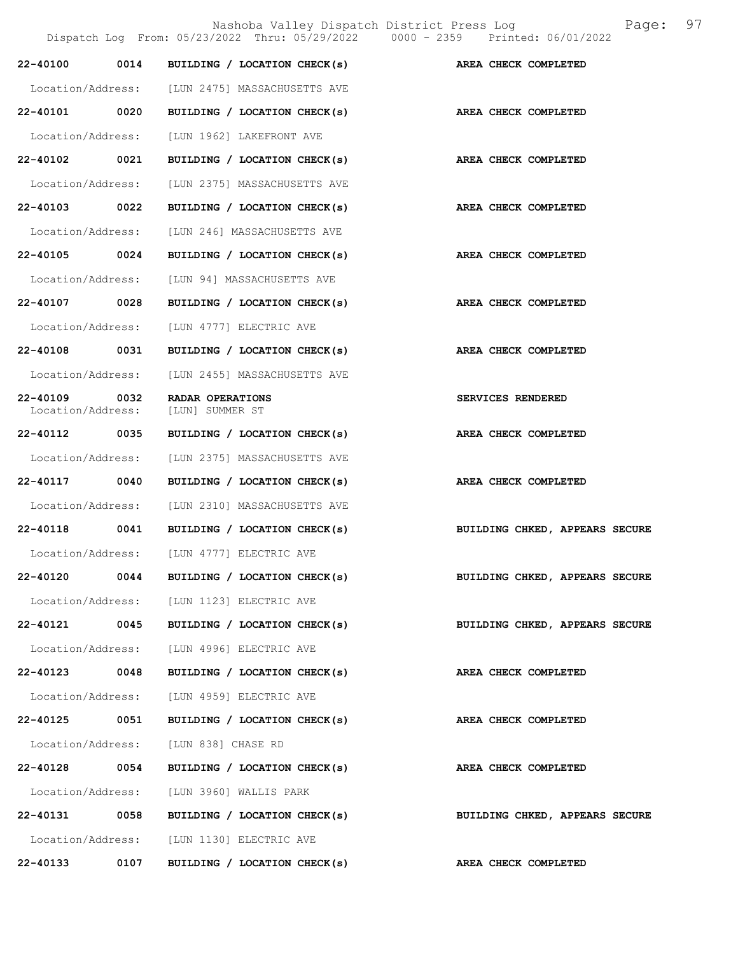Nashoba Valley Dispatch District Press Log Fage: 97

|                               |      | Dispatch Log From: 05/23/2022 Thru: 05/29/2022 0000 - 2359 Printed: 06/01/2022 |                                |
|-------------------------------|------|--------------------------------------------------------------------------------|--------------------------------|
| 22-40100                      | 0014 | BUILDING / LOCATION CHECK(s)                                                   | AREA CHECK COMPLETED           |
| Location/Address:             |      | [LUN 2475] MASSACHUSETTS AVE                                                   |                                |
| 22-40101 0020                 |      | BUILDING / LOCATION CHECK(s)                                                   | AREA CHECK COMPLETED           |
| Location/Address:             |      | [LUN 1962] LAKEFRONT AVE                                                       |                                |
| 22-40102 0021                 |      | BUILDING / LOCATION CHECK(s) AREA CHECK COMPLETED                              |                                |
| Location/Address:             |      | [LUN 2375] MASSACHUSETTS AVE                                                   |                                |
| 22-40103                      | 0022 | BUILDING / LOCATION CHECK(s)                                                   | AREA CHECK COMPLETED           |
| Location/Address:             |      | [LUN 246] MASSACHUSETTS AVE                                                    |                                |
| 22-40105 0024                 |      | BUILDING / LOCATION CHECK(s)                                                   | <b>AREA CHECK COMPLETED</b>    |
| Location/Address:             |      | [LUN 94] MASSACHUSETTS AVE                                                     |                                |
| 22-40107 0028                 |      | BUILDING / LOCATION CHECK(s)                                                   | AREA CHECK COMPLETED           |
| Location/Address:             |      | [LUN 4777] ELECTRIC AVE                                                        |                                |
| 22-40108                      | 0031 | BUILDING / LOCATION CHECK(s)                                                   | AREA CHECK COMPLETED           |
| Location/Address:             |      | [LUN 2455] MASSACHUSETTS AVE                                                   |                                |
| 22-40109<br>Location/Address: | 0032 | RADAR OPERATIONS<br>[LUN] SUMMER ST                                            | SERVICES RENDERED              |
| 22-40112 0035                 |      | BUILDING / LOCATION CHECK(s)                                                   | AREA CHECK COMPLETED           |
| Location/Address:             |      | [LUN 2375] MASSACHUSETTS AVE                                                   |                                |
| 22-40117                      | 0040 | BUILDING / LOCATION CHECK(s)                                                   | AREA CHECK COMPLETED           |
| Location/Address:             |      | [LUN 2310] MASSACHUSETTS AVE                                                   |                                |
| 22-40118                      | 0041 | BUILDING / LOCATION CHECK(s)                                                   | BUILDING CHKED, APPEARS SECURE |
|                               |      | Location/Address: [LUN 4777] ELECTRIC AVE                                      |                                |
|                               |      | 22-40120 0044 BUILDING / LOCATION CHECK(s)                                     | BUILDING CHKED, APPEARS SECURE |
|                               |      | Location/Address: [LUN 1123] ELECTRIC AVE                                      |                                |
|                               |      | 22-40121 0045 BUILDING / LOCATION CHECK(s)                                     | BUILDING CHKED, APPEARS SECURE |
|                               |      | Location/Address: [LUN 4996] ELECTRIC AVE                                      |                                |
| 22-40123 0048                 |      | BUILDING / LOCATION CHECK(s)                                                   | AREA CHECK COMPLETED           |
|                               |      | Location/Address: [LUN 4959] ELECTRIC AVE                                      |                                |
| 22-40125 0051                 |      | BUILDING / LOCATION CHECK(s)                                                   | AREA CHECK COMPLETED           |
|                               |      | Location/Address: [LUN 838] CHASE RD                                           |                                |
| 22-40128 0054                 |      | BUILDING / LOCATION CHECK(s)                                                   | AREA CHECK COMPLETED           |
|                               |      | Location/Address: [LUN 3960] WALLIS PARK                                       |                                |
|                               |      | 22-40131 0058 BUILDING / LOCATION CHECK(s)                                     | BUILDING CHKED, APPEARS SECURE |
|                               |      | Location/Address: [LUN 1130] ELECTRIC AVE                                      |                                |
| 22-40133                      | 0107 | BUILDING / LOCATION CHECK(s)                                                   | <b>AREA CHECK COMPLETED</b>    |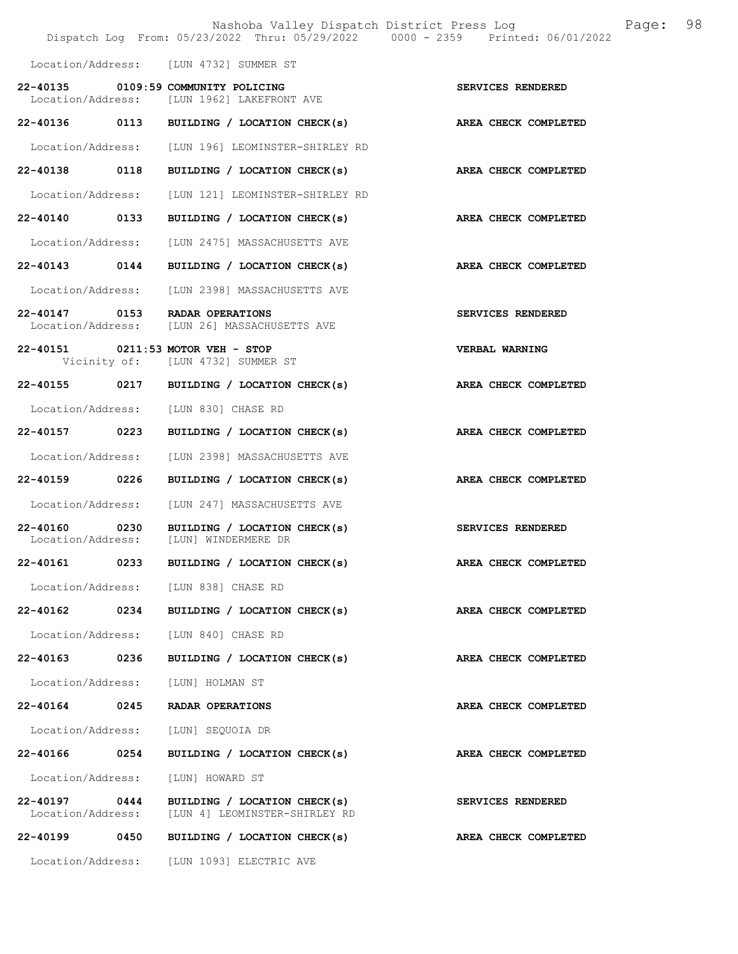|                   |      | Nashoba Valley Dispatch District Press Log<br>Dispatch Log From: 05/23/2022 Thru: 05/29/2022 0000 - 2359 Printed: 06/01/2022 | 98<br>Page:                 |  |
|-------------------|------|------------------------------------------------------------------------------------------------------------------------------|-----------------------------|--|
|                   |      | Location/Address: [LUN 4732] SUMMER ST                                                                                       |                             |  |
|                   |      | 22-40135 0109:59 COMMUNITY POLICING<br>Location/Address: [LUN 1962] LAKEFRONT AVE                                            | SERVICES RENDERED           |  |
|                   |      | 22-40136 0113 BUILDING / LOCATION CHECK(s)                                                                                   | AREA CHECK COMPLETED        |  |
|                   |      | Location/Address: [LUN 196] LEOMINSTER-SHIRLEY RD                                                                            |                             |  |
|                   |      | 22-40138 0118 BUILDING / LOCATION CHECK(s) AREA CHECK COMPLETED                                                              |                             |  |
|                   |      | Location/Address: [LUN 121] LEOMINSTER-SHIRLEY RD                                                                            |                             |  |
|                   |      | 22-40140 0133 BUILDING / LOCATION CHECK(s)                                                                                   | AREA CHECK COMPLETED        |  |
|                   |      | Location/Address: [LUN 2475] MASSACHUSETTS AVE                                                                               |                             |  |
|                   |      | 22-40143 0144 BUILDING / LOCATION CHECK(s)                                                                                   | AREA CHECK COMPLETED        |  |
|                   |      | Location/Address: [LUN 2398] MASSACHUSETTS AVE                                                                               |                             |  |
|                   |      | 22-40147 0153 RADAR OPERATIONS<br>Location/Address: [LUN 26] MASSACHUSETTS AVE                                               | SERVICES RENDERED           |  |
|                   |      | 22-40151 0211:53 MOTOR VEH - STOP<br>Vicinity of: [LUN 4732] SUMMER ST                                                       | <b>VERBAL WARNING</b>       |  |
|                   |      | 22-40155 0217 BUILDING / LOCATION CHECK(s)                                                                                   | AREA CHECK COMPLETED        |  |
|                   |      | Location/Address: [LUN 830] CHASE RD                                                                                         |                             |  |
|                   |      | 22-40157 0223 BUILDING / LOCATION CHECK(s)                                                                                   | AREA CHECK COMPLETED        |  |
|                   |      | Location/Address: [LUN 2398] MASSACHUSETTS AVE                                                                               |                             |  |
| 22-40159 0226     |      | BUILDING / LOCATION CHECK(s)                                                                                                 | AREA CHECK COMPLETED        |  |
|                   |      | Location/Address: [LUN 247] MASSACHUSETTS AVE                                                                                |                             |  |
|                   |      | 22-40160 0230 BUILDING / LOCATION CHECK(s)<br>Location/Address: [LUN] WINDERMERE DR                                          | SERVICES RENDERED           |  |
| 22-40161          | 0233 | BUILDING / LOCATION CHECK(s)                                                                                                 | AREA CHECK COMPLETED        |  |
|                   |      | Location/Address: [LUN 838] CHASE RD                                                                                         |                             |  |
|                   |      | 22-40162 0234 BUILDING / LOCATION CHECK(s) AREA CHECK COMPLETED                                                              |                             |  |
|                   |      | Location/Address: [LUN 840] CHASE RD                                                                                         |                             |  |
| 22-40163 0236     |      | BUILDING / LOCATION CHECK(s)                                                                                                 | <b>AREA CHECK COMPLETED</b> |  |
|                   |      | Location/Address: [LUN] HOLMAN ST                                                                                            |                             |  |
|                   |      | 22-40164 0245 RADAR OPERATIONS                                                                                               | AREA CHECK COMPLETED        |  |
|                   |      | Location/Address: [LUN] SEQUOIA DR                                                                                           |                             |  |
| 22-40166 0254     |      | BUILDING / LOCATION CHECK(s)                                                                                                 | AREA CHECK COMPLETED        |  |
| Location/Address: |      | [LUN] HOWARD ST                                                                                                              |                             |  |
| 22-40197 0444     |      | BUILDING / LOCATION CHECK(s)<br>Location/Address: [LUN 4] LEOMINSTER-SHIRLEY RD                                              | SERVICES RENDERED           |  |
| 22-40199 0450     |      | BUILDING / LOCATION CHECK(s)                                                                                                 | AREA CHECK COMPLETED        |  |
|                   |      | Location/Address: [LUN 1093] ELECTRIC AVE                                                                                    |                             |  |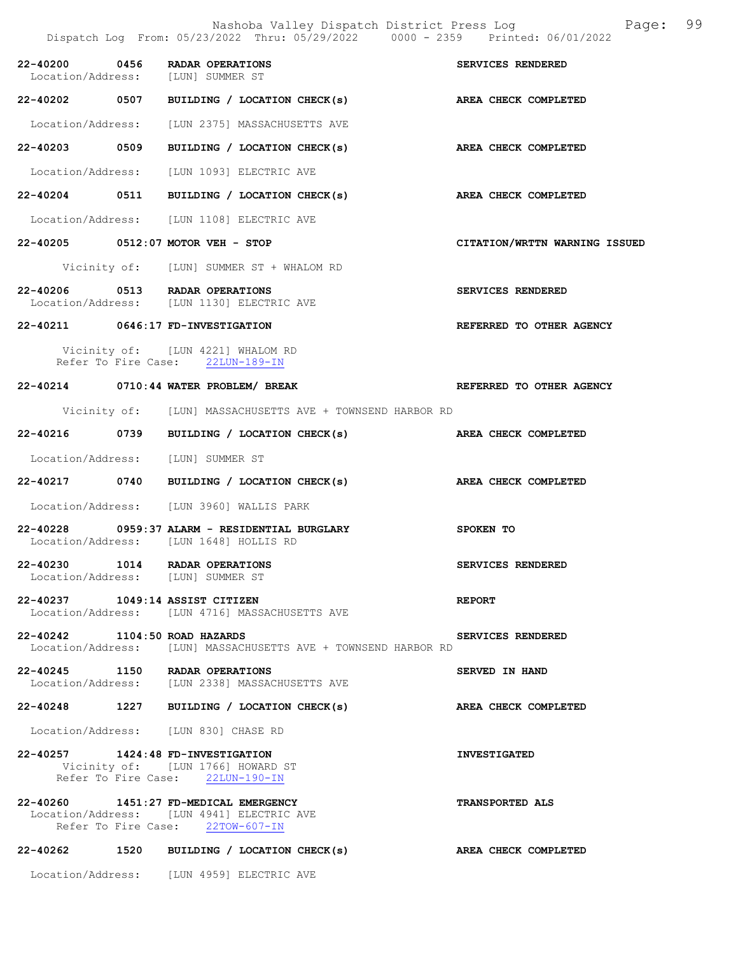|                               | Nashoba Valley Dispatch District Press Log<br>Dispatch Log From: 05/23/2022 Thru: 05/29/2022 0000 - 2359 Printed: 06/01/2022 | 99<br>Page:                   |
|-------------------------------|------------------------------------------------------------------------------------------------------------------------------|-------------------------------|
|                               | 22-40200 0456 RADAR OPERATIONS<br>Location/Address: [LUN] SUMMER ST                                                          | SERVICES RENDERED             |
|                               | 22-40202 0507 BUILDING / LOCATION CHECK(s) AREA CHECK COMPLETED                                                              |                               |
|                               | Location/Address: [LUN 2375] MASSACHUSETTS AVE                                                                               |                               |
|                               |                                                                                                                              | AREA CHECK COMPLETED          |
|                               | Location/Address: [LUN 1093] ELECTRIC AVE                                                                                    |                               |
|                               | 22-40204 0511 BUILDING / LOCATION CHECK(s) AREA CHECK COMPLETED                                                              |                               |
|                               | Location/Address: [LUN 1108] ELECTRIC AVE                                                                                    |                               |
|                               | 22-40205 0512:07 MOTOR VEH - STOP                                                                                            | CITATION/WRTTN WARNING ISSUED |
|                               | Vicinity of: [LUN] SUMMER ST + WHALOM RD                                                                                     |                               |
|                               | 22-40206 0513 RADAR OPERATIONS<br>Location/Address: [LUN 1130] ELECTRIC AVE                                                  | SERVICES RENDERED             |
|                               | 22-40211 0646:17 FD-INVESTIGATION                                                                                            | REFERRED TO OTHER AGENCY      |
|                               | Vicinity of: [LUN 4221] WHALOM RD<br>Refer To Fire Case: 22LUN-189-IN                                                        |                               |
|                               | 22-40214 0710:44 WATER PROBLEM/ BREAK                                                                                        | REFERRED TO OTHER AGENCY      |
|                               | Vicinity of: [LUN] MASSACHUSETTS AVE + TOWNSEND HARBOR RD                                                                    |                               |
|                               | 22-40216 0739 BUILDING / LOCATION CHECK(s) AREA CHECK COMPLETED                                                              |                               |
|                               | Location/Address: [LUN] SUMMER ST                                                                                            |                               |
|                               | 22-40217 0740 BUILDING / LOCATION CHECK(s) AREA CHECK COMPLETED                                                              |                               |
|                               | Location/Address: [LUN 3960] WALLIS PARK                                                                                     |                               |
|                               | 22-40228 0959:37 ALARM - RESIDENTIAL BURGLARY<br>Location/Address: [LUN 1648] HOLLIS RD                                      | SPOKEN TO                     |
|                               | 22-40230 1014 RADAR OPERATIONS<br>Location/Address: [LUN] SUMMER ST                                                          | SERVICES RENDERED             |
|                               | 22-40237 1049:14 ASSIST CITIZEN<br>Location/Address: [LUN 4716] MASSACHUSETTS AVE                                            | <b>REPORT</b>                 |
| 22-40242 1104:50 ROAD HAZARDS | Location/Address: [LUN] MASSACHUSETTS AVE + TOWNSEND HARBOR RD                                                               | SERVICES RENDERED             |
|                               | 22-40245 1150 RADAR OPERATIONS<br>Location/Address: [LUN 2338] MASSACHUSETTS AVE                                             | SERVED IN HAND                |
|                               | 22-40248 1227 BUILDING / LOCATION CHECK(s)                                                                                   | AREA CHECK COMPLETED          |
|                               | Location/Address: [LUN 830] CHASE RD                                                                                         |                               |
|                               | 22-40257 1424:48 FD-INVESTIGATION<br>Vicinity of: [LUN 1766] HOWARD ST<br>Refer To Fire Case: 22LUN-190-IN                   | <b>INVESTIGATED</b>           |
|                               | 22-40260 1451:27 FD-MEDICAL EMERGENCY<br>Location/Address: [LUN 4941] ELECTRIC AVE<br>Refer To Fire Case: 22TOW-607-IN       | <b>TRANSPORTED ALS</b>        |
|                               | 22-40262 1520 BUILDING / LOCATION CHECK(s) AREA CHECK COMPLETED                                                              |                               |
|                               | Location/Address: [LUN 4959] ELECTRIC AVE                                                                                    |                               |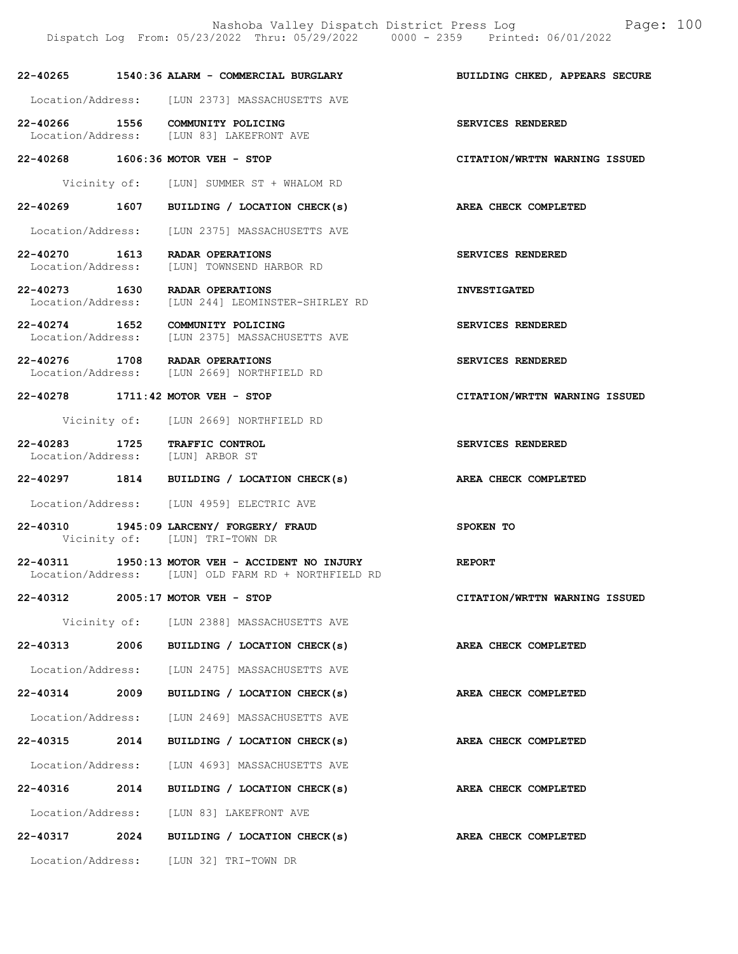|                                                   |      | Nashoba Valley Dispatch District Press Log<br>Dispatch Log From: 05/23/2022 Thru: 05/29/2022 0000 - 2359 Printed: 06/01/2022 | Page: 100                      |
|---------------------------------------------------|------|------------------------------------------------------------------------------------------------------------------------------|--------------------------------|
|                                                   |      | 22-40265 1540:36 ALARM - COMMERCIAL BURGLARY                                                                                 | BUILDING CHKED, APPEARS SECURE |
|                                                   |      | Location/Address: [LUN 2373] MASSACHUSETTS AVE                                                                               |                                |
|                                                   |      | 22-40266 1556 COMMUNITY POLICING<br>Location/Address: [LUN 83] LAKEFRONT AVE                                                 | SERVICES RENDERED              |
|                                                   |      | 22-40268 1606:36 MOTOR VEH - STOP                                                                                            | CITATION/WRTTN WARNING ISSUED  |
|                                                   |      | Vicinity of: [LUN] SUMMER ST + WHALOM RD                                                                                     |                                |
|                                                   |      | 22-40269 1607 BUILDING / LOCATION CHECK(s)                                                                                   | AREA CHECK COMPLETED           |
|                                                   |      | Location/Address: [LUN 2375] MASSACHUSETTS AVE                                                                               |                                |
| Location/Address:                                 |      | 22-40270 1613 RADAR OPERATIONS<br>[LUN] TOWNSEND HARBOR RD                                                                   | SERVICES RENDERED              |
|                                                   |      | 22-40273 1630 RADAR OPERATIONS<br>Location/Address: [LUN 244] LEOMINSTER-SHIRLEY RD                                          | <b>INVESTIGATED</b>            |
|                                                   |      | 22-40274 1652 COMMUNITY POLICING<br>Location/Address: [LUN 2375] MASSACHUSETTS AVE                                           | SERVICES RENDERED              |
|                                                   |      | 22-40276 1708 RADAR OPERATIONS<br>Location/Address: [LUN 2669] NORTHFIELD RD                                                 | SERVICES RENDERED              |
|                                                   |      | 22-40278 1711:42 MOTOR VEH - STOP                                                                                            | CITATION/WRTTN WARNING ISSUED  |
|                                                   |      | Vicinity of: [LUN 2669] NORTHFIELD RD                                                                                        |                                |
| 22-40283 1725<br>Location/Address: [LUN] ARBOR ST |      | TRAFFIC CONTROL                                                                                                              | SERVICES RENDERED              |
|                                                   |      | 22-40297 1814 BUILDING / LOCATION CHECK(s)                                                                                   | AREA CHECK COMPLETED           |
|                                                   |      | Location/Address: [LUN 4959] ELECTRIC AVE                                                                                    |                                |
|                                                   |      | 22-40310 1945:09 LARCENY/ FORGERY/ FRAUD<br>Vicinity of: [LUN] TRI-TOWN DR                                                   | SPOKEN TO                      |
|                                                   |      | 22-40311 1950:13 MOTOR VEH - ACCIDENT NO INJURY<br>Location/Address: [LUN] OLD FARM RD + NORTHFIELD RD                       | <b>REPORT</b>                  |
|                                                   |      | 22-40312 2005:17 MOTOR VEH - STOP                                                                                            | CITATION/WRTTN WARNING ISSUED  |
|                                                   |      | Vicinity of: [LUN 2388] MASSACHUSETTS AVE                                                                                    |                                |
| 22-40313                                          | 2006 | BUILDING / LOCATION CHECK(s)                                                                                                 | AREA CHECK COMPLETED           |
|                                                   |      | Location/Address: [LUN 2475] MASSACHUSETTS AVE                                                                               |                                |
| 22-40314 2009                                     |      | BUILDING / LOCATION CHECK(s)                                                                                                 | <b>AREA CHECK COMPLETED</b>    |
| Location/Address:                                 |      | [LUN 2469] MASSACHUSETTS AVE                                                                                                 |                                |
| 22-40315 2014                                     |      | BUILDING / LOCATION CHECK(s)                                                                                                 | AREA CHECK COMPLETED           |
|                                                   |      | Location/Address: [LUN 4693] MASSACHUSETTS AVE                                                                               |                                |
| 22-40316                                          | 2014 | BUILDING / LOCATION CHECK(s)                                                                                                 | AREA CHECK COMPLETED           |
|                                                   |      | Location/Address: [LUN 83] LAKEFRONT AVE                                                                                     |                                |
| 22-40317                                          | 2024 | BUILDING / LOCATION CHECK(s)                                                                                                 | AREA CHECK COMPLETED           |
|                                                   |      | Location/Address: [LUN 32] TRI-TOWN DR                                                                                       |                                |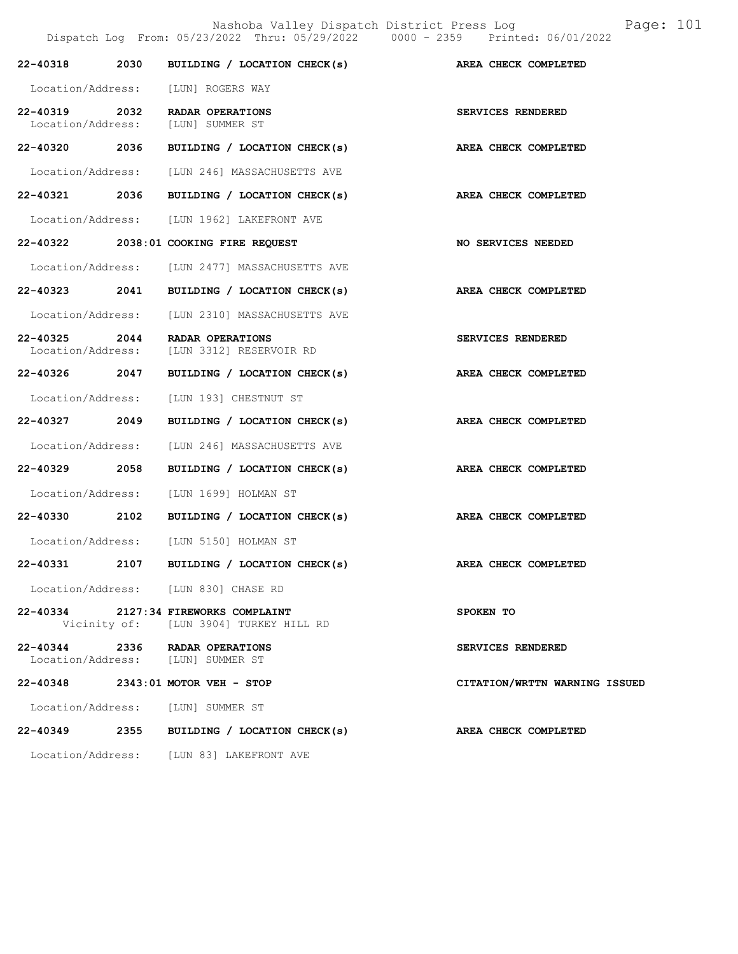Nashoba Valley Dispatch District Press Log Page: 101 Dispatch Log From: 05/23/2022 Thru: 05/29/2022 0000 - 2359 Printed: 06/01/2022 22-40318 2030 BUILDING / LOCATION CHECK(s) AREA CHECK COMPLETED Location/Address: [LUN] ROGERS WAY 22-40319 2032 RADAR OPERATIONS SERVICES RENDERED<br>
Location/Address: [LUN] SUMMER ST Location/Address: 22-40320 2036 BUILDING / LOCATION CHECK(s) AREA CHECK COMPLETED Location/Address: [LUN 246] MASSACHUSETTS AVE 22-40321 2036 BUILDING / LOCATION CHECK(s) AREA CHECK COMPLETED Location/Address: [LUN 1962] LAKEFRONT AVE 22-40322 2038:01 COOKING FIRE REQUEST NO SERVICES NEEDED Location/Address: [LUN 2477] MASSACHUSETTS AVE 22-40323 2041 BUILDING / LOCATION CHECK(s) AREA CHECK COMPLETED Location/Address: [LUN 2310] MASSACHUSETTS AVE 22-40325 2044 RADAR OPERATIONS SERVICES RENDERED<br>Location/Address: [LUN 3312] RESERVOIR RD Location/Address: [LUN 3312] RESERVOIR RD 22-40326 2047 BUILDING / LOCATION CHECK(s) AREA CHECK COMPLETED Location/Address: [LUN 193] CHESTNUT ST 22-40327 2049 BUILDING / LOCATION CHECK(s) AREA CHECK COMPLETED Location/Address: [LUN 246] MASSACHUSETTS AVE 22-40329 2058 BUILDING / LOCATION CHECK(s) AREA CHECK COMPLETED Location/Address: [LUN 1699] HOLMAN ST 22-40330 2102 BUILDING / LOCATION CHECK(s) AREA CHECK COMPLETED Location/Address: [LUN 5150] HOLMAN ST 22-40331 2107 BUILDING / LOCATION CHECK(s) AREA CHECK COMPLETED Location/Address: [LUN 830] CHASE RD 22-40334 2127:34 FIREWORKS COMPLAINT SPOKEN TO Vicinity of: [LUN 3904] TURKEY HILL RD 22-40344 2336 RADAR OPERATIONS SERVICES RENDERED Location/Address: [LUN] SUMMER ST 22-40348 2343:01 MOTOR VEH - STOP CITATION/WRTTN WARNING ISSUED Location/Address: [LUN] SUMMER ST 22-40349 2355 BUILDING / LOCATION CHECK(s) AREA CHECK COMPLETED

Location/Address: [LUN 83] LAKEFRONT AVE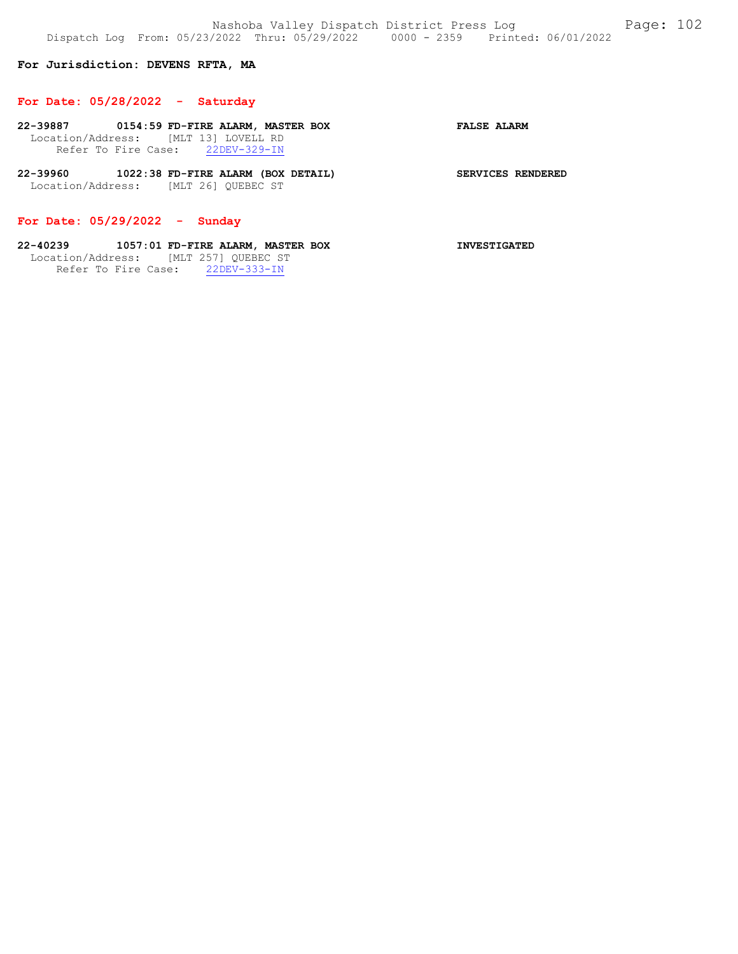# For Jurisdiction: DEVENS RFTA, MA

### For Date: 05/28/2022 - Saturday

- 22-39887 0154:59 FD-FIRE ALARM, MASTER BOX FALSE ALARM Location/Address: [MLT 13] LOVELL RD<br>Refer To Fire Case: 22DEV-329-IN Refer To Fire Case:
- 22-39960 1022:38 FD-FIRE ALARM (BOX DETAIL) SERVICES RENDERED Location/Address: [MLT 26] QUEBEC ST

# For Date: 05/29/2022 - Sunday

# 22-40239 1057:01 FD-FIRE ALARM, MASTER BOX INVESTIGATED Location/Address: [MLT 257] QUEBEC ST Refer To Fire Case: 22DEV-333-IN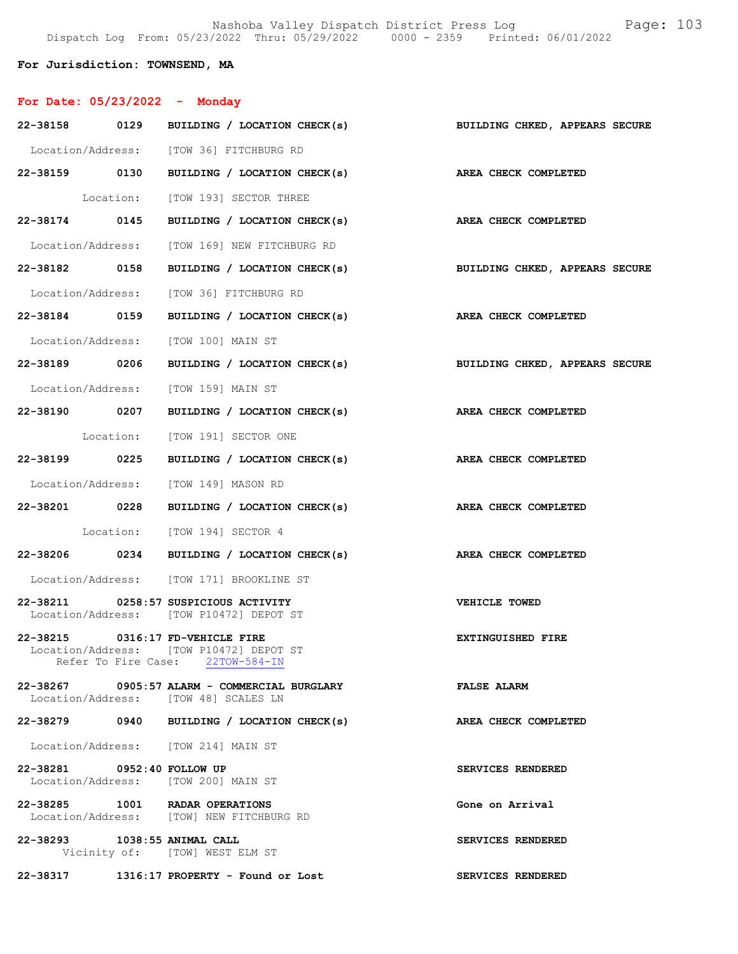Nashoba Valley Dispatch District Press Log Fage: 103 Dispatch Log From: 05/23/2022 Thru: 05/29/2022 0000 - 2359 Printed: 06/01/2022

# For Jurisdiction: TOWNSEND, MA

| For Date: $05/23/2022 -$ Monday |                                                                                                                 |                                |
|---------------------------------|-----------------------------------------------------------------------------------------------------------------|--------------------------------|
|                                 | 22-38158 0129 BUILDING / LOCATION CHECK(s) BUILDING CHKED, APPEARS SECURE                                       |                                |
|                                 | Location/Address: [TOW 36] FITCHBURG RD                                                                         |                                |
|                                 | 22-38159 0130 BUILDING / LOCATION CHECK(s) AREA CHECK COMPLETED                                                 |                                |
|                                 | Location: [TOW 193] SECTOR THREE                                                                                |                                |
|                                 | 22-38174 0145 BUILDING / LOCATION CHECK(s) AREA CHECK COMPLETED                                                 |                                |
|                                 | Location/Address: [TOW 169] NEW FITCHBURG RD                                                                    |                                |
|                                 | 22-38182 0158 BUILDING / LOCATION CHECK(s)                                                                      | BUILDING CHKED, APPEARS SECURE |
|                                 | Location/Address: [TOW 36] FITCHBURG RD                                                                         |                                |
|                                 | 22-38184 0159 BUILDING / LOCATION CHECK(s) AREA CHECK COMPLETED                                                 |                                |
|                                 | Location/Address: [TOW 100] MAIN ST                                                                             |                                |
|                                 | 22-38189 0206 BUILDING / LOCATION CHECK(s) BUILDING CHKED, APPEARS SECURE                                       |                                |
|                                 | Location/Address: [TOW 159] MAIN ST                                                                             |                                |
|                                 | 22-38190 0207 BUILDING / LOCATION CHECK(s) AREA CHECK COMPLETED                                                 |                                |
|                                 | Location: [TOW 191] SECTOR ONE                                                                                  |                                |
|                                 | 22-38199 0225 BUILDING / LOCATION CHECK(s) AREA CHECK COMPLETED                                                 |                                |
|                                 | Location/Address: [TOW 149] MASON RD                                                                            |                                |
|                                 | 22-38201 0228 BUILDING / LOCATION CHECK(s)                                                                      | AREA CHECK COMPLETED           |
|                                 | Location: [TOW 194] SECTOR 4                                                                                    |                                |
|                                 | 22-38206 0234 BUILDING / LOCATION CHECK(s) AREA CHECK COMPLETED                                                 |                                |
|                                 | Location/Address: [TOW 171] BROOKLINE ST                                                                        |                                |
|                                 | 22-38211 0258:57 SUSPICIOUS ACTIVITY<br>Location/Address: [TOW P10472] DEPOT ST                                 | VEHICLE TOWED                  |
|                                 | 22-38215 0316:17 FD-VEHICLE FIRE<br>Location/Address: [TOW P10472] DEPOT ST<br>Refer To Fire Case: 22TOW-584-IN | EXTINGUISHED FIRE              |
|                                 | 22-38267 0905:57 ALARM - COMMERCIAL BURGLARY<br>Location/Address: [TOW 48] SCALES LN                            | <b>FALSE ALARM</b>             |
|                                 | 22-38279 0940 BUILDING / LOCATION CHECK(s)                                                                      | AREA CHECK COMPLETED           |
|                                 | Location/Address: [TOW 214] MAIN ST                                                                             |                                |
| 22-38281 0952:40 FOLLOW UP      | Location/Address: [TOW 200] MAIN ST                                                                             | SERVICES RENDERED              |
|                                 | 22-38285 1001 RADAR OPERATIONS<br>Location/Address: [TOW] NEW FITCHBURG RD                                      | Gone on Arrival                |
| 22-38293 1038:55 ANIMAL CALL    | Vicinity of: [TOW] WEST ELM ST                                                                                  | SERVICES RENDERED              |
|                                 | 22-38317 1316:17 PROPERTY - Found or Lost                                                                       | SERVICES RENDERED              |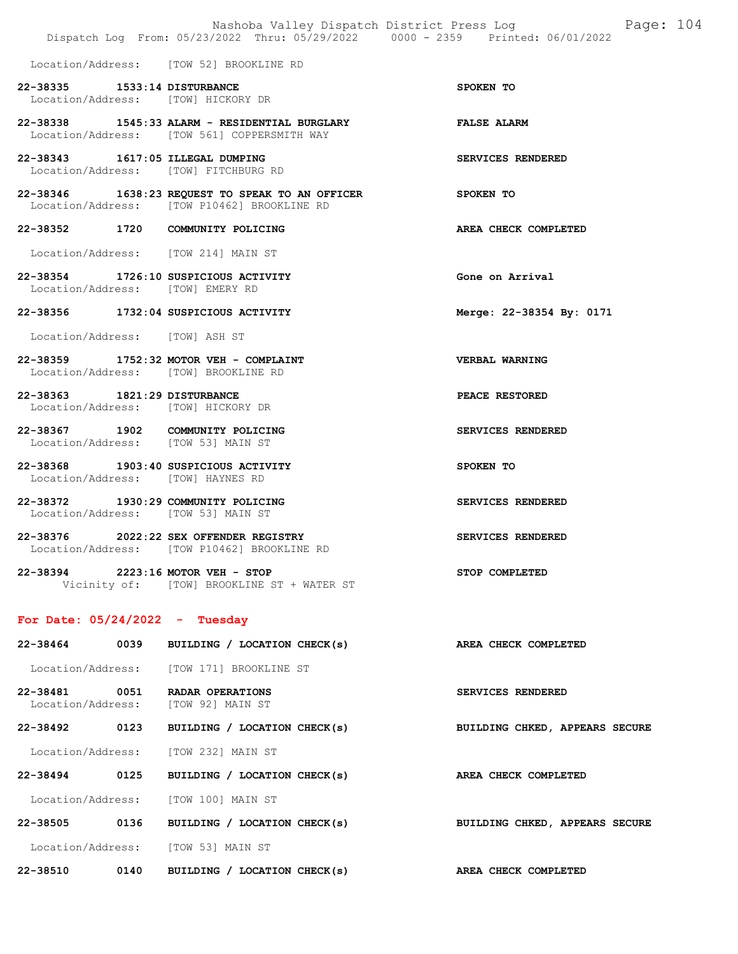| Nashoba Valley Dispatch District Press Log Faqe: 104<br>Dispatch Log From: 05/23/2022 Thru: 05/29/2022 0000 - 2359 Printed: 06/01/2022 |      |                                                                                                          |                                |  |  |
|----------------------------------------------------------------------------------------------------------------------------------------|------|----------------------------------------------------------------------------------------------------------|--------------------------------|--|--|
|                                                                                                                                        |      | Location/Address: [TOW 52] BROOKLINE RD                                                                  |                                |  |  |
| 22-38335 1533:14 DISTURBANCE                                                                                                           |      | Location/Address: [TOW] HICKORY DR                                                                       | SPOKEN TO                      |  |  |
|                                                                                                                                        |      | 22-38338 1545:33 ALARM - RESIDENTIAL BURGLARY<br>Location/Address: [TOW 561] COPPERSMITH WAY             | <b>FALSE ALARM</b>             |  |  |
|                                                                                                                                        |      | 22-38343 1617:05 ILLEGAL DUMPING<br>Location/Address: [TOW] FITCHBURG RD                                 | SERVICES RENDERED              |  |  |
|                                                                                                                                        |      | 22-38346 1638:23 REQUEST TO SPEAK TO AN OFFICER SPOKEN TO<br>Location/Address: [TOW P10462] BROOKLINE RD |                                |  |  |
|                                                                                                                                        |      | 22-38352 1720 COMMUNITY POLICING                                                                         | AREA CHECK COMPLETED           |  |  |
|                                                                                                                                        |      | Location/Address: [TOW 214] MAIN ST                                                                      |                                |  |  |
| Location/Address: [TOW] EMERY RD                                                                                                       |      | 22-38354 1726:10 SUSPICIOUS ACTIVITY                                                                     | Gone on Arrival                |  |  |
|                                                                                                                                        |      | 22-38356 1732:04 SUSPICIOUS ACTIVITY                                                                     | Merge: 22-38354 By: 0171       |  |  |
| Location/Address: [TOW] ASH ST                                                                                                         |      |                                                                                                          |                                |  |  |
|                                                                                                                                        |      | 22-38359 1752:32 MOTOR VEH - COMPLAINT<br>Location/Address: [TOW] BROOKLINE RD                           | <b>VERBAL WARNING</b>          |  |  |
| 22-38363 1821:29 DISTURBANCE                                                                                                           |      | Location/Address: [TOW] HICKORY DR                                                                       | PEACE RESTORED                 |  |  |
|                                                                                                                                        |      | 22-38367 1902 COMMUNITY POLICING<br>Location/Address: [TOW 53] MAIN ST                                   | SERVICES RENDERED              |  |  |
|                                                                                                                                        |      | 22-38368 1903:40 SUSPICIOUS ACTIVITY<br>Location/Address: [TOW] HAYNES RD                                | SPOKEN TO                      |  |  |
|                                                                                                                                        |      | 22-38372 1930:29 COMMUNITY POLICING<br>Location/Address: [TOW 53] MAIN ST                                | SERVICES RENDERED              |  |  |
|                                                                                                                                        |      | 22-38376 2022:22 SEX OFFENDER REGISTRY<br>Location/Address: [TOW P10462] BROOKLINE RD                    | SERVICES RENDERED              |  |  |
|                                                                                                                                        |      | 22-38394 2223:16 MOTOR VEH - STOP<br>Vicinity of: [TOW] BROOKLINE ST + WATER ST                          | STOP COMPLETED                 |  |  |
| For Date: $05/24/2022 - Tuesday$                                                                                                       |      |                                                                                                          |                                |  |  |
|                                                                                                                                        |      | 22-38464 0039 BUILDING / LOCATION CHECK(s)                                                               | AREA CHECK COMPLETED           |  |  |
|                                                                                                                                        |      | Location/Address: [TOW 171] BROOKLINE ST                                                                 |                                |  |  |
|                                                                                                                                        |      | 22-38481 0051 RADAR OPERATIONS<br>Location/Address: [TOW 92] MAIN ST                                     | SERVICES RENDERED              |  |  |
|                                                                                                                                        |      | 22-38492 0123 BUILDING / LOCATION CHECK(s)                                                               | BUILDING CHKED, APPEARS SECURE |  |  |
|                                                                                                                                        |      | Location/Address: [TOW 232] MAIN ST                                                                      |                                |  |  |
| 22-38494                                                                                                                               | 0125 | BUILDING / LOCATION CHECK(s)                                                                             | AREA CHECK COMPLETED           |  |  |
|                                                                                                                                        |      | Location/Address: [TOW 100] MAIN ST                                                                      |                                |  |  |
|                                                                                                                                        |      | 22-38505 0136 BUILDING / LOCATION CHECK(s)                                                               | BUILDING CHKED, APPEARS SECURE |  |  |
|                                                                                                                                        |      | Location/Address: [TOW 53] MAIN ST                                                                       |                                |  |  |
|                                                                                                                                        |      | 22-38510 0140 BUILDING / LOCATION CHECK(s)                                                               | AREA CHECK COMPLETED           |  |  |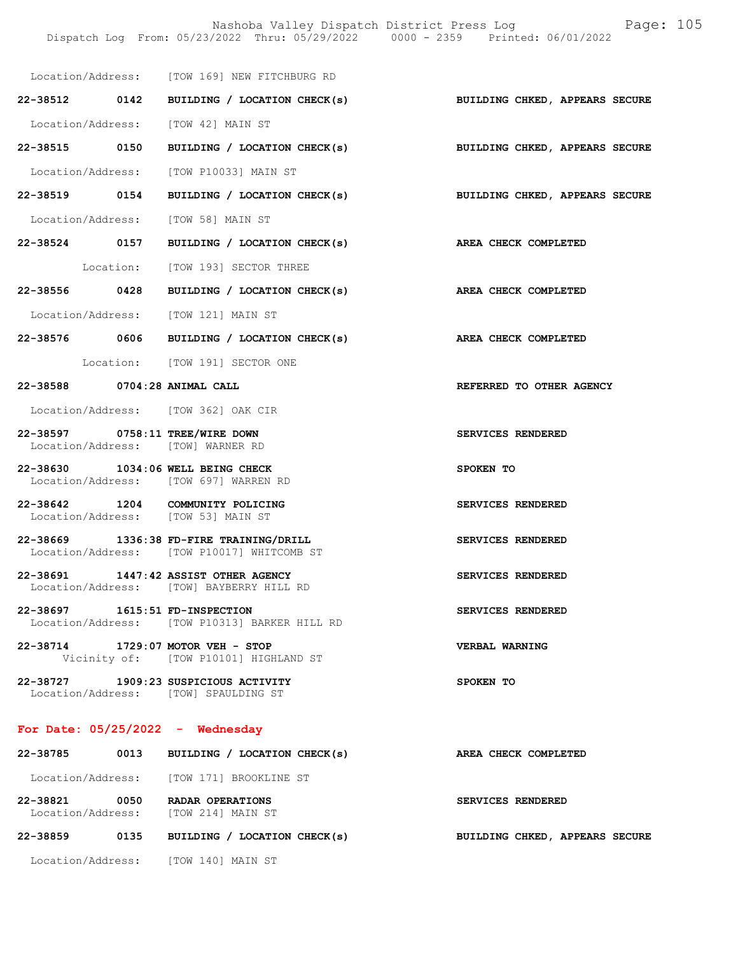|                                                                      |                                                                                       | Dispatch Log From: 05/23/2022 Thru: 05/29/2022 0000 - 2359 Printed: 06/01/2022 |  |  |  |
|----------------------------------------------------------------------|---------------------------------------------------------------------------------------|--------------------------------------------------------------------------------|--|--|--|
|                                                                      | Location/Address: [TOW 169] NEW FITCHBURG RD                                          |                                                                                |  |  |  |
|                                                                      |                                                                                       | 22-38512 0142 BUILDING / LOCATION CHECK(s) BUILDING CHKED, APPEARS SECURE      |  |  |  |
| Location/Address: [TOW 42] MAIN ST                                   |                                                                                       |                                                                                |  |  |  |
|                                                                      | 22-38515 0150 BUILDING / LOCATION CHECK(s)                                            | BUILDING CHKED, APPEARS SECURE                                                 |  |  |  |
|                                                                      | Location/Address: [TOW P10033] MAIN ST                                                |                                                                                |  |  |  |
|                                                                      |                                                                                       | 22-38519 0154 BUILDING / LOCATION CHECK(s) BUILDING CHKED, APPEARS SECURE      |  |  |  |
| Location/Address: [TOW 58] MAIN ST                                   |                                                                                       |                                                                                |  |  |  |
|                                                                      | 22-38524 0157 BUILDING / LOCATION CHECK(s)                                            | AREA CHECK COMPLETED                                                           |  |  |  |
|                                                                      | Location: [TOW 193] SECTOR THREE                                                      |                                                                                |  |  |  |
|                                                                      | $22-38556$ 0428 BUILDING / LOCATION CHECK(s)                                          | AREA CHECK COMPLETED                                                           |  |  |  |
|                                                                      | Location/Address: [TOW 121] MAIN ST                                                   |                                                                                |  |  |  |
|                                                                      | 22-38576 0606 BUILDING / LOCATION CHECK(s)                                            | AREA CHECK COMPLETED                                                           |  |  |  |
|                                                                      | Location: [TOW 191] SECTOR ONE                                                        |                                                                                |  |  |  |
| 22-38588 0704:28 ANIMAL CALL                                         |                                                                                       | REFERRED TO OTHER AGENCY                                                       |  |  |  |
|                                                                      | Location/Address: [TOW 362] OAK CIR                                                   |                                                                                |  |  |  |
| 22-38597 0758:11 TREE/WIRE DOWN<br>Location/Address: [TOW] WARNER RD |                                                                                       | SERVICES RENDERED                                                              |  |  |  |
| 22-38630 1034:06 WELL BEING CHECK                                    | Location/Address: [TOW 697] WARREN RD                                                 | SPOKEN TO                                                                      |  |  |  |
|                                                                      | 22-38642 1204 COMMUNITY POLICING<br>Location/Address: [TOW 53] MAIN ST                | SERVICES RENDERED                                                              |  |  |  |
|                                                                      | 22-38669 1336:38 FD-FIRE TRAINING/DRILL<br>Location/Address: [TOW P10017] WHITCOMB ST | SERVICES RENDERED                                                              |  |  |  |
|                                                                      | 22-38691 1447:42 ASSIST OTHER AGENCY<br>Location/Address: [TOW] BAYBERRY HILL RD      | SERVICES RENDERED                                                              |  |  |  |
| 22-38697 1615:51 FD-INSPECTION                                       | Location/Address: [TOW P10313] BARKER HILL RD                                         | SERVICES RENDERED                                                              |  |  |  |
| 22-38714 1729:07 MOTOR VEH - STOP                                    | Vicinity of: [TOW P10101] HIGHLAND ST                                                 | VERBAL WARNING                                                                 |  |  |  |
|                                                                      | 22-38727 1909:23 SUSPICIOUS ACTIVITY<br>Location/Address: [TOW] SPAULDING ST          | SPOKEN TO                                                                      |  |  |  |
| For Date: $05/25/2022 -$ Wednesday                                   |                                                                                       |                                                                                |  |  |  |
|                                                                      | 22-38785 0013 BUILDING / LOCATION CHECK(s)                                            | AREA CHECK COMPLETED                                                           |  |  |  |

Location/Address: [TOW 171] BROOKLINE ST

22-38821 0050 RADAR OPERATIONS SERVICES RENDERED Location/Address: [TOW 214] MAIN ST

# 22-38859 0135 BUILDING / LOCATION CHECK(s) BUILDING CHKED, APPEARS SECURE

Location/Address: [TOW 140] MAIN ST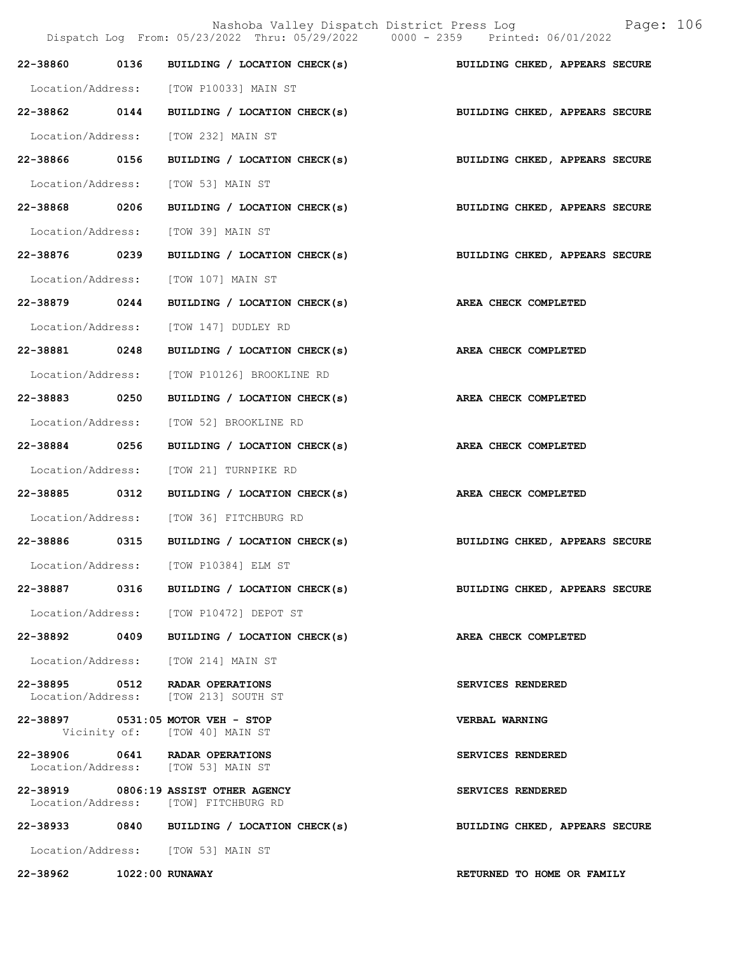|                          |      | Nashoba Valley Dispatch District Press Log                                     | Page: 106                      |
|--------------------------|------|--------------------------------------------------------------------------------|--------------------------------|
|                          |      | Dispatch Log From: 05/23/2022 Thru: 05/29/2022 0000 - 2359 Printed: 06/01/2022 |                                |
| 22-38860                 | 0136 | BUILDING / LOCATION CHECK(s)                                                   | BUILDING CHKED, APPEARS SECURE |
|                          |      | Location/Address: [TOW P10033] MAIN ST                                         |                                |
| 22-38862 0144            |      | BUILDING / LOCATION CHECK(s)                                                   | BUILDING CHKED, APPEARS SECURE |
| Location/Address:        |      | [TOW 232] MAIN ST                                                              |                                |
| 22-38866 0156            |      | BUILDING / LOCATION CHECK(s)                                                   | BUILDING CHKED, APPEARS SECURE |
| Location/Address:        |      | [TOW 53] MAIN ST                                                               |                                |
| 22-38868                 | 0206 | BUILDING / LOCATION CHECK(s)                                                   | BUILDING CHKED, APPEARS SECURE |
| Location/Address:        |      | [TOW 39] MAIN ST                                                               |                                |
| 22-38876 0239            |      | BUILDING / LOCATION CHECK(s)                                                   | BUILDING CHKED, APPEARS SECURE |
| Location/Address:        |      | [TOW 107] MAIN ST                                                              |                                |
| 22-38879 0244            |      | BUILDING / LOCATION CHECK(s)                                                   | AREA CHECK COMPLETED           |
| Location/Address:        |      | [TOW 147] DUDLEY RD                                                            |                                |
| 22-38881                 | 0248 | BUILDING / LOCATION CHECK(s)                                                   | AREA CHECK COMPLETED           |
| Location/Address:        |      | [TOW P10126] BROOKLINE RD                                                      |                                |
| 22-38883 0250            |      | BUILDING / LOCATION CHECK(s)                                                   | AREA CHECK COMPLETED           |
| Location/Address:        |      | [TOW 52] BROOKLINE RD                                                          |                                |
| 22-38884 0256            |      | BUILDING / LOCATION CHECK(s)                                                   | AREA CHECK COMPLETED           |
| Location/Address:        |      | [TOW 21] TURNPIKE RD                                                           |                                |
| 22-38885                 | 0312 | BUILDING / LOCATION CHECK(s)                                                   | AREA CHECK COMPLETED           |
| Location/Address:        |      | [TOW 36] FITCHBURG RD                                                          |                                |
| 22-38886                 | 0315 | BUILDING / LOCATION CHECK(s)                                                   | BUILDING CHKED, APPEARS SECURE |
|                          |      | Location/Address: [TOW P10384] ELM ST                                          |                                |
| 22-38887 0316            |      | BUILDING / LOCATION CHECK(s)                                                   | BUILDING CHKED, APPEARS SECURE |
|                          |      | Location/Address: [TOW P10472] DEPOT ST                                        |                                |
| 22-38892 0409            |      | BUILDING / LOCATION CHECK(s)                                                   | AREA CHECK COMPLETED           |
|                          |      | Location/Address: [TOW 214] MAIN ST                                            |                                |
|                          |      | 22-38895 0512 RADAR OPERATIONS<br>Location/Address: [TOW 213] SOUTH ST         | SERVICES RENDERED              |
|                          |      | 22-38897 0531:05 MOTOR VEH - STOP<br>Vicinity of: [TOW 40] MAIN ST             | <b>VERBAL WARNING</b>          |
|                          |      | 22-38906 0641 RADAR OPERATIONS<br>Location/Address: [TOW 53] MAIN ST           | SERVICES RENDERED              |
|                          |      | 22-38919 0806:19 ASSIST OTHER AGENCY<br>Location/Address: [TOW] FITCHBURG RD   | SERVICES RENDERED              |
|                          |      | 22-38933 0840 BUILDING / LOCATION CHECK(s)                                     | BUILDING CHKED, APPEARS SECURE |
|                          |      | Location/Address: [TOW 53] MAIN ST                                             |                                |
| 22-38962 1022:00 RUNAWAY |      |                                                                                | RETURNED TO HOME OR FAMILY     |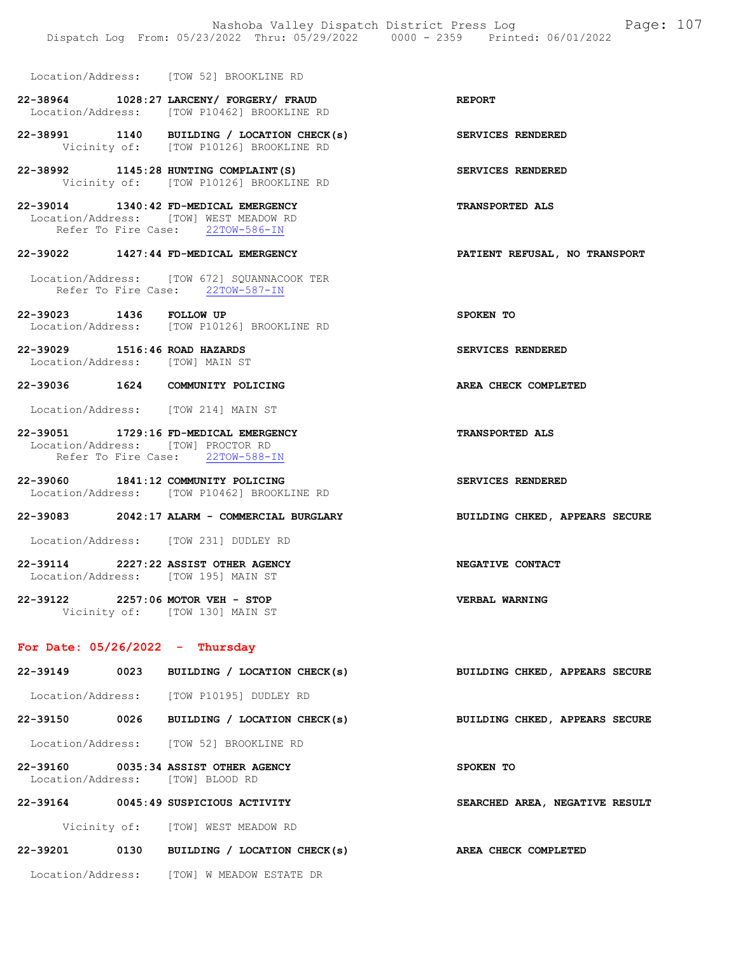Location/Address: [TOW 52] BROOKLINE RD

- 22-38964 1028:27 LARCENY/ FORGERY/ FRAUD REPORT Location/Address: [TOW P10462] BROOKLINE RD
- 22-38991 1140 BUILDING / LOCATION CHECK(s) SERVICES RENDERED Vicinity of: [TOW P10126] BROOKLINE RD
- 22-38992 1145:28 HUNTING COMPLAINT(S) SERVICES RENDERED Vicinity of: [TOW P10126] BROOKLINE RD
- 22-39014 1340:42 FD-MEDICAL EMERGENCY TRANSPORTED ALS Location/Address: [TOW] WEST MEADOW RD<br>Refer To Fire Case: 22TOW-586-IN Refer To Fire Case:

#### 22-39022 1427:44 FD-MEDICAL EMERGENCY PATIENT REFUSAL, NO TRANSPORT

- Location/Address: [TOW 672] SQUANNACOOK TER Refer To Fire Case: 22TOW-587-IN
- 22-39023 1436 FOLLOW UP SPOKEN TO Location/Address: [TOW P10126] BROOKLINE RD
- 22-39029 1516:46 ROAD HAZARDS SERVICES RENDERED Location/Address: [TOW] MAIN ST

#### 22-39036 1624 COMMUNITY POLICING AREA CHECK COMPLETED

Location/Address: [TOW 214] MAIN ST

## 22-39051 1729:16 FD-MEDICAL EMERGENCY TRANSPORTED ALS Location/Address: [TOW] PROCTOR RD<br>Refer To Fire Case: 22TOW-588-IN Refer To Fire Case:

22-39060 1841:12 COMMUNITY POLICING SERVICES RENDERED Location/Address: [TOW P10462] BROOKLINE RD

### 22-39083 2042:17 ALARM - COMMERCIAL BURGLARY BUILDING CHKED, APPEARS SECURE

Location/Address: [TOW 231] DUDLEY RD

- 22-39114 2227:22 ASSIST OTHER AGENCY NEGATIVE CONTACT Location/Address: [TOW 195] MAIN ST
- 22-39122 2257:06 MOTOR VEH STOP VERBAL WARNING Vicinity of: [TOW 130] MAIN ST

# For Date:  $05/26/2022 -$  Thursday

- 22-39149 0023 BUILDING / LOCATION CHECK(s) BUILDING CHKED, APPEARS SECURE Location/Address: [TOW P10195] DUDLEY RD 22-39150 0026 BUILDING / LOCATION CHECK(s) BUILDING CHKED, APPEARS SECURE Location/Address: [TOW 52] BROOKLINE RD 22-39160 0035:34 ASSIST OTHER AGENCY SPOKEN TO Location/Address: [TOW] BLOOD RD 22-39164 0045:49 SUSPICIOUS ACTIVITY SEARCHED AREA, NEGATIVE RESULT Vicinity of: [TOW] WEST MEADOW RD 22-39201 0130 BUILDING / LOCATION CHECK(s) AREA CHECK COMPLETED
	- Location/Address: [TOW] W MEADOW ESTATE DR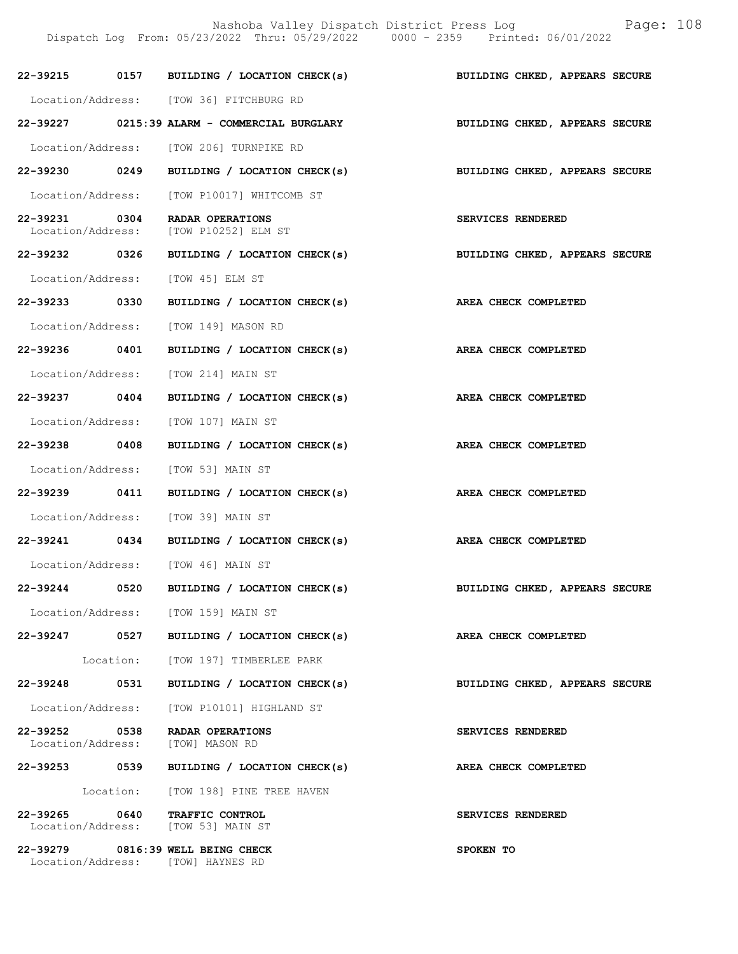Nashoba Valley Dispatch District Press Log Fage: 108 Dispatch Log From: 05/23/2022 Thru: 05/29/2022 0000 - 2359 Printed: 06/01/2022

|               |      | 22-39215 0157 BUILDING / LOCATION CHECK(s) BUILDING CHKED, APPEARS SECURE |                                       |
|---------------|------|---------------------------------------------------------------------------|---------------------------------------|
|               |      | Location/Address: [TOW 36] FITCHBURG RD                                   |                                       |
|               |      | 22-39227 0215:39 ALARM - COMMERCIAL BURGLARY                              | BUILDING CHKED, APPEARS SECURE        |
|               |      | Location/Address: [TOW 206] TURNPIKE RD                                   |                                       |
|               |      | 22-39230 0249 BUILDING / LOCATION CHECK(s) BUILDING CHKED, APPEARS SECURE |                                       |
|               |      | Location/Address: [TOW P10017] WHITCOMB ST                                |                                       |
| 22-39231 0304 |      | RADAR OPERATIONS<br>Location/Address: [TOW P10252] ELM ST                 | SERVICES RENDERED                     |
|               |      | 22-39232 0326 BUILDING / LOCATION CHECK(s)                                | <b>BUILDING CHKED, APPEARS SECURE</b> |
|               |      | Location/Address: [TOW 45] ELM ST                                         |                                       |
|               |      | 22-39233 0330 BUILDING / LOCATION CHECK(s) AREA CHECK COMPLETED           |                                       |
|               |      | Location/Address: [TOW 149] MASON RD                                      |                                       |
|               |      | 22-39236 0401 BUILDING / LOCATION CHECK(s)                                | AREA CHECK COMPLETED                  |
|               |      | Location/Address: [TOW 214] MAIN ST                                       |                                       |
|               |      | 22-39237 0404 BUILDING / LOCATION CHECK(s) AREA CHECK COMPLETED           |                                       |
|               |      | Location/Address: [TOW 107] MAIN ST                                       |                                       |
| 22-39238 0408 |      | BUILDING / LOCATION CHECK(s) AREA CHECK COMPLETED                         |                                       |
|               |      | Location/Address: [TOW 53] MAIN ST                                        |                                       |
|               |      | 22-39239 0411 BUILDING / LOCATION CHECK(s)                                | AREA CHECK COMPLETED                  |
|               |      | Location/Address: [TOW 39] MAIN ST                                        |                                       |
|               |      | 22-39241 0434 BUILDING / LOCATION CHECK(s)                                | AREA CHECK COMPLETED                  |
|               |      | Location/Address: [TOW 46] MAIN ST                                        |                                       |
| 22-39244 0520 |      | BUILDING / LOCATION CHECK(s) BUILDING CHKED, APPEARS SECURE               |                                       |
|               |      | Location/Address: [TOW 159] MAIN ST                                       |                                       |
|               |      | 22-39247 0527 BUILDING / LOCATION CHECK(s)                                | AREA CHECK COMPLETED                  |
|               |      | Location: [TOW 197] TIMBERLEE PARK                                        |                                       |
| 22-39248      | 0531 | BUILDING / LOCATION CHECK(s)                                              | BUILDING CHKED, APPEARS SECURE        |
|               |      | Location/Address: [TOW P10101] HIGHLAND ST                                |                                       |
| 22-39252 0538 |      | <b>RADAR OPERATIONS</b><br>Location/Address: [TOW] MASON RD               | SERVICES RENDERED                     |
|               |      | 22-39253 0539 BUILDING / LOCATION CHECK(s)                                | AREA CHECK COMPLETED                  |
|               |      | Location: [TOW 198] PINE TREE HAVEN                                       |                                       |
| 22-39265 0640 |      | TRAFFIC CONTROL<br>Location/Address: [TOW 53] MAIN ST                     | SERVICES RENDERED                     |
|               |      | 22-39279 0816:39 WELL BEING CHECK<br>Location/Address: [TOW] HAYNES RD    | SPOKEN TO                             |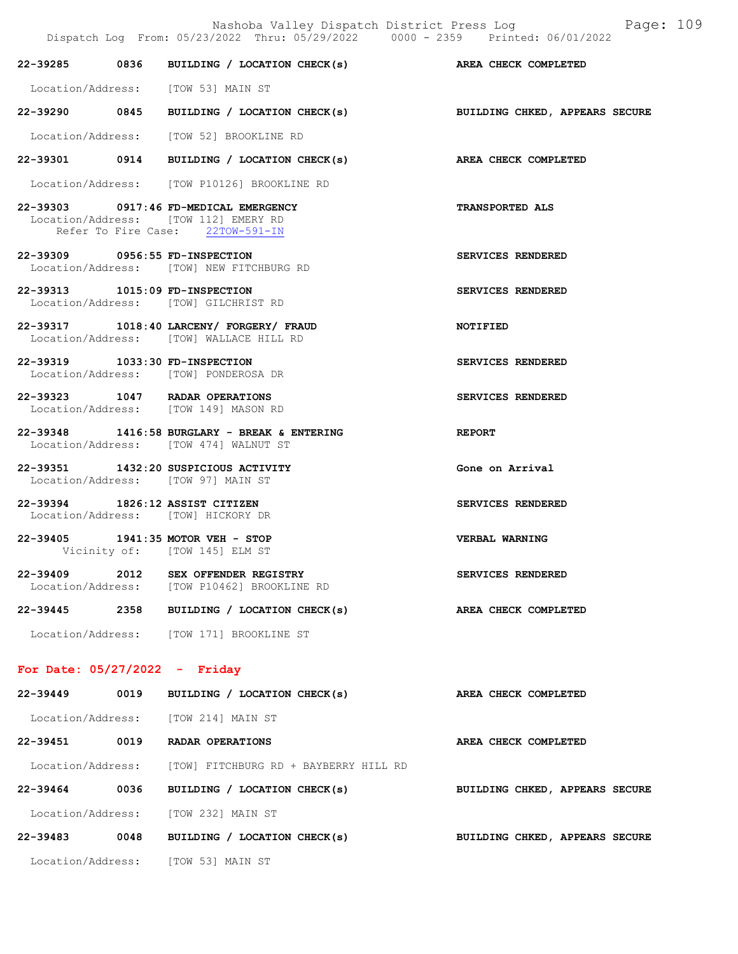|                                 |      | 22-39285 0836 BUILDING / LOCATION CHECK(s) AREA CHECK COMPLETED                                                   |                        |
|---------------------------------|------|-------------------------------------------------------------------------------------------------------------------|------------------------|
|                                 |      | Location/Address: [TOW 53] MAIN ST                                                                                |                        |
|                                 |      | 22-39290 0845 BUILDING / LOCATION CHECK(s) BUILDING CHKED, APPEARS SECURE                                         |                        |
|                                 |      | Location/Address: [TOW 52] BROOKLINE RD                                                                           |                        |
|                                 |      | 22-39301 0914 BUILDING / LOCATION CHECK(s) AREA CHECK COMPLETED                                                   |                        |
|                                 |      | Location/Address: [TOW P10126] BROOKLINE RD                                                                       |                        |
|                                 |      | 22-39303 0917:46 FD-MEDICAL EMERGENCY<br>Location/Address: [TOW 112] EMERY RD<br>Refer To Fire Case: 22TOW-591-IN | <b>TRANSPORTED ALS</b> |
| 22-39309 0956:55 FD-INSPECTION  |      | Location/Address: [TOW] NEW FITCHBURG RD                                                                          | SERVICES RENDERED      |
| 22-39313 1015:09 FD-INSPECTION  |      | Location/Address: [TOW] GILCHRIST RD                                                                              | SERVICES RENDERED      |
|                                 |      | 22-39317 1018:40 LARCENY/ FORGERY/ FRAUD<br>Location/Address: [TOW] WALLACE HILL RD                               | <b>NOTIFIED</b>        |
| 22-39319 1033:30 FD-INSPECTION  |      | Location/Address: [TOW] PONDEROSA DR                                                                              | SERVICES RENDERED      |
|                                 |      | 22-39323 1047 RADAR OPERATIONS<br>Location/Address: [TOW 149] MASON RD                                            | SERVICES RENDERED      |
|                                 |      | 22-39348 1416:58 BURGLARY - BREAK & ENTERING<br>Location/Address: [TOW 474] WALNUT ST                             | <b>REPORT</b>          |
|                                 |      | 22-39351 1432:20 SUSPICIOUS ACTIVITY<br>Location/Address: [TOW 97] MAIN ST                                        | Gone on Arrival        |
|                                 |      | 22-39394 1826:12 ASSIST CITIZEN<br>Location/Address: [TOW] HICKORY DR                                             | SERVICES RENDERED      |
|                                 |      | 22-39405 1941:35 MOTOR VEH - STOP<br>Vicinity of: [TOW 145] ELM ST                                                | VERBAL WARNING         |
|                                 |      | 22-39409 2012 SEX OFFENDER REGISTRY<br>Location/Address: [TOW P10462] BROOKLINE RD                                | SERVICES RENDERED      |
| 22-39445                        | 2358 | BUILDING / LOCATION CHECK(s)                                                                                      | AREA CHECK COMPLETED   |
|                                 |      | Location/Address: [TOW 171] BROOKLINE ST                                                                          |                        |
| For Date: $05/27/2022 -$ Friday |      |                                                                                                                   |                        |
| 22-39449                        | 0019 | BUILDING / LOCATION CHECK(s)                                                                                      | AREA CHECK COMPLETED   |
|                                 |      | Location/Address: [TOW 214] MAIN ST                                                                               |                        |
| 22-39451                        | 0019 | RADAR OPERATIONS                                                                                                  | AREA CHECK COMPLETED   |

 Location/Address: [TOW] FITCHBURG RD + BAYBERRY HILL RD 22-39464 0036 BUILDING / LOCATION CHECK(s) BUILDING CHKED, APPEARS SECURE Location/Address: [TOW 232] MAIN ST 22-39483 0048 BUILDING / LOCATION CHECK(s) BUILDING CHKED, APPEARS SECURE

Location/Address: [TOW 53] MAIN ST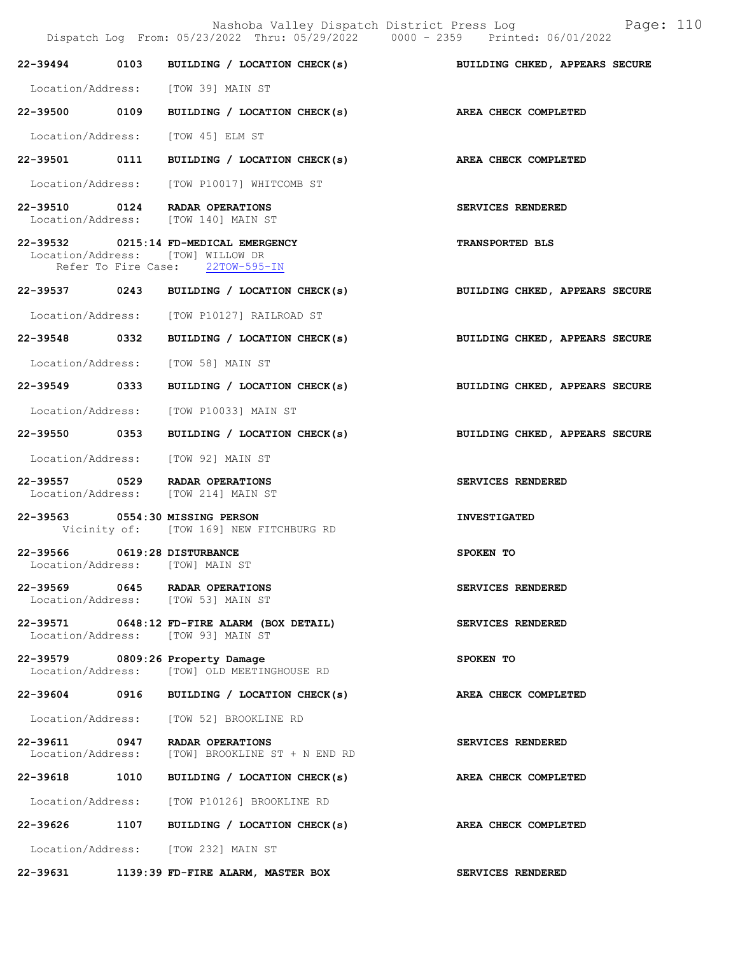Nashoba Valley Dispatch District Press Log Fage: 110

|                                                                 | Dispatch Log From: 05/23/2022 Thru: 05/29/2022 0000 - 2359 Printed: 06/01/2022                                 |                                |
|-----------------------------------------------------------------|----------------------------------------------------------------------------------------------------------------|--------------------------------|
|                                                                 | 22-39494 0103 BUILDING / LOCATION CHECK(s)                                                                     | BUILDING CHKED, APPEARS SECURE |
|                                                                 | Location/Address: [TOW 39] MAIN ST                                                                             |                                |
|                                                                 | 22-39500 0109 BUILDING / LOCATION CHECK(s) AREA CHECK COMPLETED                                                |                                |
|                                                                 | Location/Address: [TOW 45] ELM ST                                                                              |                                |
|                                                                 | 22-39501 0111 BUILDING / LOCATION CHECK(s) AREA CHECK COMPLETED                                                |                                |
|                                                                 | Location/Address: [TOW P10017] WHITCOMB ST                                                                     |                                |
|                                                                 | 22-39510 0124 RADAR OPERATIONS<br>Location/Address: [TOW 140] MAIN ST                                          | SERVICES RENDERED              |
|                                                                 | 22-39532 0215:14 FD-MEDICAL EMERGENCY<br>Location/Address: [TOW] WILLOW DR<br>Refer To Fire Case: 22TOW-595-IN | <b>TRANSPORTED BLS</b>         |
|                                                                 | 22-39537 0243 BUILDING / LOCATION CHECK(s)                                                                     | BUILDING CHKED, APPEARS SECURE |
|                                                                 | Location/Address: [TOW P10127] RAILROAD ST                                                                     |                                |
|                                                                 | 22-39548 0332 BUILDING / LOCATION CHECK(s) BUILDING CHKED, APPEARS SECURE                                      |                                |
|                                                                 | Location/Address: [TOW 58] MAIN ST                                                                             |                                |
|                                                                 | 22-39549 0333 BUILDING / LOCATION CHECK(s) BUILDING CHKED, APPEARS SECURE                                      |                                |
|                                                                 | Location/Address: [TOW P10033] MAIN ST                                                                         |                                |
| 22-39550 0353                                                   | BUILDING / LOCATION CHECK(s)                                                                                   | BUILDING CHKED, APPEARS SECURE |
|                                                                 | Location/Address: [TOW 92] MAIN ST                                                                             |                                |
|                                                                 | 22-39557 0529 RADAR OPERATIONS<br>Location/Address: [TOW 214] MAIN ST                                          | SERVICES RENDERED              |
|                                                                 | 22-39563 0554:30 MISSING PERSON<br>Vicinity of: [TOW 169] NEW FITCHBURG RD                                     | <b>INVESTIGATED</b>            |
| 22-39566 0619:28 DISTURBANCE<br>Location/Address: [TOW] MAIN ST |                                                                                                                | SPOKEN TO                      |
|                                                                 | 22-39569 0645 RADAR OPERATIONS<br>Location/Address: [TOW 53] MAIN ST                                           | SERVICES RENDERED              |
|                                                                 | 22-39571 0648:12 FD-FIRE ALARM (BOX DETAIL)<br>Location/Address: [TOW 93] MAIN ST                              | SERVICES RENDERED              |
|                                                                 | 22-39579 0809:26 Property Damage<br>Location/Address: [TOW] OLD MEETINGHOUSE RD                                | SPOKEN TO                      |
|                                                                 | 22-39604 0916 BUILDING / LOCATION CHECK(s)                                                                     | AREA CHECK COMPLETED           |
|                                                                 | Location/Address: [TOW 52] BROOKLINE RD                                                                        |                                |
|                                                                 | 22-39611 0947 RADAR OPERATIONS<br>Location/Address: [TOW] BROOKLINE ST + N END RD                              | SERVICES RENDERED              |
|                                                                 | 22-39618 1010 BUILDING / LOCATION CHECK(s)                                                                     | AREA CHECK COMPLETED           |
|                                                                 | Location/Address: [TOW P10126] BROOKLINE RD                                                                    |                                |
| 22-39626 1107                                                   | BUILDING / LOCATION CHECK(s)                                                                                   | AREA CHECK COMPLETED           |
|                                                                 | Location/Address: [TOW 232] MAIN ST                                                                            |                                |
|                                                                 | 22-39631 1139:39 FD-FIRE ALARM, MASTER BOX                                                                     | SERVICES RENDERED              |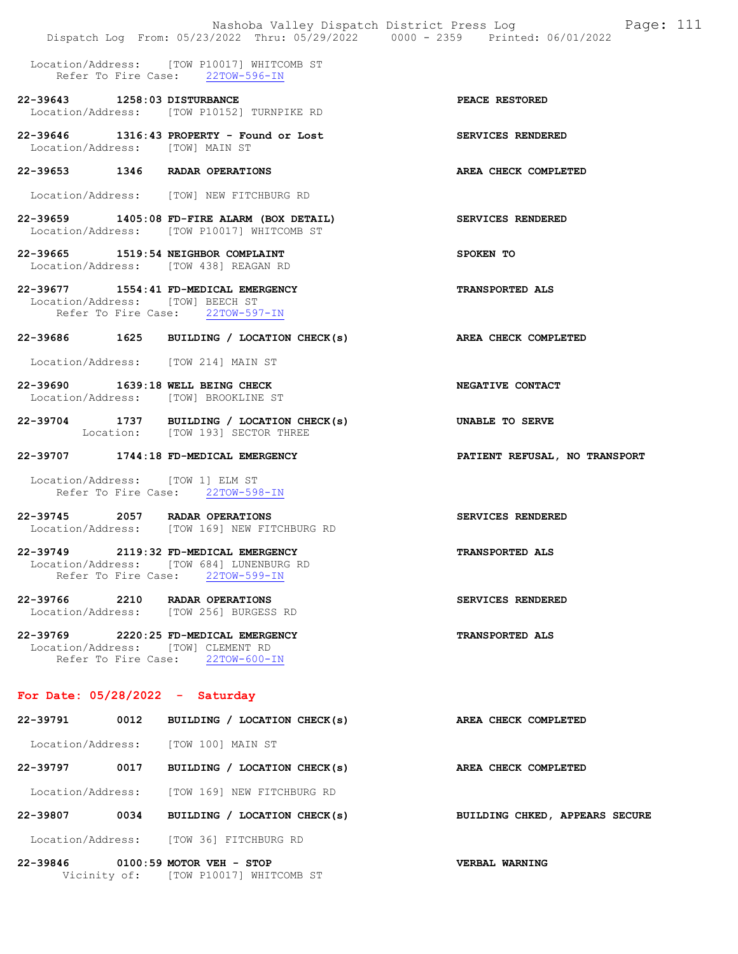|                                   |      | Nashoba Valley Dispatch District Press Log<br>Dispatch Log From: 05/23/2022 Thru: 05/29/2022 0000 - 2359 Printed: 06/01/2022 | Page: 111                      |
|-----------------------------------|------|------------------------------------------------------------------------------------------------------------------------------|--------------------------------|
|                                   |      | Location/Address: [TOW P10017] WHITCOMB ST<br>Refer To Fire Case: 22TOW-596-IN                                               |                                |
| 22-39643 1258:03 DISTURBANCE      |      | Location/Address: [TOW P10152] TURNPIKE RD                                                                                   | PEACE RESTORED                 |
| Location/Address: [TOW] MAIN ST   |      | 22-39646 1316:43 PROPERTY - Found or Lost                                                                                    | SERVICES RENDERED              |
|                                   |      | 22-39653 1346 RADAR OPERATIONS                                                                                               | AREA CHECK COMPLETED           |
|                                   |      | Location/Address: [TOW] NEW FITCHBURG RD                                                                                     |                                |
|                                   |      | 22-39659 1405:08 FD-FIRE ALARM (BOX DETAIL)<br>Location/Address: [TOW P10017] WHITCOMB ST                                    | SERVICES RENDERED              |
|                                   |      | 22-39665 1519:54 NEIGHBOR COMPLAINT<br>Location/Address: [TOW 438] REAGAN RD                                                 | SPOKEN TO                      |
|                                   |      | 22-39677 1554:41 FD-MEDICAL EMERGENCY<br>Location/Address: [TOW] BEECH ST<br>Refer To Fire Case: 22TOW-597-IN                | <b>TRANSPORTED ALS</b>         |
|                                   |      | 22-39686 1625 BUILDING / LOCATION CHECK(s)                                                                                   | AREA CHECK COMPLETED           |
|                                   |      | Location/Address: [TOW 214] MAIN ST                                                                                          |                                |
|                                   |      | 22-39690 1639:18 WELL BEING CHECK<br>Location/Address: [TOW] BROOKLINE ST                                                    | NEGATIVE CONTACT               |
|                                   |      | 22-39704 1737 BUILDING / LOCATION CHECK(s)<br>Location: [TOW 193] SECTOR THREE                                               | UNABLE TO SERVE                |
|                                   |      | 22-39707 1744:18 FD-MEDICAL EMERGENCY                                                                                        | PATIENT REFUSAL, NO TRANSPORT  |
|                                   |      |                                                                                                                              |                                |
|                                   |      | Location/Address: [TOW 1] ELM ST<br>Refer To Fire Case: 22TOW-598-IN                                                         |                                |
|                                   |      | 22-39745 2057 RADAR OPERATIONS<br>Location/Address: [TOW 169] NEW FITCHBURG RD                                               | SERVICES RENDERED              |
|                                   |      | 22-39749 2119:32 FD-MEDICAL EMERGENCY<br>Location/Address: [TOW 684] LUNENBURG RD<br>Refer To Fire Case: 22TOW-599-IN        | <b>TRANSPORTED ALS</b>         |
|                                   |      | 22-39766 2210 RADAR OPERATIONS<br>Location/Address: [TOW 256] BURGESS RD                                                     | SERVICES RENDERED              |
|                                   |      | 22-39769 2220:25 FD-MEDICAL EMERGENCY<br>Location/Address: [TOW] CLEMENT RD<br>Refer To Fire Case: 22TOW-600-IN              | <b>TRANSPORTED ALS</b>         |
| For Date: $05/28/2022 - Saturday$ |      |                                                                                                                              |                                |
| 22-39791                          | 0012 | BUILDING / LOCATION CHECK(s)                                                                                                 | AREA CHECK COMPLETED           |
|                                   |      | Location/Address: [TOW 100] MAIN ST                                                                                          |                                |
| 22-39797 0017                     |      | BUILDING / LOCATION CHECK(s)                                                                                                 | AREA CHECK COMPLETED           |
|                                   |      | Location/Address: [TOW 169] NEW FITCHBURG RD                                                                                 |                                |
|                                   |      | 22-39807 0034 BUILDING / LOCATION CHECK(s)                                                                                   | BUILDING CHKED, APPEARS SECURE |
|                                   |      | Location/Address: [TOW 36] FITCHBURG RD                                                                                      |                                |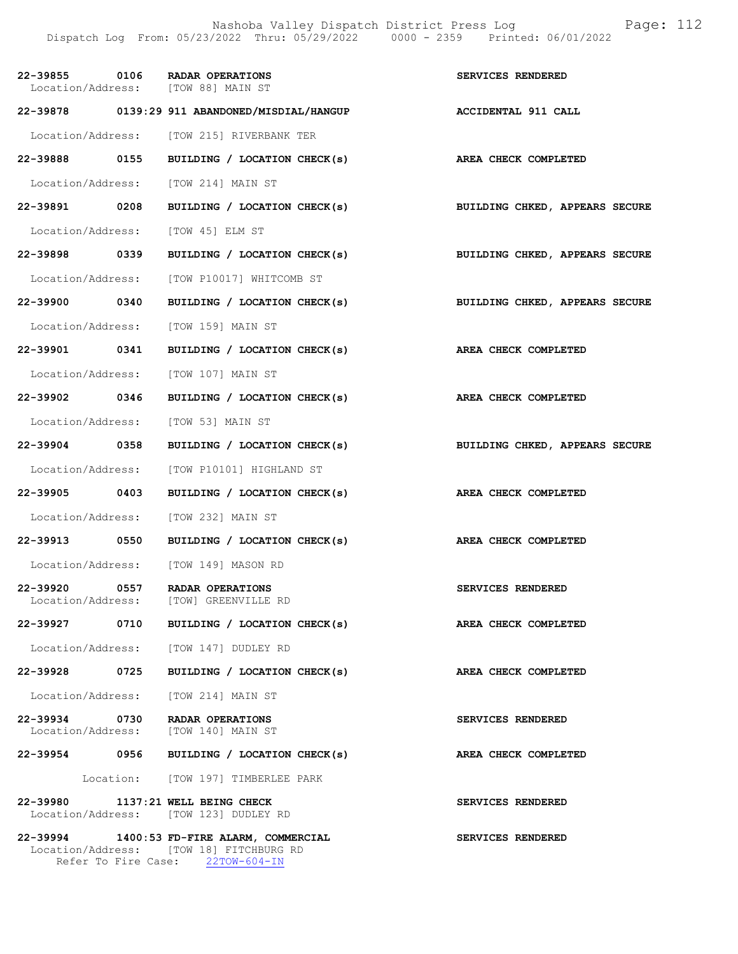| 22-39855 0106 |      | RADAR OPERATIONS<br>Location/Address: [TOW 88] MAIN ST                                                           | SERVICES RENDERED              |
|---------------|------|------------------------------------------------------------------------------------------------------------------|--------------------------------|
|               |      | 22-39878 0139:29 911 ABANDONED/MISDIAL/HANGUP                                                                    | <b>ACCIDENTAL 911 CALL</b>     |
|               |      | Location/Address: [TOW 215] RIVERBANK TER                                                                        |                                |
|               |      | 22-39888 0155 BUILDING / LOCATION CHECK(s)                                                                       | AREA CHECK COMPLETED           |
|               |      | Location/Address: [TOW 214] MAIN ST                                                                              |                                |
| 22-39891 0208 |      | BUILDING / LOCATION CHECK(s)                                                                                     | BUILDING CHKED, APPEARS SECURE |
|               |      | Location/Address: [TOW 45] ELM ST                                                                                |                                |
| 22-39898 0339 |      | BUILDING / LOCATION CHECK(s)                                                                                     | BUILDING CHKED, APPEARS SECURE |
|               |      | Location/Address: [TOW P10017] WHITCOMB ST                                                                       |                                |
| 22-39900 0340 |      | BUILDING / LOCATION CHECK(s) BUILDING CHKED, APPEARS SECURE                                                      |                                |
|               |      | Location/Address: [TOW 159] MAIN ST                                                                              |                                |
| 22-39901 0341 |      | BUILDING / LOCATION CHECK(s)                                                                                     | AREA CHECK COMPLETED           |
|               |      | Location/Address: [TOW 107] MAIN ST                                                                              |                                |
| 22-39902 0346 |      | BUILDING / LOCATION CHECK(s)                                                                                     | AREA CHECK COMPLETED           |
|               |      | Location/Address: [TOW 53] MAIN ST                                                                               |                                |
| 22-39904 0358 |      | BUILDING / LOCATION CHECK(s) BUILDING CHKED, APPEARS SECURE                                                      |                                |
|               |      | Location/Address: [TOW P10101] HIGHLAND ST                                                                       |                                |
|               |      | 22-39905 0403 BUILDING / LOCATION CHECK(s)                                                                       | AREA CHECK COMPLETED           |
|               |      | Location/Address: [TOW 232] MAIN ST                                                                              |                                |
| 22-39913 0550 |      | BUILDING / LOCATION CHECK(s) AREA CHECK COMPLETED                                                                |                                |
|               |      | Location/Address: [TOW 149] MASON RD                                                                             |                                |
| 22-39920      | 0557 | RADAR OPERATIONS<br>Location/Address: [TOW] GREENVILLE RD                                                        | SERVICES RENDERED              |
| 22-39927      | 0710 | BUILDING / LOCATION CHECK(s)                                                                                     | AREA CHECK COMPLETED           |
|               |      | Location/Address: [TOW 147] DUDLEY RD                                                                            |                                |
| 22-39928 0725 |      | BUILDING / LOCATION CHECK(s)                                                                                     | AREA CHECK COMPLETED           |
|               |      | Location/Address: [TOW 214] MAIN ST                                                                              |                                |
| 22-39934 0730 |      | <b>RADAR OPERATIONS</b><br>Location/Address: [TOW 140] MAIN ST                                                   | SERVICES RENDERED              |
| 22-39954 0956 |      | BUILDING / LOCATION CHECK(s)                                                                                     | AREA CHECK COMPLETED           |
|               |      | Location: [TOW 197] TIMBERLEE PARK                                                                               |                                |
| 22-39980      |      | 1137:21 WELL BEING CHECK<br>Location/Address: [TOW 123] DUDLEY RD                                                | SERVICES RENDERED              |
| 22-39994      |      | 1400:53 FD-FIRE ALARM, COMMERCIAL<br>Location/Address: [TOW 18] FITCHBURG RD<br>Refer To Fire Case: 22TOW-604-IN | SERVICES RENDERED              |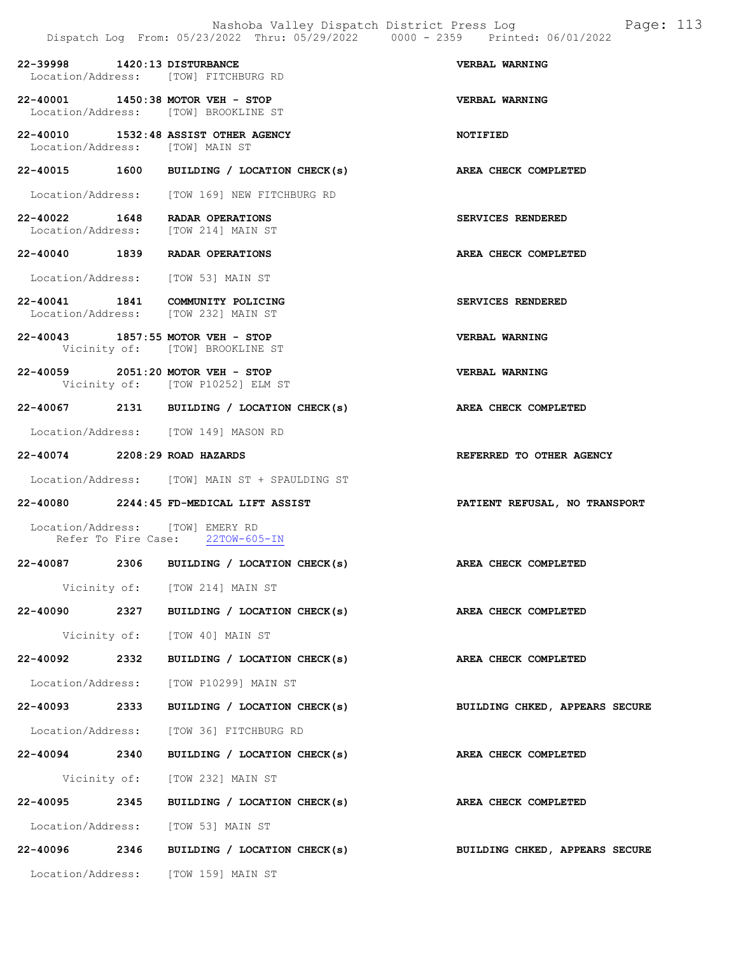|                                 |      | Nashoba Valley Dispatch District Press Log<br>Dispatch Log From: 05/23/2022 Thru: 05/29/2022 0000 - 2359 Printed: 06/01/2022 | Page: 113                      |
|---------------------------------|------|------------------------------------------------------------------------------------------------------------------------------|--------------------------------|
| 22-39998 1420:13 DISTURBANCE    |      | Location/Address: [TOW] FITCHBURG RD                                                                                         | VERBAL WARNING                 |
|                                 |      | 22-40001 1450:38 MOTOR VEH - STOP<br>Location/Address: [TOW] BROOKLINE ST                                                    | VERBAL WARNING                 |
| Location/Address: [TOW] MAIN ST |      | 22-40010 1532:48 ASSIST OTHER AGENCY                                                                                         | <b>NOTIFIED</b>                |
|                                 |      | 22-40015 1600 BUILDING / LOCATION CHECK(s) AREA CHECK COMPLETED                                                              |                                |
|                                 |      | Location/Address: [TOW 169] NEW FITCHBURG RD                                                                                 |                                |
|                                 |      | 22-40022 1648 RADAR OPERATIONS<br>Location/Address: [TOW 214] MAIN ST                                                        | SERVICES RENDERED              |
|                                 |      | 22-40040 1839 RADAR OPERATIONS                                                                                               | AREA CHECK COMPLETED           |
|                                 |      | Location/Address: [TOW 53] MAIN ST                                                                                           |                                |
|                                 |      | 22-40041 1841 COMMUNITY POLICING<br>Location/Address: [TOW 232] MAIN ST                                                      | SERVICES RENDERED              |
|                                 |      | 22-40043 1857:55 MOTOR VEH - STOP<br>Vicinity of: [TOW] BROOKLINE ST                                                         | VERBAL WARNING                 |
|                                 |      | 22-40059 2051:20 MOTOR VEH - STOP<br>Vicinity of: [TOW P10252] ELM ST                                                        | <b>VERBAL WARNING</b>          |
|                                 |      | 22-40067 2131 BUILDING / LOCATION CHECK(s) AREA CHECK COMPLETED                                                              |                                |
|                                 |      | Location/Address: [TOW 149] MASON RD                                                                                         |                                |
| 22-40074 2208:29 ROAD HAZARDS   |      |                                                                                                                              | REFERRED TO OTHER AGENCY       |
|                                 |      | Location/Address: [TOW] MAIN ST + SPAULDING ST                                                                               |                                |
|                                 |      | 22-40080 2244:45 FD-MEDICAL LIFT ASSIST                                                                                      | PATIENT REFUSAL, NO TRANSPORT  |
|                                 |      | Location/Address: [TOW] EMERY RD<br>Refer To Fire Case: 22TOW-605-IN                                                         |                                |
| 22-40087                        | 2306 | BUILDING / LOCATION CHECK(s)                                                                                                 | AREA CHECK COMPLETED           |
|                                 |      | Vicinity of: [TOW 214] MAIN ST                                                                                               |                                |
|                                 |      | 22-40090 2327 BUILDING / LOCATION CHECK(s)                                                                                   | AREA CHECK COMPLETED           |
|                                 |      | Vicinity of: [TOW 40] MAIN ST                                                                                                |                                |
| 22-40092 2332                   |      | BUILDING / LOCATION CHECK(s)                                                                                                 | AREA CHECK COMPLETED           |
|                                 |      | Location/Address: [TOW P10299] MAIN ST                                                                                       |                                |
| 22-40093 2333                   |      | BUILDING / LOCATION CHECK(s)                                                                                                 | BUILDING CHKED, APPEARS SECURE |
|                                 |      | Location/Address: [TOW 36] FITCHBURG RD                                                                                      |                                |
| 22-40094 2340                   |      | BUILDING / LOCATION CHECK(s)                                                                                                 | AREA CHECK COMPLETED           |
|                                 |      | Vicinity of: [TOW 232] MAIN ST                                                                                               |                                |
| 22-40095 2345                   |      | BUILDING / LOCATION CHECK(s)                                                                                                 | <b>AREA CHECK COMPLETED</b>    |
|                                 |      | Location/Address: [TOW 53] MAIN ST                                                                                           |                                |
|                                 |      | 22-40096 2346 BUILDING / LOCATION CHECK(s)                                                                                   | BUILDING CHKED, APPEARS SECURE |
|                                 |      | Location/Address: [TOW 159] MAIN ST                                                                                          |                                |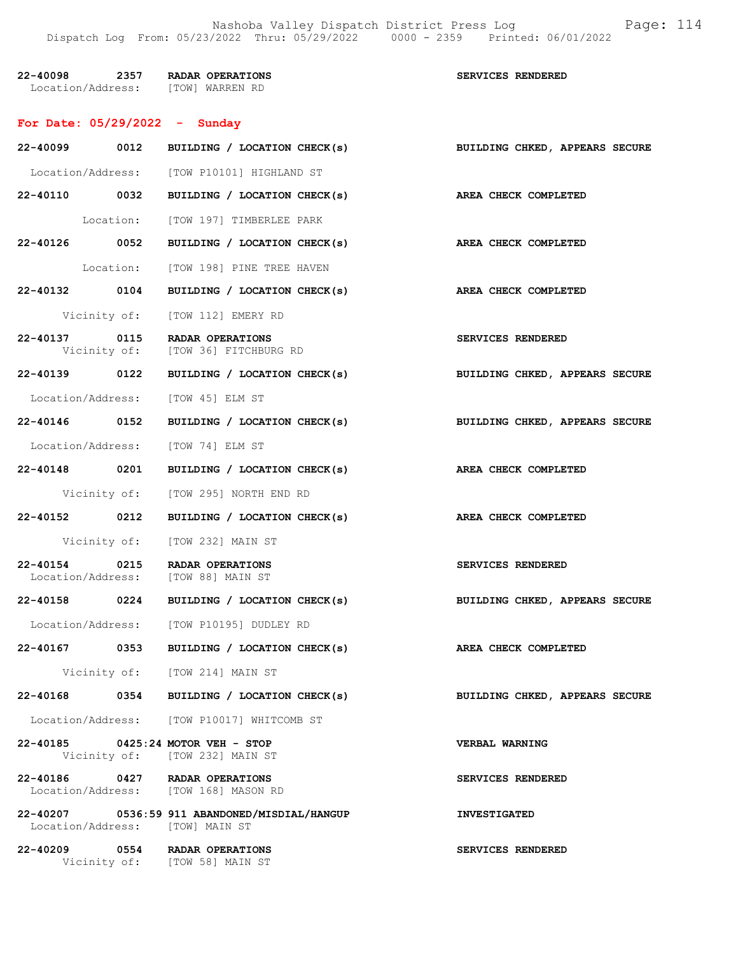Nashoba Valley Dispatch District Press Log Fage: 114 Dispatch Log From: 05/23/2022 Thru: 05/29/2022 0000 - 2359 Printed: 06/01/2022

| 22-40098                          | 2357 | <b>RADAR OPERATIONS</b> | <b>SERVICES RENDERED</b> |  |
|-----------------------------------|------|-------------------------|--------------------------|--|
| Location/Address: [TOW] WARREN RD |      |                         |                          |  |

## For Date: 05/29/2022 - Sunday

|                                 |      | 22-40099 0012 BUILDING / LOCATION CHECK(s)                             | BUILDING CHKED, APPEARS SECURE |
|---------------------------------|------|------------------------------------------------------------------------|--------------------------------|
|                                 |      | Location/Address: [TOW P10101] HIGHLAND ST                             |                                |
|                                 |      | 22-40110 0032 BUILDING / LOCATION CHECK(s)                             | <b>AREA CHECK COMPLETED</b>    |
|                                 |      | Location: [TOW 197] TIMBERLEE PARK                                     |                                |
|                                 |      | 22-40126 0052 BUILDING / LOCATION CHECK(s) AREA CHECK COMPLETED        |                                |
|                                 |      | Location: [TOW 198] PINE TREE HAVEN                                    |                                |
| 22-40132 0104                   |      | BUILDING / LOCATION CHECK(s)                                           | AREA CHECK COMPLETED           |
|                                 |      | Vicinity of: [TOW 112] EMERY RD                                        |                                |
| 22-40137 0115                   |      | RADAR OPERATIONS<br>Vicinity of: [TOW 36] FITCHBURG RD                 | SERVICES RENDERED              |
|                                 |      | 22-40139 0122 BUILDING / LOCATION CHECK(s)                             | BUILDING CHKED, APPEARS SECURE |
|                                 |      | Location/Address: [TOW 45] ELM ST                                      |                                |
| 22-40146 0152                   |      | BUILDING / LOCATION CHECK(s)                                           | BUILDING CHKED, APPEARS SECURE |
|                                 |      | Location/Address: [TOW 74] ELM ST                                      |                                |
| 22-40148 0201                   |      | BUILDING / LOCATION CHECK(s)                                           | AREA CHECK COMPLETED           |
|                                 |      | Vicinity of: [TOW 295] NORTH END RD                                    |                                |
|                                 |      | 22-40152 0212 BUILDING / LOCATION CHECK(s)                             | AREA CHECK COMPLETED           |
|                                 |      | Vicinity of: [TOW 232] MAIN ST                                         |                                |
| 22-40154 0215                   |      | RADAR OPERATIONS<br>Location/Address: [TOW 88] MAIN ST                 | SERVICES RENDERED              |
|                                 |      | 22-40158 0224 BUILDING / LOCATION CHECK(s)                             | BUILDING CHKED, APPEARS SECURE |
|                                 |      | Location/Address: [TOW P10195] DUDLEY RD                               |                                |
|                                 |      | 22-40167 0353 BUILDING / LOCATION CHECK(s)                             | AREA CHECK COMPLETED           |
| Vicinity of:                    |      | [TOW 214] MAIN ST                                                      |                                |
| 22-40168                        | 0354 | BUILDING / LOCATION CHECK(s)                                           | BUILDING CHKED, APPEARS SECURE |
|                                 |      | Location/Address: [TOW P10017] WHITCOMB ST                             |                                |
|                                 |      | 22-40185 0425:24 MOTOR VEH - STOP<br>Vicinity of: [TOW 232] MAIN ST    | <b>VERBAL WARNING</b>          |
|                                 |      | 22-40186 0427 RADAR OPERATIONS<br>Location/Address: [TOW 168] MASON RD | SERVICES RENDERED              |
| Location/Address: [TOW] MAIN ST |      | 22-40207 0536:59 911 ABANDONED/MISDIAL/HANGUP                          | <b>INVESTIGATED</b>            |
|                                 |      | 22-40209 0554 RADAR OPERATIONS<br>Vicinity of: [TOW 58] MAIN ST        | SERVICES RENDERED              |